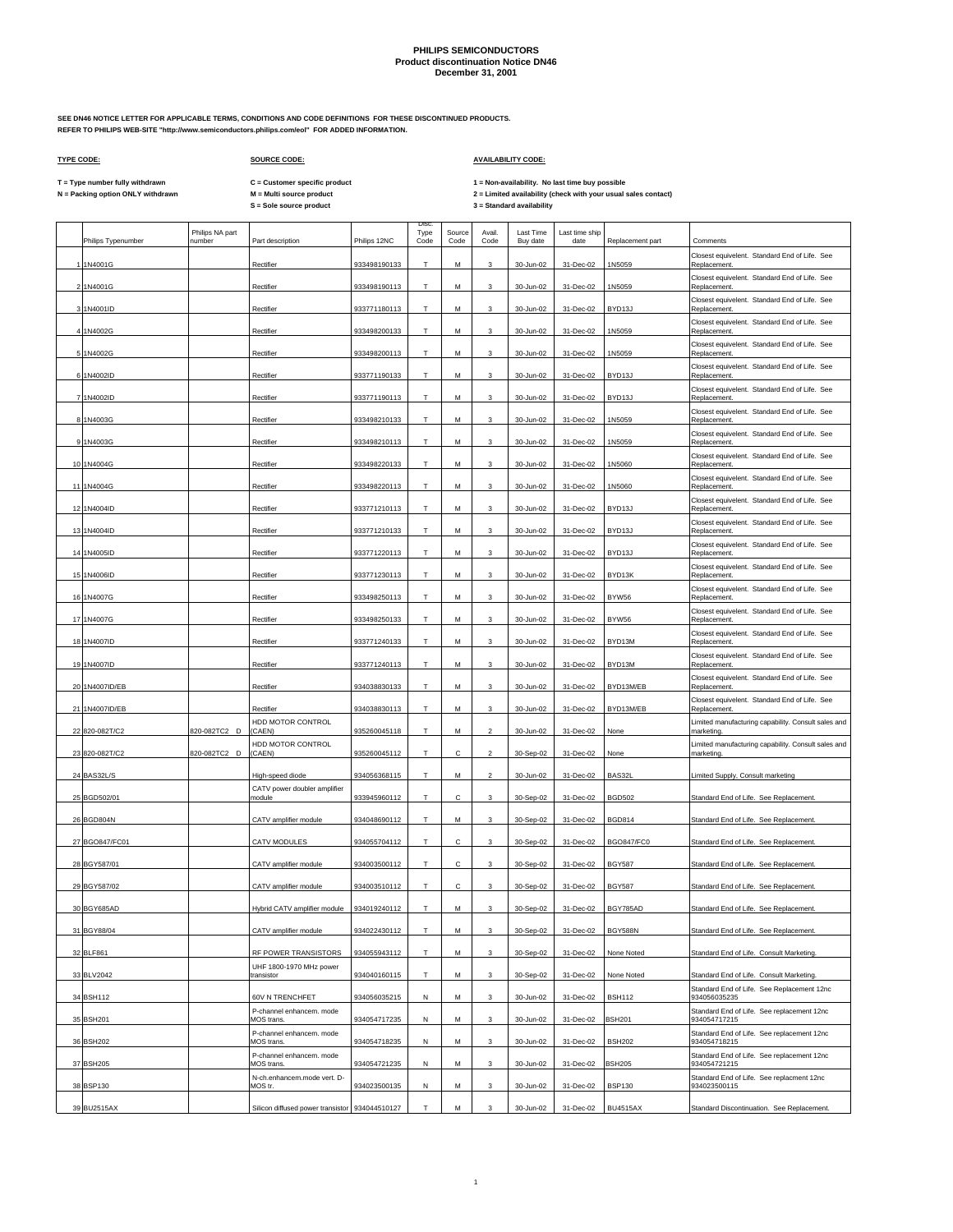**SEE DN46 NOTICE LETTER FOR APPLICABLE TERMS, CONDITIONS AND CODE DEFINITIONS FOR THESE DISCONTINUED PRODUCTS. REFER TO PHILIPS WEB-SITE "http://www.semiconductors.philips.com/eol" FOR ADDED INFORMATION.**

 $\Gamma$ 

### **TYPE CODE: SOURCE CODE: AVAILABILITY CODE:**

**C = Customer specific product**

T = Type number fully withdrawn C = Customer specific product 1 = Non-availability. No last time buy possible<br>N = Packing option ONLY withdrawn M = Multi source product 2 =

 $\top$ 

|                    |                           |                                                |              | Disc         |                |                |                              |                        |                   |                                                                  |
|--------------------|---------------------------|------------------------------------------------|--------------|--------------|----------------|----------------|------------------------------|------------------------|-------------------|------------------------------------------------------------------|
| Philips Typenumber | Philips NA part<br>number | Part description                               | Philips 12NC | Type<br>Code | Source<br>Code | Avail.<br>Code | <b>Last Time</b><br>Buy date | Last time ship<br>date | Replacement part  | Comments                                                         |
| 1 1N4001G          |                           | Rectifier                                      | 933498190133 | т            | M              | 3              | 30-Jun-02                    | 31-Dec-02              | 1N5059            | Closest equivelent. Standard End of Life. See<br>Replacement     |
| 2 1N4001G          |                           | Rectifier                                      | 933498190113 | T            | М              | 3              | 30-Jun-02                    | 31-Dec-02              | 1N5059            | Closest equivelent. Standard End of Life. See<br>Replacement.    |
| 3 1N4001ID         |                           | Rectifier                                      | 933771180113 | т            | M              | 3              | 30-Jun-02                    | 31-Dec-02              | BYD13J            | Closest equivelent. Standard End of Life. See<br>Replacement.    |
|                    |                           |                                                |              | T.           |                |                |                              |                        |                   | Closest equivelent. Standard End of Life. See                    |
| 4 1N4002G          |                           | Rectifier                                      | 933498200133 |              | M              | 3              | 30-Jun-02                    | 31-Dec-02              | 1N5059            | Replacement.<br>Closest equivelent. Standard End of Life. See    |
| 51N4002G           |                           | Rectifier                                      | 933498200113 | $\mathsf T$  | М              | 3              | 30-Jun-02                    | 31-Dec-02              | 1N5059            | Replacement.<br>Closest equivelent. Standard End of Life. See    |
| 6 1N4002ID         |                           | Rectifier                                      | 933771190133 | T.           | M              | 3              | 30-Jun-02                    | 31-Dec-02              | BYD13J            | Replacement.<br>Closest equivelent. Standard End of Life. See    |
| 7 1N4002ID         |                           | Rectifier                                      | 933771190113 | т            | М              | 3              | 30-Jun-02                    | 31-Dec-02              | BYD13J            | Replacement.<br>Closest equivelent. Standard End of Life. See    |
| 8 1N4003G          |                           | Rectifier                                      | 933498210133 | T.           | M              | 3              | 30-Jun-02                    | 31-Dec-02              | 1N5059            | Replacement.                                                     |
| 9 1N4003G          |                           | Rectifier                                      | 933498210113 | T            | M              | 3              | 30-Jun-02                    | 31-Dec-02              | 1N5059            | Closest equivelent. Standard End of Life. See<br>Replacement.    |
| 10 1N4004G         |                           | Rectifier                                      | 933498220133 | Т            | М              | 3              | 30-Jun-02                    | 31-Dec-02              | 1N5060            | Closest equivelent. Standard End of Life. See<br>Replacement.    |
| 11 1N4004G         |                           | Rectifier                                      | 933498220113 | T            | M              | 3              | 30-Jun-02                    | 31-Dec-02              | 1N5060            | Closest equivelent. Standard End of Life. See<br>Replacement.    |
| 12 1N4004ID        |                           | Rectifier                                      | 933771210113 | T            | M              | 3              | 30-Jun-02                    | 31-Dec-02              | BYD13J            | Closest equivelent. Standard End of Life. See<br>Replacement.    |
| 13 1N4004ID        |                           | Rectifier                                      | 933771210133 | т            | М              | 3              | 30-Jun-02                    | 31-Dec-02              | BYD13J            | Closest equivelent. Standard End of Life. See<br>Replacement     |
| 14 1N4005ID        |                           | Rectifier                                      | 933771220113 | Т            | M              | 3              | 30-Jun-02                    | 31-Dec-02              | BYD13J            | Closest equivelent. Standard End of Life. See<br>Replacement     |
| 15 1N4006ID        |                           | Rectifier                                      | 933771230113 | т            | M              | 3              | 30-Jun-02                    | 31-Dec-02              | BYD13K            | Closest equivelent. Standard End of Life. See<br>Replacement.    |
|                    |                           |                                                |              |              |                |                |                              |                        |                   | Closest equivelent. Standard End of Life. See                    |
| 16 1N4007G         |                           | Rectifier                                      | 933498250113 | т            | м              | 3              | 30-Jun-02                    | 31-Dec-02              | BYW56             | Replacement.<br>Closest equivelent. Standard End of Life. See    |
| 17 1N4007G         |                           | Rectifier                                      | 933498250133 | T            | M              | 3              | 30-Jun-02                    | 31-Dec-02              | BYW56             | Replacement.<br>Closest equivelent. Standard End of Life. See    |
| 18 1N4007ID        |                           | Rectifier                                      | 933771240133 | Т            | M              | 3              | 30-Jun-02                    | 31-Dec-02              | BYD13M            | Replacement.<br>Closest equivelent. Standard End of Life. See    |
| 19 1N4007ID        |                           | Rectifier                                      | 933771240113 | T            | M              | 3              | 30-Jun-02                    | 31-Dec-02              | BYD13M            | Replacement.<br>Closest equivelent. Standard End of Life. See    |
| 20 1N4007ID/EB     |                           | Rectifier                                      | 934038830133 | Т            | M              | 3              | 30-Jun-02                    | 31-Dec-02              | BYD13M/EB         | Replacement.                                                     |
| 21 1N4007ID/EB     |                           | Rectifier                                      | 934038830113 | T            | M              | 3              | 30-Jun-02                    | 31-Dec-02              | BYD13M/EB         | Closest equivelent. Standard End of Life. See<br>Replacement.    |
| 22 820-082T/C2     | 820-082TC2 D              | HDD MOTOR CONTROL<br>(CAEN)                    | 935260045118 | т            | M              | $\mathcal{P}$  | 30-Jun-02                    | 31-Dec-02              | None              | Limited manufacturing capability. Consult sales and<br>marketing |
| 23 820-082T/C2     | 820-082TC2 D              | HDD MOTOR CONTROL<br>(CAEN)                    | 935260045112 | T.           | C              | $\mathfrak{p}$ | 30-Sep-02                    | 31-Dec-02              | None              | Limited manufacturing capability. Consult sales and<br>marketing |
| 24 BAS32L/S        |                           | High-speed diode                               | 934056368115 | т            | M              | 2              | 30-Jun-02                    | 31-Dec-02              | BAS32I            | imited Supply, Consult marketing                                 |
| 25 BGD502/01       |                           | CATV power doubler amplifier<br>module         | 933945960112 | T            | C              | 3              | 30-Sep-02                    | 31-Dec-02              | <b>BGD502</b>     | Standard End of Life. See Replacement.                           |
| 26 BGD804N         |                           |                                                |              | Т            |                |                |                              |                        |                   |                                                                  |
|                    |                           | CATV amplifier module                          | 934048690112 |              | M              | 3              | 30-Sep-02                    | 31-Dec-02              | <b>BGD814</b>     | Standard End of Life. See Replacement.                           |
| 27 BGO847/FC01     |                           | CATV MODULES                                   | 934055704112 | T.           | C              | 3              | 30-Sep-02                    | 31-Dec-02              | <b>BGO847/FC0</b> | Standard End of Life. See Replacement.                           |
| 28 BGY587/01       |                           | CATV amplifier module                          | 934003500112 | т            | с              | 3              | 30-Sep-02                    | 31-Dec-02              | <b>BGY587</b>     | Standard End of Life. See Replacement.                           |
| 29 BGY587/02       |                           | CATV amplifier module                          | 934003510112 | T.           | с              | 3              | 30-Sep-02                    | 31-Dec-02              | <b>BGY587</b>     | Standard End of Life. See Replacement.                           |
| 30 BGY685AD        |                           | Hybrid CATV amplifier module                   | 934019240112 | T            | M              | 3              | 30-Sep-02                    | 31-Dec-02              | BGY785AD          | Standard End of Life. See Replacement.                           |
| 31 BGY88/04        |                           | CATV amplifier module                          | 934022430112 | T            | М              | 3              | 30-Sep-02                    | 31-Dec-02              | BGY588N           | Standard End of Life. See Replacement.                           |
| 32 BLF861          |                           | RF POWER TRANSISTORS                           | 934055943112 | т            | M              | 3              | 30-Sep-02                    | 31-Dec-02              | None Noted        | Standard End of Life. Consult Marketing.                         |
| 33 BLV2042         |                           | UHF 1800-1970 MHz power<br>transistor          | 934040160115 | T.           | M              | 3              | 30-Sep-02                    | 31-Dec-02              | None Noted        | Standard End of Life. Consult Marketing.                         |
| 34 BSH112          |                           | 60V N TRENCHFET                                | 934056035215 | Ν            | М              | 3              | 30-Jun-02                    | 31-Dec-02              | <b>BSH112</b>     | Standard End of Life. See Replacement 12nc<br>934056035235       |
| 35 BSH201          |                           | P-channel enhancem. mode<br>MOS trans.         | 934054717235 | Ν            | M              | 3              | 30-Jun-02                    | 31-Dec-02              | <b>BSH201</b>     | Standard End of Life. See replacement 12nc<br>934054717215       |
| 36 BSH202          |                           | P-channel enhancem. mode<br>MOS trans.         | 934054718235 | N            | М              | 3              | 30-Jun-02                    | 31-Dec-02              | <b>BSH202</b>     | Standard End of Life. See replacement 12nc<br>934054718215       |
| 37 BSH205          |                           | P-channel enhancem. mode<br>MOS trans.         | 934054721235 | N            | м              | 3              | 30-Jun-02                    | 31-Dec-02              | <b>BSH205</b>     | Standard End of Life. See replacement 12nc<br>934054721215       |
|                    |                           | N-ch.enhancem.mode vert. D-                    |              |              |                |                |                              |                        |                   | Standard End of Life. See replacment 12nc                        |
| 38 BSP130          |                           | MOS tr.                                        | 934023500135 | Ν            | M              | 3              | 30-Jun-02                    | 31-Dec-02              | <b>BSP130</b>     | 934023500115                                                     |
| 39 BU2515AX        |                           | Silicon diffused power transistor 934044510127 |              | т            | М              |                | 30-Jun-02                    | 31-Dec-02              | <b>BU4515AX</b>   | Standard Discontinuation. See Replacement.                       |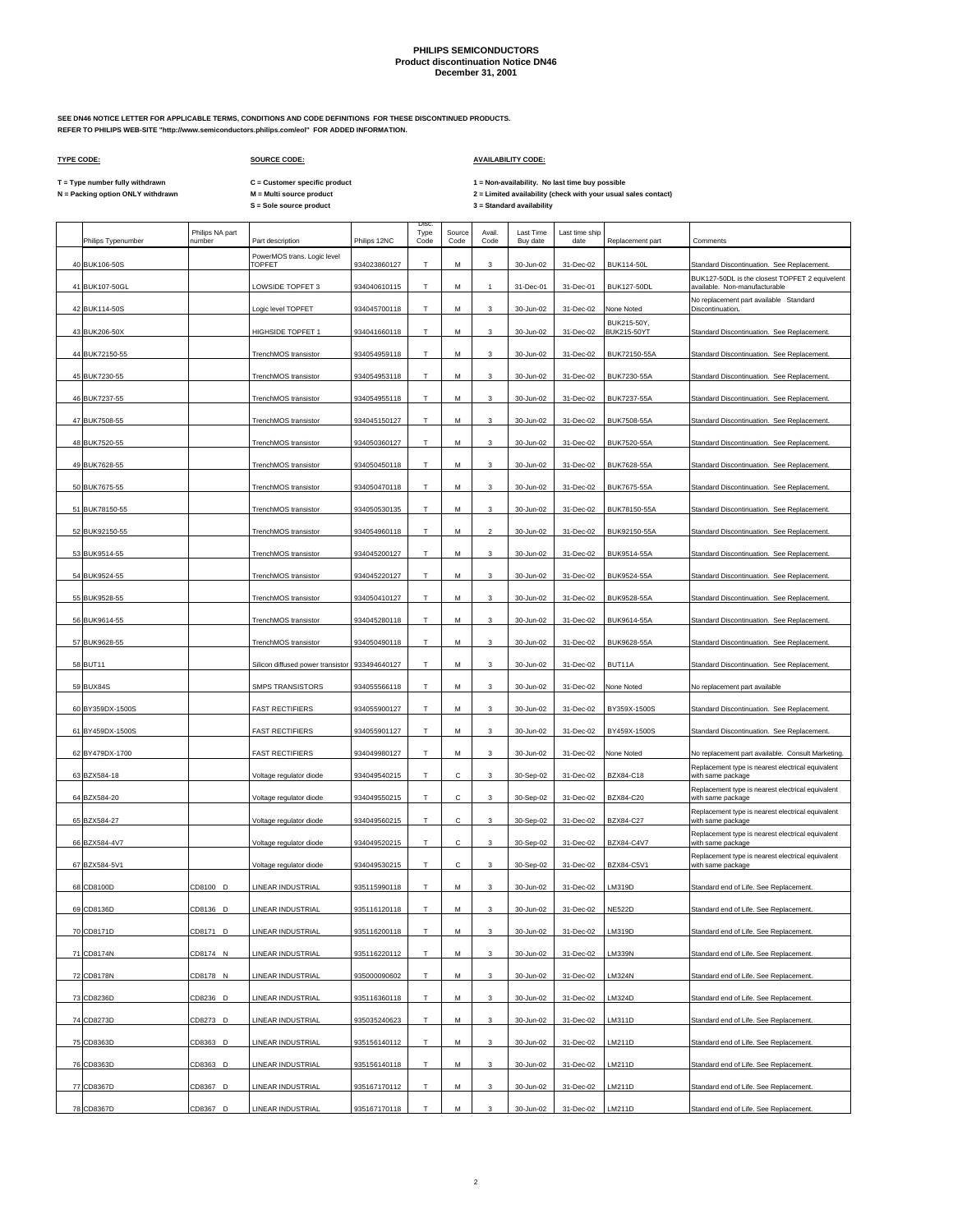**SEE DN46 NOTICE LETTER FOR APPLICABLE TERMS, CONDITIONS AND CODE DEFINITIONS FOR THESE DISCONTINUED PRODUCTS. REFER TO PHILIPS WEB-SITE "http://www.semiconductors.philips.com/eol" FOR ADDED INFORMATION.**

 $\Gamma$ 

### **TYPE CODE: SOURCE CODE: AVAILABILITY CODE:**

**C = Customer specific product**

T = Type number fully withdrawn C = Customer specific product 1 = Non-availability. No last time buy possible<br>N = Packing option ONLY withdrawn M = Multi source product 2 = Lim

| Philips Typenumber | Philips NA part<br>number | Part description                               | Philips 12NC | <b>Disc</b><br>Type<br>Code | Source<br>Code | Avail.<br>Code | <b>Last Time</b><br>Buy date | Last time ship<br>date | Replacement part           | Comments                                                                        |
|--------------------|---------------------------|------------------------------------------------|--------------|-----------------------------|----------------|----------------|------------------------------|------------------------|----------------------------|---------------------------------------------------------------------------------|
| 40 BUK106-50S      |                           | PowerMOS trans. Logic level<br><b>TOPFET</b>   | 934023860127 | T                           | М              | 3              | 30-Jun-02                    | 31-Dec-02              | <b>BUK114-50L</b>          | Standard Discontinuation. See Replacement.                                      |
| 41 BUK107-50GL     |                           | LOWSIDE TOPFET 3                               | 934040610115 | T                           | М              | $\mathbf{1}$   | 31-Dec-01                    | 31-Dec-01              | <b>BUK127-50DL</b>         | BUK127-50DL is the closest TOPFET 2 equivelent<br>available. Non-manufacturable |
| 42 BUK114-50S      |                           | Logic level TOPFET                             | 934045700118 | т                           | м              | 3              | 30-Jun-02                    | 31-Dec-02              | None Noted                 | No replacement part available Standard<br>Discontinuation.                      |
| 43 BUK206-50X      |                           | <b>HIGHSIDE TOPFET 1</b>                       | 934041660118 | т                           | М              | 3              | 30-Jun-02                    | 31-Dec-02              | BUK215-50Y,<br>BUK215-50YT | Standard Discontinuation. See Replacement.                                      |
| 44 BUK72150-55     |                           | TrenchMOS transistor                           | 934054959118 | T                           | М              | 3              | 30-Jun-02                    | 31-Dec-02              | BUK72150-55A               | Standard Discontinuation. See Replacement.                                      |
| 45 BUK7230-55      |                           | TrenchMOS transistor                           | 934054953118 | т                           | М              | 3              | 30-Jun-02                    | 31-Dec-02              | BUK7230-55A                | Standard Discontinuation. See Replacement.                                      |
| 46 BUK7237-55      |                           | TrenchMOS transistor                           | 934054955118 | T                           | М              | 3              | 30-Jun-02                    | 31-Dec-02              | <b>BUK7237-55A</b>         | Standard Discontinuation. See Replacement.                                      |
| 47 BUK7508-55      |                           | TrenchMOS transistor                           | 934045150127 | т                           | М              | 3              | 30-Jun-02                    | 31-Dec-02              | BUK7508-55A                | Standard Discontinuation. See Replacement.                                      |
| 48 BUK7520-55      |                           | TrenchMOS transistor                           | 934050360127 | T                           | M              | 3              | 30-Jun-02                    | 31-Dec-02              | BUK7520-55A                | Standard Discontinuation. See Replacement.                                      |
| 49 BUK7628-55      |                           | TrenchMOS transistor                           | 934050450118 | Т                           | M              | 3              | 30-Jun-02                    | 31-Dec-02              | BUK7628-55A                | Standard Discontinuation. See Replacement.                                      |
| 50 BUK7675-55      |                           | TrenchMOS transistor                           | 934050470118 | T.                          | М              | 3              | 30-Jun-02                    | 31-Dec-02              | <b>BUK7675-55A</b>         | Standard Discontinuation. See Replacement.                                      |
| 51 BUK78150-55     |                           | TrenchMOS transistor                           | 934050530135 | т                           | м              | 3              | 30-Jun-02                    | 31-Dec-02              | BUK78150-55A               | Standard Discontinuation. See Replacement.                                      |
|                    |                           |                                                |              |                             |                |                |                              |                        |                            |                                                                                 |
| 52 BUK92150-55     |                           | TrenchMOS transistor                           | 934054960118 | T                           | M              | $\mathfrak{p}$ | 30-Jun-02                    | 31-Dec-02              | BUK92150-55A               | Standard Discontinuation. See Replacement.                                      |
| 53 BUK9514-55      |                           | TrenchMOS transistor                           | 934045200127 | т                           | M              | 3              | 30-Jun-02                    | 31-Dec-02              | BUK9514-55A                | Standard Discontinuation. See Replacement.                                      |
| 54 BUK9524-55      |                           | TrenchMOS transistor                           | 934045220127 | T.                          | М              | 3              | 30-Jun-02                    | 31-Dec-02              | BUK9524-55A                | Standard Discontinuation. See Replacement.                                      |
| 55 BUK9528-55      |                           | TrenchMOS transistor                           | 934050410127 | т                           | м              | 3              | 30-Jun-02                    | 31-Dec-02              | BUK9528-55A                | Standard Discontinuation. See Replacement.                                      |
| 56 BUK9614-55      |                           | TrenchMOS transistor                           | 934045280118 | Т                           | М              | 3              | 30-Jun-02                    | 31-Dec-02              | BUK9614-55A                | Standard Discontinuation. See Replacement.                                      |
| 57 BUK9628-55      |                           | TrenchMOS transistor                           | 934050490118 | Т                           | M              | 3              | 30-Jun-02                    | 31-Dec-02              | BUK9628-55A                | Standard Discontinuation. See Replacement.                                      |
| 58 BUT11           |                           | Silicon diffused power transistor 933494640127 |              | T                           | М              | 3              | 30-Jun-02                    | 31-Dec-02              | BUT11A                     | Standard Discontinuation. See Replacement.                                      |
| 59 BUX84S          |                           | <b>SMPS TRANSISTORS</b>                        | 934055566118 | т                           | M              | 3              | 30-Jun-02                    | 31-Dec-02              | None Noted                 | No replacement part available                                                   |
| 60 BY359DX-1500S   |                           | <b>FAST RECTIFIERS</b>                         | 934055900127 | т                           | М              | 3              | 30-Jun-02                    | 31-Dec-02              | BY359X-1500S               | Standard Discontinuation. See Replacement.                                      |
| 61 BY459DX-1500S   |                           | <b>FAST RECTIFIERS</b>                         | 934055901127 | T                           | М              | 3              | 30-Jun-02                    | 31-Dec-02              | BY459X-1500S               | Standard Discontinuation. See Replacement.                                      |
| 62 BY479DX-1700    |                           | <b>FAST RECTIFIERS</b>                         | 934049980127 | T                           | М              | $\mathbf{3}$   | 30-Jun-02                    | 31-Dec-02              | None Noted                 | No replacement part available. Consult Marketing.                               |
| 63 BZX584-18       |                           | Voltage regulator diode                        | 934049540215 | т                           | С              | 3              | 30-Sep-02                    | 31-Dec-02              | BZX84-C18                  | Replacement type is nearest electrical equivalent<br>with same package          |
| 64 BZX584-20       |                           | Voltage regulator diode                        | 934049550215 | T                           | с              | 3              | 30-Sep-02                    | 31-Dec-02              | BZX84-C20                  | Replacement type is nearest electrical equivalent<br>with same package          |
| 65 BZX584-27       |                           | Voltage regulator diode                        | 934049560215 | т                           | с              | 3              | 30-Sep-02                    | 31-Dec-02              | BZX84-C27                  | Replacement type is nearest electrical equivalent<br>with same package          |
| 66 BZX584-4V7      |                           | Voltage regulator diode                        | 934049520215 | Т                           | С              | 3              | 30-Sep-02                    | 31-Dec-02              | BZX84-C4V7                 | Replacement type is nearest electrical equivalent<br>with same package          |
| 67 BZX584-5V1      |                           | Voltage regulator diode                        | 934049530215 | T                           | с              | 3              | 30-Sep-02                    | 31-Dec-02              | BZX84-C5V1                 | Replacement type is nearest electrical equivalent<br>with same package          |
| 68 CD8100D         | CD8100 D                  | LINEAR INDUSTRIAL                              | 935115990118 | т                           | М              | 3              | 30-Jun-02                    | 31-Dec-02              | LM319D                     | Standard end of Life. See Replacement.                                          |
| 69 CD8136D         | CD8136 D                  | LINEAR INDUSTRIAL                              | 935116120118 | T                           | M              | 3              | 30-Jun-02                    | 31-Dec-02              | <b>NE522D</b>              | Standard end of Life, See Replacement.                                          |
| 70 CD8171D         | CD8171 D                  | LINEAR INDUSTRIAL                              | 935116200118 | Т                           | М              | $\mathbf{3}$   | 30-Jun-02                    | 31-Dec-02              | LM319D                     | Standard end of Life. See Replacement.                                          |
| 71 CD8174N         | CD8174 N                  | LINEAR INDUSTRIAL                              | 935116220112 |                             | М              |                | 30-Jun-02                    |                        | <b>LM339N</b>              |                                                                                 |
|                    |                           |                                                |              | Τ                           |                | $\mathbf{3}$   |                              | 31-Dec-02              |                            | Standard end of Life. See Replacement.                                          |
| 72 CD8178N         | CD8178 N                  | LINEAR INDUSTRIAL                              | 935000090602 | т                           | М              | $\mathbf{3}$   | 30-Jun-02                    | 31-Dec-02              | <b>LM324N</b>              | Standard end of Life. See Replacement.                                          |
| 73 CD8236D         | CD8236 D                  | LINEAR INDUSTRIAL                              | 935116360118 | T.                          | М              | $\mathbf{3}$   | 30-Jun-02                    | 31-Dec-02              | LM324D                     | Standard end of Life. See Replacement.                                          |
| 74 CD8273D         | CD8273 D                  | LINEAR INDUSTRIAL                              | 935035240623 | T                           | М              | $\mathbf{3}$   | 30-Jun-02                    | 31-Dec-02              | LM311D                     | Standard end of Life. See Replacement.                                          |
| 75 CD8363D         | CD8363 D                  | LINEAR INDUSTRIAL                              | 935156140112 | T.                          | М              | 3              | 30-Jun-02                    | 31-Dec-02              | LM211D                     | Standard end of Life. See Replacement.                                          |
| 76 CD8363D         | CD8363 D                  | LINEAR INDUSTRIAL                              | 935156140118 | т                           | М              | 3              | 30-Jun-02                    | 31-Dec-02              | LM211D                     | Standard end of Life. See Replacement.                                          |
| 77 CD8367D         | CD8367 D                  | LINEAR INDUSTRIAL                              | 935167170112 | T                           | М              | $\mathbf{3}$   | 30-Jun-02                    | 31-Dec-02              | LM211D                     | Standard end of Life. See Replacement.                                          |
| 78 CD8367D         | CD8367 D                  | LINEAR INDUSTRIAL                              | 935167170118 | T.                          | М              | 3              | 30-Jun-02                    | 31-Dec-02              | LM211D                     | Standard end of Life. See Replacement.                                          |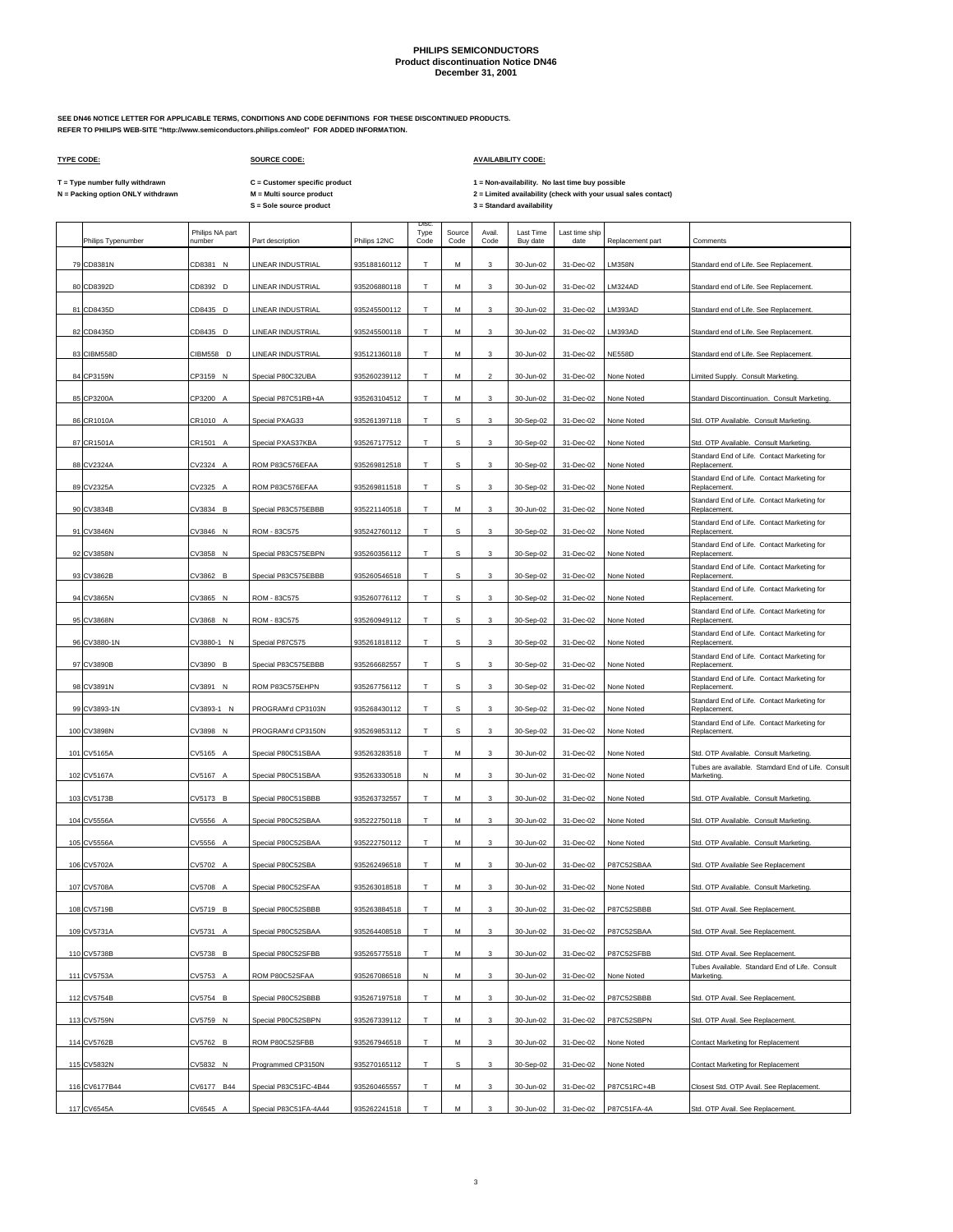**SEE DN46 NOTICE LETTER FOR APPLICABLE TERMS, CONDITIONS AND CODE DEFINITIONS FOR THESE DISCONTINUED PRODUCTS. REFER TO PHILIPS WEB-SITE "http://www.semiconductors.philips.com/eol" FOR ADDED INFORMATION.**

 $\Gamma$ 

## **TYPE CODE: SOURCE CODE: AVAILABILITY CODE:**

**C = Customer specific product**

T = Type number fully withdrawn C = Customer specific product 1 = Non-availability. No last time buy possible<br>N = Packing option ONLY withdrawn M = Multi source product 2 = Lim

| Philips Typenumber | Philips NA part<br>number | Part description      | Philips 12NC | Disc<br>Type<br>Code | Source<br>Code | Avail.<br>Code            | Last Time<br>Buy date | Last time ship<br>date | Replacement part | Comments                                                                                     |
|--------------------|---------------------------|-----------------------|--------------|----------------------|----------------|---------------------------|-----------------------|------------------------|------------------|----------------------------------------------------------------------------------------------|
| 79 CD8381N         | CD8381 N                  | LINEAR INDUSTRIAL     | 935188160112 | T                    | М              | 3                         | 30-Jun-02             | 31-Dec-02              | <b>LM358N</b>    | Standard end of Life. See Replacement                                                        |
| 80 CD8392D         | CD8392 D                  | LINEAR INDUSTRIAL     | 935206880118 | T                    | М              | 3                         | 30-Jun-02             | 31-Dec-02              | LM324AD          | Standard end of Life. See Replacement.                                                       |
| 81 CD8435D         | CD8435 D                  | LINEAR INDUSTRIAL     | 935245500112 | т                    | М              | 3                         | 30-Jun-02             | 31-Dec-02              | LM393AD          | Standard end of Life. See Replacement.                                                       |
| 82 CD8435D         | CD8435 D                  | LINEAR INDUSTRIAL     | 935245500118 | т                    | М              | 3                         | 30-Jun-02             | 31-Dec-02              | LM393AD          | Standard end of Life. See Replacement.                                                       |
| 83 CIBM558D        | CIBM558 D                 | LINEAR INDUSTRIAL     | 935121360118 | T                    | M              | 3                         | 30-Jun-02             | 31-Dec-02              | <b>NE558D</b>    | Standard end of Life. See Replacement.                                                       |
| 84 CP3159N         | CP3159 N                  | Special P80C32UBA     | 935260239112 | Т                    | М              | $\mathbf 2$               | 30-Jun-02             | 31-Dec-02              | None Noted       | Limited Supply. Consult Marketing.                                                           |
| 85 CP3200A         | CP3200 A                  | Special P87C51RB+4A   | 935263104512 | T                    | М              | 3                         | 30-Jun-02             | 31-Dec-02              | None Noted       | Standard Discontinuation. Consult Marketing.                                                 |
| 86 CR1010A         | CR1010 A                  | Special PXAG33        | 935261397118 | T                    | s              | 3                         | 30-Sep-02             | 31-Dec-02              | None Noted       | Std. OTP Available. Consult Marketing.                                                       |
| 87 CR1501A         | CR1501<br>A               | Special PXAS37KBA     | 935267177512 | T                    | S              | 3                         | 30-Sep-02             | 31-Dec-02              | None Noted       | Std. OTP Available. Consult Marketing.                                                       |
| 88 CV2324A         | CV2324<br>$\overline{ }$  | ROM P83C576EFAA       | 935269812518 | T                    | s              | 3                         | 30-Sep-02             | 31-Dec-02              | None Noted       | Standard End of Life. Contact Marketing for<br>Replacement                                   |
| 89 CV2325A         | CV2325 A                  | ROM P83C576EFAA       | 935269811518 | T                    | s              | 3                         | 30-Sep-02             | 31-Dec-02              | None Noted       | Standard End of Life. Contact Marketing for<br>Replacement                                   |
| 90 CV3834B         | CV3834 B                  | Special P83C575EBBB   | 935221140518 | т                    | м              | 3                         | 30-Jun-02             | 31-Dec-02              | None Noted       | Standard End of Life. Contact Marketing for<br>Replacement.                                  |
| 91 CV3846N         | CV3846 N                  | ROM - 83C575          | 935242760112 | T                    | s              | 3                         | 30-Sep-02             | 31-Dec-02              | None Noted       | Standard End of Life. Contact Marketing for<br>Replacement.                                  |
| 92 CV3858N         | CV3858<br>N               | Special P83C575EBPN   | 935260356112 | T                    | s              | 3                         | 30-Sep-02             | 31-Dec-02              | None Noted       | Standard End of Life. Contact Marketing for<br>Replacement                                   |
|                    |                           |                       |              | T                    | s              | 3                         |                       |                        |                  | Standard End of Life. Contact Marketing for<br>Replacement                                   |
| 93 CV3862B         | CV3862 B                  | Special P83C575EBBB   | 935260546518 |                      |                |                           | 30-Sep-02             | 31-Dec-02              | None Noted       | Standard End of Life. Contact Marketing for                                                  |
| 94 CV3865N         | CV3865 N                  | ROM - 83C575          | 935260776112 | т                    | s              | 3                         | 30-Sep-02             | 31-Dec-02              | None Noted       | Replacement.<br>Standard End of Life. Contact Marketing for                                  |
| 95 CV3868N         | CV3868 N                  | ROM - 83C575          | 935260949112 | T                    | s              | 3                         | 30-Sep-02             | 31-Dec-02              | None Noted       | Replacement.<br>Standard End of Life. Contact Marketing for                                  |
| 96 CV3880-1N       | CV3880-1 N                | Special P87C575       | 935261818112 | т                    | s              | 3                         | 30-Sep-02             | 31-Dec-02              | None Noted       | Replacement.<br>Standard End of Life. Contact Marketing for                                  |
| 97 CV3890B         | CV3890 B                  | Special P83C575EBBB   | 935266682557 | T                    | s              | 3                         | 30-Sep-02             | 31-Dec-02              | None Noted       | Replacement.<br>Standard End of Life. Contact Marketing for                                  |
| 98 CV3891N         | CV3891 N                  | ROM P83C575EHPN       | 935267756112 | т                    | s              | 3                         | 30-Sep-02             | 31-Dec-02              | None Noted       | Replacement.<br>Standard End of Life. Contact Marketing for                                  |
| 99 CV3893-1N       | CV3893-1 N                | PROGRAM'd CP3103N     | 935268430112 | T                    | s              | 3                         | 30-Sep-02             | 31-Dec-02              | None Noted       | Replacement.<br>Standard End of Life. Contact Marketing for                                  |
| 100 CV3898N        | CV3898 N                  | PROGRAM'd CP3150N     | 935269853112 | T                    | S              | 3                         | 30-Sep-02             | 31-Dec-02              | None Noted       | Replacement.                                                                                 |
| 101 CV5165A        | CV5165 A                  | Special P80C51SBAA    | 935263283518 | T                    | М              | 3                         | 30-Jun-02             | 31-Dec-02              | None Noted       | Std. OTP Available. Consult Marketing.<br>Tubes are available. Stamdard End of Life. Consult |
| 102 CV5167A        | CV5167 A                  | Special P80C51SBAA    | 935263330518 | N                    | М              | 3                         | 30-Jun-02             | 31-Dec-02              | None Noted       | Marketing                                                                                    |
| 103 CV5173B        | CV5173 B                  | Special P80C51SBBB    | 935263732557 | T                    | M              | 3                         | 30-Jun-02             | 31-Dec-02              | None Noted       | Std. OTP Available. Consult Marketing.                                                       |
| 104 CV5556A        | CV5556 A                  | Special P80C52SBAA    | 935222750118 | T                    | М              | 3                         | 30-Jun-02             | 31-Dec-02              | None Noted       | Std. OTP Available. Consult Marketing.                                                       |
| 105 CV5556A        | CV5556<br>A               | Special P80C52SBAA    | 935222750112 | T                    | М              | 3                         | 30-Jun-02             | 31-Dec-02              | None Noted       | Std. OTP Available. Consult Marketing.                                                       |
| 106 CV5702A        | CV5702 A                  | Special P80C52SBA     | 935262496518 | T                    | М              | 3                         | 30-Jun-02             | 31-Dec-02              | P87C52SBAA       | Std. OTP Available See Replacement                                                           |
| 107 CV5708A        | CV5708 A                  | Special P80C52SFAA    | 935263018518 | т                    | М              | 3                         | 30-Jun-02             | 31-Dec-02              | None Noted       | Std. OTP Available. Consult Marketing.                                                       |
| 108 CV5719B        | CV5719 B                  | Special P80C52SBBB    | 935263884518 | T                    | M              | 3                         | 30-Jun-02             | 31-Dec-02              | P87C52SBBB       | Std. OTP Avail. See Replacement.                                                             |
| 109 CV5731A        | CV5731 A                  | Special P80C52SBAA    | 935264408518 | т                    | М              | $\ensuremath{\mathsf{3}}$ | 30-Jun-02             | 31-Dec-02              | P87C52SBAA       | Std. OTP Avail. See Replacement.                                                             |
| 110 CV5738B        | CV5738 B                  | Special P80C52SFBB    | 935265775518 | т                    | M              | $\mathbf{3}$              | 30-Jun-02             | 31-Dec-02              | P87C52SFBB       | Std. OTP Avail. See Replacement.                                                             |
| 111 CV5753A        | CV5753 A                  | ROM P80C52SFAA        | 935267086518 | Ν                    | М              | $\mathbf{3}$              | 30-Jun-02             | 31-Dec-02              | None Noted       | Tubes Available. Standard End of Life. Consult<br>Marketing.                                 |
| 112 CV5754B        | CV5754 B                  | Special P80C52SBBB    | 935267197518 | T                    | M              | $\mathbf{3}$              | 30-Jun-02             | 31-Dec-02              | P87C52SBBB       | Std. OTP Avail. See Replacement.                                                             |
| 113 CV5759N        | CV5759 N                  | Special P80C52SBPN    | 935267339112 | Т                    | М              | 3                         | 30-Jun-02             | 31-Dec-02              | P87C52SBPN       | Std. OTP Avail. See Replacement.                                                             |
| 114 CV5762B        | CV5762 B                  | ROM P80C52SFBB        | 935267946518 | T                    | М              | 3                         | 30-Jun-02             | 31-Dec-02              | None Noted       | <b>Contact Marketing for Replacement</b>                                                     |
| 115 CV5832N        | CV5832 N                  | Programmed CP3150N    | 935270165112 | т                    | s              | 3                         | 30-Sep-02             | 31-Dec-02              | None Noted       | Contact Marketing for Replacement                                                            |
| 116 CV6177B44      | CV6177 B44                | Special P83C51FC-4B44 | 935260465557 | T.                   | M              | $\mathbf{3}$              | 30-Jun-02             | 31-Dec-02              | P87C51RC+4B      | Closest Std. OTP Avail. See Replacement.                                                     |
| 117 CV6545A        | CV6545 A                  | Special P83C51FA-4A44 | 935262241518 | T                    | М              |                           | 30-Jun-02             | 31-Dec-02              | P87C51FA-4A      | Std. OTP Avail. See Replacement.                                                             |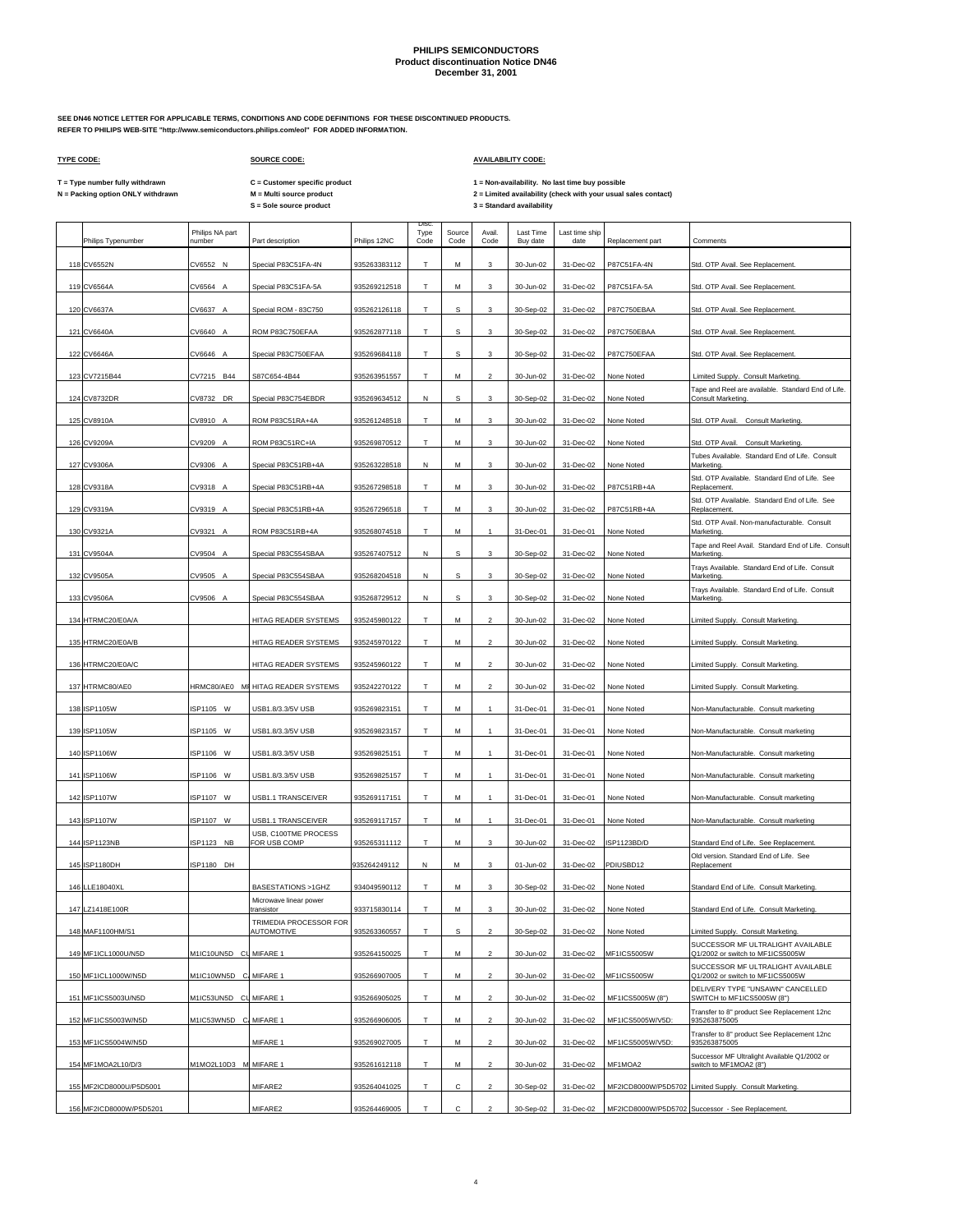**SEE DN46 NOTICE LETTER FOR APPLICABLE TERMS, CONDITIONS AND CODE DEFINITIONS FOR THESE DISCONTINUED PRODUCTS. REFER TO PHILIPS WEB-SITE "http://www.semiconductors.philips.com/eol" FOR ADDED INFORMATION.**

 $\mathsf{r}$ 

## **TYPE CODE: SOURCE CODE: AVAILABILITY CODE:**

**C = Customer specific product**

T = Type number fully withdrawn C = Customer specific product 1 = Non-availability. No last time buy possible<br>N = Packing option ONLY withdrawn M = Multi source product 2 = Lim

| Philips Typenumber      | Philips NA part<br>number | Part description                     | Philips 12NC | <b>Disc</b><br>Type<br>Code | Source<br>Code | Avail.<br>Code           | <b>Last Time</b><br>Buy date | Last time ship<br>date | Replacement part | Comments                                                                |
|-------------------------|---------------------------|--------------------------------------|--------------|-----------------------------|----------------|--------------------------|------------------------------|------------------------|------------------|-------------------------------------------------------------------------|
| 118 CV6552N             | CV6552 N                  | Special P83C51FA-4N                  | 935263383112 | T                           | M              | 3                        | 30-Jun-02                    | 31-Dec-02              | P87C51FA-4N      | Std. OTP Avail. See Replacement                                         |
| 119 CV6564A             | CV6564 A                  | Special P83C51FA-5A                  | 935269212518 | T                           | М              | 3                        | 30-Jun-02                    | 31-Dec-02              | P87C51FA-5A      | Std. OTP Avail. See Replacement.                                        |
| 120 CV6637A             | CV6637 A                  | Special ROM - 83C750                 | 935262126118 | т                           | s              | 3                        | 30-Sep-02                    | 31-Dec-02              | P87C750EBAA      | Std. OTP Avail. See Replacement.                                        |
| 121 CV6640A             | CV6640 A                  | ROM P83C750EFAA                      | 935262877118 | т                           | s              | 3                        | 30-Sep-02                    | 31-Dec-02              | P87C750EBAA      | Std. OTP Avail. See Replacement.                                        |
| 122 CV6646A             | CV6646 A                  | Special P83C750EFAA                  | 935269684118 | T                           | s              | 3                        | 30-Sep-02                    | 31-Dec-02              | P87C750EFAA      | Std. OTP Avail. See Replacement.                                        |
| 123 CV7215B44           | CV7215 B44                | S87C654-4B44                         | 935263951557 | Т                           | М              | $\mathbf 2$              | 30-Jun-02                    | 31-Dec-02              | None Noted       | Limited Supply. Consult Marketing.                                      |
| 124 CV8732DR            | CV8732 DR                 | Special P83C754EBDR                  | 935269634512 | Ν                           | s              | 3                        | 30-Sep-02                    | 31-Dec-02              | None Noted       | Tape and Reel are available. Standard End of Life.<br>Consult Marketing |
| 125 CV8910A             | CV8910 A                  | ROM P83C51RA+4A                      | 935261248518 | Т                           | М              | 3                        | 30-Jun-02                    | 31-Dec-02              | None Noted       | Std. OTP Avail. Consult Marketing.                                      |
| 126 CV9209A             | CV9209<br>A               | ROM P83C51RC+IA                      | 935269870512 | T                           | M              | 3                        | 30-Jun-02                    | 31-Dec-02              | None Noted       | Std. OTP Avail. Consult Marketing                                       |
| 127 CV9306A             | CV9306                    | Special P83C51RB+4A                  | 935263228518 | N                           | M              | 3                        | 30-Jun-02                    | 31-Dec-02              | None Noted       | Tubes Available. Standard End of Life. Consult<br>Marketing             |
| 128 CV9318A             | CV9318 A                  | Special P83C51RB+4A                  | 935267298518 | T                           | М              | 3                        | 30-Jun-02                    | 31-Dec-02              | P87C51RB+4A      | Std. OTP Available. Standard End of Life. See<br>Replacement            |
|                         |                           |                                      |              | T                           |                |                          |                              |                        |                  | Std. OTP Available. Standard End of Life. See                           |
| 129 CV9319A             | CV9319 A                  | Special P83C51RB+4A                  | 935267296518 |                             | M              | 3                        | 30-Jun-02                    | 31-Dec-02              | P87C51RB+4A      | Replacement.<br>Std. OTP Avail. Non-manufacturable. Consult             |
| 130 CV9321A             | CV9321<br>A               | ROM P83C51RB+4A                      | 935268074518 | T                           | M              |                          | 31-Dec-01                    | 31-Dec-01              | None Noted       | Marketing<br>Tape and Reel Avail. Standard End of Life. Consult         |
| 131 CV9504A             | CV9504<br>$\mathsf{A}$    | Special P83C554SBAA                  | 935267407512 | N                           | s              | 3                        | 30-Sep-02                    | 31-Dec-02              | None Noted       | Marketing<br>Trays Available. Standard End of Life. Consult             |
| 132 CV9505A             | CV9505 A                  | Special P83C554SBAA                  | 935268204518 | Ν                           | s              | 3                        | 30-Sep-02                    | 31-Dec-02              | None Noted       | Marketing<br>Trays Available. Standard End of Life. Consult             |
| 133 CV9506A             | CV9506 A                  | Special P83C554SBAA                  | 935268729512 | N                           | s              | 3                        | 30-Sep-02                    | 31-Dec-02              | None Noted       | Marketing.                                                              |
| 134 HTRMC20/E0A/A       |                           | HITAG READER SYSTEMS                 | 935245980122 | T.                          | M              | $\overline{2}$           | 30-Jun-02                    | 31-Dec-02              | None Noted       | Limited Supply. Consult Marketing.                                      |
| 135 HTRMC20/E0A/B       |                           | HITAG READER SYSTEMS                 | 935245970122 | Т                           | M              | $\overline{2}$           | 30-Jun-02                    | 31-Dec-02              | None Noted       | Limited Supply. Consult Marketing.                                      |
| 136 HTRMC20/E0A/C       |                           | HITAG READER SYSTEMS                 | 935245960122 | Т                           | М              | $\overline{2}$           | 30-Jun-02                    | 31-Dec-02              | None Noted       | Limited Supply. Consult Marketing.                                      |
| 137 HTRMC80/AE0         |                           | HRMC80/AE0 MI HITAG READER SYSTEMS   | 935242270122 | т                           | M              | $\overline{2}$           | 30-Jun-02                    | 31-Dec-02              | None Noted       | Limited Supply. Consult Marketing.                                      |
| 138 ISP1105W            | SP1105 W                  | USB1.8/3.3/5V USB                    | 935269823151 | T                           | M              | $\mathbf{1}$             | 31-Dec-01                    | 31-Dec-01              | None Noted       | Non-Manufacturable. Consult marketing                                   |
| 139 ISP1105W            | SP1105 W                  | USB1.8/3.3/5V USB                    | 935269823157 | T                           | M              | $\mathbf{1}$             | 31-Dec-01                    | 31-Dec-01              | None Noted       | Non-Manufacturable. Consult marketing                                   |
| 140 ISP1106W            | SP1106 W                  | USB1.8/3.3/5V USB                    | 935269825151 | T.                          | М              | $\mathbf{1}$             | 31-Dec-01                    | 31-Dec-01              | None Noted       | Non-Manufacturable. Consult marketing                                   |
| 141 ISP1106W            | ISP1106 W                 | USB1.8/3.3/5V USB                    | 935269825157 | T                           | М              |                          | 31-Dec-01                    | 31-Dec-01              | None Noted       | Non-Manufacturable. Consult marketing                                   |
| 142 ISP1107W            | ISP1107 W                 | USB1.1 TRANSCEIVER                   | 935269117151 | T                           | М              |                          | 31-Dec-01                    | 31-Dec-01              | None Noted       | Non-Manufacturable. Consult marketing                                   |
| 143 ISP1107W            | SP1107 W                  | USB1.1 TRANSCEIVER                   | 935269117157 | T                           | M              | $\mathbf{1}$             | 31-Dec-01                    | 31-Dec-01              | None Noted       | Non-Manufacturable. Consult marketing                                   |
| 144 ISP1123NB           | ISP1123 NB                | USB, C100TME PROCESS<br>FOR USB COMP | 935265311112 | Т                           | М              | 3                        | 30-Jun-02                    | 31-Dec-02              | ISP1123BD/D      | Standard End of Life. See Replacement                                   |
| 145 ISP1180DH           | SP1180 DH                 |                                      | 935264249112 | N                           | М              | 3                        | 01-Jun-02                    | 31-Dec-02              | PDIUSBD12        | Old version. Standard End of Life. See<br>Replacement                   |
| 146 LLE18040XL          |                           | BASESTATIONS >1GHZ                   | 934049590112 | Т                           | M              | 3                        | 30-Sep-02                    | 31-Dec-02              | None Noted       | Standard End of Life. Consult Marketing.                                |
| 147 LZ1418E100R         |                           | Microwave linear power<br>transistor | 933715830114 | T                           | M              | 3                        | 30-Jun-02                    | 31-Dec-02              | None Noted       | Standard End of Life. Consult Marketing.                                |
| 148 MAF1100HM/S1        |                           | TRIMEDIA PROCESSOR FOR<br>AUTOMOTIVE | 935263360557 | T                           | $\mathbb S$    | $\overline{2}$           | 30-Sep-02                    | 31-Dec-02              | None Noted       | imited Supply. Consult Marketing.                                       |
| 149 MF1ICL1000U/N5D     | M1IC10UN5D CU MIFARE 1    |                                      | 935264150025 | т                           | M              | $\overline{2}$           | 30-Jun-02                    | 31-Dec-02              | MF1ICS5005W      | SUCCESSOR MF ULTRALIGHT AVAILABLE<br>Q1/2002 or switch to MF1ICS5005W   |
| 150 MF1ICL1000W/N5D     | M1IC10WN5D C. MIFARE 1    |                                      | 935266907005 | T                           | M              | $\overline{2}$           | 30-Jun-02                    | 31-Dec-02              | MF1ICS5005W      | SUCCESSOR MF ULTRALIGHT AVAILABLE<br>Q1/2002 or switch to MF1ICS5005W   |
| 151 MF1ICS5003U/N5D     | M1IC53UN5D CU MIFARE 1    |                                      | 935266905025 | T                           | M              | $\mathcal{P}$            | 30-Jun-02                    | 31-Dec-02              | MF1ICS5005W (8") | DELIVERY TYPE "UNSAWN" CANCELLED<br>SWITCH to MF1ICS5005W (8")          |
| 152 MF1ICS5003W/N5D     | M1IC53WN5D C. MIFARE 1    |                                      | 935266906005 | т                           | М              | $\overline{2}$           | 30-Jun-02                    | 31-Dec-02              | MF1ICS5005W/V5D: | Transfer to 8" product See Replacement 12nc<br>935263875005             |
| 153 MF1ICS5004W/N5D     |                           | MIFARE 1                             | 935269027005 | T                           | M              | $\overline{\phantom{0}}$ | 30-Jun-02                    | 31-Dec-02              | MF1ICS5005W/V5D: | Transfer to 8" product See Replacement 12nc<br>935263875005             |
| 154 MF1MOA2L10/D/3      | M1MO2L10D3 M MIFARE 1     |                                      | 935261612118 | Т                           | М              | $\mathcal{P}$            | 30-Jun-02                    | 31-Dec-02              | MF1MOA2          | Successor MF Ultralight Available Q1/2002 or<br>switch to MF1MOA2 (8")  |
| 155 MF2ICD8000U/P5D5001 |                           | MIFARE2                              | 935264041025 | T                           | C              | $\overline{\phantom{0}}$ | 30-Sep-02                    | 31-Dec-02              |                  | MF2ICD8000W/P5D5702 Limited Supply. Consult Marketing.                  |
| 156 MF2ICD8000W/P5D5201 |                           | MIFARE2                              | 935264469005 | т                           | C              |                          | 30-Sep-02                    | 31-Dec-02              |                  | MF2ICD8000W/P5D5702 Successor - See Replacement.                        |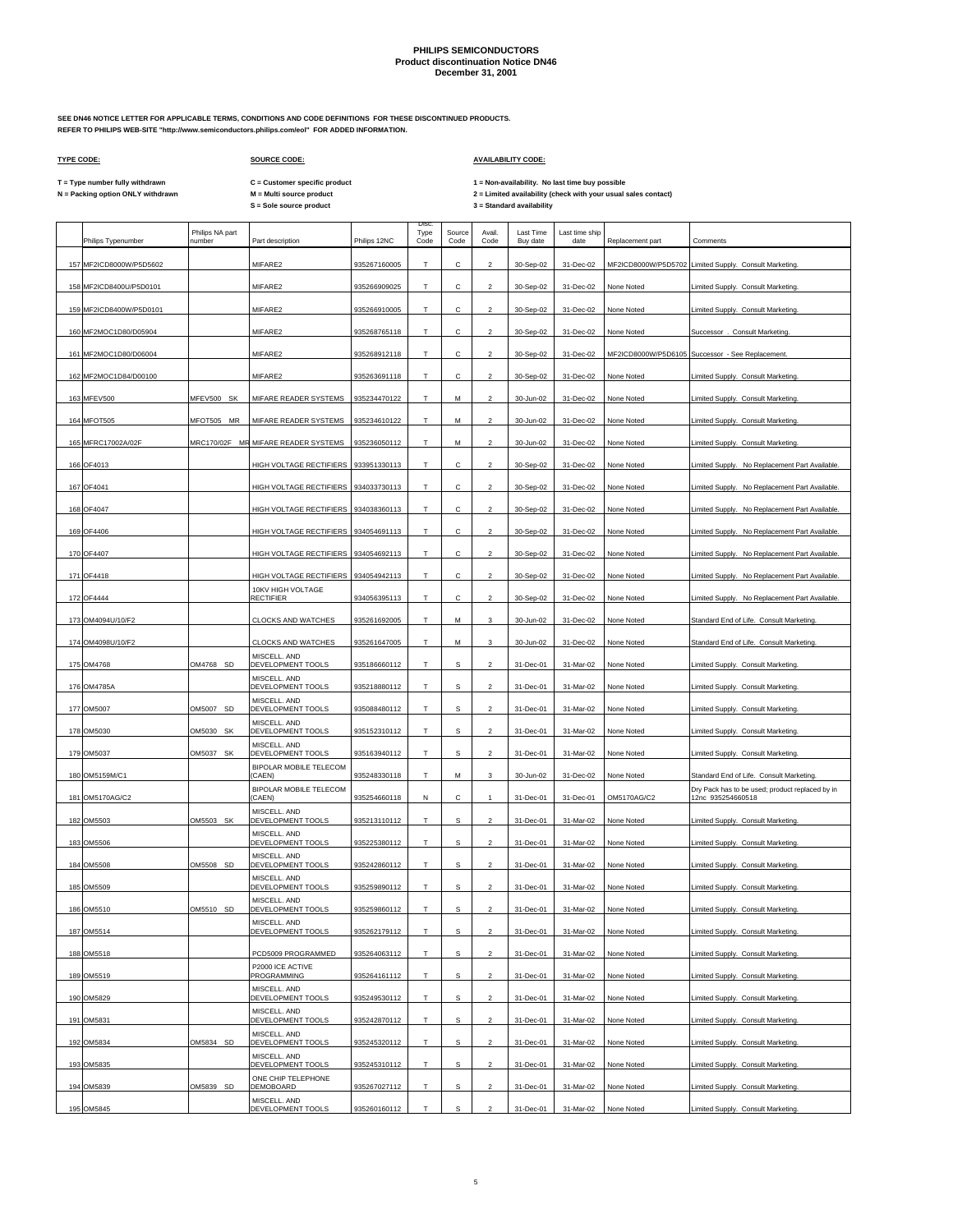**SEE DN46 NOTICE LETTER FOR APPLICABLE TERMS, CONDITIONS AND CODE DEFINITIONS FOR THESE DISCONTINUED PRODUCTS. REFER TO PHILIPS WEB-SITE "http://www.semiconductors.philips.com/eol" FOR ADDED INFORMATION.**

### **TYPE CODE: SOURCE CODE: AVAILABILITY CODE:**

**C = Customer specific product**

T = Type number fully withdrawn C = Customer specific product 1 = Non-availability. No last time buy possible<br>N = Packing option ONLY withdrawn M = Multi source product 2 = Lim

| 157 MF2ICD8000W/P5D5602<br>MIFARE2<br>MF2ICD8000W/P5D5702 Limited Supply. Consult Marketing.<br>935267160005<br>Т<br>С<br>$\overline{2}$<br>30-Sep-02<br>31-Dec-02<br>158 MF2ICD8400U/P5D0101<br>MIFARE2<br>C<br>935266909025<br>T<br>30-Sep-02<br>31-Dec-02<br>None Noted<br>Limited Supply. Consult Marketing.<br>2<br>MIFARE2<br>Т<br>с<br>31-Dec-02<br>159 MF2ICD8400W/P5D0101<br>935266910005<br>$\overline{2}$<br>30-Sep-02<br>None Noted<br>Limited Supply. Consult Marketing.<br>с<br>MIFARE2<br>T.<br>160 MF2MOC1D80/D05904<br>935268765118<br>$\overline{2}$<br>30-Sep-02<br>31-Dec-02<br>None Noted<br>Successor . Consult Marketing.<br>Т<br>MF2ICD8000W/P5D6105 Successor - See Replacement.<br>161 MF2MOC1D80/D06004<br>MIFARE2<br>935268912118<br>с<br>$\overline{2}$<br>30-Sep-02<br>31-Dec-02<br>162 MF2MOC1D84/D00100<br>MIFARE2<br>Т<br>с<br>935263691118<br>2<br>30-Sep-02<br>31-Dec-02<br>None Noted<br>Limited Supply. Consult Marketing.<br>MFEV500 SK<br>MIFARE READER SYSTEMS<br>Т<br>163 MFEV500<br>935234470122<br>M<br>2<br>30-Jun-02<br>31-Dec-02<br>None Noted<br>Limited Supply. Consult Marketing.<br>164 MFOT505<br>MFOT505 MR<br>935234610122<br>T.<br>$\overline{a}$<br>MIFARE READER SYSTEMS<br>М<br>31-Dec-02<br>30-Jun-02<br>None Noted<br>Limited Supply. Consult Marketing.<br>165 MFRC17002A/02F<br>MRC170/02F MR MIFARE READER SYSTEMS<br>935236050112<br>T<br>M<br>31-Dec-02<br>$\overline{2}$<br>30-Jun-02<br>None Noted<br>Limited Supply. Consult Marketing.<br>с<br>166 OF4013<br>HIGH VOLTAGE RECTIFIERS   933951330113<br>т<br>$\overline{2}$<br>30-Sep-02<br>31-Dec-02<br>None Noted<br>Limited Supply. No Replacement Part Available<br>167 OF4041<br>HIGH VOLTAGE RECTIFIERS<br>934033730113<br>T<br>Ċ<br>$\mathfrak{p}$<br>30-Sep-02<br>31-Dec-02<br>None Noted<br>Limited Supply. No Replacement Part Available<br>с<br>168 OF4047<br>HIGH VOLTAGE RECTIFIERS<br>934038360113<br>т<br>2<br>30-Sep-02<br>31-Dec-02<br>None Noted<br>Limited Supply. No Replacement Part Available.<br>169 OF4406<br>HIGH VOLTAGE RECTIFIERS<br>934054691113<br>T<br>Ċ.<br>$\overline{a}$<br>30-Sep-02<br>31-Dec-02<br>None Noted<br>Limited Supply. No Replacement Part Available<br>с<br>170 OF4407<br>HIGH VOLTAGE RECTIFIERS<br>934054692113<br>т<br>2<br>30-Sep-02<br>31-Dec-02<br>None Noted<br>Limited Supply. No Replacement Part Available<br>171 OF4418<br>HIGH VOLTAGE RECTIFIERS<br>934054942113<br>Т<br>с<br>30-Sep-02<br>31-Dec-02<br>$\overline{2}$<br>None Noted<br>Limited Supply. No Replacement Part Available.<br>10KV HIGH VOLTAGE<br>Т<br>с<br>172 OF4444<br><b>RECTIFIER</b><br>934056395113<br>$\overline{2}$<br>30-Sep-02<br>31-Dec-02<br>None Noted<br>Limited Supply. No Replacement Part Available.<br>173 OM4094U/10/F2<br><b>CLOCKS AND WATCHES</b><br>935261692005<br>T<br>M<br>31-Dec-02<br>3<br>30-Jun-02<br>None Noted<br>Standard End of Life. Consult Marketing.<br>174 OM4098U/10/F2<br><b>CLOCKS AND WATCHES</b><br>935261647005<br>т<br>м<br>3<br>30-Jun-02<br>31-Dec-02<br>None Noted<br>Standard End of Life. Consult Marketing.<br>MISCELL. AND<br>175 OM4768<br>OM4768 SD<br>DEVELOPMENT TOOLS<br>935186660112<br>Т<br>s<br>$\overline{a}$<br>31-Dec-01<br>31-Mar-02<br>None Noted<br>Limited Supply. Consult Marketing.<br>MISCELL. AND<br>176 OM4785A<br>DEVELOPMENT TOOLS<br>935218880112<br>т<br>s<br>2<br>31-Dec-01<br>31-Mar-02<br>None Noted<br>Limited Supply. Consult Marketing.<br>MISCELL. AND<br>177 OM5007<br>OM5007 SD<br>DEVELOPMENT TOOLS<br>935088480112<br>T<br>s<br>$\overline{a}$<br>31-Dec-01<br>31-Mar-02<br>None Noted<br>Limited Supply. Consult Marketing.<br>MISCELL. AND<br>OM5030 SK<br>DEVELOPMENT TOOLS<br>178 OM5030<br>935152310112<br>т<br>s<br>$\overline{2}$<br>31-Dec-01<br>31-Mar-02<br>None Noted<br>Limited Supply. Consult Marketing.<br>MISCELL. AND<br>OM5037 SK<br>DEVELOPMENT TOOLS<br>T<br>s<br>179 OM5037<br>935163940112<br>$\mathfrak{p}$<br>31-Dec-01<br>31-Mar-02<br>None Noted<br>Limited Supply. Consult Marketing.<br><b>BIPOLAR MOBILE TELECOM</b><br>Т<br>Standard End of Life. Consult Marketing<br>180 OM5159M/C1<br>(CAEN)<br>935248330118<br>M<br>3<br>30-Jun-02<br>31-Dec-02<br>None Noted<br><b>BIPOLAR MOBILE TELECOM</b><br>Dry Pack has to be used; product replaced by in<br>с<br>OM5170AG/C2<br>181 OM5170AG/C2<br>(CAEN)<br>935254660118<br>N<br>31-Dec-01<br>31-Dec-01<br>12nc 935254660518<br>1<br>MISCELL. AND<br>DEVELOPMENT TOOLS<br>182 OM5503<br>OM5503 SK<br>935213110112<br>Т<br>s<br>2<br>31-Dec-01<br>31-Mar-02<br>None Noted<br>Limited Supply. Consult Marketing.<br>MISCELL. AND<br>DEVELOPMENT TOOLS<br>s<br>183 OM5506<br>935225380112<br>T<br>$\overline{2}$<br>31-Dec-01<br>31-Mar-02<br>None Noted<br>Limited Supply. Consult Marketing. | Philips Typenumber | Philips NA part<br>number | Part description | Philips 12NC | Disc<br>Type<br>Code | Source<br>Code | Avail.<br>Code | Last Time<br>Buy date | Last time ship<br>date | Replacement part | Comments |
|---------------------------------------------------------------------------------------------------------------------------------------------------------------------------------------------------------------------------------------------------------------------------------------------------------------------------------------------------------------------------------------------------------------------------------------------------------------------------------------------------------------------------------------------------------------------------------------------------------------------------------------------------------------------------------------------------------------------------------------------------------------------------------------------------------------------------------------------------------------------------------------------------------------------------------------------------------------------------------------------------------------------------------------------------------------------------------------------------------------------------------------------------------------------------------------------------------------------------------------------------------------------------------------------------------------------------------------------------------------------------------------------------------------------------------------------------------------------------------------------------------------------------------------------------------------------------------------------------------------------------------------------------------------------------------------------------------------------------------------------------------------------------------------------------------------------------------------------------------------------------------------------------------------------------------------------------------------------------------------------------------------------------------------------------------------------------------------------------------------------------------------------------------------------------------------------------------------------------------------------------------------------------------------------------------------------------------------------------------------------------------------------------------------------------------------------------------------------------------------------------------------------------------------------------------------------------------------------------------------------------------------------------------------------------------------------------------------------------------------------------------------------------------------------------------------------------------------------------------------------------------------------------------------------------------------------------------------------------------------------------------------------------------------------------------------------------------------------------------------------------------------------------------------------------------------------------------------------------------------------------------------------------------------------------------------------------------------------------------------------------------------------------------------------------------------------------------------------------------------------------------------------------------------------------------------------------------------------------------------------------------------------------------------------------------------------------------------------------------------------------------------------------------------------------------------------------------------------------------------------------------------------------------------------------------------------------------------------------------------------------------------------------------------------------------------------------------------------------------------------------------------------------------------------------------------------------------------------------------------------------------------------------------------------------------------------------------------------------------------------------------------------------------------------------------------------------------------------------------------------------------------------------------------------------------------------------------------------------------------------------------------------------------------------------------------------------------------------------------------------------------------------------------------------------------------|--------------------|---------------------------|------------------|--------------|----------------------|----------------|----------------|-----------------------|------------------------|------------------|----------|
|                                                                                                                                                                                                                                                                                                                                                                                                                                                                                                                                                                                                                                                                                                                                                                                                                                                                                                                                                                                                                                                                                                                                                                                                                                                                                                                                                                                                                                                                                                                                                                                                                                                                                                                                                                                                                                                                                                                                                                                                                                                                                                                                                                                                                                                                                                                                                                                                                                                                                                                                                                                                                                                                                                                                                                                                                                                                                                                                                                                                                                                                                                                                                                                                                                                                                                                                                                                                                                                                                                                                                                                                                                                                                                                                                                                                                                                                                                                                                                                                                                                                                                                                                                                                                                                                                                                                                                                                                                                                                                                                                                                                                                                                                                                                                                                                               |                    |                           |                  |              |                      |                |                |                       |                        |                  |          |
|                                                                                                                                                                                                                                                                                                                                                                                                                                                                                                                                                                                                                                                                                                                                                                                                                                                                                                                                                                                                                                                                                                                                                                                                                                                                                                                                                                                                                                                                                                                                                                                                                                                                                                                                                                                                                                                                                                                                                                                                                                                                                                                                                                                                                                                                                                                                                                                                                                                                                                                                                                                                                                                                                                                                                                                                                                                                                                                                                                                                                                                                                                                                                                                                                                                                                                                                                                                                                                                                                                                                                                                                                                                                                                                                                                                                                                                                                                                                                                                                                                                                                                                                                                                                                                                                                                                                                                                                                                                                                                                                                                                                                                                                                                                                                                                                               |                    |                           |                  |              |                      |                |                |                       |                        |                  |          |
|                                                                                                                                                                                                                                                                                                                                                                                                                                                                                                                                                                                                                                                                                                                                                                                                                                                                                                                                                                                                                                                                                                                                                                                                                                                                                                                                                                                                                                                                                                                                                                                                                                                                                                                                                                                                                                                                                                                                                                                                                                                                                                                                                                                                                                                                                                                                                                                                                                                                                                                                                                                                                                                                                                                                                                                                                                                                                                                                                                                                                                                                                                                                                                                                                                                                                                                                                                                                                                                                                                                                                                                                                                                                                                                                                                                                                                                                                                                                                                                                                                                                                                                                                                                                                                                                                                                                                                                                                                                                                                                                                                                                                                                                                                                                                                                                               |                    |                           |                  |              |                      |                |                |                       |                        |                  |          |
|                                                                                                                                                                                                                                                                                                                                                                                                                                                                                                                                                                                                                                                                                                                                                                                                                                                                                                                                                                                                                                                                                                                                                                                                                                                                                                                                                                                                                                                                                                                                                                                                                                                                                                                                                                                                                                                                                                                                                                                                                                                                                                                                                                                                                                                                                                                                                                                                                                                                                                                                                                                                                                                                                                                                                                                                                                                                                                                                                                                                                                                                                                                                                                                                                                                                                                                                                                                                                                                                                                                                                                                                                                                                                                                                                                                                                                                                                                                                                                                                                                                                                                                                                                                                                                                                                                                                                                                                                                                                                                                                                                                                                                                                                                                                                                                                               |                    |                           |                  |              |                      |                |                |                       |                        |                  |          |
|                                                                                                                                                                                                                                                                                                                                                                                                                                                                                                                                                                                                                                                                                                                                                                                                                                                                                                                                                                                                                                                                                                                                                                                                                                                                                                                                                                                                                                                                                                                                                                                                                                                                                                                                                                                                                                                                                                                                                                                                                                                                                                                                                                                                                                                                                                                                                                                                                                                                                                                                                                                                                                                                                                                                                                                                                                                                                                                                                                                                                                                                                                                                                                                                                                                                                                                                                                                                                                                                                                                                                                                                                                                                                                                                                                                                                                                                                                                                                                                                                                                                                                                                                                                                                                                                                                                                                                                                                                                                                                                                                                                                                                                                                                                                                                                                               |                    |                           |                  |              |                      |                |                |                       |                        |                  |          |
|                                                                                                                                                                                                                                                                                                                                                                                                                                                                                                                                                                                                                                                                                                                                                                                                                                                                                                                                                                                                                                                                                                                                                                                                                                                                                                                                                                                                                                                                                                                                                                                                                                                                                                                                                                                                                                                                                                                                                                                                                                                                                                                                                                                                                                                                                                                                                                                                                                                                                                                                                                                                                                                                                                                                                                                                                                                                                                                                                                                                                                                                                                                                                                                                                                                                                                                                                                                                                                                                                                                                                                                                                                                                                                                                                                                                                                                                                                                                                                                                                                                                                                                                                                                                                                                                                                                                                                                                                                                                                                                                                                                                                                                                                                                                                                                                               |                    |                           |                  |              |                      |                |                |                       |                        |                  |          |
|                                                                                                                                                                                                                                                                                                                                                                                                                                                                                                                                                                                                                                                                                                                                                                                                                                                                                                                                                                                                                                                                                                                                                                                                                                                                                                                                                                                                                                                                                                                                                                                                                                                                                                                                                                                                                                                                                                                                                                                                                                                                                                                                                                                                                                                                                                                                                                                                                                                                                                                                                                                                                                                                                                                                                                                                                                                                                                                                                                                                                                                                                                                                                                                                                                                                                                                                                                                                                                                                                                                                                                                                                                                                                                                                                                                                                                                                                                                                                                                                                                                                                                                                                                                                                                                                                                                                                                                                                                                                                                                                                                                                                                                                                                                                                                                                               |                    |                           |                  |              |                      |                |                |                       |                        |                  |          |
|                                                                                                                                                                                                                                                                                                                                                                                                                                                                                                                                                                                                                                                                                                                                                                                                                                                                                                                                                                                                                                                                                                                                                                                                                                                                                                                                                                                                                                                                                                                                                                                                                                                                                                                                                                                                                                                                                                                                                                                                                                                                                                                                                                                                                                                                                                                                                                                                                                                                                                                                                                                                                                                                                                                                                                                                                                                                                                                                                                                                                                                                                                                                                                                                                                                                                                                                                                                                                                                                                                                                                                                                                                                                                                                                                                                                                                                                                                                                                                                                                                                                                                                                                                                                                                                                                                                                                                                                                                                                                                                                                                                                                                                                                                                                                                                                               |                    |                           |                  |              |                      |                |                |                       |                        |                  |          |
|                                                                                                                                                                                                                                                                                                                                                                                                                                                                                                                                                                                                                                                                                                                                                                                                                                                                                                                                                                                                                                                                                                                                                                                                                                                                                                                                                                                                                                                                                                                                                                                                                                                                                                                                                                                                                                                                                                                                                                                                                                                                                                                                                                                                                                                                                                                                                                                                                                                                                                                                                                                                                                                                                                                                                                                                                                                                                                                                                                                                                                                                                                                                                                                                                                                                                                                                                                                                                                                                                                                                                                                                                                                                                                                                                                                                                                                                                                                                                                                                                                                                                                                                                                                                                                                                                                                                                                                                                                                                                                                                                                                                                                                                                                                                                                                                               |                    |                           |                  |              |                      |                |                |                       |                        |                  |          |
|                                                                                                                                                                                                                                                                                                                                                                                                                                                                                                                                                                                                                                                                                                                                                                                                                                                                                                                                                                                                                                                                                                                                                                                                                                                                                                                                                                                                                                                                                                                                                                                                                                                                                                                                                                                                                                                                                                                                                                                                                                                                                                                                                                                                                                                                                                                                                                                                                                                                                                                                                                                                                                                                                                                                                                                                                                                                                                                                                                                                                                                                                                                                                                                                                                                                                                                                                                                                                                                                                                                                                                                                                                                                                                                                                                                                                                                                                                                                                                                                                                                                                                                                                                                                                                                                                                                                                                                                                                                                                                                                                                                                                                                                                                                                                                                                               |                    |                           |                  |              |                      |                |                |                       |                        |                  |          |
|                                                                                                                                                                                                                                                                                                                                                                                                                                                                                                                                                                                                                                                                                                                                                                                                                                                                                                                                                                                                                                                                                                                                                                                                                                                                                                                                                                                                                                                                                                                                                                                                                                                                                                                                                                                                                                                                                                                                                                                                                                                                                                                                                                                                                                                                                                                                                                                                                                                                                                                                                                                                                                                                                                                                                                                                                                                                                                                                                                                                                                                                                                                                                                                                                                                                                                                                                                                                                                                                                                                                                                                                                                                                                                                                                                                                                                                                                                                                                                                                                                                                                                                                                                                                                                                                                                                                                                                                                                                                                                                                                                                                                                                                                                                                                                                                               |                    |                           |                  |              |                      |                |                |                       |                        |                  |          |
|                                                                                                                                                                                                                                                                                                                                                                                                                                                                                                                                                                                                                                                                                                                                                                                                                                                                                                                                                                                                                                                                                                                                                                                                                                                                                                                                                                                                                                                                                                                                                                                                                                                                                                                                                                                                                                                                                                                                                                                                                                                                                                                                                                                                                                                                                                                                                                                                                                                                                                                                                                                                                                                                                                                                                                                                                                                                                                                                                                                                                                                                                                                                                                                                                                                                                                                                                                                                                                                                                                                                                                                                                                                                                                                                                                                                                                                                                                                                                                                                                                                                                                                                                                                                                                                                                                                                                                                                                                                                                                                                                                                                                                                                                                                                                                                                               |                    |                           |                  |              |                      |                |                |                       |                        |                  |          |
|                                                                                                                                                                                                                                                                                                                                                                                                                                                                                                                                                                                                                                                                                                                                                                                                                                                                                                                                                                                                                                                                                                                                                                                                                                                                                                                                                                                                                                                                                                                                                                                                                                                                                                                                                                                                                                                                                                                                                                                                                                                                                                                                                                                                                                                                                                                                                                                                                                                                                                                                                                                                                                                                                                                                                                                                                                                                                                                                                                                                                                                                                                                                                                                                                                                                                                                                                                                                                                                                                                                                                                                                                                                                                                                                                                                                                                                                                                                                                                                                                                                                                                                                                                                                                                                                                                                                                                                                                                                                                                                                                                                                                                                                                                                                                                                                               |                    |                           |                  |              |                      |                |                |                       |                        |                  |          |
|                                                                                                                                                                                                                                                                                                                                                                                                                                                                                                                                                                                                                                                                                                                                                                                                                                                                                                                                                                                                                                                                                                                                                                                                                                                                                                                                                                                                                                                                                                                                                                                                                                                                                                                                                                                                                                                                                                                                                                                                                                                                                                                                                                                                                                                                                                                                                                                                                                                                                                                                                                                                                                                                                                                                                                                                                                                                                                                                                                                                                                                                                                                                                                                                                                                                                                                                                                                                                                                                                                                                                                                                                                                                                                                                                                                                                                                                                                                                                                                                                                                                                                                                                                                                                                                                                                                                                                                                                                                                                                                                                                                                                                                                                                                                                                                                               |                    |                           |                  |              |                      |                |                |                       |                        |                  |          |
|                                                                                                                                                                                                                                                                                                                                                                                                                                                                                                                                                                                                                                                                                                                                                                                                                                                                                                                                                                                                                                                                                                                                                                                                                                                                                                                                                                                                                                                                                                                                                                                                                                                                                                                                                                                                                                                                                                                                                                                                                                                                                                                                                                                                                                                                                                                                                                                                                                                                                                                                                                                                                                                                                                                                                                                                                                                                                                                                                                                                                                                                                                                                                                                                                                                                                                                                                                                                                                                                                                                                                                                                                                                                                                                                                                                                                                                                                                                                                                                                                                                                                                                                                                                                                                                                                                                                                                                                                                                                                                                                                                                                                                                                                                                                                                                                               |                    |                           |                  |              |                      |                |                |                       |                        |                  |          |
|                                                                                                                                                                                                                                                                                                                                                                                                                                                                                                                                                                                                                                                                                                                                                                                                                                                                                                                                                                                                                                                                                                                                                                                                                                                                                                                                                                                                                                                                                                                                                                                                                                                                                                                                                                                                                                                                                                                                                                                                                                                                                                                                                                                                                                                                                                                                                                                                                                                                                                                                                                                                                                                                                                                                                                                                                                                                                                                                                                                                                                                                                                                                                                                                                                                                                                                                                                                                                                                                                                                                                                                                                                                                                                                                                                                                                                                                                                                                                                                                                                                                                                                                                                                                                                                                                                                                                                                                                                                                                                                                                                                                                                                                                                                                                                                                               |                    |                           |                  |              |                      |                |                |                       |                        |                  |          |
|                                                                                                                                                                                                                                                                                                                                                                                                                                                                                                                                                                                                                                                                                                                                                                                                                                                                                                                                                                                                                                                                                                                                                                                                                                                                                                                                                                                                                                                                                                                                                                                                                                                                                                                                                                                                                                                                                                                                                                                                                                                                                                                                                                                                                                                                                                                                                                                                                                                                                                                                                                                                                                                                                                                                                                                                                                                                                                                                                                                                                                                                                                                                                                                                                                                                                                                                                                                                                                                                                                                                                                                                                                                                                                                                                                                                                                                                                                                                                                                                                                                                                                                                                                                                                                                                                                                                                                                                                                                                                                                                                                                                                                                                                                                                                                                                               |                    |                           |                  |              |                      |                |                |                       |                        |                  |          |
|                                                                                                                                                                                                                                                                                                                                                                                                                                                                                                                                                                                                                                                                                                                                                                                                                                                                                                                                                                                                                                                                                                                                                                                                                                                                                                                                                                                                                                                                                                                                                                                                                                                                                                                                                                                                                                                                                                                                                                                                                                                                                                                                                                                                                                                                                                                                                                                                                                                                                                                                                                                                                                                                                                                                                                                                                                                                                                                                                                                                                                                                                                                                                                                                                                                                                                                                                                                                                                                                                                                                                                                                                                                                                                                                                                                                                                                                                                                                                                                                                                                                                                                                                                                                                                                                                                                                                                                                                                                                                                                                                                                                                                                                                                                                                                                                               |                    |                           |                  |              |                      |                |                |                       |                        |                  |          |
|                                                                                                                                                                                                                                                                                                                                                                                                                                                                                                                                                                                                                                                                                                                                                                                                                                                                                                                                                                                                                                                                                                                                                                                                                                                                                                                                                                                                                                                                                                                                                                                                                                                                                                                                                                                                                                                                                                                                                                                                                                                                                                                                                                                                                                                                                                                                                                                                                                                                                                                                                                                                                                                                                                                                                                                                                                                                                                                                                                                                                                                                                                                                                                                                                                                                                                                                                                                                                                                                                                                                                                                                                                                                                                                                                                                                                                                                                                                                                                                                                                                                                                                                                                                                                                                                                                                                                                                                                                                                                                                                                                                                                                                                                                                                                                                                               |                    |                           |                  |              |                      |                |                |                       |                        |                  |          |
|                                                                                                                                                                                                                                                                                                                                                                                                                                                                                                                                                                                                                                                                                                                                                                                                                                                                                                                                                                                                                                                                                                                                                                                                                                                                                                                                                                                                                                                                                                                                                                                                                                                                                                                                                                                                                                                                                                                                                                                                                                                                                                                                                                                                                                                                                                                                                                                                                                                                                                                                                                                                                                                                                                                                                                                                                                                                                                                                                                                                                                                                                                                                                                                                                                                                                                                                                                                                                                                                                                                                                                                                                                                                                                                                                                                                                                                                                                                                                                                                                                                                                                                                                                                                                                                                                                                                                                                                                                                                                                                                                                                                                                                                                                                                                                                                               |                    |                           |                  |              |                      |                |                |                       |                        |                  |          |
|                                                                                                                                                                                                                                                                                                                                                                                                                                                                                                                                                                                                                                                                                                                                                                                                                                                                                                                                                                                                                                                                                                                                                                                                                                                                                                                                                                                                                                                                                                                                                                                                                                                                                                                                                                                                                                                                                                                                                                                                                                                                                                                                                                                                                                                                                                                                                                                                                                                                                                                                                                                                                                                                                                                                                                                                                                                                                                                                                                                                                                                                                                                                                                                                                                                                                                                                                                                                                                                                                                                                                                                                                                                                                                                                                                                                                                                                                                                                                                                                                                                                                                                                                                                                                                                                                                                                                                                                                                                                                                                                                                                                                                                                                                                                                                                                               |                    |                           |                  |              |                      |                |                |                       |                        |                  |          |
|                                                                                                                                                                                                                                                                                                                                                                                                                                                                                                                                                                                                                                                                                                                                                                                                                                                                                                                                                                                                                                                                                                                                                                                                                                                                                                                                                                                                                                                                                                                                                                                                                                                                                                                                                                                                                                                                                                                                                                                                                                                                                                                                                                                                                                                                                                                                                                                                                                                                                                                                                                                                                                                                                                                                                                                                                                                                                                                                                                                                                                                                                                                                                                                                                                                                                                                                                                                                                                                                                                                                                                                                                                                                                                                                                                                                                                                                                                                                                                                                                                                                                                                                                                                                                                                                                                                                                                                                                                                                                                                                                                                                                                                                                                                                                                                                               |                    |                           |                  |              |                      |                |                |                       |                        |                  |          |
|                                                                                                                                                                                                                                                                                                                                                                                                                                                                                                                                                                                                                                                                                                                                                                                                                                                                                                                                                                                                                                                                                                                                                                                                                                                                                                                                                                                                                                                                                                                                                                                                                                                                                                                                                                                                                                                                                                                                                                                                                                                                                                                                                                                                                                                                                                                                                                                                                                                                                                                                                                                                                                                                                                                                                                                                                                                                                                                                                                                                                                                                                                                                                                                                                                                                                                                                                                                                                                                                                                                                                                                                                                                                                                                                                                                                                                                                                                                                                                                                                                                                                                                                                                                                                                                                                                                                                                                                                                                                                                                                                                                                                                                                                                                                                                                                               |                    |                           |                  |              |                      |                |                |                       |                        |                  |          |
|                                                                                                                                                                                                                                                                                                                                                                                                                                                                                                                                                                                                                                                                                                                                                                                                                                                                                                                                                                                                                                                                                                                                                                                                                                                                                                                                                                                                                                                                                                                                                                                                                                                                                                                                                                                                                                                                                                                                                                                                                                                                                                                                                                                                                                                                                                                                                                                                                                                                                                                                                                                                                                                                                                                                                                                                                                                                                                                                                                                                                                                                                                                                                                                                                                                                                                                                                                                                                                                                                                                                                                                                                                                                                                                                                                                                                                                                                                                                                                                                                                                                                                                                                                                                                                                                                                                                                                                                                                                                                                                                                                                                                                                                                                                                                                                                               |                    |                           |                  |              |                      |                |                |                       |                        |                  |          |
|                                                                                                                                                                                                                                                                                                                                                                                                                                                                                                                                                                                                                                                                                                                                                                                                                                                                                                                                                                                                                                                                                                                                                                                                                                                                                                                                                                                                                                                                                                                                                                                                                                                                                                                                                                                                                                                                                                                                                                                                                                                                                                                                                                                                                                                                                                                                                                                                                                                                                                                                                                                                                                                                                                                                                                                                                                                                                                                                                                                                                                                                                                                                                                                                                                                                                                                                                                                                                                                                                                                                                                                                                                                                                                                                                                                                                                                                                                                                                                                                                                                                                                                                                                                                                                                                                                                                                                                                                                                                                                                                                                                                                                                                                                                                                                                                               |                    |                           |                  |              |                      |                |                |                       |                        |                  |          |
|                                                                                                                                                                                                                                                                                                                                                                                                                                                                                                                                                                                                                                                                                                                                                                                                                                                                                                                                                                                                                                                                                                                                                                                                                                                                                                                                                                                                                                                                                                                                                                                                                                                                                                                                                                                                                                                                                                                                                                                                                                                                                                                                                                                                                                                                                                                                                                                                                                                                                                                                                                                                                                                                                                                                                                                                                                                                                                                                                                                                                                                                                                                                                                                                                                                                                                                                                                                                                                                                                                                                                                                                                                                                                                                                                                                                                                                                                                                                                                                                                                                                                                                                                                                                                                                                                                                                                                                                                                                                                                                                                                                                                                                                                                                                                                                                               |                    |                           |                  |              |                      |                |                |                       |                        |                  |          |
|                                                                                                                                                                                                                                                                                                                                                                                                                                                                                                                                                                                                                                                                                                                                                                                                                                                                                                                                                                                                                                                                                                                                                                                                                                                                                                                                                                                                                                                                                                                                                                                                                                                                                                                                                                                                                                                                                                                                                                                                                                                                                                                                                                                                                                                                                                                                                                                                                                                                                                                                                                                                                                                                                                                                                                                                                                                                                                                                                                                                                                                                                                                                                                                                                                                                                                                                                                                                                                                                                                                                                                                                                                                                                                                                                                                                                                                                                                                                                                                                                                                                                                                                                                                                                                                                                                                                                                                                                                                                                                                                                                                                                                                                                                                                                                                                               |                    |                           |                  |              |                      |                |                |                       |                        |                  |          |
|                                                                                                                                                                                                                                                                                                                                                                                                                                                                                                                                                                                                                                                                                                                                                                                                                                                                                                                                                                                                                                                                                                                                                                                                                                                                                                                                                                                                                                                                                                                                                                                                                                                                                                                                                                                                                                                                                                                                                                                                                                                                                                                                                                                                                                                                                                                                                                                                                                                                                                                                                                                                                                                                                                                                                                                                                                                                                                                                                                                                                                                                                                                                                                                                                                                                                                                                                                                                                                                                                                                                                                                                                                                                                                                                                                                                                                                                                                                                                                                                                                                                                                                                                                                                                                                                                                                                                                                                                                                                                                                                                                                                                                                                                                                                                                                                               |                    |                           |                  |              |                      |                |                |                       |                        |                  |          |
| MISCELL. AND<br>OM5508 SD<br>DEVELOPMENT TOOLS<br>Т<br>s<br>184 OM5508<br>935242860112<br>2<br>31-Dec-01<br>31-Mar-02<br>None Noted<br>Limited Supply. Consult Marketing.                                                                                                                                                                                                                                                                                                                                                                                                                                                                                                                                                                                                                                                                                                                                                                                                                                                                                                                                                                                                                                                                                                                                                                                                                                                                                                                                                                                                                                                                                                                                                                                                                                                                                                                                                                                                                                                                                                                                                                                                                                                                                                                                                                                                                                                                                                                                                                                                                                                                                                                                                                                                                                                                                                                                                                                                                                                                                                                                                                                                                                                                                                                                                                                                                                                                                                                                                                                                                                                                                                                                                                                                                                                                                                                                                                                                                                                                                                                                                                                                                                                                                                                                                                                                                                                                                                                                                                                                                                                                                                                                                                                                                                     |                    |                           |                  |              |                      |                |                |                       |                        |                  |          |
| MISCELL. AND<br>185 OM5509<br>DEVELOPMENT TOOLS<br>T<br>s<br>935259890112<br>$\overline{2}$<br>31-Dec-01<br>31-Mar-02<br>None Noted<br>Limited Supply. Consult Marketing.                                                                                                                                                                                                                                                                                                                                                                                                                                                                                                                                                                                                                                                                                                                                                                                                                                                                                                                                                                                                                                                                                                                                                                                                                                                                                                                                                                                                                                                                                                                                                                                                                                                                                                                                                                                                                                                                                                                                                                                                                                                                                                                                                                                                                                                                                                                                                                                                                                                                                                                                                                                                                                                                                                                                                                                                                                                                                                                                                                                                                                                                                                                                                                                                                                                                                                                                                                                                                                                                                                                                                                                                                                                                                                                                                                                                                                                                                                                                                                                                                                                                                                                                                                                                                                                                                                                                                                                                                                                                                                                                                                                                                                     |                    |                           |                  |              |                      |                |                |                       |                        |                  |          |
| MISCELL. AND<br>OM5510 SD<br>DEVELOPMENT TOOLS<br>Т<br>s<br>186 OM5510<br>935259860112<br>$\overline{2}$<br>31-Dec-01<br>31-Mar-02<br>None Noted<br>Limited Supply. Consult Marketing.                                                                                                                                                                                                                                                                                                                                                                                                                                                                                                                                                                                                                                                                                                                                                                                                                                                                                                                                                                                                                                                                                                                                                                                                                                                                                                                                                                                                                                                                                                                                                                                                                                                                                                                                                                                                                                                                                                                                                                                                                                                                                                                                                                                                                                                                                                                                                                                                                                                                                                                                                                                                                                                                                                                                                                                                                                                                                                                                                                                                                                                                                                                                                                                                                                                                                                                                                                                                                                                                                                                                                                                                                                                                                                                                                                                                                                                                                                                                                                                                                                                                                                                                                                                                                                                                                                                                                                                                                                                                                                                                                                                                                        |                    |                           |                  |              |                      |                |                |                       |                        |                  |          |
| MISCELL. AND<br>187 OM5514<br>DEVELOPMENT TOOLS<br>935262179112<br>T<br>$\mathbb S$<br>31-Dec-01<br>$\overline{\mathbf{c}}$<br>31-Mar-02<br>None Noted<br>Limited Supply. Consult Marketing.                                                                                                                                                                                                                                                                                                                                                                                                                                                                                                                                                                                                                                                                                                                                                                                                                                                                                                                                                                                                                                                                                                                                                                                                                                                                                                                                                                                                                                                                                                                                                                                                                                                                                                                                                                                                                                                                                                                                                                                                                                                                                                                                                                                                                                                                                                                                                                                                                                                                                                                                                                                                                                                                                                                                                                                                                                                                                                                                                                                                                                                                                                                                                                                                                                                                                                                                                                                                                                                                                                                                                                                                                                                                                                                                                                                                                                                                                                                                                                                                                                                                                                                                                                                                                                                                                                                                                                                                                                                                                                                                                                                                                  |                    |                           |                  |              |                      |                |                |                       |                        |                  |          |
| PCD5009 PROGRAMMED<br>935264063112<br>188 OM5518<br>T<br>s<br>$\overline{a}$<br>31-Dec-01<br>31-Mar-02<br>None Noted<br>Limited Supply. Consult Marketing.                                                                                                                                                                                                                                                                                                                                                                                                                                                                                                                                                                                                                                                                                                                                                                                                                                                                                                                                                                                                                                                                                                                                                                                                                                                                                                                                                                                                                                                                                                                                                                                                                                                                                                                                                                                                                                                                                                                                                                                                                                                                                                                                                                                                                                                                                                                                                                                                                                                                                                                                                                                                                                                                                                                                                                                                                                                                                                                                                                                                                                                                                                                                                                                                                                                                                                                                                                                                                                                                                                                                                                                                                                                                                                                                                                                                                                                                                                                                                                                                                                                                                                                                                                                                                                                                                                                                                                                                                                                                                                                                                                                                                                                    |                    |                           |                  |              |                      |                |                |                       |                        |                  |          |
| P2000 ICE ACTIVE<br>PROGRAMMING<br>935264161112<br>T<br>$\mathbb S$<br>189 OM5519<br>$\overline{\mathbf{c}}$<br>31-Dec-01<br>31-Mar-02<br>None Noted<br>Limited Supply. Consult Marketing.                                                                                                                                                                                                                                                                                                                                                                                                                                                                                                                                                                                                                                                                                                                                                                                                                                                                                                                                                                                                                                                                                                                                                                                                                                                                                                                                                                                                                                                                                                                                                                                                                                                                                                                                                                                                                                                                                                                                                                                                                                                                                                                                                                                                                                                                                                                                                                                                                                                                                                                                                                                                                                                                                                                                                                                                                                                                                                                                                                                                                                                                                                                                                                                                                                                                                                                                                                                                                                                                                                                                                                                                                                                                                                                                                                                                                                                                                                                                                                                                                                                                                                                                                                                                                                                                                                                                                                                                                                                                                                                                                                                                                    |                    |                           |                  |              |                      |                |                |                       |                        |                  |          |
| MISCELL. AND<br>DEVELOPMENT TOOLS<br>935249530112<br>None Noted<br>190 OM5829<br>T<br>s<br>$\overline{a}$<br>31-Dec-01<br>31-Mar-02<br>Limited Supply. Consult Marketing.                                                                                                                                                                                                                                                                                                                                                                                                                                                                                                                                                                                                                                                                                                                                                                                                                                                                                                                                                                                                                                                                                                                                                                                                                                                                                                                                                                                                                                                                                                                                                                                                                                                                                                                                                                                                                                                                                                                                                                                                                                                                                                                                                                                                                                                                                                                                                                                                                                                                                                                                                                                                                                                                                                                                                                                                                                                                                                                                                                                                                                                                                                                                                                                                                                                                                                                                                                                                                                                                                                                                                                                                                                                                                                                                                                                                                                                                                                                                                                                                                                                                                                                                                                                                                                                                                                                                                                                                                                                                                                                                                                                                                                     |                    |                           |                  |              |                      |                |                |                       |                        |                  |          |
| MISCELL. AND<br>DEVELOPMENT TOOLS<br>935242870112<br>S<br>191 OM5831<br>$\overline{a}$<br>31-Dec-01<br>31-Mar-02<br>None Noted<br>Limited Supply. Consult Marketing.<br>т                                                                                                                                                                                                                                                                                                                                                                                                                                                                                                                                                                                                                                                                                                                                                                                                                                                                                                                                                                                                                                                                                                                                                                                                                                                                                                                                                                                                                                                                                                                                                                                                                                                                                                                                                                                                                                                                                                                                                                                                                                                                                                                                                                                                                                                                                                                                                                                                                                                                                                                                                                                                                                                                                                                                                                                                                                                                                                                                                                                                                                                                                                                                                                                                                                                                                                                                                                                                                                                                                                                                                                                                                                                                                                                                                                                                                                                                                                                                                                                                                                                                                                                                                                                                                                                                                                                                                                                                                                                                                                                                                                                                                                     |                    |                           |                  |              |                      |                |                |                       |                        |                  |          |
| MISCELL. AND<br>OM5834 SD<br>DEVELOPMENT TOOLS<br>935245320112<br>192 OM5834<br>T<br>s<br>$\overline{a}$<br>None Noted                                                                                                                                                                                                                                                                                                                                                                                                                                                                                                                                                                                                                                                                                                                                                                                                                                                                                                                                                                                                                                                                                                                                                                                                                                                                                                                                                                                                                                                                                                                                                                                                                                                                                                                                                                                                                                                                                                                                                                                                                                                                                                                                                                                                                                                                                                                                                                                                                                                                                                                                                                                                                                                                                                                                                                                                                                                                                                                                                                                                                                                                                                                                                                                                                                                                                                                                                                                                                                                                                                                                                                                                                                                                                                                                                                                                                                                                                                                                                                                                                                                                                                                                                                                                                                                                                                                                                                                                                                                                                                                                                                                                                                                                                        |                    |                           |                  |              |                      |                |                |                       |                        |                  |          |
| 31-Dec-01<br>31-Mar-02<br>Limited Supply. Consult Marketing.<br>MISCELL. AND                                                                                                                                                                                                                                                                                                                                                                                                                                                                                                                                                                                                                                                                                                                                                                                                                                                                                                                                                                                                                                                                                                                                                                                                                                                                                                                                                                                                                                                                                                                                                                                                                                                                                                                                                                                                                                                                                                                                                                                                                                                                                                                                                                                                                                                                                                                                                                                                                                                                                                                                                                                                                                                                                                                                                                                                                                                                                                                                                                                                                                                                                                                                                                                                                                                                                                                                                                                                                                                                                                                                                                                                                                                                                                                                                                                                                                                                                                                                                                                                                                                                                                                                                                                                                                                                                                                                                                                                                                                                                                                                                                                                                                                                                                                                  |                    |                           |                  |              |                      |                |                |                       |                        |                  |          |
| 193 OM5835<br>DEVELOPMENT TOOLS<br>935245310112<br>$\mathbb S$<br>Т<br>$\overline{a}$<br>31-Dec-01<br>31-Mar-02<br>None Noted<br>Limited Supply. Consult Marketing.<br>ONE CHIP TELEPHONE                                                                                                                                                                                                                                                                                                                                                                                                                                                                                                                                                                                                                                                                                                                                                                                                                                                                                                                                                                                                                                                                                                                                                                                                                                                                                                                                                                                                                                                                                                                                                                                                                                                                                                                                                                                                                                                                                                                                                                                                                                                                                                                                                                                                                                                                                                                                                                                                                                                                                                                                                                                                                                                                                                                                                                                                                                                                                                                                                                                                                                                                                                                                                                                                                                                                                                                                                                                                                                                                                                                                                                                                                                                                                                                                                                                                                                                                                                                                                                                                                                                                                                                                                                                                                                                                                                                                                                                                                                                                                                                                                                                                                     |                    |                           |                  |              |                      |                |                |                       |                        |                  |          |
| 194 OM5839<br>OM5839 SD<br>DEMOBOARD<br>935267027112<br>T<br>s<br>$\overline{a}$<br>31-Dec-01<br>31-Mar-02<br>None Noted<br>Limited Supply. Consult Marketing.<br>MISCELL. AND<br>DEVELOPMENT TOOLS<br>935260160112<br>195 OM5845<br>s<br>$\overline{2}$<br>31-Dec-01<br>31-Mar-02<br>None Noted<br>Limited Supply. Consult Marketing.                                                                                                                                                                                                                                                                                                                                                                                                                                                                                                                                                                                                                                                                                                                                                                                                                                                                                                                                                                                                                                                                                                                                                                                                                                                                                                                                                                                                                                                                                                                                                                                                                                                                                                                                                                                                                                                                                                                                                                                                                                                                                                                                                                                                                                                                                                                                                                                                                                                                                                                                                                                                                                                                                                                                                                                                                                                                                                                                                                                                                                                                                                                                                                                                                                                                                                                                                                                                                                                                                                                                                                                                                                                                                                                                                                                                                                                                                                                                                                                                                                                                                                                                                                                                                                                                                                                                                                                                                                                                        |                    |                           |                  |              |                      |                |                |                       |                        |                  |          |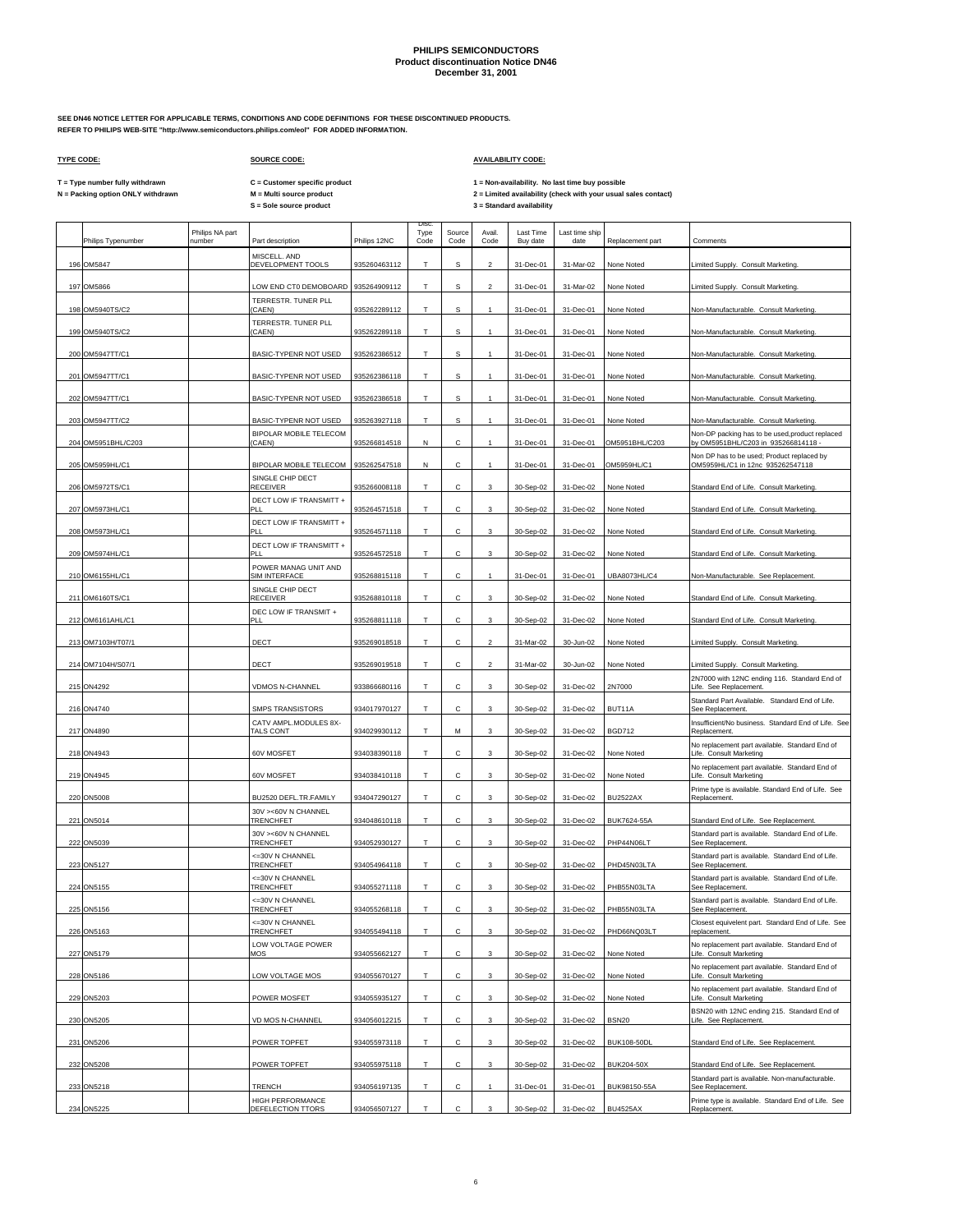**SEE DN46 NOTICE LETTER FOR APPLICABLE TERMS, CONDITIONS AND CODE DEFINITIONS FOR THESE DISCONTINUED PRODUCTS. REFER TO PHILIPS WEB-SITE "http://www.semiconductors.philips.com/eol" FOR ADDED INFORMATION.**

## **TYPE CODE: SOURCE CODE: AVAILABILITY CODE:**

**C = Customer specific product**

T = Type number fully withdrawn C = Customer specific product 1 = Non-availability. No last time buy possible<br>N = Packing option ONLY withdrawn M = Multi source product 2 =

|                    |                           |                                          |              | <b>Disc</b>  |                |                |                       |                        |                    |                                                                                             |
|--------------------|---------------------------|------------------------------------------|--------------|--------------|----------------|----------------|-----------------------|------------------------|--------------------|---------------------------------------------------------------------------------------------|
| Philips Typenumber | Philips NA part<br>number | Part description                         | Philips 12NC | Type<br>Code | Source<br>Code | Avail.<br>Code | Last Time<br>Buy date | Last time ship<br>date | Replacement part   | Comments                                                                                    |
| 196 OM5847         |                           | MISCELL. AND<br>DEVELOPMENT TOOLS        | 935260463112 | T.           | s              | $\overline{a}$ | 31-Dec-01             | 31-Mar-02              | None Noted         | Limited Supply. Consult Marketing.                                                          |
| 197 OM5866         |                           | LOW END CT0 DEMOBOARD                    | 935264909112 | T            | s              | $\overline{2}$ | 31-Dec-01             | 31-Mar-02              | None Noted         | Limited Supply. Consult Marketing.                                                          |
| 198 OM5940TS/C2    |                           | TERRESTR. TUNER PLL<br>(CAEN)            | 935262289112 | T            | s              | $\mathbf{1}$   | 31-Dec-01             | 31-Dec-01              | None Noted         | Non-Manufacturable. Consult Marketing.                                                      |
| 199 OM5940TS/C2    |                           | TERRESTR. TUNER PLL<br>(CAEN)            | 935262289118 | T            | $\mathbb S$    | $\mathbf{1}$   | 31-Dec-01             | 31-Dec-01              | None Noted         | Non-Manufacturable. Consult Marketing                                                       |
| 200 OM5947TT/C1    |                           | BASIC-TYPENR NOT USED                    | 935262386512 | T            | s              | 1              | 31-Dec-01             | 31-Dec-01              | None Noted         | Non-Manufacturable. Consult Marketing.                                                      |
| 201 OM5947TT/C1    |                           | BASIC-TYPENR NOT USED                    | 935262386118 | T            | $\mathbb S$    | 1              | 31-Dec-01             | 31-Dec-01              | None Noted         | Non-Manufacturable. Consult Marketing.                                                      |
| 202 OM5947TT/C1    |                           | <b>BASIC-TYPENR NOT USED</b>             | 935262386518 | T            | s              | $\mathbf{1}$   | 31-Dec-01             | 31-Dec-01              | None Noted         | Non-Manufacturable. Consult Marketing.                                                      |
| 203 OM5947TT/C2    |                           | BASIC-TYPENR NOT USED                    | 935263927118 | Т            | S              | 1              | 31-Dec-01             | 31-Dec-01              | None Noted         | Non-Manufacturable. Consult Marketing.                                                      |
|                    |                           | BIPOLAR MOBILE TELECOM                   |              |              |                |                |                       |                        |                    | Non-DP packing has to be used, product replaced                                             |
| 204 OM5951BHL/C203 |                           | (CAEN)                                   | 935266814518 | N            | C              | $\mathbf{1}$   | 31-Dec-01             | 31-Dec-01              | OM5951BHL/C203     | by OM5951BHL/C203 in 935266814118 -                                                         |
| 205 OM5959HL/C1    |                           | BIPOLAR MOBILE TELECOM                   | 935262547518 | N            | с              |                | 31-Dec-01             | 31-Dec-01              | OM5959HL/C1        | Non DP has to be used; Product replaced by<br>OM5959HL/C1 in 12nc 935262547118              |
| 206 OM5972TS/C1    |                           | SINGLE CHIP DECT<br>RECEIVER             | 935266008118 | T            | C              | 3              | 30-Sep-02             | 31-Dec-02              | None Noted         | Standard End of Life. Consult Marketing.                                                    |
| 207 OM5973HL/C1    |                           | DECT LOW IF TRANSMITT +<br>DI I          | 935264571518 | Т            | с              | 3              | 30-Sep-02             | 31-Dec-02              | None Noted         | Standard End of Life. Consult Marketing                                                     |
| 208 OM5973HL/C1    |                           | DECT LOW IF TRANSMITT +<br>PI I          | 935264571118 | T            | C              | 3              | 30-Sep-02             | 31-Dec-02              | None Noted         | Standard End of Life. Consult Marketing.                                                    |
|                    |                           | DECT LOW IF TRANSMITT +                  |              |              |                |                |                       |                        |                    |                                                                                             |
| 209 OM5974HL/C1    |                           | PI I<br>POWER MANAG UNIT AND             | 935264572518 | Т            | с              | 3              | 30-Sep-02             | 31-Dec-02              | None Noted         | Standard End of Life. Consult Marketing                                                     |
| 210 OM6155HL/C1    |                           | SIM INTERFACE                            | 935268815118 | T            | с              | $\mathbf{1}$   | 31-Dec-01             | 31-Dec-01              | UBA8073HL/C4       | Non-Manufacturable. See Replacement.                                                        |
| 211 OM6160TS/C1    |                           | SINGLE CHIP DECT<br><b>RECEIVER</b>      | 935268810118 | T            | с              | 3              | 30-Sep-02             | 31-Dec-02              | None Noted         | Standard End of Life. Consult Marketing.                                                    |
| 212 OM6161AHL/C1   |                           | DEC LOW IF TRANSMIT +<br>PI I            | 935268811118 | T.           | с              | 3              | 30-Sep-02             | 31-Dec-02              | None Noted         | Standard End of Life. Consult Marketing.                                                    |
| 213 OM7103H/T07/1  |                           | DECT                                     | 935269018518 | T.           | с              | $\overline{a}$ | 31-Mar-02             | 30-Jun-02              | None Noted         | Limited Supply. Consult Marketing.                                                          |
| 214 OM7104H/S07/1  |                           | DECT                                     | 935269019518 | T            | с              | $\overline{a}$ | 31-Mar-02             | 30-Jun-02              | None Noted         | Limited Supply. Consult Marketing.                                                          |
| 215 ON4292         |                           | <b>VDMOS N-CHANNEL</b>                   | 933866680116 | Т            | с              | 3              | 30-Sep-02             | 31-Dec-02              | 2N7000             | 2N7000 with 12NC ending 116. Standard End of<br>Life. See Replacement.                      |
| 216 ON4740         |                           | <b>SMPS TRANSISTORS</b>                  | 934017970127 | T.           | C              | 3              | 30-Sep-02             | 31-Dec-02              | BUT11A             | Standard Part Available. Standard End of Life.<br>See Replacement.                          |
| 217 ON4890         |                           | CATV AMPL.MODULES 8X-<br>TALS CONT       | 934029930112 | T            | M              | 3              | 30-Sep-02             | 31-Dec-02              | <b>BGD712</b>      | Insufficient/No business. Standard End of Life. See<br>Replacement.                         |
| 218 ON4943         |                           | 60V MOSFET                               | 934038390118 | T            | с              | 3              | 30-Sep-02             | 31-Dec-02              | None Noted         | No replacement part available. Standard End of<br>Life. Consult Marketing                   |
| 219 ON4945         |                           | 60V MOSFET                               | 934038410118 | T            | C              | 3              | 30-Sep-02             | 31-Dec-02              | None Noted         | No replacement part available. Standard End of<br>Life. Consult Marketing                   |
| 220 ON5008         |                           | BU2520 DEFL.TR.FAMILY                    | 934047290127 | T            | с              | 3              | 30-Sep-02             | 31-Dec-02              | <b>BU2522AX</b>    | Prime type is available. Standard End of Life. See<br>Replacement.                          |
|                    |                           | 30V ><60V N CHANNEL                      |              |              |                |                |                       |                        |                    |                                                                                             |
| 221 ON5014         |                           | TRENCHFET<br>30V ><60V N CHANNEL         | 934048610118 | T            | C              | 3              | 30-Sep-02             | 31-Dec-02              | <b>BUK7624-55A</b> | Standard End of Life. See Replacement.<br>Standard part is available. Standard End of Life. |
| 222 ON5039         |                           | TRENCHFET                                | 934052930127 | Т            | с              | 3              | 30-Sep-02             | 31-Dec-02              | PHP44N06LT         | See Replacement.                                                                            |
| 223 ON5127         |                           | <= 30 VN CHANNEL<br>TRENCHFET            | 934054964118 | T            | с              | 3              | 30-Sep-02             | 31-Dec-02              | PHD45N03LTA        | Standard part is available. Standard End of Life.<br>See Replacement.                       |
| 224 ON5155         |                           | <= 30V N CHANNEL<br>TRENCHFET            | 934055271118 | Т            | С              | 3              | 30-Sep-02             | 31-Dec-02              | PHB55N03LTA        | Standard part is available. Standard End of Life.<br>See Replacement                        |
| 225 ON5156         |                           | <= 30 VN CHANNEL<br>TRENCHEFT            | 934055268118 | T.           | C              | 3              | 30-Sep-02             | 31-Dec-02              | PHB55N03LTA        | Standard part is available. Standard End of Life.<br>See Renlacement                        |
| 226 ON5163         |                           | <= 30V N CHANNEL<br>TRENCHFET            | 934055494118 | T            | с              | 3              | 30-Sep-02             | 31-Dec-02              | PHD66NQ03LT        | Closest equivelent part. Standard End of Life. See<br>replacement.                          |
| 227 ON5179         |                           | LOW VOLTAGE POWER<br>MOS                 | 934055662127 | T            | С              | 3              | 30-Sep-02             | 31-Dec-02              | None Noted         | No replacement part available. Standard End of<br>Life. Consult Marketing                   |
| 228 ON5186         |                           | LOW VOLTAGE MOS                          | 934055670127 | Т            | С              | 3              | 30-Sep-02             | 31-Dec-02              | None Noted         | No replacement part available. Standard End of<br>Life. Consult Marketing                   |
| 229 ON5203         |                           | POWER MOSFET                             | 934055935127 | T            | C              | 3              | 30-Sep-02             | 31-Dec-02              | None Noted         | No replacement part available. Standard End of<br>Life. Consult Marketing                   |
| 230 ON5205         |                           | VD MOS N-CHANNEL                         | 934056012215 | T            | с              | 3              | 30-Sep-02             | 31-Dec-02              | <b>BSN20</b>       | BSN20 with 12NC ending 215. Standard End of<br>Life. See Replacement.                       |
| 231 ON5206         |                           | POWER TOPFET                             | 934055973118 | T            | C              | 3              | 30-Sep-02             | 31-Dec-02              | <b>BUK108-50DL</b> | Standard End of Life. See Replacement.                                                      |
| 232 ON5208         |                           | POWER TOPFET                             | 934055975118 | T            | с              | 3              | 30-Sep-02             | 31-Dec-02              | <b>BUK204-50X</b>  | Standard End of Life. See Replacement.                                                      |
|                    |                           |                                          |              |              |                |                |                       |                        |                    | Standard part is available. Non-manufacturable.                                             |
| 233 ON5218         |                           | <b>TRENCH</b><br><b>HIGH PERFORMANCE</b> | 934056197135 | T.           | C              | 1              | 31-Dec-01             | 31-Dec-01              | BUK98150-55A       | See Replacement.<br>Prime type is available. Standard End of Life. See                      |
| 234 ON5225         |                           | DEFELECTION TTORS                        | 934056507127 | T            | c              | 3              | 30-Sep-02             | 31-Dec-02              | <b>BU4525AX</b>    | Replacement.                                                                                |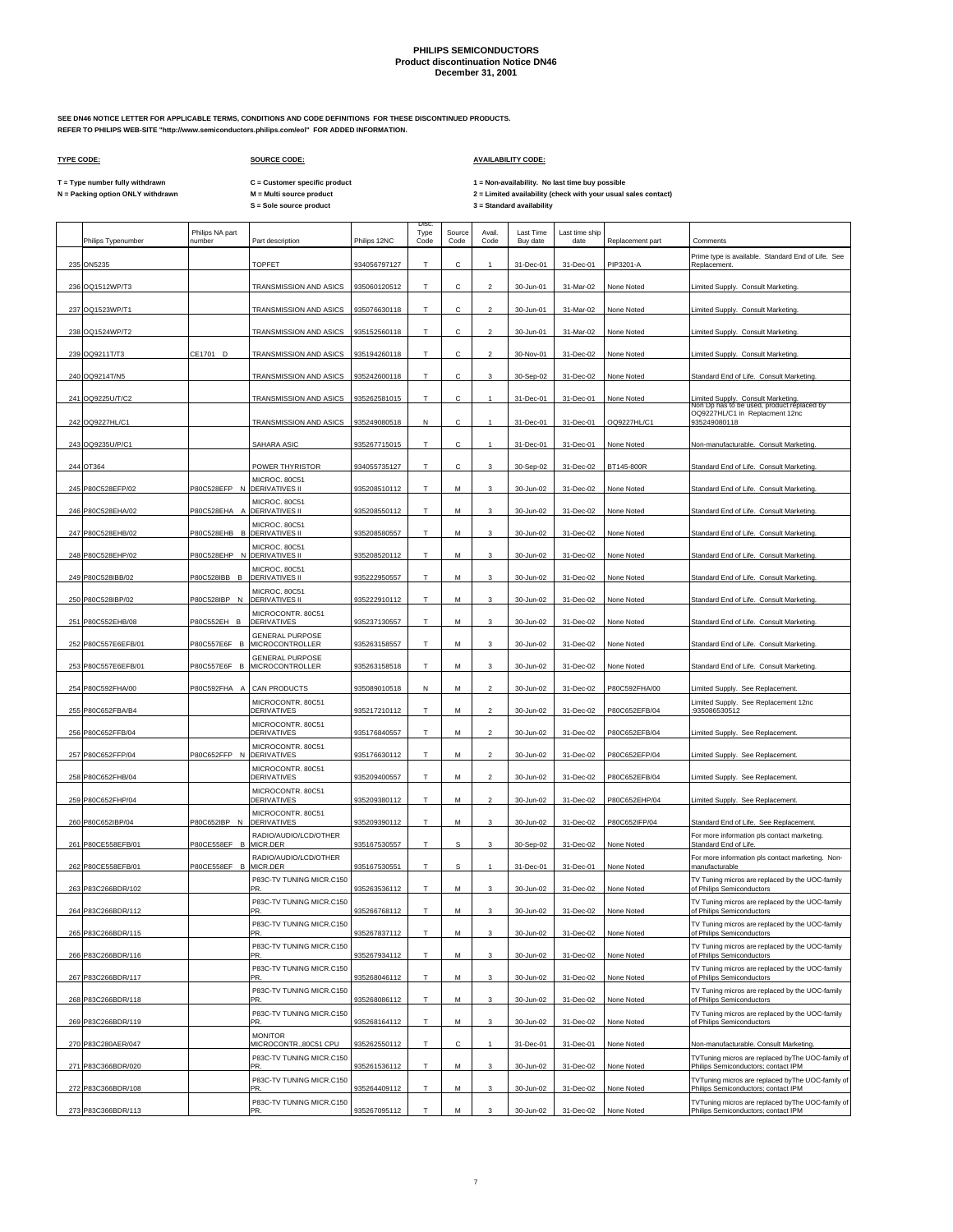**SEE DN46 NOTICE LETTER FOR APPLICABLE TERMS, CONDITIONS AND CODE DEFINITIONS FOR THESE DISCONTINUED PRODUCTS. REFER TO PHILIPS WEB-SITE "http://www.semiconductors.philips.com/eol" FOR ADDED INFORMATION.**

## **TYPE CODE: SOURCE CODE: AVAILABILITY CODE:**

**C = Customer specific product**

T = Type number fully withdrawn C = Customer specific product 1 = Non-availability. No last time buy possible<br>N = Packing option ONLY withdrawn M = Multi source product 2 = Lim

| Philips Typenumber  | Philips NA part<br>number | Part description                             | Philips 12NC | Disc<br>Type<br>Code | Source<br>Code | Avail<br>Code            | Last Time<br>Buy date | Last time ship<br>date | Replacement part | Comments                                                                                |
|---------------------|---------------------------|----------------------------------------------|--------------|----------------------|----------------|--------------------------|-----------------------|------------------------|------------------|-----------------------------------------------------------------------------------------|
| 235 ON5235          |                           | TOPFET                                       | 934056797127 | т                    |                |                          | 31-Dec-01             | 31-Dec-01              | PIP3201-A        | Prime type is available. Standard End of Life. See<br>Replacement                       |
| 236 OQ1512WP/T3     |                           | TRANSMISSION AND ASICS                       | 935060120512 | т                    | C              | $\overline{\phantom{a}}$ | 30-Jun-01             | 31-Mar-02              | None Noted       | Limited Supply. Consult Marketing.                                                      |
| 237 OQ1523WP/T1     |                           | TRANSMISSION AND ASICS                       | 935076630118 | Т                    | с              | $\overline{2}$           | 30-Jun-01             | 31-Mar-02              | None Noted       | Limited Supply. Consult Marketing.                                                      |
| 238 OQ1524WP/T2     |                           | TRANSMISSION AND ASICS                       | 935152560118 | T                    | с              | $\overline{c}$           | 30-Jun-01             | 31-Mar-02              | None Noted       | Limited Supply. Consult Marketing.                                                      |
| 239 OQ9211T/T3      | CE1701 D                  | TRANSMISSION AND ASICS                       | 935194260118 | T                    | C              | $\overline{2}$           | 30-Nov-01             | 31-Dec-02              | None Noted       | Limited Supply. Consult Marketing.                                                      |
| 240 OQ9214T/N5      |                           | TRANSMISSION AND ASICS                       | 935242600118 | T                    | C              | 3                        | 30-Sep-02             | 31-Dec-02              | None Noted       | Standard End of Life. Consult Marketing.                                                |
| 241 OQ9225U/T/C2    |                           | TRANSMISSION AND ASICS                       | 935262581015 | Т                    | с              | $\mathbf{1}$             | 31-Dec-01             | 31-Dec-01              | None Noted       | Limited Supply. Consult Marketing.<br>Non Dp has to be used, product replaced by        |
| 242 OQ9227HL/C1     |                           | TRANSMISSION AND ASICS                       | 935249080518 | N                    | C              | $\mathbf{1}$             | 31-Dec-01             | 31-Dec-01              | OQ9227HL/C1      | OQ9227HL/C1 in Replacment 12nc<br>935249080118                                          |
| 243 OQ9235U/P/C1    |                           | SAHARA ASIC                                  | 935267715015 | Т                    | с              |                          | 31-Dec-01             | 31-Dec-01              | None Noted       | Non-manufacturable. Consult Marketing                                                   |
| 244 OT364           |                           | POWER THYRISTOR                              | 934055735127 | T                    | C              | 3                        | 30-Sep-02             | 31-Dec-02              | BT145-800R       | Standard End of Life. Consult Marketing.                                                |
| 245 P80C528EFP/02   | P80C528EFP N              | MICROC. 80C51<br><b>DERIVATIVES II</b>       | 935208510112 | Т                    | M              | 3                        | 30-Jun-02             | 31-Dec-02              | None Noted       | Standard End of Life. Consult Marketing.                                                |
| 246 P80C528EHA/02   | P80C528EHA A              | MICROC. 80C51<br><b>DERIVATIVES II</b>       | 935208550112 | т                    | м              | 3                        | 30-Jun-02             | 31-Dec-02              | None Noted       | Standard End of Life. Consult Marketing.                                                |
| 247 P80C528EHB/02   | P80C528EHB B              | MICROC, 80C51<br><b>DERIVATIVES II</b>       | 935208580557 | T                    | М              | 3                        | 30-Jun-02             | 31-Dec-02              | None Noted       | Standard End of Life. Consult Marketing                                                 |
| 248 P80C528EHP/02   | P80C528EHP N              | MICROC. 80C51<br><b>DERIVATIVES II</b>       | 935208520112 | T                    | м              | 3                        | 30-Jun-02             | 31-Dec-02              | None Noted       | Standard End of Life. Consult Marketing.                                                |
| 249 P80C528IBB/02   | P80C528IBB B              | MICROC. 80C51<br><b>DERIVATIVES II</b>       | 935222950557 | т                    | M              | 3                        | 30-Jun-02             | 31-Dec-02              | None Noted       | Standard End of Life. Consult Marketing.                                                |
|                     |                           | MICROC. 80C51                                |              | T                    |                |                          |                       |                        |                  |                                                                                         |
| 250 P80C528IBP/02   | P80C528IBP N              | <b>DERIVATIVES II</b><br>MICROCONTR. 80C51   | 935222910112 |                      | M              | 3                        | 30-Jun-02             | 31-Dec-02              | None Noted       | Standard End of Life. Consult Marketing.                                                |
| 251 P80C552EHB/08   | P80C552EH B               | <b>DERIVATIVES</b><br><b>GENERAL PURPOSE</b> | 935237130557 | T                    | м              | 3                        | 30-Jun-02             | 31-Dec-02              | None Noted       | Standard End of Life. Consult Marketing.                                                |
| 252 P80C557E6EFB/01 | P80C557E6F B              | MICROCONTROLLER<br><b>GENERAL PURPOSE</b>    | 935263158557 | T                    | М              | 3                        | 30-Jun-02             | 31-Dec-02              | None Noted       | Standard End of Life. Consult Marketing                                                 |
| 253 P80C557E6EFB/01 | P80C557E6F B              | MICROCONTROLLER                              | 935263158518 | т                    | м              | 3                        | 30-Jun-02             | 31-Dec-02              | None Noted       | Standard End of Life. Consult Marketing.                                                |
| 254 P80C592FHA/00   | P80C592FHA A              | CAN PRODUCTS                                 | 935089010518 | N                    | M              | $\overline{2}$           | 30-Jun-02             | 31-Dec-02              | P80C592FHA/00    | Limited Supply. See Replacement.                                                        |
| 255 P80C652FBA/B4   |                           | MICROCONTR. 80C51<br>DERIVATIVES             | 935217210112 | T                    | M              | $\overline{2}$           | 30-Jun-02             | 31-Dec-02              | P80C652EFB/04    | Limited Supply. See Replacement 12nc<br>935086530512                                    |
| 256 P80C652FFB/04   |                           | MICROCONTR. 80C51<br><b>DERIVATIVES</b>      | 935176840557 | T                    | М              | $\overline{c}$           | 30-Jun-02             | 31-Dec-02              | P80C652EFB/04    | Limited Supply. See Replacement.                                                        |
| 257 P80C652FFP/04   | P80C652FFP N              | MICROCONTR. 80C51<br><b>DERIVATIVES</b>      | 935176630112 | T                    | М              | $\mathfrak{p}$           | 30-Jun-02             | 31-Dec-02              | P80C652EFP/04    | Limited Supply. See Replacement                                                         |
| 258 P80C652FHB/04   |                           | MICROCONTR. 80C51<br>DERIVATIVES             | 935209400557 | т                    | М              | $\overline{2}$           | 30-Jun-02             | 31-Dec-02              | P80C652EFB/04    | Limited Supply. See Replacement.                                                        |
| 259 P80C652FHP/04   |                           | MICROCONTR. 80C51<br><b>DERIVATIVES</b>      | 935209380112 | T                    | М              | $\mathfrak{p}$           | 30-Jun-02             | 31-Dec-02              | P80C652EHP/04    | Limited Supply. See Replacement.                                                        |
| 260 P80C652IBP/04   | P80C652IBP N              | MICROCONTR. 80C51<br><b>DERIVATIVES</b>      | 935209390112 | т                    | М              | 3                        | 30-Jun-02             | 31-Dec-02              | P80C652IFP/04    | Standard End of Life. See Replacement.                                                  |
| 261 P80CE558EFB/01  | P80CE558EF B              | RADIO/AUDIO/LCD/OTHER<br>MICR.DER            | 935167530557 | T                    | S.             | 3                        | 30-Sep-02             | 31-Dec-02              | None Noted       | For more information pls contact marketing.<br>Standard End of Life.                    |
| 262 P80CE558EFB/01  | P80CE558EF B              | RADIO/AUDIO/LCD/OTHER<br>MICR.DER            | 935167530551 | т                    | s              |                          | 31-Dec-01             | 31-Dec-01              | None Noted       | For more information pls contact marketing. Non-<br>manufacturable                      |
| 263 P83C266BDR/102  |                           | P83C-TV TUNING MICR.C150<br>PR.              | 935263536112 | T                    | М              | 3                        | 30-Jun-02             | 31-Dec-02              | None Noted       | TV Tuning micros are replaced by the UOC-family<br>of Philips Semiconductors            |
| 264 P83C266BDR/112  |                           | P83C-TV TUNING MICR.C150<br>PR.              | 935266768112 | T                    | М              | 3                        | 30-Jun-02             | 31-Dec-02              | None Noted       | TV Tuning micros are replaced by the UOC-family<br>of Philips Semiconductors            |
| 265 P83C266BDR/115  |                           | P83C-TV TUNING MICR.C150<br>PR.              | 935267837112 | T                    | М              | 3                        | 30-Jun-02             | 31-Dec-02              | None Noted       | TV Tuning micros are replaced by the UOC-family<br>of Philips Semiconductors            |
| 266 P83C266BDR/116  |                           | P83C-TV TUNING MICR.C150<br>PR.              | 935267934112 | T.                   | М              | $\mathbf{3}$             | 30-Jun-02             | 31-Dec-02              | None Noted       | TV Tuning micros are replaced by the UOC-family<br>of Philips Semiconductors            |
| 267 P83C266BDR/117  |                           | P83C-TV TUNING MICR.C150<br>PR.              | 935268046112 | T.                   | М              | 3                        | 30-Jun-02             | 31-Dec-02              | None Noted       | TV Tuning micros are replaced by the UOC-family<br>of Philips Semiconductors            |
| 268 P83C266BDR/118  |                           | P83C-TV TUNING MICR.C150<br>PR.              | 935268086112 | T                    | М              | 3                        | 30-Jun-02             | 31-Dec-02              | None Noted       | TV Tuning micros are replaced by the UOC-family<br>of Philips Semiconductors            |
| 269 P83C266BDR/119  |                           | P83C-TV TUNING MICR.C150<br>PR.              | 935268164112 | т                    | М              | 3                        | 30-Jun-02             | 31-Dec-02              | None Noted       | TV Tuning micros are replaced by the UOC-family<br>of Philips Semiconductors            |
| 270 P83C280AER/047  |                           | <b>MONITOR</b><br>MICROCONTR.,80C51 CPU      | 935262550112 | T                    | с              |                          | 31-Dec-01             | 31-Dec-01              | None Noted       | Non-manufacturable. Consult Marketing.                                                  |
| 271 P83C366BDR/020  |                           | P83C-TV TUNING MICR.C150<br>PR.              | 935261536112 | T                    | M              | 3                        | 30-Jun-02             | 31-Dec-02              | None Noted       | TVTuning micros are replaced byThe UOC-family of<br>Philips Semiconductors; contact IPM |
| 272 P83C366BDR/108  |                           | P83C-TV TUNING MICR.C150<br>PR.              | 935264409112 | Т                    | М              | 3                        | 30-Jun-02             | 31-Dec-02              | None Noted       | TVTuning micros are replaced byThe UOC-family of<br>Philips Semiconductors; contact IPM |
| 273 P83C366BDR/113  |                           | P83C-TV TUNING MICR.C150<br>PR.              | 935267095112 | т                    | M              | $\mathbf{3}$             | 30-Jun-02             | 31-Dec-02              | None Noted       | TVTuning micros are replaced byThe UOC-family of<br>Philips Semiconductors: contact IPM |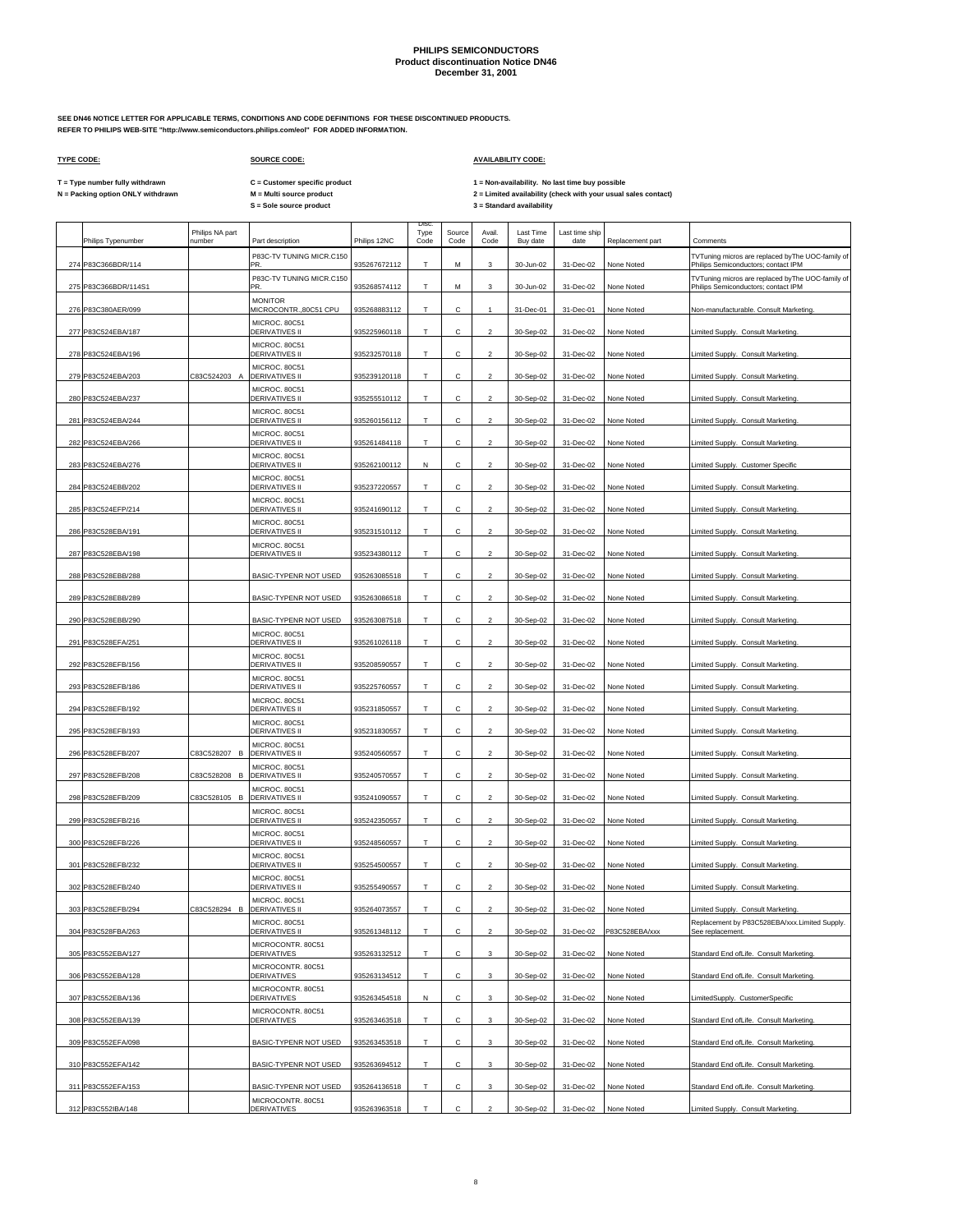Disc.

**SEE DN46 NOTICE LETTER FOR APPLICABLE TERMS, CONDITIONS AND CODE DEFINITIONS FOR THESE DISCONTINUED PRODUCTS. REFER TO PHILIPS WEB-SITE "http://www.semiconductors.philips.com/eol" FOR ADDED INFORMATION.**

 $\Gamma$ 

## **TYPE CODE: SOURCE CODE: AVAILABILITY CODE:**

**C = Customer specific product**

T = Type number fully withdrawn C = Customer specific product 1 = Non-availability. No last time buy possible<br>N = Packing option ONLY withdrawn M = Multi source product 2 = Lim

|     | Philips Typenumber   | Philips NA part<br>number | Part description                        | Philips 12NC | Type<br>Code | Source<br>Code | Avail.<br>Code          | Last Time<br>Buy date | Last time ship<br>date | Replacement part | Comments                                                                                |
|-----|----------------------|---------------------------|-----------------------------------------|--------------|--------------|----------------|-------------------------|-----------------------|------------------------|------------------|-----------------------------------------------------------------------------------------|
|     | 274 P83C366BDR/114   |                           | P83C-TV TUNING MICR.C150<br>PR          | 935267672112 | T            | M              | 3                       | 30-Jun-02             | 31-Dec-02              | None Noted       | TVTuning micros are replaced byThe UOC-family of<br>Philips Semiconductors; contact IPM |
|     | 275 P83C366BDR/114S1 |                           | P83C-TV TUNING MICR.C150<br>PR.         | 935268574112 | Т            | М              | 3                       | 30-Jun-02             | 31-Dec-02              | None Noted       | TVTuning micros are replaced byThe UOC-family of<br>Philips Semiconductors; contact IPM |
|     | 276 P83C380AER/099   |                           | <b>MONITOR</b><br>MICROCONTR.,80C51 CPU | 935268883112 | Т            | с              | $\mathbf{1}$            | 31-Dec-01             | 31-Dec-01              | None Noted       | Non-manufacturable. Consult Marketing.                                                  |
|     | 277 P83C524EBA/187   |                           | MICROC, 80C51<br><b>DERIVATIVES II</b>  | 935225960118 | Т            | c              | $\overline{2}$          | 30-Sep-02             | 31-Dec-02              | None Noted       | Limited Supply. Consult Marketing.                                                      |
|     | 278 P83C524EBA/196   |                           | MICROC. 80C51<br><b>DERIVATIVES II</b>  | 935232570118 | Т            | с              | $\overline{a}$          | 30-Sep-02             | 31-Dec-02              | None Noted       | Limited Supply. Consult Marketing.                                                      |
|     | 279 P83C524EBA/203   | C83C524203 A              | MICROC. 80C51<br>DERIVATIVES II         | 935239120118 | т            | с              | 2                       | 30-Sep-02             | 31-Dec-02              | None Noted       | Limited Supply. Consult Marketing.                                                      |
| 280 | P83C524EBA/237       |                           | MICROC. 80C51<br><b>DERIVATIVES II</b>  | 935255510112 | T            | с              | $\overline{a}$          | 30-Sep-02             | 31-Dec-02              | None Noted       | Limited Supply. Consult Marketing.                                                      |
|     | 281 P83C524EBA/244   |                           | MICROC. 80C51<br>DERIVATIVES II         | 935260156112 | т            | С              | 2                       | 30-Sep-02             | 31-Dec-02              | None Noted       | Limited Supply. Consult Marketing.                                                      |
|     | 282 P83C524EBA/266   |                           | MICROC. 80C51<br><b>DERIVATIVES II</b>  | 935261484118 | T            | C              | $\mathfrak{p}$          | 30-Sep-02             | 31-Dec-02              | None Noted       | Limited Supply. Consult Marketing.                                                      |
|     | 283 P83C524EBA/276   |                           | MICROC. 80C51<br><b>DERIVATIVES II</b>  | 935262100112 | N            | с              | $\overline{2}$          | 30-Sep-02             | 31-Dec-02              | None Noted       | Limited Supply. Customer Specific                                                       |
|     | 284 P83C524EBB/202   |                           | MICROC. 80C51<br>DERIVATIVES II         | 935237220557 | T            | C              | $\mathfrak{p}$          | 30-Sep-02             | 31-Dec-02              | None Noted       | Limited Supply. Consult Marketing.                                                      |
|     | 285 P83C524EFP/214   |                           | MICROC. 80C51<br><b>DERIVATIVES II</b>  | 935241690112 | Т            | С              | $\mathfrak{p}$          | 30-Sep-02             | 31-Dec-02              | None Noted       | Limited Supply. Consult Marketing.                                                      |
|     | 286 P83C528EBA/191   |                           | MICROC. 80C51<br><b>DERIVATIVES II</b>  | 935231510112 | T.           | C              | $\mathfrak{p}$          | 30-Sep-02             | 31-Dec-02              | None Noted       | Limited Supply. Consult Marketing.                                                      |
|     | 287 P83C528EBA/198   |                           | MICROC. 80C51<br><b>DERIVATIVES II</b>  | 935234380112 | Т            | С              | $\mathfrak{p}$          | 30-Sep-02             | 31-Dec-02              | None Noted       | Limited Supply. Consult Marketing.                                                      |
|     | 288 P83C528EBB/288   |                           | BASIC-TYPENR NOT USED                   | 935263085518 | Т            | c              | $\overline{\mathbf{c}}$ | 30-Sep-02             | 31-Dec-02              | None Noted       | Limited Supply. Consult Marketing.                                                      |
|     | 289 P83C528EBB/289   |                           | BASIC-TYPENR NOT USED                   | 935263086518 | Т            | с              | 2                       | 30-Sep-02             | 31-Dec-02              | None Noted       | Limited Supply. Consult Marketing.                                                      |
|     | 290 P83C528EBB/290   |                           | BASIC-TYPENR NOT USED                   | 935263087518 | T.           | C              | $\mathfrak{p}$          | 30-Sep-02             | 31-Dec-02              | None Noted       | Limited Supply. Consult Marketing.                                                      |
|     | 291 P83C528EFA/251   |                           | MICROC. 80C51<br>DERIVATIVES II         | 935261026118 | T            | с              | $\overline{2}$          | 30-Sep-02             | 31-Dec-02              | None Noted       | Limited Supply. Consult Marketing.                                                      |
|     | 292 P83C528EFB/156   |                           | MICROC. 80C51<br>DERIVATIVES II         | 935208590557 | Т            | c              | $\overline{2}$          | 30-Sep-02             | 31-Dec-02              | None Noted       | Limited Supply. Consult Marketing.                                                      |
|     | 293 P83C528EFB/186   |                           | MICROC. 80C51<br>DERIVATIVES II         | 935225760557 | T            | с              | $\overline{2}$          | 30-Sep-02             | 31-Dec-02              | None Noted       | Limited Supply. Consult Marketing.                                                      |
|     | 294 P83C528EFB/192   |                           | MICROC, 80C51<br>DERIVATIVES II         | 935231850557 | T            | c              | 2                       | 30-Sep-02             | 31-Dec-02              | None Noted       | Limited Supply. Consult Marketing.                                                      |
|     | 295 P83C528EFB/193   |                           | MICROC. 80C51<br><b>DERIVATIVES II</b>  | 935231830557 | T            | Ċ              | $\mathfrak{p}$          | 30-Sep-02             | 31-Dec-02              | None Noted       | Limited Supply. Consult Marketing.                                                      |
|     | 296 P83C528EFB/207   | C83C528207 B              | MICROC. 80C51<br><b>DERIVATIVES II</b>  | 935240560557 | т            | с              | $\overline{2}$          | 30-Sep-02             | 31-Dec-02              | None Noted       | Limited Supply. Consult Marketing.                                                      |
|     | 297 P83C528EFB/208   | C83C528208 B              | MICROC. 80C51<br><b>DERIVATIVES II</b>  | 935240570557 | Т            | с              | $\overline{a}$          | 30-Sep-02             | 31-Dec-02              | None Noted       | Limited Supply. Consult Marketing.                                                      |
|     | 298 P83C528EFB/209   | C83C528105 B              | MICROC. 80C51<br><b>DERIVATIVES II</b>  | 935241090557 | T            | C              | $\mathfrak{p}$          | 30-Sep-02             | 31-Dec-02              | None Noted       | Limited Supply. Consult Marketing                                                       |
|     | 299 P83C528EFB/216   |                           | MICROC. 80C51<br><b>DERIVATIVES II</b>  | 935242350557 | T.           | с              | $\overline{a}$          | 30-Sep-02             | 31-Dec-02              | None Noted       | Limited Supply. Consult Marketing.                                                      |
|     | 300 P83C528EFB/226   |                           | MICROC. 80C51<br>DERIVATIVES II         | 935248560557 | т            | C              | $\overline{2}$          | 30-Sep-02             | 31-Dec-02              | None Noted       | Limited Supply. Consult Marketing.                                                      |
|     | 301 P83C528EFB/232   |                           | MICROC. 80C51<br><b>DERIVATIVES II</b>  | 935254500557 | Т            | с              | $\overline{a}$          | 30-Sep-02             | 31-Dec-02              | None Noted       | Limited Supply. Consult Marketing.                                                      |
|     | 302 P83C528EFB/240   |                           | MICROC. 80C51<br>DERIVATIVES II         | 935255490557 | т            | с              | 2                       | 30-Sep-02             | 31-Dec-02              | None Noted       | Limited Supply. Consult Marketing.                                                      |
|     | 303 P83C528EFB/294   | C83C528294 B              | MICROC. 80C51<br><b>DERIVATIVES II</b>  | 935264073557 | T            | с              | $\overline{a}$          | 30-Sep-02             | 31-Dec-02              | None Noted       | Limited Supply. Consult Marketing.                                                      |
|     | 304 P83C528FBA/263   |                           | MICROC, 80C51<br><b>DERIVATIVES II</b>  | 935261348112 | Т            | С              | $\overline{\mathbf{c}}$ | 30-Sep-02             | 31-Dec-02              | P83C528EBA/xxx   | Replacement by P83C528EBA/xxx.Limited Supply.<br>See replacement.                       |
|     | 305 P83C552EBA/127   |                           | MICROCONTR. 80C51<br><b>DERIVATIVES</b> | 935263132512 | T            | c              | 3                       | 30-Sep-02             | 31-Dec-02              | None Noted       | Standard End ofLife. Consult Marketing.                                                 |
|     | 306 P83C552EBA/128   |                           | MICROCONTR. 80C51<br>DERIVATIVES        | 935263134512 | T            | С              | 3                       | 30-Sep-02             | 31-Dec-02              | None Noted       | Standard End ofLife. Consult Marketing.                                                 |
|     | 307 P83C552EBA/136   |                           | MICROCONTR. 80C51<br><b>DERIVATIVES</b> | 935263454518 | N            | c              | 3                       | 30-Sep-02             | 31-Dec-02              | None Noted       | LimitedSupply. CustomerSpecific                                                         |
|     | 308 P83C552EBA/139   |                           | MICROCONTR. 80C51<br>DERIVATIVES        | 935263463518 | T            | С              | 3                       | 30-Sep-02             | 31-Dec-02              | None Noted       | Standard End ofLife. Consult Marketing.                                                 |
|     | 309 P83C552EFA/098   |                           | <b>BASIC-TYPENR NOT USED</b>            | 935263453518 | T.           | C              | 3                       | 30-Sep-02             | 31-Dec-02              | None Noted       | Standard End ofLife. Consult Marketing.                                                 |
|     | 310 P83C552EFA/142   |                           | BASIC-TYPENR NOT USED                   | 935263694512 | T            | с              | 3                       | 30-Sep-02             | 31-Dec-02              | None Noted       | Standard End ofLife. Consult Marketing.                                                 |
|     | 311 P83C552EFA/153   |                           | BASIC-TYPENR NOT USED                   | 935264136518 | T            | Ċ              | 3                       | 30-Sep-02             | 31-Dec-02              | None Noted       | Standard End ofLife. Consult Marketing.                                                 |
|     | 312 P83C552IBA/148   |                           | MICROCONTR. 80C51<br><b>DERIVATIVES</b> | 935263963518 | T            | C              | $\overline{2}$          | 30-Sep-02             | 31-Dec-02              | None Noted       | Limited Supply. Consult Marketing.                                                      |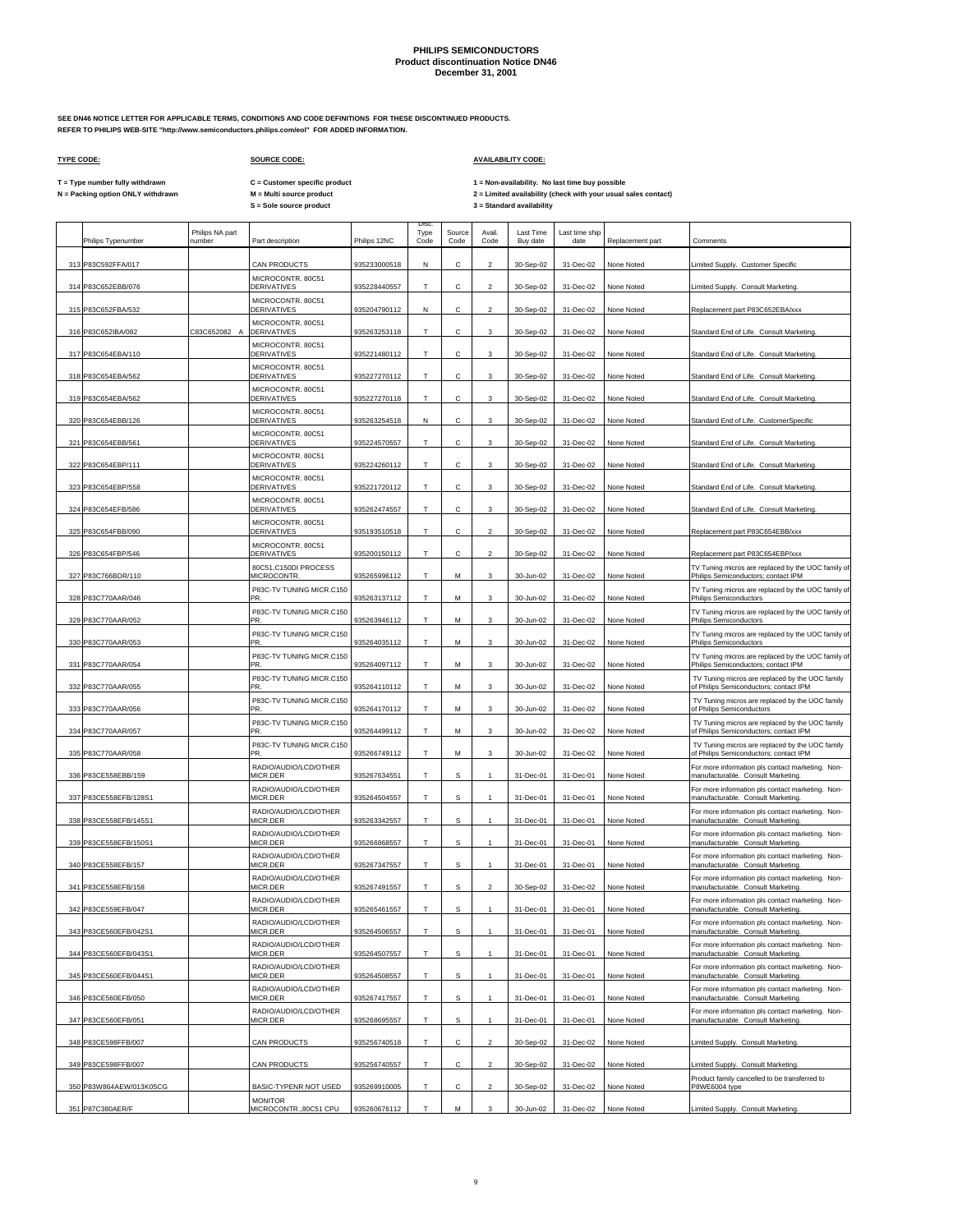**SEE DN46 NOTICE LETTER FOR APPLICABLE TERMS, CONDITIONS AND CODE DEFINITIONS FOR THESE DISCONTINUED PRODUCTS. REFER TO PHILIPS WEB-SITE "http://www.semiconductors.philips.com/eol" FOR ADDED INFORMATION.**

## **TYPE CODE: SOURCE CODE: AVAILABILITY CODE:**

**C = Customer specific product**

T = Type number fully withdrawn C = Customer specific product 1 = Non-availability. No last time buy possible<br>N = Packing option ONLY withdrawn M = Multi source product 2 =

| Philips Typenumber      | Philips NA part<br>number | Part description                         | Philips 12NC | <b>Disc</b><br>Type<br>Code | Source<br>Code | Avail.<br>Code          | Last Time<br>Buy date | Last time ship<br>date | Replacement part | Comments                                                                                   |
|-------------------------|---------------------------|------------------------------------------|--------------|-----------------------------|----------------|-------------------------|-----------------------|------------------------|------------------|--------------------------------------------------------------------------------------------|
| 313 P83C592FFA/017      |                           | <b>CAN PRODUCTS</b>                      | 935233000518 | N                           | с              | $\overline{a}$          | 30-Sep-02             | 31-Dec-02              | None Noted       | Limited Supply. Customer Specific                                                          |
| 314 P83C652EBB/076      |                           | MICROCONTR. 80C51<br>DERIVATIVES         | 935228440557 | T                           | с              | $\overline{2}$          | 30-Sep-02             | 31-Dec-02              | None Noted       | Limited Supply. Consult Marketing.                                                         |
| 315 P83C652FBA/532      |                           | MICROCONTR. 80C51<br><b>DERIVATIVES</b>  | 935204790112 | N                           | с              | $\overline{a}$          | 30-Sep-02             | 31-Dec-02              | None Noted       | Replacement part P83C652EBA/xxx                                                            |
| 316 P83C652IBA/082      | C83C652082 A              | MICROCONTR. 80C51<br>DERIVATIVES         | 935263253118 | Т                           | С              | 3                       | 30-Sep-02             | 31-Dec-02              | None Noted       | Standard End of Life. Consult Marketing.                                                   |
| 317 P83C654EBA/110      |                           | MICROCONTR. 80C51<br><b>DERIVATIVES</b>  | 935221480112 | T                           | с              | 3                       | 30-Sep-02             | 31-Dec-02              | None Noted       | Standard End of Life. Consult Marketing.                                                   |
| 318 P83C654EBA/562      |                           | MICROCONTR. 80C51<br>DERIVATIVES         | 935227270112 | Т                           | с              | 3                       | 30-Sep-02             | 31-Dec-02              | None Noted       | Standard End of Life. Consult Marketing.                                                   |
| 319 P83C654EBA/562      |                           | MICROCONTR. 80C51<br><b>DERIVATIVES</b>  | 935227270118 | T                           | с              | 3                       | 30-Sep-02             | 31-Dec-02              | None Noted       | Standard End of Life. Consult Marketing.                                                   |
| 320 P83C654EBB/126      |                           | MICROCONTR. 80C51<br>DERIVATIVES         | 935263254518 | N                           | с              | 3                       | 30-Sep-02             | 31-Dec-02              | None Noted       | Standard End of Life. CustomerSpecific                                                     |
| 321 P83C654EBB/561      |                           | MICROCONTR. 80C51<br><b>DERIVATIVES</b>  | 935224570557 | T.                          | C              | 3                       | 30-Sep-02             | 31-Dec-02              | None Noted       | Standard End of Life. Consult Marketing.                                                   |
| 322 P83C654EBP/111      |                           | MICROCONTR. 80C51<br>DERIVATIVES         | 935224260112 | T                           | С              | 3                       | 30-Sep-02             | 31-Dec-02              | None Noted       | Standard End of Life. Consult Marketing                                                    |
| 323 P83C654EBP/558      |                           | MICROCONTR. 80C51<br><b>DERIVATIVES</b>  | 935221720112 | T                           | C              | 3                       | 30-Sep-02             | 31-Dec-02              | None Noted       | Standard End of Life. Consult Marketing.                                                   |
| 324 P83C654EFB/586      |                           | MICROCONTR. 80C51<br><b>DERIVATIVES</b>  | 935262474557 | Т                           | с              | 3                       | 30-Sep-02             | 31-Dec-02              | None Noted       | Standard End of Life. Consult Marketing                                                    |
| 325 P83C654FBB/090      |                           | MICROCONTR. 80C51<br><b>DERIVATIVES</b>  | 935193510518 | T                           | C              | $\mathfrak{p}$          | 30-Sep-02             | 31-Dec-02              | None Noted       | Replacement part P83C654EBB/xxx                                                            |
| 326 P83C654FBP/546      |                           | MICROCONTR. 80C51<br><b>DERIVATIVES</b>  | 935200150112 | Т                           | С              | $\overline{c}$          | 30-Sep-02             | 31-Dec-02              | None Noted       | Replacement part P83C654EBP/xxx                                                            |
| 327 P83C766BDR/110      |                           | 80C51,C150DI PROCESS<br>MICROCONTR.      | 935265996112 | T                           | M              | 3                       | 30-Jun-02             | 31-Dec-02              | None Noted       | TV Tuning micros are replaced by the UOC family of<br>Philips Semiconductors; contact IPM  |
| 328 P83C770AAR/046      |                           | P83C-TV TUNING MICR.C150<br>PR.          | 935263137112 | T                           | М              | 3                       | 30-Jun-02             | 31-Dec-02              | None Noted       | TV Tuning micros are replaced by the UOC family of<br><b>Philips Semiconductors</b>        |
| 329 P83C770AAR/052      |                           | P83C-TV TUNING MICR.C150<br>PR           | 935263946112 | T                           | М              | 3                       | 30-Jun-02             | 31-Dec-02              | None Noted       | TV Tuning micros are replaced by the UOC family of<br><b>Philips Semiconductors</b>        |
| 330 P83C770AAR/053      |                           | P83C-TV TUNING MICR.C150<br>PR.          | 935264035112 | T                           | М              | 3                       | 30-Jun-02             | 31-Dec-02              | None Noted       | TV Tuning micros are replaced by the UOC family of<br><b>Philips Semiconductors</b>        |
| 331 P83C770AAR/054      |                           | P83C-TV TUNING MICR.C150<br>PR.          | 935264097112 | T                           | M              | 3                       | 30-Jun-02             | 31-Dec-02              | None Noted       | TV Tuning micros are replaced by the UOC family of<br>Philips Semiconductors; contact IPM  |
| 332 P83C770AAR/055      |                           | P83C-TV TUNING MICR.C150<br>PR           | 935264110112 | Т                           | М              | 3                       | 30-Jun-02             | 31-Dec-02              | None Noted       | TV Tuning micros are replaced by the UOC family<br>of Philips Semiconductors; contact IPM  |
| 333 P83C770AAR/056      |                           | P83C-TV TUNING MICR.C150<br>PR.          | 935264170112 | T.                          | M              | 3                       | 30-Jun-02             | 31-Dec-02              | None Noted       | TV Tuning micros are replaced by the UOC family<br>of Philips Semiconductors               |
| 334 P83C770AAR/057      |                           | P83C-TV TUNING MICR.C150<br>PR           | 935264499112 | T.                          | M              | 3                       | 30-Jun-02             | 31-Dec-02              | None Noted       | TV Tuning micros are replaced by the UOC family<br>of Philips Semiconductors; contact IPM  |
|                         |                           | P83C-TV TUNING MICR.C150                 |              | T                           |                |                         |                       |                        |                  | TV Tuning micros are replaced by the UOC family                                            |
| 335 P83C770AAR/058      |                           | PR.<br>RADIO/AUDIO/LCD/OTHER             | 935266749112 |                             | М              | 3                       | 30-Jun-02             | 31-Dec-02              | None Noted       | of Philips Semiconductors; contact IPM<br>For more information pls contact marketing. Non- |
| 336 P83CE558EBB/159     |                           | MICR.DER<br>RADIO/AUDIO/LCD/OTHER        | 935267634551 | T                           | S              |                         | 31-Dec-01             | 31-Dec-01              | None Noted       | manufacturable. Consult Marketing.<br>For more information pls contact marketing. Non-     |
| 337 P83CE558EFB/128S1   |                           | MICR.DER<br>RADIO/AUDIO/LCD/OTHER        | 935264504557 | T                           | s              | 1                       | 31-Dec-01             | 31-Dec-01              | None Noted       | manufacturable. Consult Marketing.<br>For more information pls contact marketing. Non-     |
| 338 P83CE558EFB/145S1   |                           | MICR.DER<br>RADIO/AUDIO/LCD/OTHER        | 935263342557 | T                           | s              |                         | 31-Dec-01             | 31-Dec-01              | None Noted       | manufacturable. Consult Marketing.<br>For more information pls contact marketing. Non-     |
| 339 P83CE558EFB/150S1   |                           | MICR.DER<br>RADIO/AUDIO/LCD/OTHER        | 935266868557 | т                           | $\mathbb S$    | 1                       | 31-Dec-01             | 31-Dec-01              | None Noted       | manufacturable. Consult Marketing.<br>For more information pls contact marketing. Non-     |
| 340 P83CE558EFB/157     |                           | MICR.DER<br>RADIO/AUDIO/LCD/OTHER        | 935267347557 | Т                           | s              | $\mathbf{1}$            | 31-Dec-01             | 31-Dec-01              | None Noted       | manufacturable. Consult Marketing.<br>For more information pls contact marketing. Non-     |
| 341 P83CE558EFB/158     |                           | MICR.DER<br>RADIO/AUDIO/LCD/OTHER        | 935267491557 | Т                           | s              | $\overline{\mathbf{c}}$ | 30-Sep-02             | 31-Dec-02              | None Noted       | manufacturable. Consult Marketing<br>For more information pls contact marketing. Non-      |
| 342 P83CE559EEB/047     |                           | MICR DER<br>RADIO/AUDIO/LCD/OTHER        | 935265461557 | T                           | S              |                         | 31-Dec-01             | $31-Dec-01$            | None Noted       | manufacturable. Consult Marketing<br>For more information pls contact marketing. Non-      |
| 343 P83CE560EFB/042S1   |                           | MICR.DER<br>RADIO/AUDIO/LCD/OTHER        | 935264506557 | T                           | S              | 1                       | 31-Dec-01             | 31-Dec-01              | None Noted       | manufacturable. Consult Marketing.<br>For more information pls contact marketing. Non-     |
| 344 P83CE560EFB/043S1   |                           | MICR.DER<br>RADIO/AUDIO/LCD/OTHER        | 935264507557 | T                           | s              | $\mathbf{1}$            | 31-Dec-01             | 31-Dec-01              | None Noted       | manufacturable. Consult Marketing.<br>For more information pls contact marketing. Non-     |
| 345 P83CE560EFB/044S1   |                           | MICR.DER<br>RADIO/AUDIO/LCD/OTHER        | 935264508557 | T                           | $\mathbb S$    | $\mathbf{1}$            | 31-Dec-01             | 31-Dec-01              | None Noted       | manufacturable. Consult Marketing.<br>For more information pls contact marketing. Non-     |
| 346 P83CE560EFB/050     |                           | MICR.DER<br>RADIO/AUDIO/LCD/OTHER        | 935267417557 | T                           | s              |                         | 31-Dec-01             | 31-Dec-01              | None Noted       | manufacturable. Consult Marketing.<br>For more information pls contact marketing. Non-     |
| 347 P83CE560EFB/051     |                           | MICR.DER                                 | 935268695557 | Т                           | s              |                         | 31-Dec-01             | 31-Dec-01              | None Noted       | manufacturable. Consult Marketing.                                                         |
| 348 P83CE598FFB/007     |                           | <b>CAN PRODUCTS</b>                      | 935256740518 | T                           | C              | $\mathfrak{p}$          | 30-Sep-02             | 31-Dec-02              | None Noted       | Limited Supply. Consult Marketing.                                                         |
| 349 P83CE598FFB/007     |                           | CAN PRODUCTS                             | 935256740557 | T                           | Ċ.             | $\mathfrak{p}$          | 30-Sep-02             | 31-Dec-02              | None Noted       | Limited Supply. Consult Marketing.                                                         |
| 350 P83W864AEW/013K05CG |                           | BASIC-TYPENR NOT USED                    | 935269910005 | T.                          | C              | $\mathfrak{p}$          | 30-Sep-02             | 31-Dec-02              | None Noted       | Product family cancelled to be transferred to<br>P8WE6004 type                             |
| 351 P87C380AER/F        |                           | <b>MONITOR</b><br>MICROCONTR., 80C51 CPU | 935260676112 | T                           | M              | 3                       | 30-Jun-02             | 31-Dec-02              | None Noted       | Limited Supply. Consult Marketing.                                                         |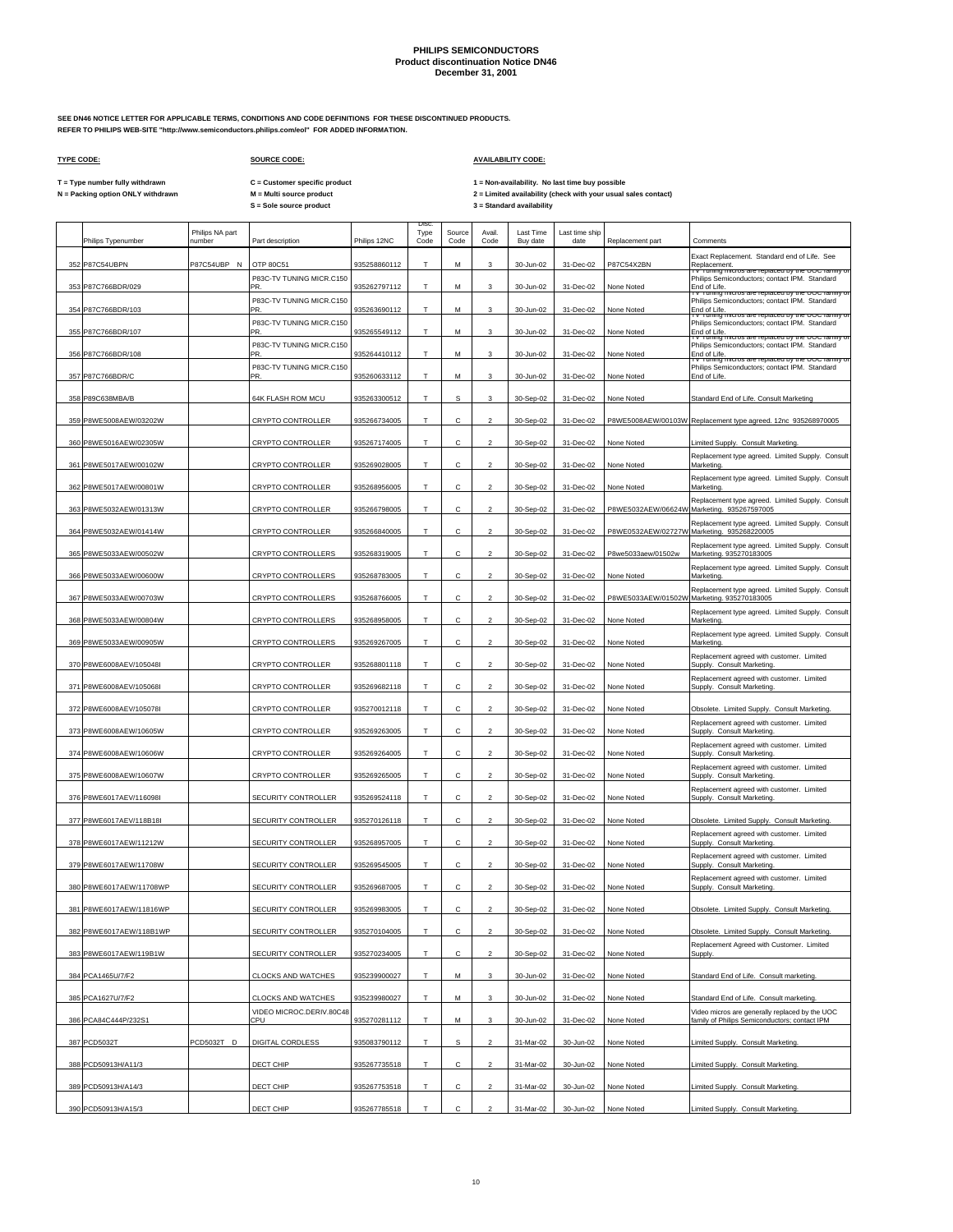**SEE DN46 NOTICE LETTER FOR APPLICABLE TERMS, CONDITIONS AND CODE DEFINITIONS FOR THESE DISCONTINUED PRODUCTS. REFER TO PHILIPS WEB-SITE "http://www.semiconductors.philips.com/eol" FOR ADDED INFORMATION.**

 $\Gamma$ 

## **TYPE CODE: SOURCE CODE: AVAILABILITY CODE:**

**C = Customer specific product**

T = Type number fully withdrawn C = Customer specific product 1 = Non-availability. No last time buy possible<br>N = Packing option ONLY withdrawn M = Multi source product 2 = Lim

|     | Philips Typenumber      | Philips NA part<br>number | Part description                                      | Philips 12NC | <b>Disc</b><br>Type<br>Code | Source<br>Code | Avail.<br>Code          | Last Time<br>Buy date | Last time ship<br>date | Replacement part   | Comments                                                                                                            |
|-----|-------------------------|---------------------------|-------------------------------------------------------|--------------|-----------------------------|----------------|-------------------------|-----------------------|------------------------|--------------------|---------------------------------------------------------------------------------------------------------------------|
| 352 | P87C54UBPN              | P87C54UBP N               | OTP 80C51                                             | 935258860112 | T                           | M              | 3                       | 30-Jun-02             | 31-Dec-02              | P87C54X2BN         | Exact Replacement. Standard end of Life. See                                                                        |
|     |                         |                           | P83C-TV TUNING MICR.C150                              |              |                             |                |                         |                       |                        |                    | Replacement.<br>TV Tuning micros are replaced by the UUC tamily of<br>Philips Semiconductors; contact IPM. Standard |
| 353 | P87C766BDR/029          |                           | <b>PR</b><br>P83C-TV TUNING MICR.C150                 | 935262797112 | T                           | М              | 3                       | 30-Jun-02             | 31-Dec-02              | None Noted         | End of Life.<br>TV Tuning micros are replaced by the UOC family of<br>Philips Semiconductors; contact IPM. Standard |
| 354 | P87C766BDR/103          |                           | PR.                                                   | 935263690112 | T                           | М              | 3                       | 30-Jun-02             | 31-Dec-02              | None Noted         | End of Life.<br><del>Tuning n</del><br>mcros are replaced by the OOC farmly t                                       |
|     | 355 P87C766BDR/107      |                           | P83C-TV TUNING MICR.C150<br>PR.                       | 935265549112 | Т                           | м              | 3                       | 30-Jun-02             | 31-Dec-02              | None Noted         | Philips Semiconductors; contact IPM. Standard<br>End of Life                                                        |
| 356 | P87C766BDR/108          |                           | P83C-TV TUNING MICR.C150<br>PR.                       | 935264410112 | T                           | M              | 3                       | 30-Jun-02             | 31-Dec-02              | None Noted         | rv Tuning micros are replaced by the OOC farmly or<br>Philips Semiconductors; contact IPM. Standard<br>End of Life  |
|     |                         |                           | P83C-TV TUNING MICR.C150                              |              |                             |                |                         |                       |                        |                    | r Tuning micros are replaced by the OOC lamily of<br>Philips Semiconductors; contact IPM. Standard                  |
| 357 | P87C766BDR/C            |                           | <b>PR</b>                                             | 935260633112 | Т                           | М              | 3                       | 30-Jun-02             | 31-Dec-02              | None Noted         | End of Life.                                                                                                        |
| 358 | P89C638MBA/B            |                           | 64K FLASH ROM MCU                                     | 935263300512 | T                           | s              | 3                       | 30-Sep-02             | 31-Dec-02              | None Noted         | Standard End of Life. Consult Marketing                                                                             |
| 359 | P8WE5008AEW/03202W      |                           | <b>CRYPTO CONTROLLER</b>                              | 935266734005 | т                           | с              | $\overline{2}$          | 30-Sep-02             | 31-Dec-02              |                    | P8WE5008AEW/00103W Replacement type agreed. 12nc 935268970005                                                       |
|     | 360 P8WE5016AEW/02305W  |                           | CRYPTO CONTROLLER                                     | 935267174005 | T                           | C              | $\mathcal{P}$           | 30-Sep-02             | 31-Dec-02              | None Noted         | Limited Supply. Consult Marketing.                                                                                  |
| 361 | P8WE5017AEW/00102W      |                           | <b>CRYPTO CONTROLLER</b>                              | 935269028005 | т                           | C              | $\mathfrak{p}$          | 30-Sep-02             | 31-Dec-02              | None Noted         | Replacement type agreed. Limited Supply. Consult<br>Marketing                                                       |
| 362 | P8WE5017AEW/00801W      |                           | CRYPTO CONTROLLER                                     | 935268956005 | T                           | с              | $\overline{2}$          | 30-Sep-02             | 31-Dec-02              | None Noted         | Replacement type agreed. Limited Supply. Consult<br>Marketinc                                                       |
|     |                         |                           |                                                       |              |                             |                |                         |                       |                        |                    | Replacement type agreed. Limited Supply. Consult                                                                    |
|     | 363 P8WE5032AEW/01313W  |                           | CRYPTO CONTROLLER                                     | 935266798005 | Т                           | C              | $\overline{2}$          | 30-Sep-02             | 31-Dec-02              |                    | P8WE5032AEW/06624W Marketing. 935267597005<br>Replacement type agreed. Limited Supply. Consult                      |
| 364 | P8WE5032AEW/01414W      |                           | <b>CRYPTO CONTROLLER</b>                              | 935266840005 | T                           | C              | $\mathcal{P}$           | 30-Sep-02             | 31-Dec-02              |                    | P8WE0532AEW/02727W Marketing. 935268220005                                                                          |
|     | 365 P8WE5033AEW/00502W  |                           | CRYPTO CONTROLLERS                                    | 935268319005 | т                           | с              | $\overline{2}$          | 30-Sep-02             | 31-Dec-02              | P8we5033aew/01502w | Replacement type agreed. Limited Supply. Consult<br>Marketing. 935270183005                                         |
| 366 | P8WE5033AEW/00600W      |                           | CRYPTO CONTROLLERS                                    | 935268783005 | T.                          | C              | $\overline{2}$          | 30-Sep-02             | 31-Dec-02              | None Noted         | Replacement type agreed. Limited Supply. Consult<br>Marketing                                                       |
| 367 | P8WE5033AEW/00703W      |                           | CRYPTO CONTROLLERS                                    | 935268766005 | т                           | С              | $\overline{2}$          | 30-Sep-02             | 31-Dec-02              |                    | Replacement type agreed. Limited Supply. Consult<br>P8WE5033AEW/01502W Marketing. 935270183005                      |
|     |                         |                           |                                                       |              | T                           | с              |                         |                       |                        |                    | Replacement type agreed. Limited Supply. Consult                                                                    |
| 368 | P8WE5033AEW/00804W      |                           | <b>CRYPTO CONTROLLERS</b>                             | 935268958005 |                             |                | $\overline{\mathbf{c}}$ | 30-Sep-02             | 31-Dec-02              | None Noted         | Marketing<br>Replacement type agreed. Limited Supply. Consult                                                       |
| 369 | P8WE5033AEW/00905W      |                           | CRYPTO CONTROLLERS                                    | 935269267005 | т                           | с              | $\overline{2}$          | 30-Sep-02             | 31-Dec-02              | None Noted         | Marketing<br>Replacement agreed with customer. Limited                                                              |
| 37C | P8WE6008AEV/105048I     |                           | CRYPTO CONTROLLER                                     | 935268801118 | Т                           | с              | $\overline{\mathbf{c}}$ | 30-Sep-02             | 31-Dec-02              | None Noted         | Supply. Consult Marketing                                                                                           |
| 371 | P8WE6008AEV/105068I     |                           | <b>CRYPTO CONTROLLER</b>                              | 935269682118 | т                           | с              | $\overline{2}$          | 30-Sep-02             | 31-Dec-02              | None Noted         | Replacement agreed with customer. Limited<br>Supply. Consult Marketing                                              |
| 372 | P8WE6008AEV/105078I     |                           | <b>CRYPTO CONTROLLER</b>                              | 935270012118 | T                           | C              | $\overline{\mathbf{2}}$ | 30-Sep-02             | 31-Dec-02              | None Noted         | Obsolete. Limited Supply. Consult Marketing.                                                                        |
| 373 | P8WE6008AEW/10605W      |                           | CRYPTO CONTROLLER                                     | 935269263005 | T                           | C              | $\mathfrak{p}$          | 30-Sep-02             | 31-Dec-02              | None Noted         | Replacement agreed with customer. Limited<br>Supply. Consult Marketing.                                             |
| 374 | P8WE6008AEW/10606W      |                           | <b>CRYPTO CONTROLLER</b>                              | 935269264005 | T                           | с              | $\mathfrak{p}$          | 30-Sep-02             | 31-Dec-02              | None Noted         | Replacement agreed with customer. Limited<br>Supply. Consult Marketing.                                             |
|     | 375 P8WE6008AEW/10607W  |                           | CRYPTO CONTROLLER                                     | 935269265005 | T                           | С              | $\mathfrak{p}$          | 30-Sep-02             | 31-Dec-02              | None Noted         | Replacement agreed with customer. Limited<br>Supply. Consult Marketing.                                             |
|     | 376 P8WE6017AEV/116098I |                           | SECURITY CONTROLLER                                   | 935269524118 | т                           | C              | $\overline{2}$          | 30-Sep-02             | 31-Dec-02              | None Noted         | Replacement agreed with customer. Limited<br>Supply. Consult Marketing.                                             |
|     |                         |                           |                                                       |              |                             |                |                         |                       |                        |                    |                                                                                                                     |
| 377 | P8WE6017AEV/118B18I     |                           | SECURITY CONTROLLER                                   | 935270126118 | T                           | C              | $\mathfrak{p}$          | 30-Sep-02             | 31-Dec-02              | None Noted         | Obsolete. Limited Supply. Consult Marketing.<br>Replacement agreed with customer. Limited                           |
| 378 | P8WE6017AEW/11212W      |                           | SECURITY CONTROLLER                                   | 935268957005 | T                           | с              | $\overline{\mathbf{c}}$ | 30-Sep-02             | 31-Dec-02              | None Noted         | Supply. Consult Marketing                                                                                           |
|     | 379 P8WE6017AEW/11708W  |                           | SECURITY CONTROLLER                                   | 935269545005 | T                           | с              | $\overline{c}$          | 30-Sep-02             | 31-Dec-02              | None Noted         | Replacement agreed with customer. Limited<br>Supply. Consult Marketing                                              |
| 380 | P8WE6017AEW/11708WP     |                           | SECURITY CONTROLLER                                   | 935269687005 | т                           | с              | $\overline{2}$          | 30-Sep-02             | 31-Dec-02              | None Noted         | Replacement agreed with customer. Limited<br>Supply. Consult Marketing.                                             |
|     | 381 P8WE6017AEW/11816WP |                           | SECURITY CONTROLLER                                   | 935269983005 | T                           | C              | $\mathfrak{p}$          | 30-Sep-02             | 31-Dec-02              | None Noted         | Obsolete. Limited Supply. Consult Marketing.                                                                        |
|     | 382 P8WE6017AEW/118B1WP |                           | SECURITY CONTROLLER                                   | 935270104005 | Т                           | C              | $\overline{2}$          | 30-Sep-02             | 31-Dec-02              | None Noted         | Obsolete. Limited Supply. Consult Marketing.                                                                        |
|     | 383 P8WE6017AEW/119B1W  |                           | SECURITY CONTROLLER                                   | 935270234005 | т                           | с              | $\overline{2}$          | 30-Sep-02             | 31-Dec-02              | None Noted         | Replacement Agreed with Customer. Limited<br>Supply.                                                                |
|     |                         |                           |                                                       |              |                             |                |                         |                       |                        |                    |                                                                                                                     |
|     | 384 PCA1465U/7/F2       |                           | CLOCKS AND WATCHES                                    | 935239900027 | T                           | M              | 3                       | 30-Jun-02             | 31-Dec-02              | None Noted         | Standard End of Life. Consult marketing.                                                                            |
|     | 385 PCA1627U/7/F2       |                           | <b>CLOCKS AND WATCHES</b><br>VIDEO MICROC.DERIV.80C48 | 935239980027 | T                           | M              | 3                       | 30-Jun-02             | 31-Dec-02              | None Noted         | Standard End of Life. Consult marketing.<br>Video micros are generally replaced by the UOC                          |
|     | 386 PCA84C444P/232S1    |                           | CPU                                                   | 935270281112 | т                           | М              | 3                       | 30-Jun-02             | 31-Dec-02              | None Noted         | family of Philips Semiconductors; contact IPM                                                                       |
|     | 387 PCD5032T            | PCD5032T D                | DIGITAL CORDLESS                                      | 935083790112 | T                           | s              | $\mathcal{P}$           | 31-Mar-02             | 30-Jun-02              | None Noted         | imited Supply. Consult Marketing.                                                                                   |
|     | 388 PCD50913H/A11/3     |                           | DECT CHIP                                             | 935267735518 | т                           | C              | $\mathcal{P}$           | 31-Mar-02             | 30-Jun-02              | None Noted         | imited Supply. Consult Marketing.                                                                                   |
|     | 389 PCD50913H/A14/3     |                           | DECT CHIP                                             | 935267753518 | T                           | C              | $\mathcal{P}$           | 31-Mar-02             | 30-Jun-02              | None Noted         | Limited Supply. Consult Marketing.                                                                                  |
|     | 390 PCD50913H/A15/3     |                           | DECT CHIP                                             | 935267785518 |                             | C              |                         | 31-Mar-02             | 30-Jun-02              | None Noted         | imited Supply. Consult Marketing.                                                                                   |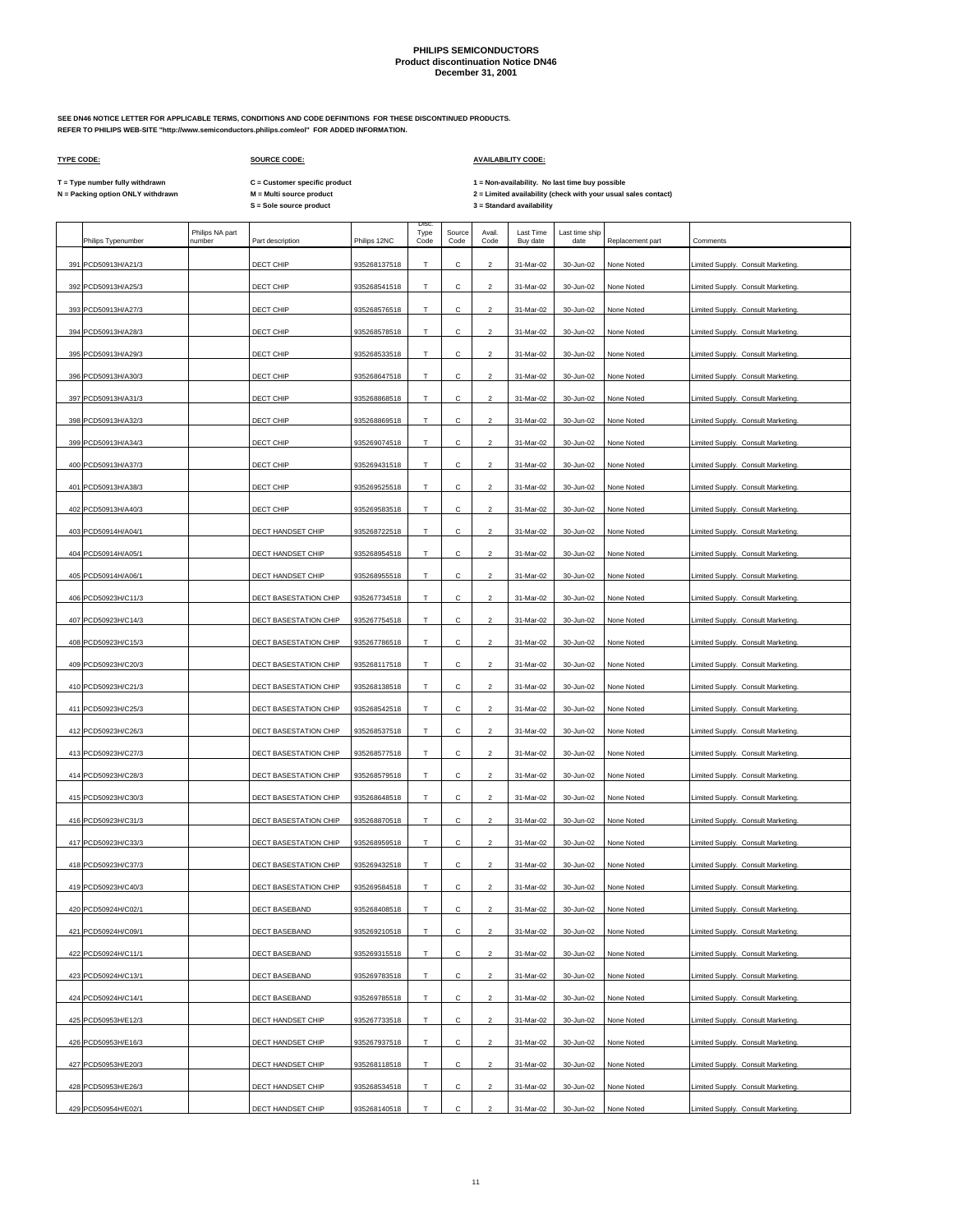**SEE DN46 NOTICE LETTER FOR APPLICABLE TERMS, CONDITIONS AND CODE DEFINITIONS FOR THESE DISCONTINUED PRODUCTS. REFER TO PHILIPS WEB-SITE "http://www.semiconductors.philips.com/eol" FOR ADDED INFORMATION.**

 $\Gamma$ 

**The Common** 

### **TYPE CODE: SOURCE CODE: AVAILABILITY CODE:**

 $\mathbf{r}$ 

**C = Customer specific product**

T = Type number fully withdrawn C = Customer specific product 1 = Non-availability. No last time buy possible<br>N = Packing option ONLY withdrawn M = Multi source product 2 =

|  | Philips Typenumber  | Philips NA part<br>number | Part description      | Philips 12NC | <b>Disc</b><br>Type<br>Code | Source<br>Code | Avail.<br>Code          | Last Time<br>Buy date | Last time ship<br>date | Replacement part | Comments                           |
|--|---------------------|---------------------------|-----------------------|--------------|-----------------------------|----------------|-------------------------|-----------------------|------------------------|------------------|------------------------------------|
|  | 391 PCD50913H/A21/3 |                           | DECT CHIP             | 935268137518 | т                           | С              | 2                       | 31-Mar-02             | 30-Jun-02              | None Noted       | Limited Supply. Consult Marketing. |
|  | 392 PCD50913H/A25/3 |                           | DECT CHIP             | 935268541518 | T                           | С              | $\overline{a}$          | 31-Mar-02             | 30-Jun-02              | None Noted       | Limited Supply. Consult Marketing. |
|  | 393 PCD50913H/A27/3 |                           | DECT CHIP             | 935268576518 | Т                           | с              | 2                       | 31-Mar-02             | 30-Jun-02              | None Noted       | Limited Supply. Consult Marketing. |
|  | 394 PCD50913H/A28/3 |                           | DECT CHIP             | 935268578518 | T                           | С              | $\overline{2}$          | 31-Mar-02             | 30-Jun-02              | None Noted       | Limited Supply. Consult Marketing. |
|  | 395 PCD50913H/A29/3 |                           | DECT CHIP             | 935268533518 | т                           | с              | 2                       | 31-Mar-02             | 30-Jun-02              | None Noted       | Limited Supply. Consult Marketing. |
|  | 396 PCD50913H/A30/3 |                           | DECT CHIP             | 935268647518 | T                           | С              | $\overline{2}$          | 31-Mar-02             | 30-Jun-02              | None Noted       | Limited Supply. Consult Marketing. |
|  | 397 PCD50913H/A31/3 |                           | DECT CHIP             | 935268868518 | т                           | с              | 2                       | 31-Mar-02             | 30-Jun-02              | None Noted       | Limited Supply. Consult Marketing. |
|  | 398 PCD50913H/A32/3 |                           | DECT CHIP             | 935268869518 | T.                          | С              | $\overline{2}$          | 31-Mar-02             | 30-Jun-02              | None Noted       | Limited Supply. Consult Marketing. |
|  | 399 PCD50913H/A34/3 |                           | DECT CHIP             | 935269074518 | T.                          | С              | $\overline{2}$          | 31-Mar-02             | 30-Jun-02              | None Noted       | Limited Supply. Consult Marketing. |
|  | 400 PCD50913H/A37/3 |                           | DECT CHIP             | 935269431518 | T                           | с              | $\overline{2}$          | 31-Mar-02             | 30-Jun-02              | None Noted       | Limited Supply. Consult Marketing. |
|  | 401 PCD50913H/A38/3 |                           | DECT CHIP             | 935269525518 | Т                           | С              | $\overline{2}$          | 31-Mar-02             | 30-Jun-02              | None Noted       | Limited Supply. Consult Marketing. |
|  | 402 PCD50913H/A40/3 |                           | DECT CHIP             | 935269583518 | T.                          | Ċ.             | $\mathfrak{p}$          | 31-Mar-02             | 30-Jun-02              | None Noted       | Limited Supply. Consult Marketing. |
|  | 403 PCD50914H/A04/1 |                           | DECT HANDSET CHIP     | 935268722518 | T                           | С              | $\overline{2}$          | 31-Mar-02             | 30-Jun-02              | None Noted       | Limited Supply. Consult Marketing. |
|  | 404 PCD50914H/A05/1 |                           | DECT HANDSET CHIP     | 935268954518 | т                           | С              | $\overline{2}$          | 31-Mar-02             | 30-Jun-02              | None Noted       | Limited Supply. Consult Marketing. |
|  | 405 PCD50914H/A06/1 |                           | DECT HANDSET CHIP     | 935268955518 | Т                           | с              | 2                       | 31-Mar-02             | 30-Jun-02              | None Noted       | Limited Supply. Consult Marketing. |
|  | 406 PCD50923H/C11/3 |                           | DECT BASESTATION CHIP | 935267734518 | Т                           | с              | $\overline{\mathbf{c}}$ | 31-Mar-02             | 30-Jun-02              | None Noted       | Limited Supply. Consult Marketing. |
|  | 407 PCD50923H/C14/3 |                           | DECT BASESTATION CHIP | 935267754518 | т                           | С              | $\overline{2}$          | 31-Mar-02             | 30-Jun-02              | None Noted       | Limited Supply. Consult Marketing. |
|  | 408 PCD50923H/C15/3 |                           | DECT BASESTATION CHIP | 935267786518 | Т                           | с              | $\overline{c}$          | 31-Mar-02             | 30-Jun-02              | None Noted       | Limited Supply. Consult Marketing. |
|  | 409 PCD50923H/C20/3 |                           | DECT BASESTATION CHIP | 935268117518 | т                           | с              | 2                       | 31-Mar-02             | 30-Jun-02              | None Noted       | Limited Supply. Consult Marketing. |
|  | 410 PCD50923H/C21/3 |                           | DECT BASESTATION CHIP | 935268138518 | Т                           | с              | $\overline{\mathbf{c}}$ | 31-Mar-02             | 30-Jun-02              | None Noted       | Limited Supply. Consult Marketing. |
|  | 411 PCD50923H/C25/3 |                           | DECT BASESTATION CHIP | 935268542518 | Τ                           | с              | $\overline{a}$          | 31-Mar-02             | 30-Jun-02              | None Noted       | Limited Supply. Consult Marketing. |
|  | 412 PCD50923H/C26/3 |                           | DECT BASESTATION CHIP | 935268537518 | Т                           | с              | 2                       | 31-Mar-02             | 30-Jun-02              | None Noted       | Limited Supply. Consult Marketing. |
|  | 413 PCD50923H/C27/3 |                           | DECT BASESTATION CHIP | 935268577518 | T                           | С              | $\overline{a}$          | 31-Mar-02             | 30-Jun-02              | None Noted       | Limited Supply. Consult Marketing. |
|  | 414 PCD50923H/C28/3 |                           | DECT BASESTATION CHIP | 935268579518 | Т                           | с              | 2                       | 31-Mar-02             | 30-Jun-02              | None Noted       | Limited Supply. Consult Marketing. |
|  | 415 PCD50923H/C30/3 |                           | DECT BASESTATION CHIP | 935268648518 | T                           | С              | $\overline{a}$          | 31-Mar-02             | 30-Jun-02              | None Noted       | Limited Supply. Consult Marketing. |
|  | 416 PCD50923H/C31/3 |                           | DECT BASESTATION CHIP | 935268870518 | Т                           | с              | 2                       | 31-Mar-02             | 30-Jun-02              | None Noted       | Limited Supply. Consult Marketing. |
|  | 417 PCD50923H/C33/3 |                           | DECT BASESTATION CHIP | 935268959518 | T                           | С              | $\overline{2}$          | 31-Mar-02             | 30-Jun-02              | None Noted       | Limited Supply. Consult Marketing. |
|  | 418 PCD50923H/C37/3 |                           | DECT BASESTATION CHIP | 935269432518 | т                           | с              | 2                       | 31-Mar-02             | 30-Jun-02              | None Noted       | Limited Supply. Consult Marketing. |
|  | 419 PCD50923H/C40/3 |                           | DECT BASESTATION CHIP | 935269584518 | T.                          | С              | $\overline{2}$          | 31-Mar-02             | 30-Jun-02              | None Noted       | Limited Supply. Consult Marketing. |
|  | 420 PCD50924H/C02/1 |                           | DECT BASEBAND         | 935268408518 | т                           | C              | $\overline{a}$          | 31-Mar-02             | 30-Jun-02              | None Noted       | Limited Supply. Consult Marketing. |
|  | 421 PCD50924H/C09/1 |                           | DECT BASEBAND         | 935269210518 | Т                           | с              | $\overline{\mathbf{c}}$ | 31-Mar-02             | 30-Jun-02              | None Noted       | Limited Supply. Consult Marketing. |
|  | 422 PCD50924H/C11/1 |                           | DECT BASEBAND         | 935269315518 | T                           | С              | $\overline{\mathbf{c}}$ | 31-Mar-02             | 30-Jun-02              | None Noted       | Limited Supply. Consult Marketing. |
|  | 423 PCD50924H/C13/1 |                           | DECT BASEBAND         | 935269783518 | T.                          | с              | $\overline{a}$          | 31-Mar-02             | 30-Jun-02              | None Noted       | Limited Supply. Consult Marketing. |
|  | 424 PCD50924H/C14/1 |                           | DECT BASEBAND         | 935269785518 | т                           | С              | $\overline{a}$          | 31-Mar-02             | 30-Jun-02              | None Noted       | Limited Supply. Consult Marketing. |
|  | 425 PCD50953H/E12/3 |                           | DECT HANDSET CHIP     | 935267733518 | T                           | с              | $\overline{\mathbf{c}}$ | 31-Mar-02             | 30-Jun-02              | None Noted       | Limited Supply. Consult Marketing. |
|  | 426 PCD50953H/E16/3 |                           | DECT HANDSET CHIP     | 935267937518 | T                           | с              | $\overline{a}$          | 31-Mar-02             | 30-Jun-02              | None Noted       | Limited Supply. Consult Marketing. |
|  | 427 PCD50953H/E20/3 |                           | DECT HANDSET CHIP     | 935268118518 | Τ                           | C              | $\overline{\mathbf{c}}$ | 31-Mar-02             | 30-Jun-02              | None Noted       | Limited Supply. Consult Marketing. |
|  | 428 PCD50953H/E26/3 |                           | DECT HANDSET CHIP     | 935268534518 | т                           | С              | $\overline{c}$          | 31-Mar-02             | 30-Jun-02              | None Noted       | Limited Supply. Consult Marketing. |
|  | 429 PCD50954H/E02/1 |                           | DECT HANDSET CHIP     | 935268140518 | T.                          | С              | $\overline{a}$          | 31-Mar-02             | 30-Jun-02              | None Noted       | Limited Supply. Consult Marketing. |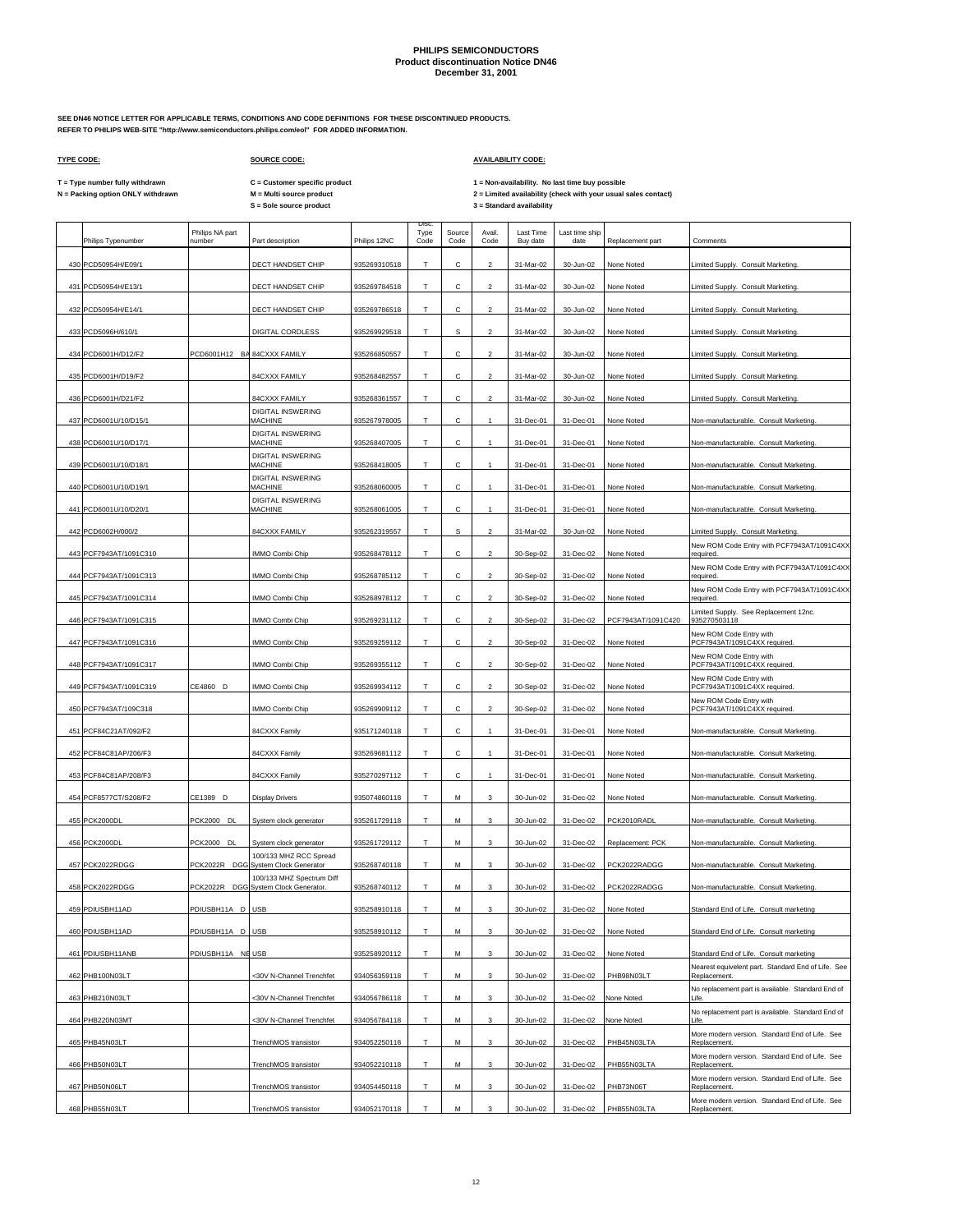Disc.

**SEE DN46 NOTICE LETTER FOR APPLICABLE TERMS, CONDITIONS AND CODE DEFINITIONS FOR THESE DISCONTINUED PRODUCTS. REFER TO PHILIPS WEB-SITE "http://www.semiconductors.philips.com/eol" FOR ADDED INFORMATION.**

 $\mathsf{r}$ 

## **TYPE CODE: SOURCE CODE: AVAILABILITY CODE:**

**C = Customer specific product**

T = Type number fully withdrawn C = Customer specific product 1 = Non-availability. No last time buy possible<br>N = Packing option ONLY withdrawn M = Multi source product 2 = Lim

|     | Philips Typenumber     | Philips NA part<br>number   | Part description                                              | Philips 12NC | Type<br>Code | Source<br>Code | Avail.<br>Code           | Last Time<br>Buy date | Last time ship<br>date | Replacement part   | Comments                                                           |
|-----|------------------------|-----------------------------|---------------------------------------------------------------|--------------|--------------|----------------|--------------------------|-----------------------|------------------------|--------------------|--------------------------------------------------------------------|
|     | 430 PCD50954H/E09/1    |                             | DECT HANDSET CHIP                                             | 935269310518 | T            | C              | $\mathcal{P}$            | 31-Mar-02             | 30-Jun-02              | None Noted         | imited Supply. Consult Marketing.                                  |
| 431 | PCD50954H/E13/1        |                             | DECT HANDSET CHIP                                             | 935269784518 | T            | с              | $\overline{2}$           | 31-Mar-02             | 30-Jun-02              | None Noted         | imited Supply. Consult Marketing.                                  |
| 432 | PCD50954H/E14/1        |                             | DECT HANDSET CHIP                                             | 935269786518 | т            | с              | $\overline{2}$           | 31-Mar-02             | 30-Jun-02              | None Noted         | Limited Supply. Consult Marketing.                                 |
| 433 | PCD5096H/610/1         |                             | DIGITAL CORDLESS                                              | 935269929518 | Т            | s              | $\overline{2}$           | 31-Mar-02             | 30-Jun-02              | None Noted         | Limited Supply. Consult Marketing.                                 |
| 434 | PCD6001H/D12/F2        | PCD6001H12 BA 84CXXX FAMILY |                                                               | 935266850557 | т            | с              | $\overline{2}$           | 31-Mar-02             | 30-Jun-02              | None Noted         | Limited Supply. Consult Marketing.                                 |
| 435 | PCD6001H/D19/F2        |                             | 84CXXX FAMILY                                                 | 935268482557 | T            | C              | $\overline{\mathbf{c}}$  | 31-Mar-02             | 30-Jun-02              | None Noted         | imited Supply. Consult Marketing.                                  |
| 436 | PCD6001H/D21/F2        |                             | 84CXXX FAMILY                                                 | 935268361557 | T            | с              | $\overline{2}$           | 31-Mar-02             | 30-Jun-02              | None Noted         | Limited Supply. Consult Marketing.                                 |
| 437 | PCD6001U/10/D15/1      |                             | DIGITAL INSWERING<br><b>MACHINE</b>                           | 935267978005 | Т            | с              | $\mathbf{1}$             | 31-Dec-01             | 31-Dec-01              | None Noted         | Non-manufacturable. Consult Marketing.                             |
|     | 438 PCD6001U/10/D17/1  |                             | <b>DIGITAL INSWERING</b><br><b>MACHINE</b>                    | 935268407005 | T            | C              |                          | 31-Dec-01             | 31-Dec-01              | None Noted         | Non-manufacturable. Consult Marketing.                             |
|     | 439 PCD6001U/10/D18/1  |                             | <b>DIGITAL INSWERING</b><br><b>MACHINE</b>                    | 935268418005 | Т            | C              |                          | 31-Dec-01             | 31-Dec-01              | None Noted         | Non-manufacturable. Consult Marketing.                             |
|     | 440 PCD6001U/10/D19/1  |                             | DIGITAL INSWERING<br><b>MACHINE</b>                           | 935268060005 | T.           | с              | $\overline{1}$           | 31-Dec-01             | 31-Dec-01              | None Noted         | Non-manufacturable. Consult Marketing.                             |
| 441 | PCD6001U/10/D20/1      |                             | <b>DIGITAL INSWERING</b><br><b>MACHINE</b>                    | 935268061005 | Т            | C              |                          | 31-Dec-01             | 31-Dec-01              | None Noted         | Non-manufacturable. Consult Marketing                              |
| 442 | PCD6002H/000/2         |                             | 84CXXX FAMILY                                                 | 935262319557 | T            | s              | $\overline{\phantom{a}}$ | 31-Mar-02             | 30-Jun-02              | None Noted         | imited Supply. Consult Marketing                                   |
|     | 443 PCF7943AT/1091C310 |                             | IMMO Combi Chip                                               | 935268478112 | T            | C              | $\overline{2}$           | 30-Sep-02             | 31-Dec-02              | None Noted         | New ROM Code Entry with PCF7943AT/1091C4XX<br>required             |
| 444 | PCF7943AT/1091C313     |                             | IMMO Combi Chip                                               | 935268785112 | T            | C              | $\overline{2}$           | 30-Sep-02             | 31-Dec-02              | None Noted         | New ROM Code Entry with PCF7943AT/1091C4XX<br>required             |
| 445 | PCF7943AT/1091C314     |                             | IMMO Combi Chip                                               | 935268978112 | Т            | с              | $\overline{2}$           | 30-Sep-02             | 31-Dec-02              | None Noted         | New ROM Code Entry with PCF7943AT/1091C4XX<br>required             |
|     | 446 PCF7943AT/1091C315 |                             | IMMO Combi Chip                                               | 935269231112 | T.           | с              | $\mathcal{P}$            | 30-Sep-02             | 31-Dec-02              | PCF7943AT/1091C420 | imited Supply. See Replacement 12nc.<br>935270503118               |
| 447 | PCF7943AT/1091C316     |                             | IMMO Combi Chip                                               | 935269259112 | т            | с              | $\overline{2}$           | 30-Sep-02             | 31-Dec-02              | None Noted         | New ROM Code Entry with<br>PCF7943AT/1091C4XX required.            |
| 448 | PCF7943AT/1091C317     |                             | IMMO Combi Chip                                               | 935269355112 | T.           | с              | $\overline{2}$           | 30-Sep-02             | 31-Dec-02              | None Noted         | New ROM Code Entry with<br>PCF7943AT/1091C4XX required.            |
| 449 | PCF7943AT/1091C319     | CE4860 D                    | IMMO Combi Chip                                               | 935269934112 | т            | с              | $\overline{2}$           | 30-Sep-02             | 31-Dec-02              | None Noted         | New ROM Code Entry with<br>PCF7943AT/1091C4XX required.            |
| 450 | PCF7943AT/109C318      |                             | IMMO Combi Chip                                               | 935269909112 | T.           | с              | $\overline{2}$           | 30-Sep-02             | 31-Dec-02              | None Noted         | New ROM Code Entry with<br>PCF7943AT/1091C4XX required.            |
|     | 451 PCF84C21AT/092/F2  |                             | 84CXXX Family                                                 | 935171240118 | T            | C              |                          | 31-Dec-01             | 31-Dec-01              | None Noted         | Non-manufacturable. Consult Marketing.                             |
| 452 | PCF84C81AP/206/F3      |                             | 84CXXX Family                                                 | 935269681112 | т            | с              |                          | 31-Dec-01             | 31-Dec-01              | None Noted         | Non-manufacturable. Consult Marketing.                             |
| 453 | PCF84C81AP/208/F3      |                             | 84CXXX Family                                                 | 935270297112 | T            | с              | $\mathbf{1}$             | 31-Dec-01             | 31-Dec-01              | None Noted         | Non-manufacturable. Consult Marketing.                             |
| 454 | PCF8577CT/S208/F2      | CE1389 D                    | <b>Display Drivers</b>                                        | 935074860118 | T.           | M              | 3                        | 30-Jun-02             | 31-Dec-02              | None Noted         | Non-manufacturable. Consult Marketing                              |
|     | 455 PCK2000DL          | <b>PCK2000 DL</b>           | System clock generator                                        | 935261729118 | T            | М              | 3                        | 30-Jun-02             | 31-Dec-02              | PCK2010RADL        | Non-manufacturable. Consult Marketing.                             |
|     | 456 PCK2000DL          | PCK2000 DL                  | System clock generator                                        | 935261729112 | Т            | М              | 3                        | 30-Jun-02             | 31-Dec-02              | Replacement: PCK   | Non-manufacturable. Consult Marketing.                             |
| 457 | PCK2022RDGG            |                             | 100/133 MHZ RCC Spread<br>PCK2022R DGG System Clock Generator | 935268740118 | T            | M              | 3                        | 30-Jun-02             | 31-Dec-02              | PCK2022RADGG       | Non-manufacturable. Consult Marketing.                             |
| 458 | PCK2022RDGG            | <b>PCK2022R</b>             | 100/133 MHZ Spectrum Diff<br>DGG System Clock Generator.      | 935268740112 | Т            | М              | 3                        | 30-Jun-02             | 31-Dec-02              | PCK2022RADGG       | Non-manufacturable. Consult Marketing.                             |
|     | 459 PDIUSBH11AD        | PDIUSBH11A D USB            |                                                               | 935258910118 | т            | M              | 3                        | 30-Jun-02             | 31-Dec-02              | None Noted         | Standard End of Life. Consult marketing                            |
|     | 460 PDIUSBH11AD        | PDIUSBH11A D USB            |                                                               | 935258910112 | Т            | М              | $\mathbf{3}$             | 30-Jun-02             | 31-Dec-02              | None Noted         | Standard End of Life. Consult marketing                            |
|     | 461 PDIUSBH11ANB       | PDIUSBH11A NE USB           |                                                               | 935258920112 | Т            | M              | 3                        | 30-Jun-02             | 31-Dec-02              | None Noted         | Standard End of Life. Consult marketing                            |
|     | 462 PHB100N03LT        |                             | <30V N-Channel Trenchfet                                      | 934056359118 | Т            | М              | 3                        | 30-Jun-02             | 31-Dec-02              | PHB98N03LT         | Nearest equivelent part. Standard End of Life. See<br>Replacement. |
|     | 463 PHB210N03LT        |                             | <30V N-Channel Trenchfet                                      | 934056786118 | T.           | M              | 3                        | 30-Jun-02             | 31-Dec-02              | None Noted         | No replacement part is available. Standard End of<br>l ife.        |
|     | 464 PHB220N03MT        |                             | <30V N-Channel Trenchfet                                      | 934056784118 | T            | M              | 3                        | 30-Jun-02             | 31-Dec-02              | None Noted         | No replacement part is available. Standard End of<br>Life.         |
|     | 465 PHB45N03LT         |                             | TrenchMOS transistor                                          | 934052250118 | T            | M              | 3                        | 30-Jun-02             | 31-Dec-02              | PHB45N03LTA        | More modern version. Standard End of Life. See<br>Replacement.     |
|     | 466 PHB50N03LT         |                             | TrenchMOS transistor                                          | 934052210118 | т            | М              | 3                        | 30-Jun-02             | 31-Dec-02              | PHB55N03LTA        | More modern version. Standard End of Life. See<br>Replacement.     |
|     | 467 PHB50N06LT         |                             | TrenchMOS transistor                                          | 934054450118 | T            | M              | 3                        | 30-Jun-02             | 31-Dec-02              | PHB73N06T          | More modern version. Standard End of Life. See<br>Replacement.     |
|     | 468 PHB55N03LT         |                             | TrenchMOS transistor                                          | 934052170118 | T            | M              | 3                        | 30-Jun-02             | 31-Dec-02              | PHB55N03LTA        | More modern version. Standard End of Life. See<br>Replacement.     |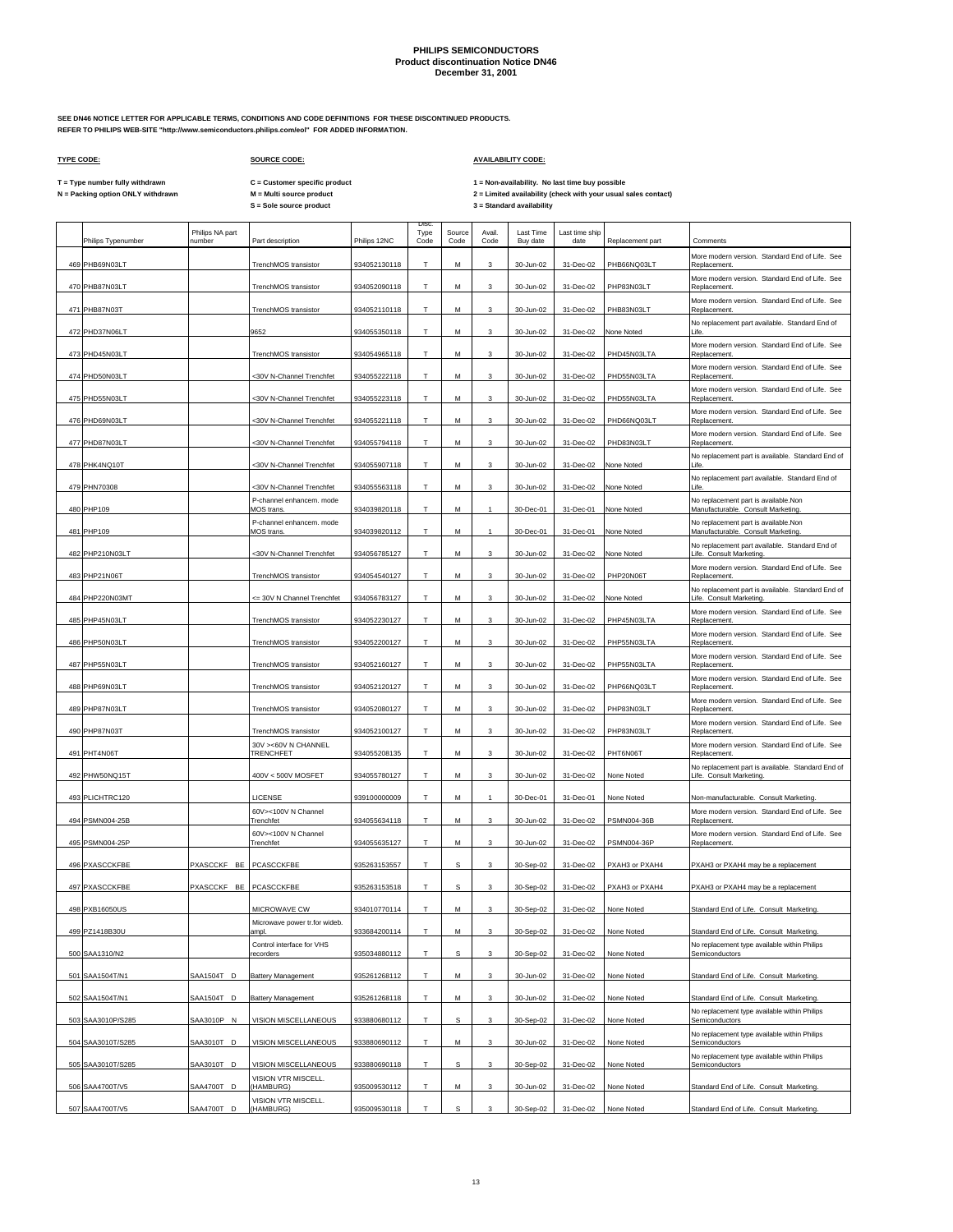**SEE DN46 NOTICE LETTER FOR APPLICABLE TERMS, CONDITIONS AND CODE DEFINITIONS FOR THESE DISCONTINUED PRODUCTS. REFER TO PHILIPS WEB-SITE "http://www.semiconductors.philips.com/eol" FOR ADDED INFORMATION.**

 $\mathsf{r}$ 

## **TYPE CODE: SOURCE CODE: AVAILABILITY CODE:**

**C = Customer specific product**

T = Type number fully withdrawn C = Customer specific product 1 = Non-availability. No last time buy possible<br>N = Packing option ONLY withdrawn M = Multi source product 2 = Lim

| Philips Typenumber               | Philips NA part<br>number | Part description                              | Philips 12NC                 | Disc.<br>Type<br>Code | Source<br>Code | Avail.<br>Code | Last Time<br>Buy date  | Last time ship<br>date | Replacement part          | Comments                                                                                 |
|----------------------------------|---------------------------|-----------------------------------------------|------------------------------|-----------------------|----------------|----------------|------------------------|------------------------|---------------------------|------------------------------------------------------------------------------------------|
| 469 PHB69N03LT                   |                           | TrenchMOS transistor                          | 934052130118                 | Т                     | М              | 3              | 30-Jun-02              | 31-Dec-02              | PHB66NQ03LT               | More modern version. Standard End of Life. See<br>Replacement                            |
| 470 PHB87N03LT                   |                           | TrenchMOS transistor                          | 934052090118                 | T                     | м              | 3              | 30-Jun-02              | 31-Dec-02              | PHP83N03LT                | More modern version. Standard End of Life. See<br>Replacement.                           |
| 471 PHB87N03T                    |                           | TrenchMOS transistor                          | 934052110118                 | T                     | М              | 3              | 30-Jun-02              | 31-Dec-02              | PHB83N03LT                | More modern version. Standard End of Life. See<br>Replacement                            |
| 472 PHD37N06LT                   |                           | 9652                                          | 934055350118                 | T.                    | M              | 3              | 30-Jun-02              | 31-Dec-02              | None Noted                | No replacement part available. Standard End of<br>I ife.                                 |
| 473 PHD45N03LT                   |                           | TrenchMOS transistor                          | 934054965118                 | Т                     | М              | 3              | 30-Jun-02              | 31-Dec-02              | PHD45N03LTA               | More modern version. Standard End of Life. See<br>Replacement.                           |
| 474 PHD50N03LT                   |                           | <30V N-Channel Trenchfet                      | 934055222118                 | T.                    | M              | $\mathbf{3}$   | 30-Jun-02              | 31-Dec-02              | PHD55N03LTA               | More modern version. Standard End of Life. See<br>Replacement.                           |
| 475 PHD55N03LT                   |                           | <30V N-Channel Trenchfet                      | 934055223118                 | T                     | М              | 3              | 30-Jun-02              | 31-Dec-02              | PHD55N03LTA               | More modern version. Standard End of Life. See<br>Replacement                            |
| 476 PHD69N03LT                   |                           | <30V N-Channel Trenchfet                      | 934055221118                 | T.                    | М              | 3              | 30-Jun-02              | 31-Dec-02              | PHD66NQ03LT               | More modern version. Standard End of Life. See<br>Replacement.                           |
| 477 PHD87N03LT                   |                           | <30V N-Channel Trenchfet                      | 934055794118                 | T                     | М              | 3              | 30-Jun-02              | 31-Dec-02              | PHD83N03LT                | More modern version. Standard End of Life. See<br>Replacement.                           |
| 478 PHK4NQ10T                    |                           | <30V N-Channel Trenchfet                      | 934055907118                 | T                     | М              | 3              | 30-Jun-02              | 31-Dec-02              | None Noted                | No replacement part is available. Standard End of<br>Life                                |
| 479 PHN70308                     |                           | <30V N-Channel Trenchfet                      | 934055563118                 | T                     | M              | 3              | 30-Jun-02              | 31-Dec-02              | None Noted                | No replacement part available. Standard End of<br>Life.                                  |
| 480 PHP109                       |                           | P-channel enhancem. mode<br>MOS trans.        | 934039820118                 | T                     | М              | $\mathbf{1}$   | 30-Dec-01              | 31-Dec-01              | None Noted                | No replacement part is available.Non<br>Manufacturable. Consult Marketing.               |
| 481 PHP109                       |                           | P-channel enhancem. mode<br><b>MOS</b> trans  | 934039820112                 | T.                    | М              |                | 30-Dec-01              | 31-Dec-01              | None Noted                | No replacement part is available.Non<br>Manufacturable. Consult Marketing.               |
| 482 PHP210N03LT                  |                           | <30V N-Channel Trenchfet                      | 934056785127                 | Т                     | М              | 3              | 30-Jun-02              | 31-Dec-02              | None Noted                | No replacement part available. Standard End of<br>Life. Consult Marketing.               |
| 483 PHP21N06T                    |                           | TrenchMOS transistor                          | 934054540127                 | T                     | М              | 3              | 30-Jun-02              | 31-Dec-02              | PHP20N06T                 | More modern version. Standard End of Life. See<br>Replacement.                           |
| 484 PHP220N03MT                  |                           | <= 30V N Channel Trenchfet                    |                              | T                     | М              | 3              |                        | 31-Dec-02              |                           | No replacement part is available. Standard End of<br>Life. Consult Marketing             |
| 485 PHP45N03LT                   |                           | TrenchMOS transistor                          | 934056783127<br>934052230127 | T                     | М              | 3              | 30-Jun-02<br>30-Jun-02 | 31-Dec-02              | None Noted<br>PHP45N03LTA | More modern version. Standard End of Life. See<br>Replacement.                           |
|                                  |                           |                                               |                              |                       |                |                |                        |                        |                           | More modern version. Standard End of Life. See                                           |
| 486 PHP50N03LT<br>487 PHP55N03LT |                           | TrenchMOS transistor<br>TrenchMOS transistor  | 934052200127                 | Т<br>T                | М              | 3              | 30-Jun-02              | 31-Dec-02<br>31-Dec-02 | PHP55N03LTA               | Replacement.<br>More modern version. Standard End of Life. See<br>Replacement.           |
|                                  |                           |                                               | 934052160127                 |                       | М              | 3              | 30-Jun-02              |                        | PHP55N03LTA               | More modern version. Standard End of Life. See                                           |
| 488 PHP69N03LT                   |                           | TrenchMOS transistor                          | 934052120127                 | T                     | М              | 3              | 30-Jun-02              | 31-Dec-02              | PHP66NQ03LT               | Replacement<br>More modern version. Standard End of Life. See                            |
| 489 PHP87N03LT                   |                           | TrenchMOS transistor                          | 934052080127                 | T.                    | М              | 3              | 30-Jun-02              | 31-Dec-02              | PHP83N03LT                | Replacement.<br>More modern version. Standard End of Life. See                           |
| 490 PHP87N03T                    |                           | TrenchMOS transistor<br>30V ><60V N CHANNEL   | 934052100127                 | Т                     | М              | 3              | 30-Jun-02              | 31-Dec-02              | PHP83N03LT                | Replacement<br>More modern version. Standard End of Life. See                            |
| 491 PHT4N06T                     |                           | <b>TRENCHFET</b>                              | 934055208135                 | T                     | м              | 3              | 30-Jun-02              | 31-Dec-02              | PHT6N06T                  | Replacement.<br>No replacement part is available. Standard End of                        |
| 492 PHW50NQ15T                   |                           | 400V < 500V MOSFET                            | 934055780127                 | Т                     | М              | 3              | 30-Jun-02              | 31-Dec-02              | None Noted                | Life. Consult Marketing                                                                  |
| 493 PLICHTRC120                  |                           | LICENSE<br>60V><100V N Channel                | 939100000009                 | T.                    | M              | $\mathbf{1}$   | 30-Dec-01              | 31-Dec-01              | None Noted                | Non-manufacturable. Consult Marketing<br>More modern version. Standard End of Life. See  |
| 494 PSMN004-25B                  |                           | Trenchfet<br>60V><100V N Channel              | 934055634118                 | T                     | М              | 3              | 30-Jun-02              | 31-Dec-02              | <b>PSMN004-36B</b>        | Replacement.<br>More modern version. Standard End of Life. See                           |
| 495 PSMN004-25P                  |                           | Trenchfet                                     | 934055635127                 | T                     | м              | 3              | 30-Jun-02              | 31-Dec-02              | PSMN004-36P               | Replacement.                                                                             |
| 496 PXASCCKFBE                   | PXASCCKF BE               | <b>PCASCCKFBE</b>                             | 935263153557                 | Т                     | s              | 3              | 30-Sep-02              | 31-Dec-02              | PXAH3 or PXAH4            | PXAH3 or PXAH4 may be a replacement                                                      |
| 497 PXASCCKFBE                   | PXASCCKF BE               | PCASCCKFBE                                    | 935263153518                 | T.                    | s              | 3              | 30-Sep-02              | 31-Dec-02              | PXAH3 or PXAH4            | PXAH3 or PXAH4 may be a replacement                                                      |
| 498 PXB16050US                   |                           | MICROWAVE CW<br>Microwave power tr.for wideb. | 934010770114                 | Т                     | М              | 3              | 30-Sep-02              | 31-Dec-02              | None Noted                | Standard End of Life. Consult Marketing.                                                 |
| 499 PZ1418B30U                   |                           | ampl<br>Control interface for VHS             | 933684200114                 | $\mathsf{T}$          | М              | 3              | 30-Sep-02              | 31-Dec-02              | None Noted                | Standard End of Life. Consult Marketing.<br>No replacement type available within Philips |
| 500 SAA1310/N2                   |                           | recorders                                     | 935034880112                 | Т                     | s              | 3              | 30-Sep-02              | 31-Dec-02              | None Noted                | Semiconductors                                                                           |
| 501 SAA1504T/N1                  | SAA1504T D                | <b>Battery Management</b>                     | 935261268112                 | T                     | М              | $\mathbf{3}$   | 30-Jun-02              | 31-Dec-02              | None Noted                | Standard End of Life. Consult Marketing.                                                 |
| 502 SAA1504T/N1                  | SAA1504T D                | <b>Battery Management</b>                     | 935261268118                 | T                     | М              | 3              | 30-Jun-02              | 31-Dec-02              | None Noted                | Standard End of Life. Consult Marketing.<br>No replacement type available within Philips |
| 503 SAA3010P/S285                | SAA3010P N                | VISION MISCELLANEOUS                          | 933880680112                 | Т                     | s              | 3              | 30-Sep-02              | 31-Dec-02              | None Noted                | Semiconductors<br>No replacement type available within Philips                           |
| 504 SAA3010T/S285                | SAA3010T D                | VISION MISCELLANEOUS                          | 933880690112                 | Т                     | М              | 3              | 30-Jun-02              | 31-Dec-02              | None Noted                | Semiconductors<br>No replacement type available within Philips                           |
| 505 SAA3010T/S285                | SAA3010T D                | VISION MISCELLANEOUS<br>VISION VTR MISCELL.   | 933880690118                 | T                     | s              | 3              | 30-Sep-02              | 31-Dec-02              | None Noted                | Semiconductors                                                                           |
| 506 SAA4700T/V5                  | SAA4700T D                | (HAMBURG)<br>VISION VTR MISCELL.              | 935009530112                 | T.                    | М              | 3              | 30-Jun-02              | 31-Dec-02              | None Noted                | Standard End of Life. Consult Marketing.                                                 |
| 507 SAA4700T/V5                  | SAA4700T D                | (HAMBURG)                                     | 935009530118                 |                       | <sub>S</sub>   | 3              | 30-Sep-02              | 31-Dec-02              | None Noted                | Standard End of Life. Consult Marketing.                                                 |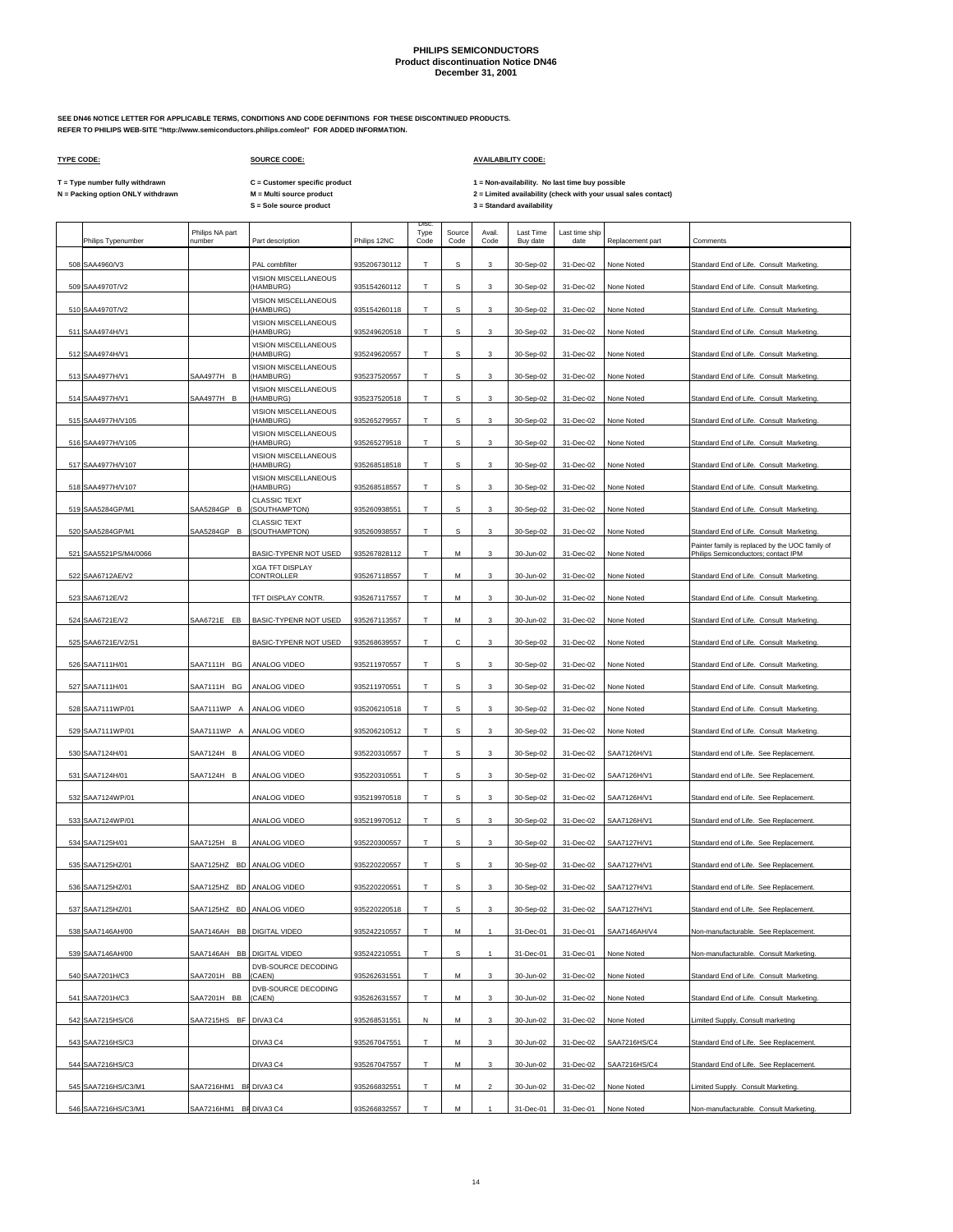**SEE DN46 NOTICE LETTER FOR APPLICABLE TERMS, CONDITIONS AND CODE DEFINITIONS FOR THESE DISCONTINUED PRODUCTS. REFER TO PHILIPS WEB-SITE "http://www.semiconductors.philips.com/eol" FOR ADDED INFORMATION.**

## **TYPE CODE: SOURCE CODE: AVAILABILITY CODE:**

**C = Customer specific product**

T = Type number fully withdrawn C = Customer specific product 1 = Non-availability. No last time buy possible<br>N = Packing option ONLY withdrawn M = Multi source product 2 = Lim

|     | Philips Typenumber    | Philips NA part<br>number  | Part description                     | Philips 12NC | Disc.<br>Type<br>Code | Source<br>Code | Avail.<br>Code | Last Time<br>Buy date | Last time ship<br>date | Replacement part | Comments                                                                               |
|-----|-----------------------|----------------------------|--------------------------------------|--------------|-----------------------|----------------|----------------|-----------------------|------------------------|------------------|----------------------------------------------------------------------------------------|
|     | 508 SAA4960/V3        |                            | PAL combfilter                       | 935206730112 | T                     | s              | 3              | 30-Sep-02             | 31-Dec-02              | None Noted       | Standard End of Life. Consult Marketing.                                               |
| 509 | SAA4970T/V2           |                            | VISION MISCELLANEOUS<br>(HAMBURG)    | 935154260112 | т                     | s              | 3              | 30-Sep-02             | 31-Dec-02              | None Noted       | Standard End of Life. Consult Marketing.                                               |
|     | 510 SAA4970T/V2       |                            | VISION MISCELLANEOUS<br>(HAMBURG)    | 935154260118 | T                     | s              | 3              | 30-Sep-02             | 31-Dec-02              | None Noted       | Standard End of Life. Consult Marketing.                                               |
|     | 511 SAA4974H/V1       |                            | VISION MISCELLANEOUS<br>(HAMBURG)    | 935249620518 | т                     | s              | 3              | 30-Sep-02             | 31-Dec-02              | None Noted       | Standard End of Life. Consult Marketing.                                               |
|     | 512 SAA4974H/V1       |                            | VISION MISCELLANEOUS<br>(HAMBURG)    | 935249620557 | Т                     | s              | 3              | 30-Sep-02             | 31-Dec-02              | None Noted       | Standard End of Life. Consult Marketing.                                               |
|     | 513 SAA4977H/V1       | SAA4977H B                 | VISION MISCELLANEOUS<br>(HAMBURG)    | 935237520557 | т                     | s              | 3              | 30-Sep-02             | 31-Dec-02              | None Noted       | Standard End of Life. Consult Marketing.                                               |
|     | 514 SAA4977H/V1       | SAA4977H B                 | VISION MISCELLANEOUS<br>(HAMBURG)    | 935237520518 | T                     | s              | 3              | 30-Sep-02             | 31-Dec-02              | None Noted       | Standard End of Life. Consult Marketing.                                               |
|     | 515 SAA4977H/V105     |                            | VISION MISCELLANEOUS<br>(HAMBURG)    | 935265279557 | т                     | s              | 3              | 30-Sep-02             | 31-Dec-02              | None Noted       | Standard End of Life. Consult Marketing.                                               |
|     | 516 SAA4977H/V105     |                            | VISION MISCELLANEOUS<br>(HAMBURG)    | 935265279518 | T                     | s              | 3              | 30-Sep-02             | 31-Dec-02              | None Noted       | Standard End of Life. Consult Marketing.                                               |
|     | 517 SAA4977H/V107     |                            | VISION MISCELLANEOUS<br>(HAMBURG)    | 935268518518 | Т                     | s              | 3              | 30-Sep-02             | 31-Dec-02              | None Noted       | Standard End of Life. Consult Marketing.                                               |
|     | 518 SAA4977H/V107     |                            | VISION MISCELLANEOUS<br>(HAMBURG)    | 935268518557 | T                     | s              | 3              | 30-Sep-02             | 31-Dec-02              | None Noted       | Standard End of Life. Consult Marketing.                                               |
|     | 519 SAA5284GP/M1      | SAA5284GP B                | <b>CLASSIC TEXT</b><br>(SOUTHAMPTON) | 935260938551 | Т                     | s              | 3              | 30-Sep-02             | 31-Dec-02              | None Noted       | Standard End of Life. Consult Marketing.                                               |
| 520 | SAA5284GP/M1          | SAA5284GP B                | <b>CLASSIC TEXT</b><br>(SOUTHAMPTON) | 935260938557 | T                     | s              | 3              | 30-Sep-02             | 31-Dec-02              | None Noted       | Standard End of Life. Consult Marketing.                                               |
|     | 521 SAA5521PS/M4/0066 |                            | BASIC-TYPENR NOT USED                | 935267828112 | Т                     | M              | 3              | 30-Jun-02             | 31-Dec-02              | None Noted       | Painter family is replaced by the UOC family of<br>Philips Semiconductors; contact IPM |
|     | 522 SAA6712AE/V2      |                            | <b>XGA TFT DISPLAY</b><br>CONTROLLER | 935267118557 | T.                    | M              | 3              | 30-Jun-02             | 31-Dec-02              | None Noted       | Standard End of Life. Consult Marketing.                                               |
|     | 523 SAA6712E/V2       |                            | TFT DISPLAY CONTR.                   | 935267117557 | T.                    | M              | 3              | 30-Jun-02             | 31-Dec-02              | None Noted       | Standard End of Life. Consult Marketing.                                               |
|     | 524 SAA6721E/V2       | SAA6721E EB                | BASIC-TYPENR NOT USED                | 935267113557 | Т                     | M              | 3              | 30-Jun-02             | 31-Dec-02              | None Noted       | Standard End of Life. Consult Marketing.                                               |
| 525 | SAA6721E/V2/S1        |                            | BASIC-TYPENR NOT USED                | 935268639557 | Т                     | с              | 3              | 30-Sep-02             | 31-Dec-02              | None Noted       | Standard End of Life. Consult Marketing.                                               |
|     | 526 SAA7111H/01       | SAA7111H<br>BG             | ANALOG VIDEO                         | 935211970557 | T                     | s              | 3              | 30-Sep-02             | 31-Dec-02              | None Noted       | Standard End of Life. Consult Marketing.                                               |
|     | 527 SAA7111H/01       | SAA7111H BG                | ANALOG VIDEO                         | 935211970551 | Т                     | s              | 3              | 30-Sep-02             | 31-Dec-02              | None Noted       | Standard End of Life. Consult Marketing.                                               |
|     | 528 SAA7111WP/01      | SAA7111WP A                | ANALOG VIDEO                         | 935206210518 | T                     | s              | 3              | 30-Sep-02             | 31-Dec-02              | None Noted       | Standard End of Life. Consult Marketing.                                               |
|     | 529 SAA7111WP/01      | SAA7111WP A                | ANALOG VIDEO                         | 935206210512 | Т                     | s              | 3              | 30-Sep-02             | 31-Dec-02              | None Noted       | Standard End of Life. Consult Marketing.                                               |
|     | 530 SAA7124H/01       | SAA7124H B                 | ANALOG VIDEO                         | 935220310557 | T                     | s              | 3              | 30-Sep-02             | 31-Dec-02              | SAA7126H/V1      | Standard end of Life. See Replacement                                                  |
|     | 531 SAA7124H/01       | SAA7124H B                 | ANALOG VIDEO                         | 935220310551 | T                     | s              | 3              | 30-Sep-02             | 31-Dec-02              | SAA7126H/V1      | Standard end of Life. See Replacement.                                                 |
|     | 532 SAA7124WP/01      |                            | ANALOG VIDEO                         | 935219970518 | т                     | s              | 3              | 30-Sep-02             | 31-Dec-02              | SAA7126H/V1      | Standard end of Life. See Replacement                                                  |
|     | 533 SAA7124WP/01      |                            | ANALOG VIDEO                         | 935219970512 | Т                     | s              | 3              | 30-Sep-02             | 31-Dec-02              | SAA7126H/V1      | Standard end of Life. See Replacement                                                  |
|     | 534 SAA7125H/01       | SAA7125H B                 | ANALOG VIDEO                         | 935220300557 | т                     | s              | 3              | 30-Sep-02             | 31-Dec-02              | SAA7127H/V1      | Standard end of Life. See Replacement                                                  |
|     | 535 SAA7125HZ/01      | SAA7125HZ BD               | ANALOG VIDEO                         | 935220220557 | Т                     | s              | 3              | 30-Sep-02             | 31-Dec-02              | SAA7127H/V1      | Standard end of Life. See Replacement                                                  |
|     | 536 SAA7125HZ/01      | SAA7125HZ BD               | ANALOG VIDEO                         | 935220220551 | т                     | s              | 3              | 30-Sep-02             | 31-Dec-02              | SAA7127H/V1      | Standard end of Life. See Replacement.                                                 |
|     | 537 SAA7125HZ/01      | SAA7125HZ BD               | ANALOG VIDEO                         | 935220220518 | T                     | S              | 3              | 30-Sep-02             | 31-Dec-02              | SAA7127H/V1      | Standard end of Life. See Replacement                                                  |
|     | 538 SAA7146AH/00      | SAA7146AH BB DIGITAL VIDEO |                                      | 935242210557 | т                     | М              |                | 31-Dec-01             | 31-Dec-01              | SAA7146AH/V4     | Non-manufacturable. See Replacement.                                                   |
|     | 539 SAA7146AH/00      | SAA7146AH BB               | DIGITAL VIDEO                        | 935242210551 | T.                    | s              | $\mathbf{1}$   | 31-Dec-01             | 31-Dec-01              | None Noted       | Non-manufacturable. Consult Marketing.                                                 |
|     | 540 SAA7201H/C3       | SAA7201H BB                | DVB-SOURCE DECODING<br>(CAEN)        | 935262631551 | T                     | М              | 3              | 30-Jun-02             | 31-Dec-02              | None Noted       | Standard End of Life. Consult Marketing.                                               |
|     | 541 SAA7201H/C3       | SAA7201H BB                | DVB-SOURCE DECODING<br>(CAEN)        | 935262631557 | T                     | M              | 3              | 30-Jun-02             | 31-Dec-02              | None Noted       | Standard End of Life. Consult Marketing.                                               |
|     | 542 SAA7215HS/C6      | SAA7215HS BF DIVA3 C4      |                                      | 935268531551 | N                     | М              | 3              | 30-Jun-02             | 31-Dec-02              | None Noted       | Limited Supply, Consult marketing                                                      |
|     | 543 SAA7216HS/C3      |                            | DIVA3 C4                             | 935267047551 | T                     | М              | 3              | 30-Jun-02             | 31-Dec-02              | SAA7216HS/C4     | Standard End of Life. See Replacement.                                                 |
|     | 544 SAA7216HS/C3      |                            | DIVA3 C4                             | 935267047557 | T                     | М              | 3              | 30-Jun-02             | 31-Dec-02              | SAA7216HS/C4     | Standard End of Life. See Replacement.                                                 |
|     | 545 SAA7216HS/C3/M1   | SAA7216HM1 BF DIVA3 C4     |                                      | 935266832551 | T.                    |                | $\overline{a}$ | 30-Jun-02             | 31-Dec-02              | None Noted       | Limited Supply. Consult Marketing.                                                     |
|     |                       |                            |                                      |              |                       | М              |                |                       |                        |                  |                                                                                        |
|     | 546 SAA7216HS/C3/M1   | SAA7216HM1 BF DIVA3 C4     |                                      | 935266832557 | T.                    | М              |                | 31-Dec-01             | 31-Dec-01              | None Noted       | Non-manufacturable. Consult Marketing.                                                 |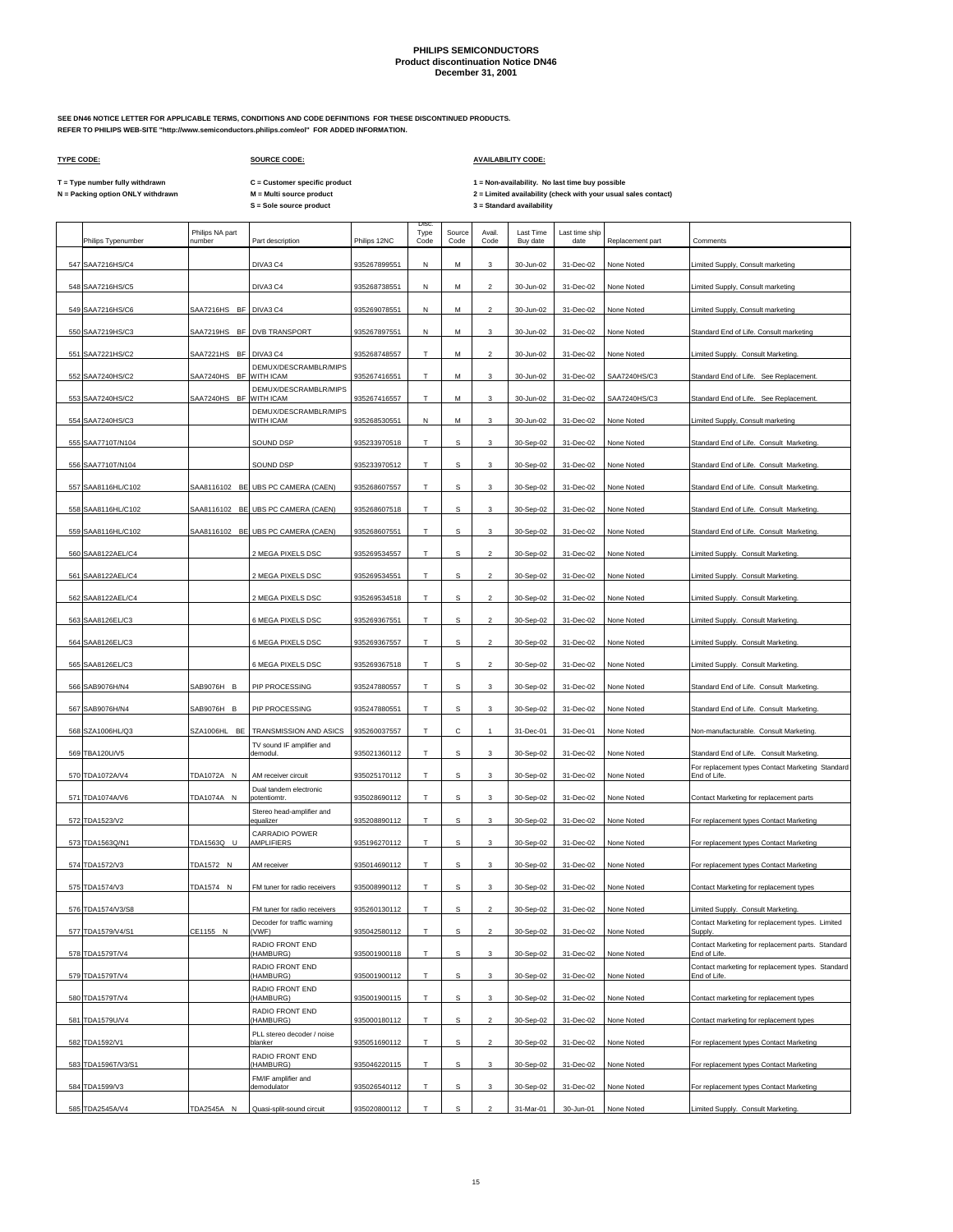**SEE DN46 NOTICE LETTER FOR APPLICABLE TERMS, CONDITIONS AND CODE DEFINITIONS FOR THESE DISCONTINUED PRODUCTS. REFER TO PHILIPS WEB-SITE "http://www.semiconductors.philips.com/eol" FOR ADDED INFORMATION.**

## **TYPE CODE: SOURCE CODE: AVAILABILITY CODE:**

**C = Customer specific product**

T = Type number fully withdrawn C = Customer specific product 1 = Non-availability. No last time buy possible<br>N = Packing option ONLY withdrawn M = Multi source product 2 = Lim

|     | Philips Typenumber | Philips NA part<br>number | Part description                                            | Philips 12NC | Disc<br>Type<br>Code | Source<br>Code | Avail.<br>Code            | Last Time<br>Buy date | Last time ship<br>date | Replacement part | Comments                                                                               |
|-----|--------------------|---------------------------|-------------------------------------------------------------|--------------|----------------------|----------------|---------------------------|-----------------------|------------------------|------------------|----------------------------------------------------------------------------------------|
|     | 547 SAA7216HS/C4   |                           | DIVA3 C4                                                    | 935267899551 | N                    | M              | 3                         | 30-Jun-02             | 31-Dec-02              | None Noted       | Limited Supply, Consult marketing                                                      |
|     | 548 SAA7216HS/C5   |                           | DIVA3 C4                                                    | 935268738551 | N                    | м              | $\overline{\mathbf{2}}$   | 30-Jun-02             | 31-Dec-02              | None Noted       | Limited Supply, Consult marketing                                                      |
| 549 | SAA7216HS/C6       | SAA7216HS BF              | DIVA3 C4                                                    | 935269078551 | Ν                    | М              | $\overline{2}$            | 30-Jun-02             | 31-Dec-02              | None Noted       | Limited Supply, Consult marketing                                                      |
|     | 550 SAA7219HS/C3   | SAA7219HS BF              | DVB TRANSPORT                                               | 935267897551 | Ν                    | М              | 3                         | 30-Jun-02             | 31-Dec-02              | None Noted       | Standard End of Life. Consult marketing                                                |
|     | 551 SAA7221HS/C2   | SAA7221HS BF              | DIVA3 C4                                                    | 935268748557 | т                    | М              | $\overline{2}$            | 30-Jun-02             | 31-Dec-02              | None Noted       | Limited Supply. Consult Marketing.                                                     |
|     | 552 SAA7240HS/C2   | SAA7240HS BF WITH ICAM    | DEMUX/DESCRAMBLR/MIPS                                       | 935267416551 | T                    | м              | 3                         |                       | 31-Dec-02              | SAA7240HS/C3     | Standard End of Life. See Replacement                                                  |
|     |                    |                           | DEMUX/DESCRAMBLR/MIPS                                       | 935267416557 | T                    |                |                           | 30-Jun-02             |                        |                  |                                                                                        |
|     | 553 SAA7240HS/C2   | SAA7240HS BF              | WITH ICAM<br>DEMUX/DESCRAMBLR/MIPS                          |              |                      | М              | 3                         | 30-Jun-02             | 31-Dec-02              | SAA7240HS/C3     | Standard End of Life. See Replacement.                                                 |
|     | 554 SAA7240HS/C3   |                           | WITH ICAM                                                   | 935268530551 | N                    | М              | 3                         | 30-Jun-02             | 31-Dec-02              | None Noted       | Limited Supply, Consult marketing                                                      |
|     | 555 SAA7710T/N104  |                           | SOUND DSP                                                   | 935233970518 | T                    | s              | 3                         | 30-Sep-02             | 31-Dec-02              | None Noted       | Standard End of Life. Consult Marketing.                                               |
|     | 556 SAA7710T/N104  |                           | SOUND DSP                                                   | 935233970512 | т                    | s              | 3                         | 30-Sep-02             | 31-Dec-02              | None Noted       | Standard End of Life. Consult Marketing.                                               |
|     | 557 SAA8116HL/C102 |                           | SAA8116102 BE UBS PC CAMERA (CAEN)                          | 935268607557 | T                    | s              | 3                         | 30-Sep-02             | 31-Dec-02              | None Noted       | Standard End of Life. Consult Marketing.                                               |
|     | 558 SAA8116HL/C102 |                           | SAA8116102 BE UBS PC CAMERA (CAEN)                          | 935268607518 | Т                    | s              | 3                         | 30-Sep-02             | 31-Dec-02              | None Noted       | Standard End of Life. Consult Marketing.                                               |
|     | 559 SAA8116HL/C102 |                           | SAA8116102 BE UBS PC CAMERA (CAEN)                          | 935268607551 | T                    | s              | 3                         | 30-Sep-02             | 31-Dec-02              | None Noted       | Standard End of Life. Consult Marketing.                                               |
|     | 560 SAA8122AEL/C4  |                           | 2 MEGA PIXELS DSC                                           | 935269534557 | т                    | s              | $\overline{c}$            | 30-Sep-02             | 31-Dec-02              | None Noted       | Limited Supply. Consult Marketing.                                                     |
|     | 561 SAA8122AEL/C4  |                           | 2 MEGA PIXELS DSC                                           | 935269534551 | Т                    | s              | $\overline{2}$            | 30-Sep-02             | 31-Dec-02              | None Noted       | Limited Supply. Consult Marketing.                                                     |
|     | 562 SAA8122AEL/C4  |                           | 2 MEGA PIXELS DSC                                           | 935269534518 | т                    | s              | $\overline{2}$            | 30-Sep-02             | 31-Dec-02              | None Noted       | Limited Supply. Consult Marketing.                                                     |
|     | 563 SAA8126EL/C3   |                           | 6 MEGA PIXELS DSC                                           | 935269367551 | т                    | s              | $\overline{2}$            | 30-Sep-02             | 31-Dec-02              | None Noted       | Limited Supply. Consult Marketing.                                                     |
|     | 564 SAA8126EL/C3   |                           | 6 MEGA PIXELS DSC                                           | 935269367557 | т                    | s              | $\overline{\mathbf{c}}$   | 30-Sep-02             | 31-Dec-02              | None Noted       | Limited Supply. Consult Marketing.                                                     |
|     | 565 SAA8126EL/C3   |                           | 6 MEGA PIXELS DSC                                           | 935269367518 | T                    | s              | $\overline{c}$            | 30-Sep-02             | 31-Dec-02              | None Noted       | Limited Supply. Consult Marketing.                                                     |
|     | 566 SAB9076H/N4    | SAB9076H B                | PIP PROCESSING                                              | 935247880557 | т                    | s              | 3                         | 30-Sep-02             | 31-Dec-02              | None Noted       | Standard End of Life. Consult Marketing.                                               |
|     | 567 SAB9076H/N4    | SAB9076H B                | PIP PROCESSING                                              | 935247880551 | T                    | s              | 3                         | 30-Sep-02             | 31-Dec-02              | None Noted       | Standard End of Life. Consult Marketing.                                               |
|     | 568 SZA1006HL/Q3   | SZA1006HL BE              | TRANSMISSION AND ASICS                                      | 935260037557 | т                    | с              |                           | 31-Dec-01             | 31-Dec-01              | None Noted       | Non-manufacturable. Consult Marketing.                                                 |
|     | 569 TBA120U/V5     |                           | TV sound IF amplifier and<br>demodul                        | 935021360112 | T                    | s              | 3                         | 30-Sep-02             | 31-Dec-02              | None Noted       | Standard End of Life. Consult Marketing.                                               |
|     | 570 TDA1072A/V4    | TDA1072A N                | AM receiver circuit                                         | 935025170112 | т                    | s              | 3                         | 30-Sep-02             | 31-Dec-02              | None Noted       | For replacement types Contact Marketing Standard<br>End of Life                        |
|     | 571 TDA1074A/V6    | TDA1074A N                | Dual tandem electronic<br>potentiomtr.                      | 935028690112 | T                    | s              | 3                         | 30-Sep-02             | 31-Dec-02              | None Noted       | Contact Marketing for replacement parts                                                |
|     |                    |                           | Stereo head-amplifier and                                   |              | т                    | s              | 3                         |                       |                        |                  |                                                                                        |
|     | 572 TDA1523/V2     |                           | equalizer<br>CARRADIO POWER                                 | 935208890112 |                      |                |                           | 30-Sep-02             | 31-Dec-02              | None Noted       | For replacement types Contact Marketing                                                |
|     | 573 TDA1563Q/N1    | TDA1563Q U                | AMPLIFIERS                                                  | 935196270112 | т                    | s              | 3                         | 30-Sep-02             | 31-Dec-02              | None Noted       | For replacement types Contact Marketing                                                |
|     | 574 TDA1572/V3     | TDA1572 N                 | AM receiver                                                 | 935014690112 | Т                    | s              | 3                         | 30-Sep-02             | 31-Dec-02              | None Noted       | For replacement types Contact Marketing                                                |
|     | 575 TDA1574/V3     | TDA1574 N                 | FM tuner for radio receivers                                | 935008990112 | T                    | s              | 3                         | 30-Sep-02             | 31-Dec-02              | None Noted       | Contact Marketing for replacement types                                                |
|     | 576 TDA1574/V3/S8  |                           | FM tuner for radio receivers<br>Decoder for traffic warning | 935260130112 | т                    | s              | $\overline{2}$            | 30-Sep-02             | 31-Dec-02              | None Noted       | Limited Supply. Consult Marketing.<br>Contact Marketing for replacement types. Limited |
|     | 577 TDA1579/V4/S1  | CE1155 N                  | (VWF)                                                       | 935042580112 | T.                   | S              | $\sqrt{2}$                | 30-Sep-02             | 31-Dec-02              | None Noted       | Supply.<br>Contact Marketing for replacement parts. Standard                           |
|     | 578 TDA1579T/V4    |                           | RADIO FRONT END<br>(HAMBURG)<br>RADIO FRONT END             | 935001900118 | т                    | s              | 3                         | 30-Sep-02             | 31-Dec-02              | None Noted       | End of Life.<br>Contact marketing for replacement types. Standard                      |
|     | 579 TDA1579T/V4    |                           | (HAMBURG)<br>RADIO FRONT END                                | 935001900112 | T                    | $\mathbf s$    | $\ensuremath{\mathsf{3}}$ | 30-Sep-02             | 31-Dec-02              | None Noted       | End of Life.                                                                           |
|     | 580 TDA1579T/V4    |                           | (HAMBURG)                                                   | 935001900115 | T                    | s              | 3                         | 30-Sep-02             | 31-Dec-02              | None Noted       | Contact marketing for replacement types                                                |
|     | 581 TDA1579U/V4    |                           | RADIO FRONT END<br>(HAMBURG)                                | 935000180112 | т                    | s              | $\overline{\mathbf{c}}$   | 30-Sep-02             | 31-Dec-02              | None Noted       | Contact marketing for replacement types                                                |
|     | 582 TDA1592/V1     |                           | PLL stereo decoder / noise<br>blanker                       | 935051690112 | T.                   | s              | $\overline{2}$            | 30-Sep-02             | 31-Dec-02              | None Noted       | For replacement types Contact Marketing                                                |
|     | 583 TDA1596T/V3/S1 |                           | RADIO FRONT END<br>(HAMBURG)                                | 935046220115 | т                    | s              | $\mathbf{3}$              | 30-Sep-02             | 31-Dec-02              | None Noted       | For replacement types Contact Marketing                                                |
|     | 584 TDA1599/V3     |                           | FM/IF amplifier and<br>demodulator                          | 935026540112 | T                    | s              | 3                         | 30-Sep-02             | 31-Dec-02              | None Noted       | For replacement types Contact Marketing                                                |
|     | 585 TDA2545A/V4    | TDA2545A N                | Quasi-split-sound circuit                                   | 935020800112 | T                    | s              | $\mathcal{P}$             | 31-Mar-01             | 30-Jun-01              | None Noted       | Limited Supply. Consult Marketing.                                                     |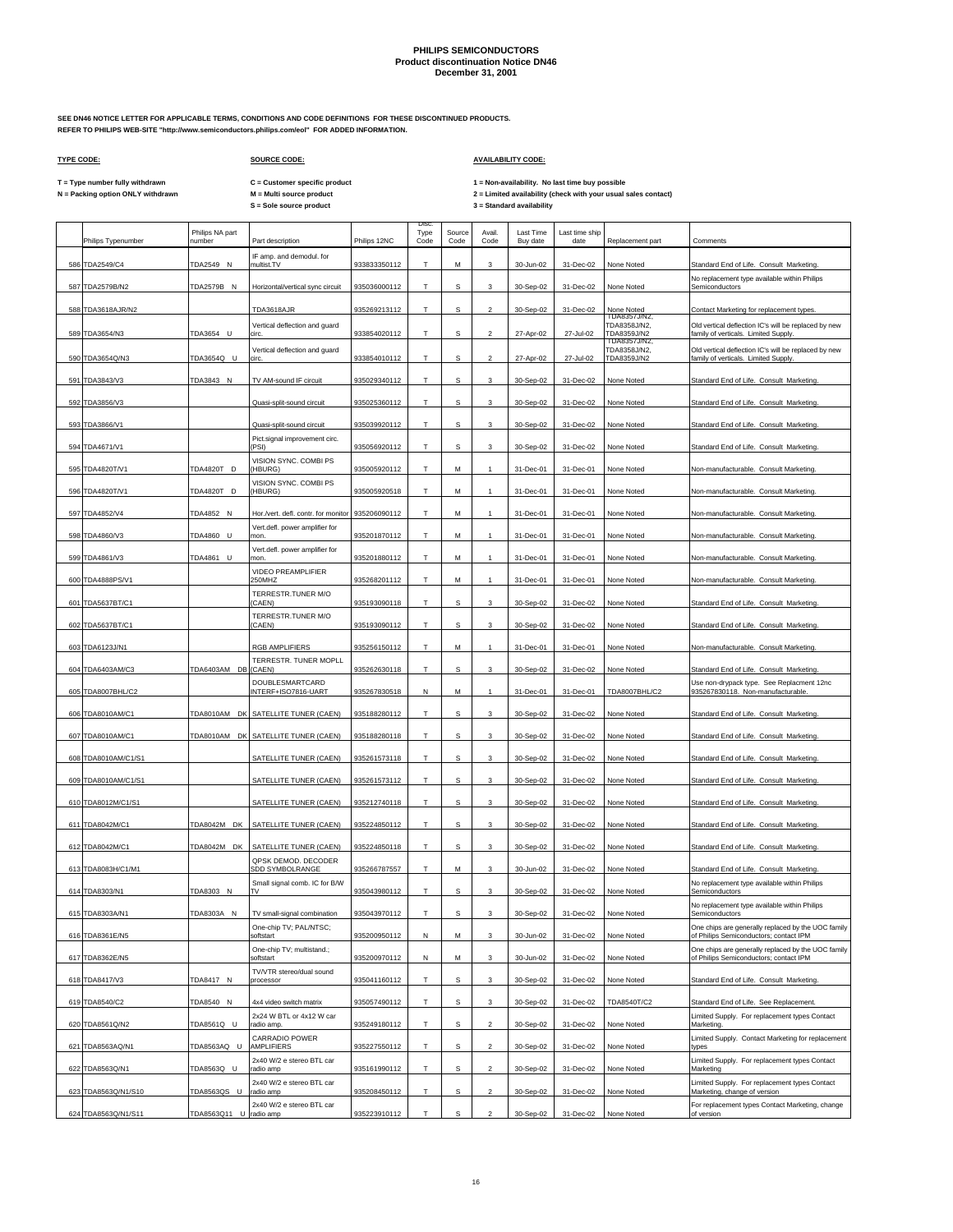**SEE DN46 NOTICE LETTER FOR APPLICABLE TERMS, CONDITIONS AND CODE DEFINITIONS FOR THESE DISCONTINUED PRODUCTS. REFER TO PHILIPS WEB-SITE "http://www.semiconductors.philips.com/eol" FOR ADDED INFORMATION.**

 $\Gamma$ 

### **TYPE CODE: SOURCE CODE: AVAILABILITY CODE:**

 $\mathbf{r}$ 

T = Type number fully withdrawn C = Customer specific product 1 = Non-availability. No last time buy possible<br>N = Packing option ONLY withdrawn M = Multi source product 2 =

 $\overline{\phantom{a}}$ 

**C = Customer specific product**

| Philips Typenumber  | Philips NA part<br>number | Part description                                                      | Philips 12NC | Disc<br>Type<br>Code | Source<br>Code | Avail.<br>Code   | Last Time<br>Buy date | Last time ship<br>date | Replacement part                            | Comments                                                                                     |
|---------------------|---------------------------|-----------------------------------------------------------------------|--------------|----------------------|----------------|------------------|-----------------------|------------------------|---------------------------------------------|----------------------------------------------------------------------------------------------|
| 586 TDA2549/C4      | TDA2549 N                 | IF amp. and demodul. for<br>multist.TV                                | 933833350112 | т                    | M              | 3                | 30-Jun-02             | 31-Dec-02              | None Noted                                  | Standard End of Life. Consult Marketing.                                                     |
|                     |                           |                                                                       |              |                      |                |                  |                       |                        |                                             | No replacement type available within Philips                                                 |
| 587 TDA2579B/N2     | TDA2579B N                | Horizontal/vertical sync circuit                                      | 935036000112 | T                    | s              | 3                | 30-Sep-02             | 31-Dec-02              | None Noted                                  | Semiconductors                                                                               |
| 588 TDA3618AJR/N2   |                           | TDA3618AJR                                                            | 935269213112 | Т                    | s              | $\overline{2}$   | 30-Sep-02             | 31-Dec-02              | None Noted<br>TDA8357J/N2,                  | Contact Marketing for replacement types.                                                     |
| 589 TDA3654/N3      | TDA3654 U                 | Vertical deflection and guard<br>circ.                                | 933854020112 | T                    | s              | $\mathfrak{p}$   | 27-Apr-02             | 27-Jul-02              | TDA8358J/N2,<br>TDA8359J/N2<br>TDA8357J/N2, | Old vertical deflection IC's will be replaced by new<br>family of verticals. Limited Supply. |
| 590 TDA3654Q/N3     | TDA3654Q U                | Vertical deflection and guard<br>circ                                 | 933854010112 | T                    | s              | $\overline{2}$   | 27-Apr-02             | 27-Jul-02              | TDA8358J/N2,<br>TDA8359J/N2                 | Old vertical deflection IC's will be replaced by new<br>family of verticals. Limited Supply  |
|                     |                           |                                                                       |              |                      |                |                  |                       |                        |                                             |                                                                                              |
| 591 TDA3843/V3      | TDA3843 N                 | TV AM-sound IF circuit                                                | 935029340112 | T                    | s              | 3                | 30-Sep-02             | 31-Dec-02              | None Noted                                  | Standard End of Life. Consult Marketing.                                                     |
| 592 TDA3856/V3      |                           | Quasi-split-sound circuit                                             | 935025360112 | Т                    | s              | 3                | 30-Sep-02             | 31-Dec-02              | None Noted                                  | Standard End of Life. Consult Marketing.                                                     |
| 593 TDA3866/V1      |                           | Quasi-split-sound circuit                                             | 935039920112 | T                    | s              | 3                | 30-Sep-02             | 31-Dec-02              | None Noted                                  | Standard End of Life. Consult Marketing.                                                     |
| 594 TDA4671/V1      |                           | Pict.signal improvement circ.<br>(PSI)                                | 935056920112 | T                    | s              | 3                | 30-Sep-02             | 31-Dec-02              | None Noted                                  | Standard End of Life. Consult Marketing.                                                     |
| 595 TDA4820T/V1     | TDA4820T D                | VISION SYNC. COMBI PS<br>(HBURG)                                      | 935005920112 | Т                    | М              | $\mathbf{1}$     | 31-Dec-01             | 31-Dec-01              | None Noted                                  | Non-manufacturable. Consult Marketing.                                                       |
| 596 TDA4820T/V1     | TDA4820T D                | VISION SYNC. COMBI PS<br>(HBURG)                                      | 935005920518 | Т                    | М              | 1                | 31-Dec-01             | 31-Dec-01              | None Noted                                  | Non-manufacturable. Consult Marketing.                                                       |
|                     |                           |                                                                       |              |                      |                |                  |                       |                        |                                             |                                                                                              |
| 597 TDA4852/V4      | TDA4852 N                 | Hor./vert. defl. contr. for monitor<br>Vert.defl. power amplifier for | 935206090112 | Т                    | М              | 1                | 31-Dec-01             | 31-Dec-01              | None Noted                                  | Non-manufacturable. Consult Marketing.                                                       |
| 598 TDA4860/V3      | TDA4860 U                 | mon.                                                                  | 935201870112 | T                    | M              |                  | 31-Dec-01             | 31-Dec-01              | None Noted                                  | Non-manufacturable. Consult Marketing                                                        |
| 599 TDA4861/V3      | TDA4861 U                 | Vert.defl. power amplifier for<br>mon.                                | 935201880112 | T                    | М              | $\mathbf{1}$     | 31-Dec-01             | 31-Dec-01              | None Noted                                  | Non-manufacturable. Consult Marketing.                                                       |
| 600 TDA4888PS/V1    |                           | <b>VIDEO PREAMPLIFIER</b><br>250MHZ                                   | 935268201112 | Т                    | М              | $\mathbf{1}$     | 31-Dec-01             | 31-Dec-01              | None Noted                                  | Non-manufacturable. Consult Marketing                                                        |
| 601 TDA5637BT/C1    |                           | TERRESTR.TUNER M/O<br>(CAEN)                                          | 935193090118 | T                    | $\mathbb S$    | 3                | 30-Sep-02             | 31-Dec-02              | None Noted                                  | Standard End of Life. Consult Marketing.                                                     |
|                     |                           | TERRESTR.TUNER M/O<br>(CAEN)                                          | 935193090112 | т                    | s              | 3                | 30-Sep-02             | 31-Dec-02              |                                             | Standard End of Life. Consult Marketing.                                                     |
| 602 TDA5637BT/C1    |                           |                                                                       |              |                      |                |                  |                       |                        | None Noted                                  |                                                                                              |
| 603 TDA6123J/N1     |                           | RGB AMPLIFIERS<br>TERRESTR. TUNER MOPLL                               | 935256150112 | T                    | M              | $\mathbf{1}$     | 31-Dec-01             | 31-Dec-01              | None Noted                                  | Non-manufacturable. Consult Marketing.                                                       |
| 604 TDA6403AM/C3    | TDA6403AM DB (CAEN)       |                                                                       | 935262630118 | T                    | S              | 3                | 30-Sep-02             | 31-Dec-02              | None Noted                                  | Standard End of Life. Consult Marketing.                                                     |
| 605 TDA8007BHL/C2   |                           | DOUBLESMARTCARD<br>INTERF+ISO7816-UART                                | 935267830518 | N                    | М              | $\mathbf{1}$     | 31-Dec-01             | 31-Dec-01              | TDA8007BHL/C2                               | Use non-drypack type. See Replacment 12nc<br>935267830118. Non-manufacturable.               |
| 606 TDA8010AM/C1    | TDA8010AM DK              | SATELLITE TUNER (CAEN)                                                | 935188280112 | Т                    | s              | 3                | 30-Sep-02             | 31-Dec-02              | None Noted                                  | Standard End of Life. Consult Marketing.                                                     |
| 607 TDA8010AM/C1    | TDA8010AM DK              | SATELLITE TUNER (CAEN)                                                | 935188280118 | T                    | s              | 3                | 30-Sep-02             | 31-Dec-02              | None Noted                                  | Standard End of Life. Consult Marketing.                                                     |
| 608 TDA8010AM/C1/S1 |                           | SATELLITE TUNER (CAEN)                                                | 935261573118 | Т                    | s              | 3                |                       | 31-Dec-02              |                                             |                                                                                              |
|                     |                           |                                                                       |              |                      |                |                  | 30-Sep-02             |                        | None Noted                                  | Standard End of Life. Consult Marketing.                                                     |
| 609 TDA8010AM/C1/S1 |                           | SATELLITE TUNER (CAEN)                                                | 935261573112 | T                    | s              | 3                | 30-Sep-02             | 31-Dec-02              | None Noted                                  | Standard End of Life. Consult Marketing.                                                     |
| 610 TDA8012M/C1/S1  |                           | SATELLITE TUNER (CAEN)                                                | 935212740118 | Т                    | s              | 3                | 30-Sep-02             | 31-Dec-02              | None Noted                                  | Standard End of Life. Consult Marketing.                                                     |
| 611 TDA8042M/C1     | TDA8042M DK               | SATELLITE TUNER (CAEN)                                                | 935224850112 | т                    | s              | 3                | 30-Sep-02             | 31-Dec-02              | None Noted                                  | Standard End of Life. Consult Marketing.                                                     |
| 612 TDA8042M/C1     | TDA8042M DK               | SATELLITE TUNER (CAEN)                                                | 935224850118 | T                    | s              | 3                | 30-Sep-02             | 31-Dec-02              | None Noted                                  | Standard End of Life. Consult Marketing.                                                     |
| 613 TDA8083H/C1/M1  |                           | QPSK DEMOD, DECODER<br>SDD SYMBOLRANGE                                | 935266787557 | Т                    | М              | 3                | 30-Jun-02             | 31-Dec-02              | None Noted                                  | Standard End of Life. Consult Marketing                                                      |
| 614 TDA8303/N1      | TDA8303 N                 | Small signal comb. IC for B/W<br><b>TV</b>                            | 935043980112 | T.                   | s              | 3                | 30-Sep-02             | 31-Dec-02              | None Noted                                  | No replacement type available within Philips<br>Semiconductors                               |
|                     |                           |                                                                       |              |                      |                |                  |                       |                        |                                             | No replacement type available within Philips                                                 |
| 615 TDA8303A/N1     | TDA8303A N                | TV small-signal combination<br>One-chip TV; PAL/NTSC;                 | 935043970112 | т                    | $\mathbb S$    | 3                | 30-Sep-02             | 31-Dec-02              | None Noted                                  | Semiconductors<br>One chips are generally replaced by the UOC family                         |
| 616 TDA8361E/N5     |                           | softstart                                                             | 935200950112 | N                    | М              | 3                | 30-Jun-02             | 31-Dec-02              | None Noted                                  | of Philips Semiconductors; contact IPM                                                       |
| 617 TDA8362E/N5     |                           | One-chip TV; multistand.;<br>softstart                                | 935200970112 | N                    | М              | 3                | 30-Jun-02             | 31-Dec-02              | None Noted                                  | One chips are generally replaced by the UOC family<br>of Philips Semiconductors; contact IPM |
| 618 TDA8417/V3      | TDA8417 N                 | TV/VTR stereo/dual sound<br>processor                                 | 935041160112 | Т                    | s              | 3                | 30-Sep-02             | 31-Dec-02              | None Noted                                  | Standard End of Life. Consult Marketing.                                                     |
| 619 TDA8540/C2      | TDA8540 N                 | 4x4 video switch matrix                                               | 935057490112 | Т                    | $\mathbf s$    | 3                | 30-Sep-02             | 31-Dec-02              | TDA8540T/C2                                 | Standard End of Life. See Replacement.                                                       |
| 620 TDA8561Q/N2     | TDA8561Q U                | 2x24 W BTL or 4x12 W car                                              |              | Т                    | s              | $\overline{c}$   |                       | 31-Dec-02              |                                             | Limited Supply. For replacement types Contact                                                |
|                     |                           | radio amp.<br>CARRADIO POWER                                          | 935249180112 |                      |                |                  | 30-Sep-02             |                        | None Noted                                  | Marketing.<br>Limited Supply. Contact Marketing for replacement                              |
| 621 TDA8563AQ/N1    | TDA8563AQ U               | AMPLIFIERS<br>2x40 W/2 e stereo BTL car                               | 935227550112 | T                    | $\mathbf s$    | $\boldsymbol{2}$ | 30-Sep-02             | 31-Dec-02              | None Noted                                  | types<br>Limited Supply. For replacement types Contact                                       |
| 622 TDA8563Q/N1     | TDA8563Q U                | radio amp                                                             | 935161990112 | T                    | s              | $\overline{c}$   | 30-Sep-02             | 31-Dec-02              | None Noted                                  | Marketing                                                                                    |
| 623 TDA8563Q/N1/S10 | TDA8563QS U               | 2x40 W/2 e stereo BTL car<br>radio amp                                | 935208450112 | T                    | s              | $\overline{2}$   | 30-Sep-02             | 31-Dec-02              | None Noted                                  | Limited Supply. For replacement types Contact<br>Marketing, change of version                |
| 624 TDA8563Q/N1/S11 | TDA8563Q11 U              | 2x40 W/2 e stereo BTL car<br>radio amp                                | 935223910112 | T                    | s              | $\mathfrak{p}$   | 30-Sep-02             | 31-Dec-02              | None Noted                                  | For replacement types Contact Marketing, change<br>of version                                |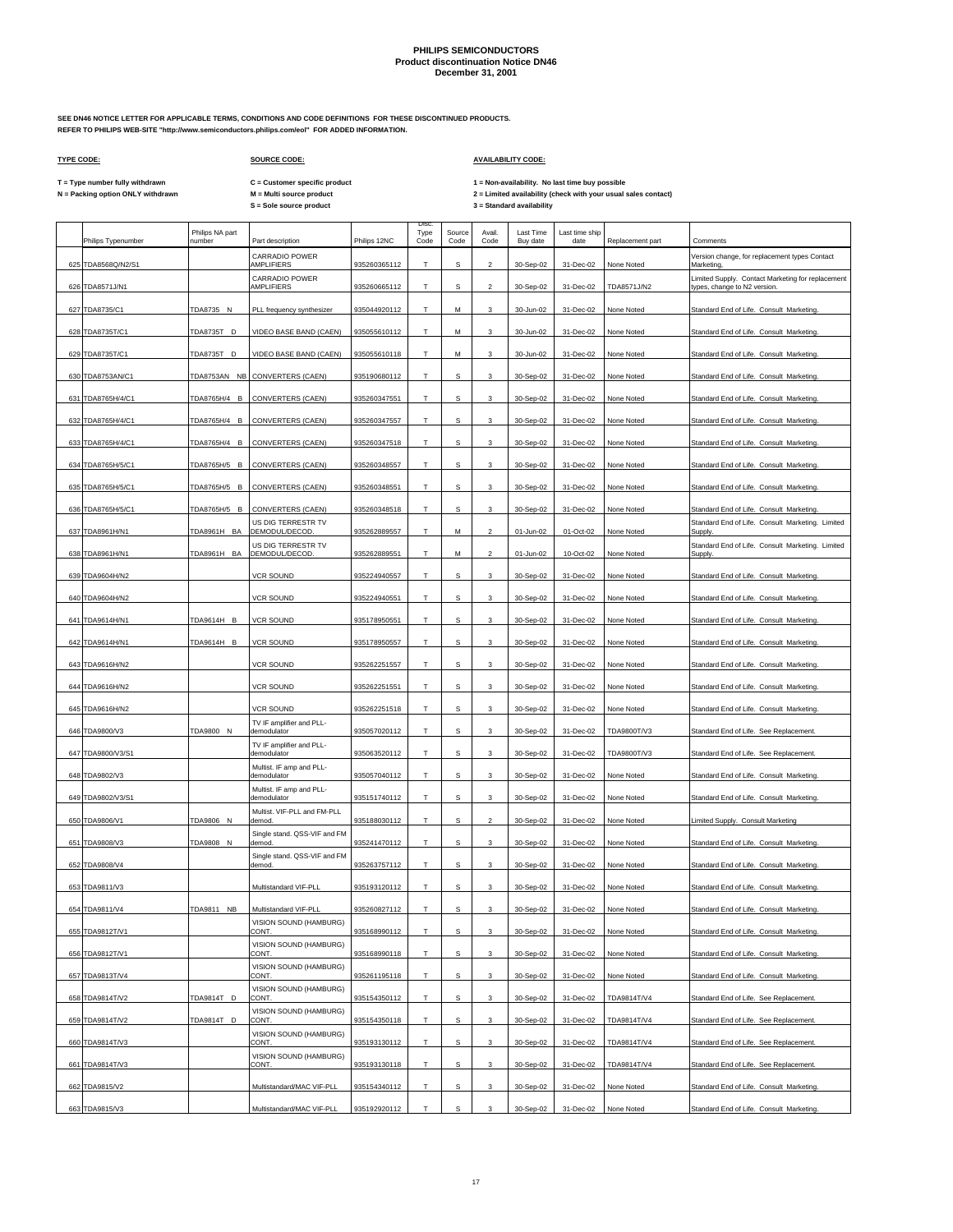**SEE DN46 NOTICE LETTER FOR APPLICABLE TERMS, CONDITIONS AND CODE DEFINITIONS FOR THESE DISCONTINUED PRODUCTS. REFER TO PHILIPS WEB-SITE "http://www.semiconductors.philips.com/eol" FOR ADDED INFORMATION.**

## **TYPE CODE: SOURCE CODE: AVAILABILITY CODE:**

**C = Customer specific product**

T = Type number fully withdrawn C = Customer specific product 1 = Non-availability. No last time buy possible<br>N = Packing option ONLY withdrawn M = Multi source product 2 = Lim

|     | Philips Typenumber               | Philips NA part<br>number | Part description                        | Philips 12NC                 | <b>Disc</b><br>Type<br>Code | Source<br>Code | Avail.<br>Code            | <b>Last Time</b><br>Buy date | Last time ship<br>date | Replacement part | Comments                                                                             |
|-----|----------------------------------|---------------------------|-----------------------------------------|------------------------------|-----------------------------|----------------|---------------------------|------------------------------|------------------------|------------------|--------------------------------------------------------------------------------------|
|     | 625 TDA8568Q/N2/S1               |                           | CARRADIO POWER<br>AMPLIFIERS            | 935260365112                 | т                           | s              | $\overline{2}$            | 30-Sep-02                    | 31-Dec-02              | None Noted       | Version change, for replacement types Contact<br>Marketing                           |
|     | 626 TDA8571J/N1                  |                           | CARRADIO POWER<br>AMPLIFIERS            | 935260665112                 | T                           | S              | $\mathcal{P}$             | 30-Sep-02                    | 31-Dec-02              | TDA8571J/N2      | Limited Supply. Contact Marketing for replacement<br>types, change to N2 version.    |
| 627 | TDA8735/C1                       | TDA8735 N                 | PLL frequency synthesizer               | 935044920112                 | T                           | М              | 3                         | 30-Jun-02                    | 31-Dec-02              | None Noted       | Standard End of Life. Consult Marketing.                                             |
|     | 628 TDA8735T/C1                  | TDA8735T D                | VIDEO BASE BAND (CAEN)                  | 935055610112                 | T                           | М              | 3                         | 30-Jun-02                    | 31-Dec-02              | None Noted       | Standard End of Life. Consult Marketing.                                             |
|     | 629 TDA8735T/C1                  | TDA8735T D                | VIDEO BASE BAND (CAEN)                  | 935055610118                 | т                           | м              | 3                         | 30-Jun-02                    | 31-Dec-02              | None Noted       | Standard End of Life. Consult Marketing.                                             |
| 630 | TDA8753AN/C1                     | TDA8753AN NB              | CONVERTERS (CAEN)                       | 935190680112                 | T                           | S              | 3                         | 30-Sep-02                    | 31-Dec-02              | None Noted       | Standard End of Life. Consult Marketing.                                             |
|     | 631 TDA8765H/4/C1                | TDA8765H/4 B              | CONVERTERS (CAEN)                       | 935260347551                 | т                           | s              | 3                         | 30-Sep-02                    | 31-Dec-02              | None Noted       | Standard End of Life. Consult Marketing.                                             |
|     | 632 TDA8765H/4/C1                | TDA8765H/4 B              | CONVERTERS (CAEN)                       | 935260347557                 | T                           | s              | 3                         | 30-Sep-02                    | 31-Dec-02              | None Noted       | Standard End of Life. Consult Marketing.                                             |
|     | 633 TDA8765H/4/C1                | TDA8765H/4 B              | <b>CONVERTERS (CAEN)</b>                | 935260347518                 | T                           | s              | 3                         | 30-Sep-02                    | 31-Dec-02              | None Noted       | Standard End of Life. Consult Marketing.                                             |
|     | 634 TDA8765H/5/C1                | TDA8765H/5 B              | CONVERTERS (CAEN)                       | 935260348557                 | T                           | s              | 3                         | 30-Sep-02                    | 31-Dec-02              | None Noted       | Standard End of Life. Consult Marketing.                                             |
| 635 | TDA8765H/5/C1                    | TDA8765H/5 B              | CONVERTERS (CAEN)                       | 935260348551                 | T                           | s              | 3                         | 30-Sep-02                    | 31-Dec-02              | None Noted       | Standard End of Life. Consult Marketing.                                             |
|     | 636 TDA8765H/5/C1                | TDA8765H/5 B              | CONVERTERS (CAEN)                       | 935260348518                 | T                           | s              | 3                         | 30-Sep-02                    | 31-Dec-02              | None Noted       | Standard End of Life. Consult Marketing.                                             |
|     | 637 TDA8961H/N1                  | TDA8961H BA               | US DIG TERRESTR TV<br>DEMODUL/DECOD.    | 935262889557                 | T                           | М              | $\mathfrak{p}$            | 01-Jun-02                    | 01-Oct-02              | None Noted       | Standard End of Life. Consult Marketing. Limited<br>Supply                           |
|     | 638 TDA8961H/N1                  | TDA8961H BA               | US DIG TERRESTR TV<br>DEMODUL/DECOD.    | 935262889551                 | T                           | М              | $\overline{2}$            | 01-Jun-02                    | 10-Oct-02              | None Noted       | Standard End of Life. Consult Marketing. Limited<br>Supply.                          |
|     | 639 TDA9604H/N2                  |                           | <b>VCR SOUND</b>                        | 935224940557                 | T                           | s              | 3                         | 30-Sep-02                    | 31-Dec-02              | None Noted       | Standard End of Life. Consult Marketing.                                             |
|     | 640 TDA9604H/N2                  |                           | <b>VCR SOUND</b>                        | 935224940551                 | T.                          | s              | 3                         | 30-Sep-02                    | 31-Dec-02              | None Noted       | Standard End of Life. Consult Marketing.                                             |
|     | 641 TDA9614H/N1                  | TDA9614H B                | <b>VCR SOUND</b>                        | 935178950551                 | т                           | s              | 3                         | 30-Sep-02                    | 31-Dec-02              | None Noted       | Standard End of Life. Consult Marketing.                                             |
|     | 642 TDA9614H/N1                  | TDA9614H B                | <b>VCR SOUND</b>                        | 935178950557                 | т                           | s              | 3                         | 30-Sep-02                    | 31-Dec-02              | None Noted       | Standard End of Life. Consult Marketing.                                             |
|     | 643 TDA9616H/N2                  |                           | <b>VCR SOUND</b>                        | 935262251557                 | T                           | s              | 3                         | 30-Sep-02                    | 31-Dec-02              | None Noted       | Standard End of Life. Consult Marketing.                                             |
|     | 644 TDA9616H/N2                  |                           | <b>VCR SOUND</b>                        | 935262251551                 | т                           | s              | 3                         | 30-Sep-02                    | 31-Dec-02              | None Noted       | Standard End of Life. Consult Marketing.                                             |
|     | 645 TDA9616H/N2                  |                           | <b>VCR SOUND</b>                        | 935262251518                 | T                           | s              | 3                         | 30-Sep-02                    | 31-Dec-02              | None Noted       | Standard End of Life. Consult Marketing.                                             |
|     | 646 TDA9800/V3                   | TDA9800 N                 | TV IF amplifier and PLL-<br>demodulator | 935057020112                 | т                           | s              | 3                         | 30-Sep-02                    | 31-Dec-02              | TDA9800T/V3      | Standard End of Life. See Replacement.                                               |
|     | 647 TDA9800/V3/S1                |                           | TV IF amplifier and PLL-<br>demodulator | 935063520112                 | T                           | s              | 3                         | 30-Sep-02                    | 31-Dec-02              | TDA9800T/V3      | Standard End of Life. See Replacement.                                               |
|     | 648 TDA9802/V3                   |                           | Multist. IF amp and PLL-<br>demodulator | 935057040112                 | т                           | s              | 3                         | 30-Sep-02                    | 31-Dec-02              | None Noted       | Standard End of Life. Consult Marketing.                                             |
|     | 649 TDA9802/V3/S1                |                           | Multist. IF amp and PLL-<br>demodulator | 935151740112                 | T                           | s              | 3                         | 30-Sep-02                    | 31-Dec-02              | None Noted       | Standard End of Life. Consult Marketing.                                             |
|     | 650 TDA9806/V1                   | TDA9806 N                 | Multist. VIF-PLL and FM-PLL<br>demod.   | 935188030112                 | т                           | s              | $\overline{2}$            | 30-Sep-02                    | 31-Dec-02              | None Noted       | imited Supply. Consult Marketing                                                     |
|     | 651 TDA9808/V3                   | TDA9808 N                 | Single stand. QSS-VIF and FM<br>demod   | 935241470112                 | T                           | s              | 3                         | 30-Sep-02                    | 31-Dec-02              | None Noted       | Standard End of Life. Consult Marketing.                                             |
|     | 652 TDA9808/V4                   |                           | Single stand. QSS-VIF and FM<br>demod.  | 935263757112                 | т                           | s              | 3                         | 30-Sep-02                    | 31-Dec-02              | None Noted       | Standard End of Life. Consult Marketing.                                             |
|     | 653 TDA9811/V3                   |                           | Multistandard VIF-PLL                   | 935193120112                 | T                           | s              | 3                         | 30-Sep-02                    | 31-Dec-02              | None Noted       | Standard End of Life. Consult Marketing.                                             |
|     | 654 TDA9811/V4                   | TDA9811 NB                | Multistandard VIF-PLL                   | 935260827112                 | т                           | s              | 3                         | 30-Sep-02                    | 31-Dec-02              | None Noted       | Standard End of Life. Consult Marketing.                                             |
|     | 655 TDA9812T/V1                  |                           | VISION SOUND (HAMBURG)<br>CONT.         | 935168990112                 | Т                           | $\mathbb S$    | 3                         | 30-Sep-02                    | 31-Dec-02              | None Noted       | Standard End of Life. Consult Marketing.                                             |
|     | 656 TDA9812T/V1                  |                           | VISION SOUND (HAMBURG)<br>CONT.         | 935168990118                 | т                           | s              | 3                         | 30-Sep-02                    | 31-Dec-02              | None Noted       | Standard End of Life. Consult Marketing.                                             |
|     | 657 TDA9813T/V4                  |                           | VISION SOUND (HAMBURG)<br>CONT.         | 935261195118                 | Т                           | s              | 3                         | 30-Sep-02                    | 31-Dec-02              | None Noted       | Standard End of Life. Consult Marketing.                                             |
|     | 658 TDA9814T/V2                  | TDA9814T D                | VISION SOUND (HAMBURG)<br>CONT.         | 935154350112                 | T                           | s              | 3                         | 30-Sep-02                    | 31-Dec-02              | TDA9814T/V4      | Standard End of Life. See Replacement.                                               |
|     | 659 TDA9814T/V2                  | TDA9814T D                | VISION SOUND (HAMBURG)<br>CONT.         | 935154350118                 | т                           | s              | $\ensuremath{\mathsf{3}}$ | 30-Sep-02                    | 31-Dec-02              | TDA9814T/V4      | Standard End of Life. See Replacement.                                               |
|     | 660 TDA9814T/V3                  |                           | VISION SOUND (HAMBURG)<br>CONT.         | 935193130112                 | T                           | s              | 3                         | 30-Sep-02                    | 31-Dec-02              | TDA9814T/V4      | Standard End of Life. See Replacement.                                               |
|     | 661 TDA9814T/V3                  |                           | VISION SOUND (HAMBURG)<br>CONT.         | 935193130118                 | т                           | s              | $\ensuremath{\mathsf{3}}$ |                              | 31-Dec-02              | TDA9814T/V4      | Standard End of Life. See Replacement.                                               |
|     |                                  |                           | Multistandard/MAC VIF-PLL               |                              |                             |                |                           | 30-Sep-02                    |                        | None Noted       |                                                                                      |
|     | 662 TDA9815/V2<br>663 TDA9815/V3 |                           | Multistandard/MAC VIF-PLL               | 935154340112<br>935192920112 | т                           | s<br>s         | 3<br>3                    | 30-Sep-02<br>30-Sep-02       | 31-Dec-02<br>31-Dec-02 | None Noted       | Standard End of Life. Consult Marketing.<br>Standard End of Life. Consult Marketing. |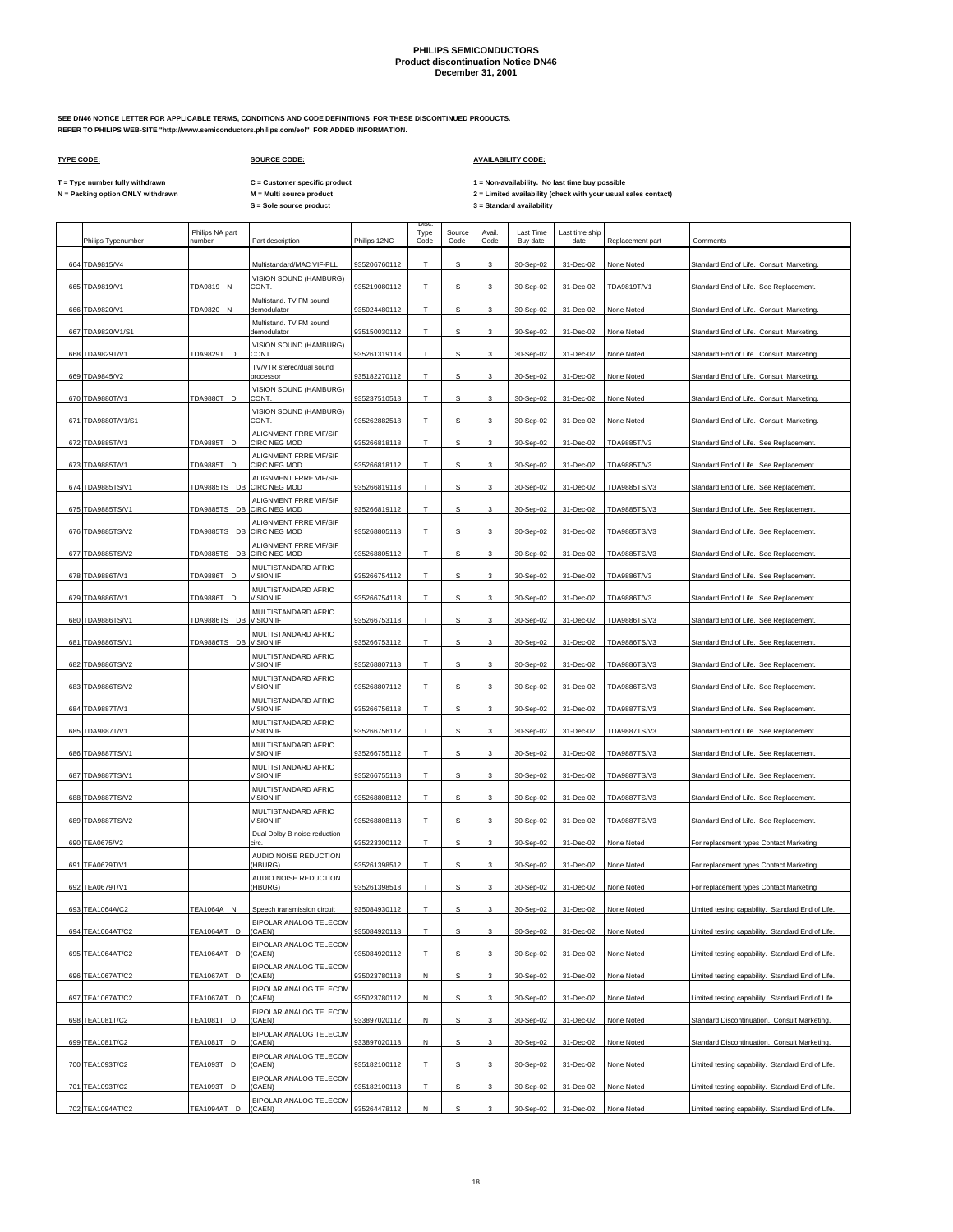**SEE DN46 NOTICE LETTER FOR APPLICABLE TERMS, CONDITIONS AND CODE DEFINITIONS FOR THESE DISCONTINUED PRODUCTS. REFER TO PHILIPS WEB-SITE "http://www.semiconductors.philips.com/eol" FOR ADDED INFORMATION.**

 $\Gamma$ 

## **TYPE CODE: SOURCE CODE: AVAILABILITY CODE:**

**C = Customer specific product**

T = Type number fully withdrawn C = Customer specific product 1 = Non-availability. No last time buy possible<br>N = Packing option ONLY withdrawn M = Multi source product 2 =

|     | Philips Typenumber | Philips NA part<br>number | Part description                              | Philips 12NC | Disc<br>Type<br>Code | Source<br>Code | Avail.<br>Code | Last Time<br>Buy date | Last time ship<br>date | Replacement part | Comments                                          |
|-----|--------------------|---------------------------|-----------------------------------------------|--------------|----------------------|----------------|----------------|-----------------------|------------------------|------------------|---------------------------------------------------|
|     | 664 TDA9815/V4     |                           | Multistandard/MAC VIF-PLL                     | 935206760112 | T                    | s              | 3              | 30-Sep-02             | 31-Dec-02              | None Noted       | Standard End of Life. Consult Marketing.          |
|     | 665 TDA9819/V1     | TDA9819 N                 | VISION SOUND (HAMBURG)<br>CONT                | 935219080112 | T.                   | s              | 3              | 30-Sep-02             | 31-Dec-02              | TDA9819T/V1      | Standard End of Life. See Replacement.            |
| 666 | TDA9820/V1         | TDA9820 N                 | Multistand. TV FM sound<br>demodulator        | 935024480112 | т                    | s              | 3              | 30-Sep-02             | 31-Dec-02              | None Noted       | Standard End of Life. Consult Marketing.          |
| 667 | TDA9820/V1/S1      |                           | Multistand. TV FM sound<br>demodulator        | 935150030112 | T                    | s              | 3              | 30-Sep-02             | 31-Dec-02              | None Noted       | Standard End of Life. Consult Marketing.          |
| 668 | TDA9829T/V1        | TDA9829T D                | VISION SOUND (HAMBURG)<br>CONT.               | 935261319118 | Т                    | s              | 3              | 30-Sep-02             | 31-Dec-02              | None Noted       | Standard End of Life. Consult Marketing.          |
|     | 669 TDA9845/V2     |                           | TV/VTR stereo/dual sound<br>processor         | 935182270112 | T                    | s              | 3              | 30-Sep-02             | 31-Dec-02              | None Noted       | Standard End of Life. Consult Marketing.          |
| 670 | TDA9880T/V1        | TDA9880T D                | VISION SOUND (HAMBURG)<br>CONT.               | 935237510518 | т                    | s              | 3              | 30-Sep-02             | 31-Dec-02              | None Noted       | Standard End of Life. Consult Marketing.          |
| 671 | TDA9880T/V1/S1     |                           | VISION SOUND (HAMBURG)<br>CONT.               | 935262882518 | Т                    | s              | 3              | 30-Sep-02             | 31-Dec-02              | None Noted       | Standard End of Life. Consult Marketing.          |
|     | 672 TDA9885T/V1    |                           | ALIGNMENT FRRE VIF/SIF<br>CIRC NEG MOD        | 935266818118 | Т                    | s              | 3              | 30-Sep-02             | 31-Dec-02              | TDA9885T/V3      |                                                   |
|     |                    | TDA9885T D                | ALIGNMENT FRRE VIF/SIF                        |              |                      |                |                |                       |                        |                  | Standard End of Life. See Replacement.            |
|     | 673 TDA9885T/V1    | TDA9885T D                | CIRC NEG MOD<br>ALIGNMENT FRRE VIF/SIF        | 935266818112 | T.                   | s              | 3              | 30-Sep-02             | 31-Dec-02              | TDA9885T/V3      | Standard End of Life. See Replacement.            |
|     | 674 TDA9885TS/V1   | TDA9885TS DB CIRC NEG MOD | ALIGNMENT FRRE VIF/SIF                        | 935266819118 | Т                    | s              | 3              | 30-Sep-02             | 31-Dec-02              | TDA9885TS/V3     | Standard End of Life. See Replacement             |
| 675 | TDA9885TS/V1       | TDA9885TS DB CIRC NEG MOD | ALIGNMENT FRRE VIF/SIF                        | 935266819112 | T                    | s              | 3              | 30-Sep-02             | 31-Dec-02              | TDA9885TS/V3     | Standard End of Life. See Replacement.            |
|     | 676 TDA9885TS/V2   | TDA9885TS DB              | <b>CIRC NEG MOD</b><br>ALIGNMENT FRRE VIF/SIF | 935268805118 | Т                    | s              | 3              | 30-Sep-02             | 31-Dec-02              | TDA9885TS/V3     | Standard End of Life. See Replacement             |
|     | 677 TDA9885TS/V2   | TDA9885TS DB              | CIRC NEG MOD                                  | 935268805112 | T                    | s              | 3              | 30-Sep-02             | 31-Dec-02              | TDA9885TS/V3     | Standard End of Life. See Replacement             |
|     | 678 TDA9886T/V1    | TDA9886T D                | MULTISTANDARD AFRIC<br><b>VISION IF</b>       | 935266754112 | Т                    | s              | 3              | 30-Sep-02             | 31-Dec-02              | TDA9886T/V3      | Standard End of Life. See Replacement.            |
| 679 | TDA9886T/V1        | TDA9886T D                | MULTISTANDARD AFRIC<br>VISION IF              | 935266754118 | T                    | s              | 3              | 30-Sep-02             | 31-Dec-02              | TDA9886T/V3      | Standard End of Life. See Replacement.            |
| 680 | TDA9886TS/V1       | TDA9886TS DB              | MULTISTANDARD AFRIC<br><b>VISION IF</b>       | 935266753118 | Т                    | s              | 3              | 30-Sep-02             | 31-Dec-02              | TDA9886TS/V3     | Standard End of Life. See Replacement.            |
| 681 | TDA9886TS/V1       | TDA9886TS DB              | MULTISTANDARD AFRIC<br>VISION IF              | 935266753112 | T.                   | s              | $\mathbf{3}$   | 30-Sep-02             | 31-Dec-02              | TDA9886TS/V3     | Standard End of Life. See Replacement.            |
|     | 682 TDA9886TS/V2   |                           | MULTISTANDARD AFRIC<br>VISION IF              | 935268807118 | Т                    | s              | 3              | 30-Sep-02             | 31-Dec-02              | TDA9886TS/V3     | Standard End of Life. See Replacement.            |
| 683 | TDA9886TS/V2       |                           | MULTISTANDARD AFRIC<br><b>VISION IF</b>       | 935268807112 | T                    | s              | 3              | 30-Sep-02             | 31-Dec-02              | TDA9886TS/V3     | Standard End of Life. See Replacement.            |
| 684 | TDA9887T/V1        |                           | MULTISTANDARD AFRIC<br>VISION IF              | 935266756118 | Т                    | s              | 3              | 30-Sep-02             | 31-Dec-02              | TDA9887TS/V3     | Standard End of Life. See Replacement.            |
| 685 | TDA9887T/V1        |                           | MULTISTANDARD AFRIC<br>VISION IF              | 935266756112 | T                    | s              | 3              | 30-Sep-02             | 31-Dec-02              | TDA9887TS/V3     | Standard End of Life. See Replacement             |
|     | 686 TDA9887TS/V1   |                           | MULTISTANDARD AFRIC<br>VISION IF              | 935266755112 | T                    | s              | 3              | 30-Sep-02             | 31-Dec-02              | TDA9887TS/V3     | Standard End of Life. See Replacement.            |
|     | 687 TDA9887TS/V1   |                           | MULTISTANDARD AFRIC<br>VISION IF              | 935266755118 | т                    | s              | 3              | 30-Sep-02             | 31-Dec-02              | TDA9887TS/V3     | Standard End of Life. See Replacement             |
|     |                    |                           | MULTISTANDARD AFRIC<br>VISION IF              |              | T                    | s              | 3              |                       | 31-Dec-02              | TDA9887TS/V3     |                                                   |
|     | 688 TDA9887TS/V2   |                           | MULTISTANDARD AFRIC                           | 935268808112 |                      |                |                | 30-Sep-02             |                        |                  | Standard End of Life. See Replacement             |
|     | 689 TDA9887TS/V2   |                           | VISION IF<br>Dual Dolby B noise reduction     | 935268808118 | T.                   | s              | 3              | 30-Sep-02             | 31-Dec-02              | TDA9887TS/V3     | Standard End of Life. See Replacement.            |
|     | 690 TEA0675/V2     |                           | circ<br>AUDIO NOISE REDUCTION                 | 935223300112 | T                    | s              | 3              | 30-Sep-02             | 31-Dec-02              | None Noted       | For replacement types Contact Marketing           |
| 691 | TEA0679T/V1        |                           | HBURG)<br>AUDIO NOISE REDUCTION               | 935261398512 | т                    | s              | 3              | 30-Sep-02             | 31-Dec-02              | None Noted       | For replacement types Contact Marketing           |
|     | 692 TEA0679T/V1    |                           | HBURG)                                        | 935261398518 | T                    | s              | 3              | 30-Sep-02             | 31-Dec-02              | None Noted       | For replacement types Contact Marketing           |
|     | 693 TEA1064A/C2    | TEA1064A N                | Speech transmission circuit                   | 935084930112 | T                    | s              | 3              | 30-Sep-02             | 31-Dec-02              | None Noted       | Limited testing capability. Standard End of Life. |
|     | 694 TEA1064AT/C2   | TEA1064AT D               | BIPOLAR ANALOG TELECOM<br>(CAEN)              | 935084920118 | T                    | s              | 3              | 30-Sep-02             | 31-Dec-02              | None Noted       | Limited testing capability. Standard End of Life. |
|     | 695 TEA1064AT/C2   | TEA1064AT D               | BIPOLAR ANALOG TELECOM<br>(CAEN)              | 935084920112 | Т                    | $\mathbf S$    | 3              | 30-Sep-02             | 31-Dec-02              | None Noted       | Limited testing capability. Standard End of Life. |
|     | 696 TEA1067AT/C2   | TEA1067AT D               | BIPOLAR ANALOG TELECOM<br>(CAEN)              | 935023780118 | N                    | $\mathbf s$    | 3              | 30-Sep-02             | 31-Dec-02              | None Noted       | Limited testing capability. Standard End of Life. |
|     | 697 TEA1067AT/C2   | TEA1067AT D               | BIPOLAR ANALOG TELECOM<br>(CAEN)              | 935023780112 | N                    | s              | 3              | 30-Sep-02             | 31-Dec-02              | None Noted       | Limited testing capability. Standard End of Life. |
|     | 698 TEA1081T/C2    | TEA1081T D                | BIPOLAR ANALOG TELECOM<br>(CAEN)              | 933897020112 | Ν                    | s              | 3              | 30-Sep-02             | 31-Dec-02              | None Noted       | Standard Discontinuation. Consult Marketing.      |
|     | 699 TEA1081T/C2    | TEA1081T D                | BIPOLAR ANALOG TELECOM<br>(CAEN)              | 933897020118 | N                    | s              | 3              | 30-Sep-02             | 31-Dec-02              | None Noted       | Standard Discontinuation. Consult Marketing.      |
|     | 700 TEA1093T/C2    | TEA1093T D                | BIPOLAR ANALOG TELECOM<br>(CAEN)              | 935182100112 | T.                   | $\mathbf s$    | $\mathbf{3}$   | 30-Sep-02             | 31-Dec-02              | None Noted       | Limited testing capability. Standard End of Life. |
|     | 701 TEA1093T/C2    | TEA1093T D                | BIPOLAR ANALOG TELECOM<br>(CAEN)              | 935182100118 | Т                    | s              | 3              | 30-Sep-02             | 31-Dec-02              | None Noted       | Limited testing capability. Standard End of Life. |
|     | 702 TEA1094AT/C2   | TEA1094AT D               | BIPOLAR ANALOG TELECOM<br>(CAEN)              | 935264478112 | N                    | $\mathbf s$    | 3              | 30-Sep-02             | 31-Dec-02              | None Noted       | Limited testing capability. Standard End of Life. |
|     |                    |                           |                                               |              |                      |                |                |                       |                        |                  |                                                   |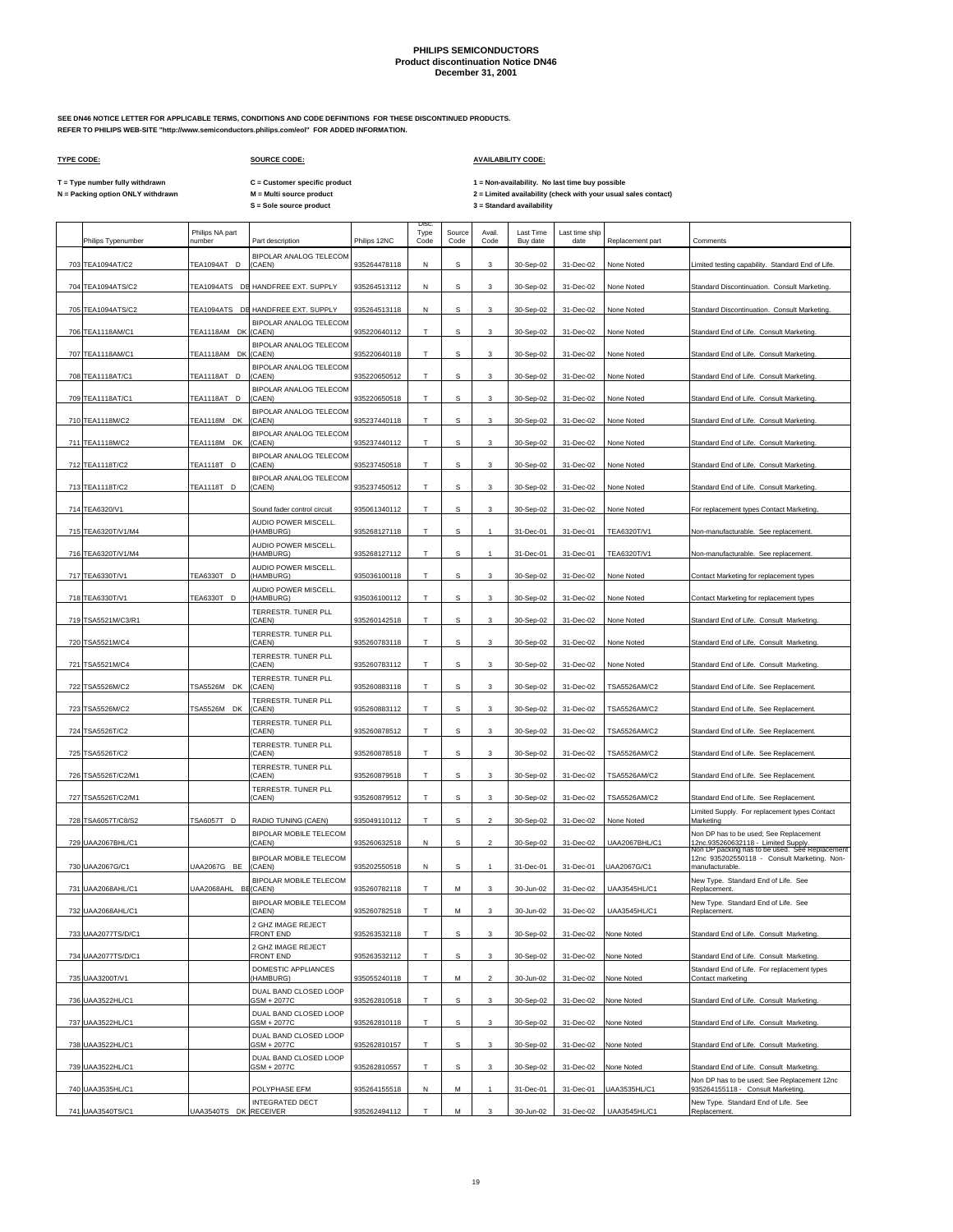**SEE DN46 NOTICE LETTER FOR APPLICABLE TERMS, CONDITIONS AND CODE DEFINITIONS FOR THESE DISCONTINUED PRODUCTS. REFER TO PHILIPS WEB-SITE "http://www.semiconductors.philips.com/eol" FOR ADDED INFORMATION.**

## **TYPE CODE: SOURCE CODE: AVAILABILITY CODE:**

**C = Customer specific product**

T = Type number fully withdrawn C = Customer specific product 1 = Non-availability. No last time buy possible<br>N = Packing option ONLY withdrawn M = Multi source product 2 =

 $\overline{\phantom{a}}$ 

| Philips Typenumber | Philips NA part<br>number | Part description                        | Philips 12NC | Disc<br>Type<br>Code | Source<br>Code | Avail<br>Code           | <b>Last Time</b><br>Buy date | Last time ship<br>date | Replacement part     | Comments                                                                                                                        |
|--------------------|---------------------------|-----------------------------------------|--------------|----------------------|----------------|-------------------------|------------------------------|------------------------|----------------------|---------------------------------------------------------------------------------------------------------------------------------|
| 703 TEA1094AT/C2   | TEA1094AT D               | BIPOLAR ANALOG TELECOM<br>(CAEN)        | 935264478118 | Ν                    | S              | 3                       | 30-Sep-02                    | 31-Dec-02              | None Noted           | Limited testing capability. Standard End of Life.                                                                               |
| 704 TEA1094ATS/C2  |                           | TEA1094ATS DE HANDFREE EXT. SUPPLY      | 935264513112 | N                    | s              | 3                       | 30-Sep-02                    | 31-Dec-02              | None Noted           | Standard Discontinuation. Consult Marketing.                                                                                    |
| 705 TEA1094ATS/C2  |                           | TEA1094ATS DE HANDFREE EXT. SUPPLY      | 935264513118 | Ν                    | s              | 3                       | 30-Sep-02                    | 31-Dec-02              | None Noted           | Standard Discontinuation. Consult Marketing.                                                                                    |
| 706 TEA1118AM/C1   | TEA1118AM DK              | BIPOLAR ANALOG TELECOM<br>(CAEN)        | 935220640112 | Т                    | s              | 3                       | 30-Sep-02                    | 31-Dec-02              | None Noted           | Standard End of Life. Consult Marketing.                                                                                        |
| 707 TEA1118AM/C1   | TEA1118AM DK              | BIPOLAR ANALOG TELECOM<br>(CAEN)        | 935220640118 | Т                    | s              | 3                       | 30-Sep-02                    | 31-Dec-02              | None Noted           | Standard End of Life. Consult Marketing.                                                                                        |
| 708 TEA1118AT/C1   | TEA1118AT D               | BIPOLAR ANALOG TELECOM<br>(CAEN)        | 935220650512 | т                    | s              | 3                       | 30-Sep-02                    | 31-Dec-02              | None Noted           | Standard End of Life. Consult Marketing.                                                                                        |
| 709 TEA1118AT/C1   | TEA1118AT D               | BIPOLAR ANALOG TELECOM<br>(CAEN)        | 935220650518 | $\mathsf T$          | s              | 3                       | 30-Sep-02                    | 31-Dec-02              | None Noted           | Standard End of Life. Consult Marketing.                                                                                        |
| 710 TEA1118M/C2    | TEA1118M DK               | BIPOLAR ANALOG TELECOM<br>(CAEN)        | 935237440118 | T                    | s              | 3                       | 30-Sep-02                    | 31-Dec-02              | None Noted           | Standard End of Life. Consult Marketing.                                                                                        |
| 711 TEA1118M/C2    | TEA1118M DK               | BIPOLAR ANALOG TELECOM<br>(CAEN)        | 935237440112 | Т                    | S              | 3                       | 30-Sep-02                    | 31-Dec-02              | None Noted           | Standard End of Life. Consult Marketing.                                                                                        |
| 712 TEA1118T/C2    | TEA1118T D                | BIPOLAR ANALOG TELECOM<br>(CAEN)        | 935237450518 | T                    | s              | 3                       | 30-Sep-02                    | 31-Dec-02              | None Noted           | Standard End of Life. Consult Marketing.                                                                                        |
| 713 TEA1118T/C2    | TEA1118T D                | BIPOLAR ANALOG TELECOM<br>(CAEN)        | 935237450512 | Т                    | s              | 3                       | 30-Sep-02                    | 31-Dec-02              | None Noted           | Standard End of Life. Consult Marketing                                                                                         |
| 714 TEA6320/V1     |                           | Sound fader control circuit             | 935061340112 | T.                   | S              | 3                       | 30-Sep-02                    | 31-Dec-02              | None Noted           | For replacement types Contact Marketing,                                                                                        |
| 715 TEA6320T/V1/M4 |                           | AUDIO POWER MISCELL.<br>(HAMBURG)       | 935268127118 | T                    | S              |                         | 31-Dec-01                    | 31-Dec-01              | TEA6320T/V1          | Non-manufacturable. See replacement                                                                                             |
| 716 TEA6320T/V1/M4 |                           | AUDIO POWER MISCELL.<br>(HAMBURG)       | 935268127112 | T                    | s              | $\mathbf{1}$            | 31-Dec-01                    | 31-Dec-01              | TEA6320T/V1          | Non-manufacturable. See replacement                                                                                             |
| 717 TEA6330T/V1    | TEA6330T D                | AUDIO POWER MISCELL.<br>(HAMBURG)       | 935036100118 | T                    | s              | 3                       | 30-Sep-02                    | 31-Dec-02              | None Noted           | Contact Marketing for replacement types                                                                                         |
| 718 TEA6330T/V1    | TEA6330T D                | AUDIO POWER MISCELL.<br>(HAMBURG)       | 935036100112 | T                    | s              | 3                       | 30-Sep-02                    | 31-Dec-02              | None Noted           | Contact Marketing for replacement types                                                                                         |
| 719 TSA5521M/C3/R1 |                           | TERRESTR. TUNER PLL<br>(CAEN)           | 935260142518 | Т                    | s              | 3                       | 30-Sep-02                    | 31-Dec-02              | None Noted           | Standard End of Life. Consult Marketing.                                                                                        |
| 720 TSA5521M/C4    |                           | TERRESTR. TUNER PLL<br>(CAEN)           | 935260783118 | T                    | s              | 3                       | 30-Sep-02                    | 31-Dec-02              | None Noted           | Standard End of Life. Consult Marketing.                                                                                        |
| 721 TSA5521M/C4    |                           | TERRESTR. TUNER PLL<br>(CAEN)           | 935260783112 | $\mathsf T$          | s              | 3                       | 30-Sep-02                    | 31-Dec-02              | None Noted           | Standard End of Life. Consult Marketing.                                                                                        |
| 722 TSA5526M/C2    | TSA5526M DK               | TERRESTR. TUNER PLL<br>(CAEN)           | 935260883118 | T.                   | s              | 3                       | 30-Sep-02                    | 31-Dec-02              | TSA5526AM/C2         | Standard End of Life. See Replacement.                                                                                          |
| 723 TSA5526M/C2    | TSA5526M DK               | TERRESTR. TUNER PLL<br>(CAEN)           | 935260883112 | Т                    | s              | 3                       | 30-Sep-02                    | 31-Dec-02              | TSA5526AM/C2         | Standard End of Life. See Replacement.                                                                                          |
| 724 TSA5526T/C2    |                           | TERRESTR. TUNER PLL<br>(CAEN)           | 935260878512 | Т                    | s              | 3                       | 30-Sep-02                    | 31-Dec-02              | TSA5526AM/C2         | Standard End of Life. See Replacement.                                                                                          |
| 725 TSA5526T/C2    |                           | TERRESTR. TUNER PLL<br>(CAEN)           | 935260878518 | T                    | s              | 3                       | 30-Sep-02                    | 31-Dec-02              | TSA5526AM/C2         | Standard End of Life. See Replacement.                                                                                          |
| 726 TSA5526T/C2/M1 |                           | TERRESTR. TUNER PLL<br>(CAEN)           | 935260879518 | T                    | s              | 3                       | 30-Sep-02                    | 31-Dec-02              | TSA5526AM/C2         | Standard End of Life. See Replacement.                                                                                          |
| 727 TSA5526T/C2/M1 |                           | TERRESTR. TUNER PLL<br>(CAEN)           | 935260879512 | Т                    | s              | 3                       | 30-Sep-02                    | 31-Dec-02              | TSA5526AM/C2         | Standard End of Life. See Replacement.                                                                                          |
| 728 TSA6057T/C8/S2 | TSA6057T D                | RADIO TUNING (CAEN)                     | 935049110112 | Т                    | s              | $\overline{2}$          | 30-Sep-02                    | 31-Dec-02              | None Noted           | Limited Supply. For replacement types Contact<br>Marketing                                                                      |
| 729 UAA2067BHL/C1  |                           | BIPOLAR MOBILE TELECOM<br>(CAEN)        | 935260632518 | N                    | s              | $\mathfrak{p}$          | 30-Sep-02                    | 31-Dec-02              | <b>UAA2067BHL/C1</b> | Non DP has to be used; See Replacement<br>12nc.935260632118 - Limited Supply.<br>Non DP packing has to be used. See Replacement |
| 730 UAA2067G/C1    | UAA2067G BE               | <b>BIPOLAR MOBILE TELECOM</b><br>(CAEN) | 935202550518 | Ν                    | s              | $\mathbf{1}$            | 31-Dec-01                    | 31-Dec-01              | UAA2067G/C1          | 12nc 935202550118 - Consult Marketing. Non-<br>manufacturable.                                                                  |
| 731 UAA2068AHL/C1  | UAA2068AHL BE(CAEN)       | <b>BIPOLAR MOBILE TELECOM</b>           | 935260782118 | T                    | М              | 3                       | 30-Jun-02                    | 31-Dec-02              | UAA3545HL/C1         | New Type. Standard End of Life. See<br>Replacement                                                                              |
| 732 UAA2068AHL/C1  |                           | BIPOLAR MOBILE TELECOM<br>'CAEN         | 935260782518 | T.                   | м              | $\overline{\mathbf{a}}$ | 30-Jun-02                    | 31-Dec-02              | UAA3545HI / C1       | New Type. Standard End of Life. See                                                                                             |
| 733 UAA2077TS/D/C1 |                           | 2 GHZ IMAGE REJECT<br>FRONT END         | 935263532118 | T.                   | s              | 3                       | 30-Sep-02                    | 31-Dec-02              | None Noted           | Standard End of Life. Consult Marketing.                                                                                        |
| 734 UAA2077TS/D/C1 |                           | 2 GHZ IMAGE REJECT<br>FRONT END         | 935263532112 | T                    | s              | 3                       | 30-Sep-02                    | 31-Dec-02              | None Noted           | Standard End of Life. Consult Marketing.                                                                                        |
| 735 UAA3200T/V1    |                           | DOMESTIC APPLIANCES<br>(HAMBURG)        | 935055240118 | T                    | M              | $\overline{2}$          | 30-Jun-02                    | 31-Dec-02              | None Noted           | Standard End of Life. For replacement types<br>Contact marketing                                                                |
| 736 UAA3522HL/C1   |                           | DUAL BAND CLOSED LOOP<br>GSM + 2077C    | 935262810518 | T                    | s              | 3                       | 30-Sep-02                    | 31-Dec-02              | None Noted           | Standard End of Life. Consult Marketing.                                                                                        |
| 737 UAA3522HL/C1   |                           | DUAL BAND CLOSED LOOP<br>GSM + 2077C    | 935262810118 | Т                    | s              | 3                       | 30-Sep-02                    | 31-Dec-02              | None Noted           | Standard End of Life. Consult Marketing.                                                                                        |
| 738 UAA3522HL/C1   |                           | DUAL BAND CLOSED LOOP<br>GSM + 2077C    | 935262810157 | T                    | s              | 3                       | 30-Sep-02                    | 31-Dec-02              | None Noted           | Standard End of Life. Consult Marketing.                                                                                        |
| 739 UAA3522HL/C1   |                           | DUAL BAND CLOSED LOOP<br>GSM + 2077C    | 935262810557 | T                    | s              | 3                       | 30-Sep-02                    | 31-Dec-02              | None Noted           | Standard End of Life. Consult Marketing.                                                                                        |
| 740 UAA3535HL/C1   |                           | POLYPHASE EFM                           | 935264155518 | N                    | М              | 1                       | 31-Dec-01                    | 31-Dec-01              | UAA3535HL/C1         | Non DP has to be used; See Replacement 12nc<br>935264155118 - Consult Marketing.                                                |
| 741 UAA3540TS/C1   | UAA3540TS DK RECEIVER     | <b>INTEGRATED DECT</b>                  | 935262494112 | T                    | M              | 3                       | 30-Jun-02                    | 31-Dec-02              | UAA3545HL/C1         | New Type. Standard End of Life. See<br>Replacement.                                                                             |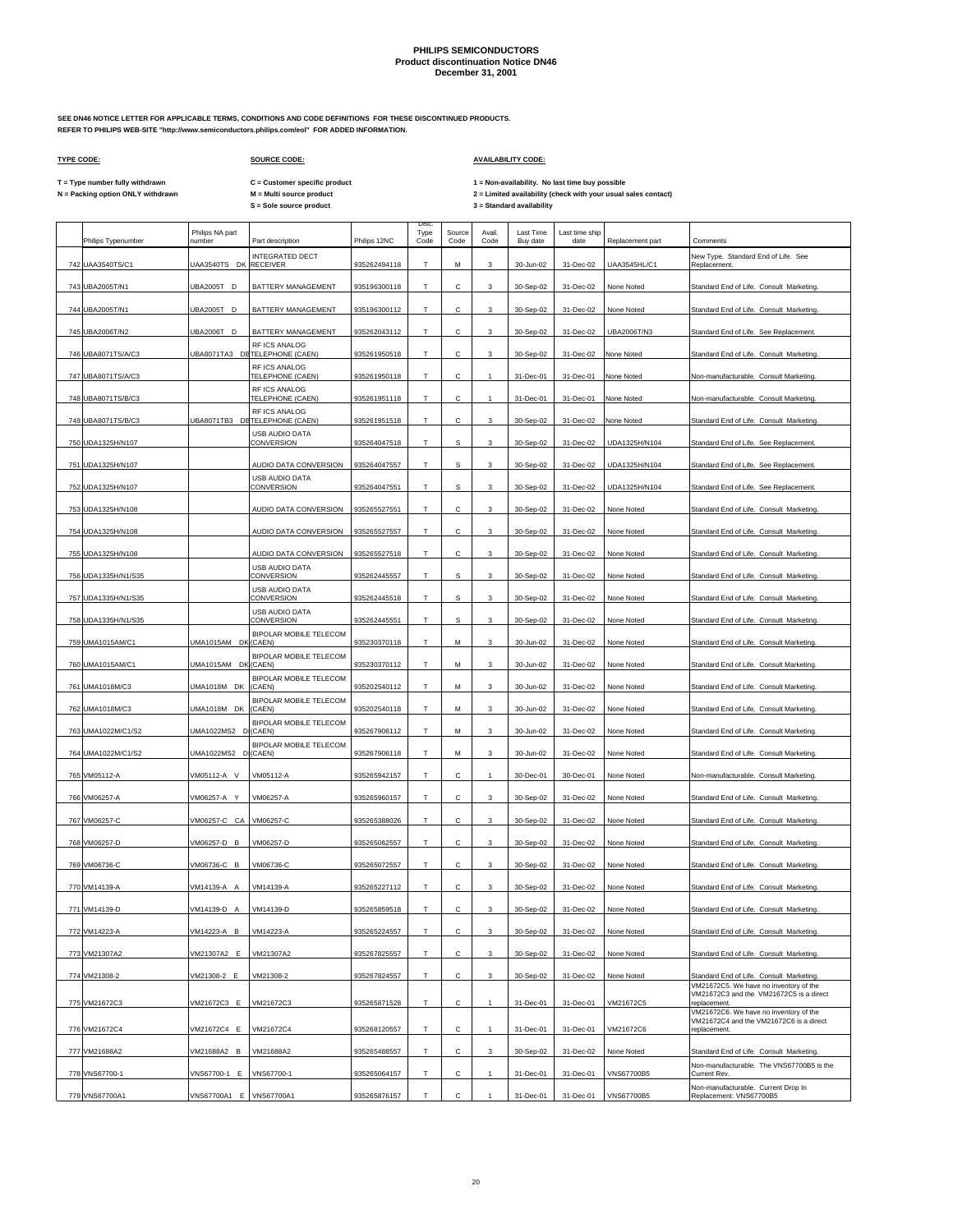**SEE DN46 NOTICE LETTER FOR APPLICABLE TERMS, CONDITIONS AND CODE DEFINITIONS FOR THESE DISCONTINUED PRODUCTS. REFER TO PHILIPS WEB-SITE "http://www.semiconductors.philips.com/eol" FOR ADDED INFORMATION.**

### **TYPE CODE: SOURCE CODE: AVAILABILITY CODE:**

**S = Sole source product 3 = Standard availability C = Customer specific product**

**T = Type number fully withdrawn 1 = Non-availability. No last time buy possible N** = Type number fully withdrawn **M** = Multi source product<br>
N = Packing option ONLY withdrawn **M** = Multi source product<br>
S = Sole source product **M** = Multi source product **A** and the source product and the set of the

|     | Philips Typenumber  | Philips NA part<br>number | Part description                               | Philips 12NC | Disc<br>Type<br>Code | Source<br>Code | Avail.<br>Code            | Last Time<br>Buy date | Last time ship<br>date | Replacement part | Comments                                                                              |
|-----|---------------------|---------------------------|------------------------------------------------|--------------|----------------------|----------------|---------------------------|-----------------------|------------------------|------------------|---------------------------------------------------------------------------------------|
|     | 742 UAA3540TS/C1    | JAA3540TS DK RECEIVER     | INTEGRATED DECT                                | 935262494118 |                      | M              | 3                         | 30-Jun-02             | 31-Dec-02              | UAA3545HL/C1     | New Type. Standard End of Life. See<br>Replacement.                                   |
|     | 743 UBA2005T/N1     | JBA2005T D                | BATTERY MANAGEMENT                             | 935196300118 | т                    | C              | 3                         | 30-Sep-02             | 31-Dec-02              | None Noted       | Standard End of Life. Consult Marketing.                                              |
|     | 744 UBA2005T/N1     | UBA2005T D                | BATTERY MANAGEMENT                             | 935196300112 | Т                    | с              | 3                         | 30-Sep-02             | 31-Dec-02              | None Noted       | Standard End of Life. Consult Marketing.                                              |
|     | 745 UBA2006T/N2     | JBA2006T D                | BATTERY MANAGEMENT                             | 935262043112 | T                    | с              | 3                         | 30-Sep-02             | 31-Dec-02              | UBA2006T/N3      | Standard End of Life. See Replacement.                                                |
|     | 746 UBA8071TS/A/C3  |                           | RF ICS ANALOG<br>JBA8071TA3 DETELEPHONE (CAEN) | 935261950518 | т                    | с              | 3                         | 30-Sep-02             | 31-Dec-02              | None Noted       | Standard End of Life. Consult Marketing.                                              |
| 747 | UBA8071TS/A/C3      |                           | RF ICS ANALOG<br>TELEPHONE (CAEN)              | 935261950118 | T                    | C.             | $\mathbf{1}$              | 31-Dec-01             | 31-Dec-01              | None Noted       | Non-manufacturable. Consult Marketing                                                 |
|     | 748 UBA8071TS/B/C3  |                           | RF ICS ANALOG<br>TELEPHONE (CAEN)              | 935261951118 | т                    | с              | $\mathbf{1}$              | 31-Dec-01             | 31-Dec-01              | None Noted       | Non-manufacturable. Consult Marketing.                                                |
|     | 749 UBA8071TS/B/C3  |                           | RF ICS ANALOG<br>UBA8071TB3 DETELEPHONE (CAEN) | 935261951518 | T                    | C.             | 3                         | 30-Sep-02             | 31-Dec-02              | None Noted       | Standard End of Life. Consult Marketing.                                              |
|     | 750 UDA1325H/N107   |                           | USB AUDIO DATA<br>CONVERSION                   | 935264047518 | T                    | s              | 3                         | 30-Sep-02             | 31-Dec-02              | UDA1325H/N104    | Standard End of Life. See Replacement.                                                |
|     | 751 UDA1325H/N107   |                           | AUDIO DATA CONVERSION                          | 935264047557 | т                    | s              | 3                         | 30-Sep-02             | 31-Dec-02              | UDA1325H/N104    | Standard End of Life. See Replacement.                                                |
| 752 | UDA1325H/N107       |                           | USB AUDIO DATA<br>CONVERSION                   | 935264047551 | T                    | S              | 3                         | 30-Sep-02             | 31-Dec-02              | UDA1325H/N104    | Standard End of Life. See Replacement                                                 |
|     | 753 UDA1325H/N108   |                           | AUDIO DATA CONVERSION                          | 935265527551 | т                    | C              | 3                         | 30-Sep-02             | 31-Dec-02              | None Noted       | Standard End of Life. Consult Marketing.                                              |
|     | 754 UDA1325H/N108   |                           | AUDIO DATA CONVERSION                          | 935265527557 | T                    | C.             | 3                         | 30-Sep-02             | 31-Dec-02              | None Noted       | Standard End of Life. Consult Marketing.                                              |
| 755 | UDA1325H/N108       |                           | AUDIO DATA CONVERSION                          | 935265527518 | т                    | C              | 3                         | 30-Sep-02             | 31-Dec-02              | None Noted       | Standard End of Life. Consult Marketing.                                              |
|     |                     |                           | USB AUDIO DATA<br>CONVERSION                   | 935262445557 | T                    | s              | 3                         | 30-Sep-02             | 31-Dec-02              | None Noted       |                                                                                       |
|     | 756 UDA1335H/N1/S35 |                           | USB AUDIO DATA                                 |              |                      |                |                           |                       |                        |                  | Standard End of Life. Consult Marketing.                                              |
|     | 757 UDA1335H/N1/S35 |                           | CONVERSION<br><b>USB AUDIO DATA</b>            | 935262445518 | т                    | S              | 3                         | 30-Sep-02             | 31-Dec-02              | None Noted       | Standard End of Life. Consult Marketing.                                              |
|     | 758 UDA1335H/N1/S35 |                           | CONVERSION<br><b>BIPOLAR MOBILE TELECOM</b>    | 935262445551 | т                    | s              | 3                         | 30-Sep-02             | 31-Dec-02              | None Noted       | Standard End of Life. Consult Marketing.                                              |
|     | 759 UMA1015AM/C1    | UMA1015AM DK (CAEN)       | <b>BIPOLAR MOBILE TELECOM</b>                  | 935230370118 | т                    | М              | 3                         | 30-Jun-02             | 31-Dec-02              | None Noted       | Standard End of Life. Consult Marketing.                                              |
|     | 760 UMA1015AM/C1    | UMA1015AM DK (CAEN)       | <b>BIPOLAR MOBILE TELECOM</b>                  | 935230370112 | т                    | м              | 3                         | 30-Jun-02             | 31-Dec-02              | None Noted       | Standard End of Life. Consult Marketing.                                              |
|     | 761 UMA1018M/C3     | UMA1018M DK               | (CAEN)<br>BIPOLAR MOBILE TELECOM               | 935202540112 | т                    | М              | 3                         | 30-Jun-02             | 31-Dec-02              | None Noted       | Standard End of Life. Consult Marketing.                                              |
|     | 762 UMA1018M/C3     | UMA1018M DK               | (CAEN)<br><b>BIPOLAR MOBILE TELECOM</b>        | 935202540118 | т                    | M              | 3                         | 30-Jun-02             | 31-Dec-02              | None Noted       | Standard End of Life. Consult Marketing.                                              |
|     | 763 UMA1022M/C1/S2  | JMA1022MS2 D (CAEN)       | <b>BIPOLAR MOBILE TELECOM</b>                  | 935267906112 |                      | м              | 3                         | 30-Jun-02             | 31-Dec-02              | None Noted       | Standard End of Life. Consult Marketing.                                              |
|     | 764 UMA1022M/C1/S2  | JMA1022MS2 D (CAEN)       |                                                | 935267906118 | т                    | M              | 3                         | 30-Jun-02             | 31-Dec-02              | None Noted       | Standard End of Life. Consult Marketing.                                              |
|     | 765 VM05112-A       | VM05112-A V               | VM05112-A                                      | 935265942157 | т                    | C              |                           | 30-Dec-01             | 30-Dec-01              | None Noted       | Non-manufacturable. Consult Marketing                                                 |
|     | 766 VM06257-A       | VM06257-A Y               | VM06257-A                                      | 935265960157 | т                    | C.             | 3                         | 30-Sep-02             | 31-Dec-02              | None Noted       | Standard End of Life. Consult Marketing.                                              |
|     | 767 VM06257-C       | VM06257-C CA VM06257-C    |                                                | 935265388026 |                      |                | 3                         | 30-Sep-02             | 31-Dec-02              | None Noted       | Standard End of Life. Consult Marketing.                                              |
|     | 768 VM06257-D       | VM06257-D B               | VM06257-D                                      | 935265062557 | т                    | $\mathsf{C}$   | 3                         | 30-Sep-02             | 31-Dec-02              | None Noted       | Standard End of Life. Consult Marketing.                                              |
|     | 769 VM06736-C       | VM06736-C B               | VM06736-C                                      | 935265072557 | Т                    | с              | 3                         | 30-Sep-02             | 31-Dec-02              | None Noted       | Standard End of Life. Consult Marketing.                                              |
|     | 770 VM14139-A       | VM14139-A A               | VM14139-A                                      | 935265227112 | T                    | $\mathsf{C}$   | 3                         | 30-Sep-02             | 31-Dec-02              | None Noted       | Standard End of Life. Consult Marketing.                                              |
|     | 771 VM14139-D       | /M14139-D A               | VM14139-D                                      | 935265859518 | т                    | с              | 3                         | 30-Sep-02             | 31-Dec-02              | None Noted       | Standard End of Life. Consult Marketing.                                              |
|     | 772 VM14223-A       | /M14223-A B               | VM14223-A                                      | 935265224557 | T                    | c              | $\ensuremath{\mathsf{3}}$ | 30-Sep-02             | 31-Dec-02              | None Noted       | Standard End of Life. Consult Marketing.                                              |
|     | 773 VM21307A2       | VM21307A2 E               | VM21307A2                                      | 935267825557 | т                    | C              | 3                         | 30-Sep-02             | 31-Dec-02              | None Noted       | Standard End of Life. Consult Marketing.                                              |
|     | 774 VM21308-2       | VM21308-2 E               | VM21308-2                                      | 935267824557 | T                    | C              | $\mathbf{3}$              | 30-Sep-02             | 31-Dec-02              | None Noted       | Standard End of Life. Consult Marketing.<br>VM21672C5. We have no inventory of the    |
|     | 775 VM21672C3       | VM21672C3 E               | VM21672C3                                      | 935265871528 | T.                   | С              |                           | 31-Dec-01             | 31-Dec-01              | VM21672C5        | VM21672C3 and the VM21672C5 is a direct<br>replacement.                               |
|     |                     | VM21672C4 E               | VM21672C4                                      | 935268120557 | т                    | C              | $\mathbf{1}$              |                       |                        | VM21672C6        | VM21672C6. We have no inventory of the<br>VM21672C4 and the VM21672C6 is a direct     |
|     | 776 VM21672C4       |                           |                                                |              | T                    | C              |                           | 31-Dec-01             | 31-Dec-01              |                  | replacement.                                                                          |
|     | 777 VM21688A2       | VM21688A2 B               | VM21688A2                                      | 935265488557 |                      |                | 3                         | 30-Sep-02             | 31-Dec-02              | None Noted       | Standard End of Life. Consult Marketing.<br>Non-manufacturable. The VNS67700B5 is the |
|     | 778 VNS67700-1      | VNS67700-1 E              | VNS67700-1                                     | 935265064157 | т                    | $\mathbf{C}$   |                           | 31-Dec-01             | 31-Dec-01              | VNS67700B5       | Current Rev.<br>Non-manufacturable. Current Drop In                                   |
|     | 779 VNS67700A1      | VNS67700A1 E VNS67700A1   |                                                | 935265876157 | T                    | C              |                           | 31-Dec-01             | 31-Dec-01              | VNS67700B5       | Replacement: VNS67700B5                                                               |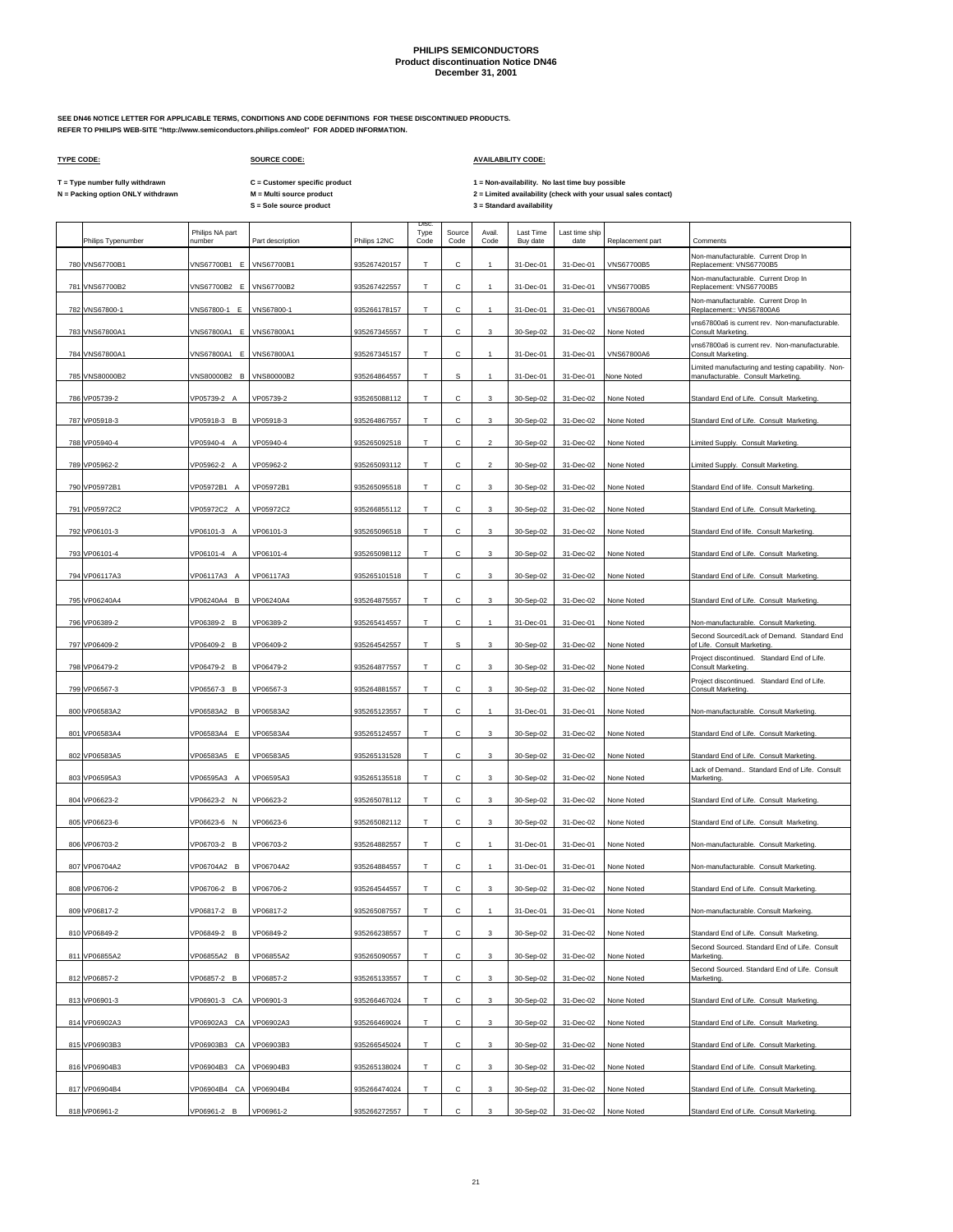**SEE DN46 NOTICE LETTER FOR APPLICABLE TERMS, CONDITIONS AND CODE DEFINITIONS FOR THESE DISCONTINUED PRODUCTS. REFER TO PHILIPS WEB-SITE "http://www.semiconductors.philips.com/eol" FOR ADDED INFORMATION.**

### **TYPE CODE: SOURCE CODE: AVAILABILITY CODE:**

**C = Customer specific product**

T = Type number fully withdrawn C = Customer specific product 1 = Non-availability. No last time buy possible<br>N = Packing option ONLY withdrawn M = Multi source product 2 = Lim

|  | Philips Typenumber | Philips NA part<br>number | Part description | Philips 12NC | Disc.<br>Type<br>Code | Source<br>Code | Avail<br>Code  | Last Time<br>Buy date | Last time ship<br>date | Replacement part | Comments                                                                                 |
|--|--------------------|---------------------------|------------------|--------------|-----------------------|----------------|----------------|-----------------------|------------------------|------------------|------------------------------------------------------------------------------------------|
|  | 780 VNS67700B1     | VNS67700B1 E              | VNS67700B1       | 935267420157 | Т                     | с              |                | 31-Dec-01             | 31-Dec-01              | VNS67700B5       | Non-manufacturable. Current Drop In<br>Replacement: VNS67700B5                           |
|  | 781 VNS67700B2     | VNS67700B2 E              | VNS67700B2       | 935267422557 | T                     | C              | $\mathbf{1}$   | 31-Dec-01             | 31-Dec-01              | VNS67700B5       | Non-manufacturable. Current Drop In<br>Replacement: VNS67700B5                           |
|  | 782 VNS67800-1     | VNS67800-1 E              | VNS67800-1       | 935266178157 | Т                     | с              | 1              | 31-Dec-01             | 31-Dec-01              | VNS67800A6       | Non-manufacturable. Current Drop In<br>Replacement:: VNS67800A6                          |
|  | 783 VNS67800A1     | VNS67800A1 E              | VNS67800A1       | 935267345557 | T.                    | с              | 3              | 30-Sep-02             | 31-Dec-02              | None Noted       | vns67800a6 is current rev. Non-manufacturable.<br>Consult Marketing.                     |
|  | 784 VNS67800A1     | VNS67800A1 E              | VNS67800A1       | 935267345157 | T                     | с              | 1              | 31-Dec-01             | 31-Dec-01              | VNS67800A6       | vns67800a6 is current rev. Non-manufacturable.<br><b>Consult Marketing</b>               |
|  | 785 VNS80000B2     | VNS80000B2 B              | VNS80000B2       | 935264864557 | T                     | s              | $\mathbf{1}$   | 31-Dec-01             | 31-Dec-01              | None Noted       | Limited manufacturing and testing capability. Non-<br>manufacturable. Consult Marketing. |
|  | 786 VP05739-2      | VP05739-2 A               | VP05739-2        | 935265088112 | $\top$                | С              | 3              | 30-Sep-02             | 31-Dec-02              | None Noted       | Standard End of Life. Consult Marketing.                                                 |
|  | 787 VP05918-3      | VP05918-3 B               | VP05918-3        | 935264867557 | T.                    | с              | 3              |                       | 31-Dec-02              |                  |                                                                                          |
|  | 788 VP05940-4      | VP05940-4 A               |                  |              |                       |                |                | 30-Sep-02             |                        | None Noted       | Standard End of Life. Consult Marketing.                                                 |
|  |                    |                           | VP05940-4        | 935265092518 | Т                     | С              | $\overline{a}$ | 30-Sep-02             | 31-Dec-02              | None Noted       | Limited Supply. Consult Marketing.                                                       |
|  | 789 VP05962-2      | VP05962-2 A               | VP05962-2        | 935265093112 | Т                     | с              | $\overline{2}$ | 30-Sep-02             | 31-Dec-02              | None Noted       | Limited Supply. Consult Marketing.                                                       |
|  | 790 VP05972B1      | VP05972B1 A               | VP05972B1        | 935265095518 | T                     | C              | 3              | 30-Sep-02             | 31-Dec-02              | None Noted       | Standard End of life. Consult Marketing.                                                 |
|  | 791 VP05972C2      | VP05972C2 A               | VP05972C2        | 935266855112 | T                     | с              | 3              | 30-Sep-02             | 31-Dec-02              | None Noted       | Standard End of Life. Consult Marketing.                                                 |
|  | 792 VP06101-3      | VP06101-3 A               | VP06101-3        | 935265096518 | T                     | C              | 3              | 30-Sep-02             | 31-Dec-02              | None Noted       | Standard End of life. Consult Marketing.                                                 |
|  | 793 VP06101-4      | VP06101-4 A               | VP06101-4        | 935265098112 | Т                     | с              | 3              | 30-Sep-02             | 31-Dec-02              | None Noted       | Standard End of Life. Consult Marketing.                                                 |
|  | 794 VP06117A3      | VP06117A3 A               | VP06117A3        | 935265101518 | Т                     | с              | 3              | 30-Sep-02             | 31-Dec-02              | None Noted       | Standard End of Life. Consult Marketing.                                                 |
|  | 795 VP06240A4      | VP06240A4 B               | VP06240A4        | 935264875557 | т                     | с              | 3              | 30-Sep-02             | 31-Dec-02              | None Noted       | Standard End of Life. Consult Marketing.                                                 |
|  | 796 VP06389-2      | VP06389-2 B               | VP06389-2        | 935265414557 | Т                     | с              | $\mathbf{1}$   | 31-Dec-01             | 31-Dec-01              | None Noted       | Non-manufacturable. Consult Marketing.                                                   |
|  | 797 VP06409-2      | VP06409-2 B               | VP06409-2        | 935264542557 | $\mathsf T$           | s              | 3              | 30-Sep-02             | 31-Dec-02              | None Noted       | Second Sourced/Lack of Demand. Standard End<br>of Life. Consult Marketing                |
|  | 798 VP06479-2      | VP06479-2 B               | VP06479-2        | 935264877557 | Т                     | С              | 3              | 30-Sep-02             | 31-Dec-02              | None Noted       | Project discontinued. Standard End of Life.<br>Consult Marketing.                        |
|  | 799 VP06567-3      | VP06567-3 B               | VP06567-3        | 935264881557 | Т                     | с              | 3              | 30-Sep-02             | 31-Dec-02              | None Noted       | Project discontinued. Standard End of Life.<br>Consult Marketing.                        |
|  | 800 VP06583A2      | VP06583A2 B               | VP06583A2        | 935265123557 | Т                     | с              | 1              | 31-Dec-01             | 31-Dec-01              | None Noted       | Non-manufacturable. Consult Marketing.                                                   |
|  | 801 VP06583A4      | VP06583A4 E               | VP06583A4        | 935265124557 | т                     | с              | 3              | 30-Sep-02             | 31-Dec-02              | None Noted       | Standard End of Life. Consult Marketing.                                                 |
|  | 802 VP06583A5      | VP06583A5 E               | VP06583A5        | 935265131528 | T                     | с              | 3              | 30-Sep-02             | 31-Dec-02              | None Noted       | Standard End of Life. Consult Marketing.                                                 |
|  | 803 VP06595A3      | VP06595A3 A               | VP06595A3        | 935265135518 | Т                     | с              | 3              | 30-Sep-02             | 31-Dec-02              | None Noted       | Lack of Demand Standard End of Life. Consult<br>Marketing                                |
|  | 804 VP06623-2      | VP06623-2 N               | VP06623-2        | 935265078112 | T                     | C              | 3              | 30-Sep-02             | 31-Dec-02              | None Noted       | Standard End of Life. Consult Marketing.                                                 |
|  | 805 VP06623-6      | VP06623-6 N               | VP06623-6        | 935265082112 | Т                     | с              | 3              | 30-Sep-02             | 31-Dec-02              | None Noted       | Standard End of Life. Consult Marketing.                                                 |
|  | 806 VP06703-2      | VP06703-2 B               | VP06703-2        | 935264882557 | T                     | C              | 1              | 31-Dec-01             | 31-Dec-01              | None Noted       | Non-manufacturable. Consult Marketing.                                                   |
|  | 807 VP06704A2      | VP06704A2 B               | VP06704A2        | 935264884557 | Т                     | с              |                | 31-Dec-01             | 31-Dec-01              | None Noted       | Non-manufacturable. Consult Marketing                                                    |
|  | 808 VP06706-2      | VP06706-2 B               | VP06706-2        | 935264544557 | T                     | C              | 3              | 30-Sep-02             | 31-Dec-02              | None Noted       | Standard End of Life. Consult Marketing.                                                 |
|  | 809 VP06817-2      | VP06817-2<br>B            | VP06817-2        | 935265087557 | $\mathsf T$           | С              |                | 31-Dec-01             | 31-Dec-01              | None Noted       | Non-manufacturable. Consult Markeing                                                     |
|  | 810 VP06849-2      | /P06849-2 B               | VP06849-2        | 935266238557 | $\mathsf T$           | С              | 3              | 30-Sep-02             | 31-Dec-02              | None Noted       | Standard End of Life. Consult Marketing.                                                 |
|  | 811 VP06855A2      | VP06855A2 B               | VP06855A2        | 935265090557 | T                     | с              | 3              | 30-Sep-02             | 31-Dec-02              | None Noted       | Second Sourced. Standard End of Life. Consult<br>Marketing.                              |
|  | 812 VP06857-2      | VP06857-2 B               | VP06857-2        | 935265133557 | T                     | С              | 3              | 30-Sep-02             | 31-Dec-02              | None Noted       | Second Sourced. Standard End of Life. Consult<br>Marketing.                              |
|  | 813 VP06901-3      | VP06901-3 CA              | VP06901-3        | 935266467024 | Т                     | с              | 3              | 30-Sep-02             | 31-Dec-02              | None Noted       | Standard End of Life. Consult Marketing.                                                 |
|  | 814 VP06902A3      | VP06902A3 CA VP06902A3    |                  | 935266469024 | $\top$                | с              | 3              | 30-Sep-02             | 31-Dec-02              | None Noted       | Standard End of Life. Consult Marketing.                                                 |
|  | 815 VP06903B3      | VP06903B3 CA VP06903B3    |                  | 935266545024 | T.                    | С              | 3              | 30-Sep-02             | 31-Dec-02              | None Noted       | Standard End of Life. Consult Marketing.                                                 |
|  |                    |                           |                  | 935265138024 |                       | с              |                |                       |                        |                  |                                                                                          |
|  | 816 VP06904B3      | VP06904B3 CA VP06904B3    |                  |              | т                     |                | 3              | 30-Sep-02             | 31-Dec-02              | None Noted       | Standard End of Life. Consult Marketing.                                                 |
|  | 817 VP06904B4      | VP06904B4 CA VP06904B4    |                  | 935266474024 | T                     | С              | 3              | 30-Sep-02             | 31-Dec-02              | None Noted       | Standard End of Life. Consult Marketing.                                                 |
|  | 818 VP06961-2      | VP06961-2 B               | VP06961-2        | 935266272557 | T.                    | С              | 3              | 30-Sep-02             | 31-Dec-02              | None Noted       | Standard End of Life. Consult Marketing.                                                 |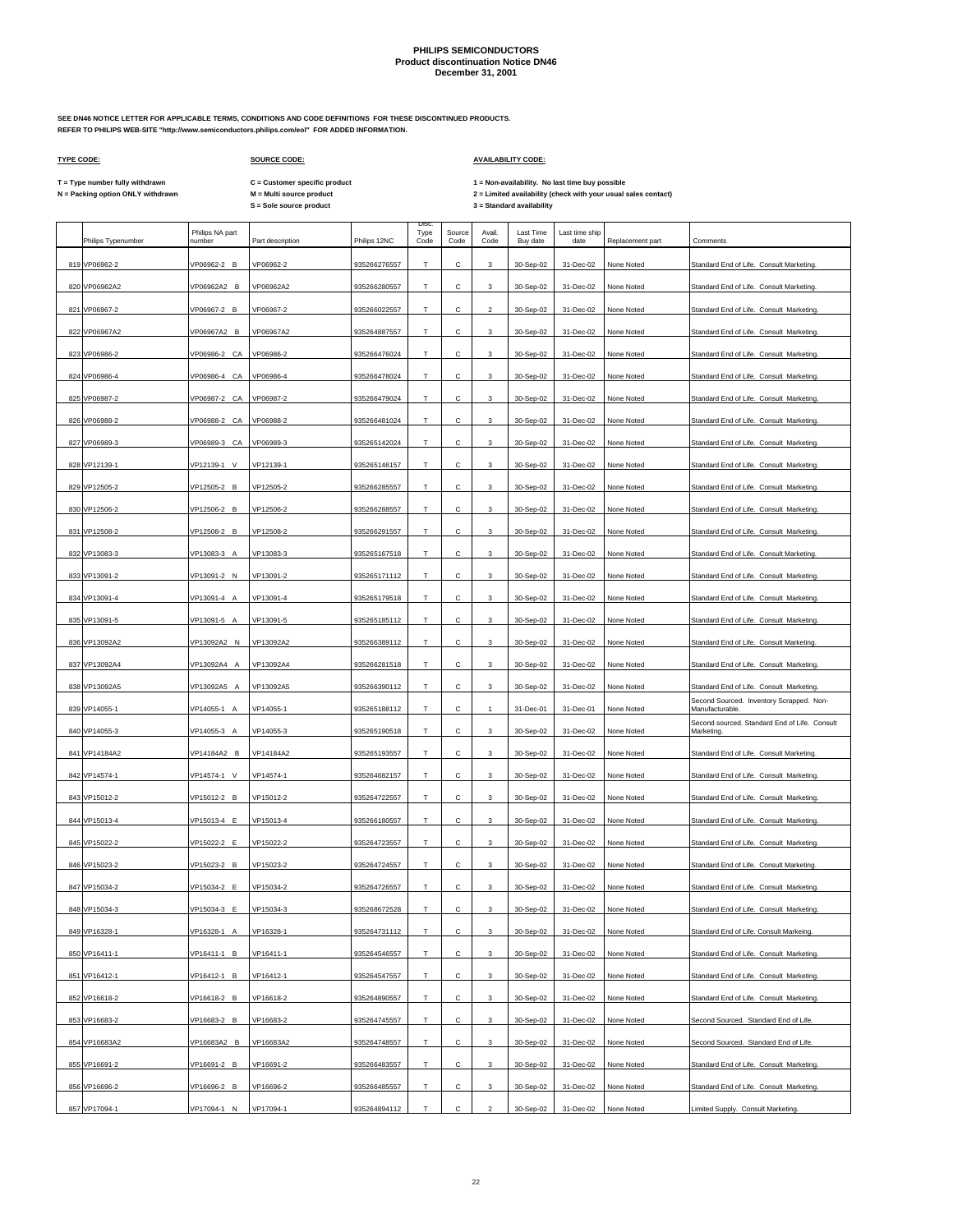**SEE DN46 NOTICE LETTER FOR APPLICABLE TERMS, CONDITIONS AND CODE DEFINITIONS FOR THESE DISCONTINUED PRODUCTS. REFER TO PHILIPS WEB-SITE "http://www.semiconductors.philips.com/eol" FOR ADDED INFORMATION.**

### **TYPE CODE: SOURCE CODE: AVAILABILITY CODE:**

**C = Customer specific product**

T = Type number fully withdrawn C = Customer specific product 1 = Non-availability. No last time buy possible<br>N = Packing option ONLY withdrawn M = Multi source product 2 =

| Disc.<br>Philips NA part<br>Avail.<br>Last Time<br>Type<br>Source<br>Last time ship<br>number<br>Part description<br>Philips 12NC<br>Code<br>Code<br>Code<br>Buy date<br>date<br>Philips Typenumber<br>Replacement part<br>Comments<br>Т<br>819 VP06962-2<br>VP06962-2 B<br>VP06962-2<br>935266276557<br>с<br>31-Dec-02<br>3<br>30-Sep-02<br>None Noted<br>820 VP06962A2<br>VP06962A2 B<br>VP06962A2<br>935266280557<br>T<br>Ċ<br>3<br>30-Sep-02<br>31-Dec-02<br>None Noted<br>821 VP06967-2<br>VP06967-2 B<br>VP06967-2<br>С<br>935266022557<br>т<br>$\overline{2}$<br>30-Sep-02<br>31-Dec-02<br>None Noted<br>822 VP06967A2<br>VP06967A2 B<br>VP06967A2<br>935264887557<br>T<br>с<br>3<br>30-Sep-02<br>31-Dec-02<br>None Noted<br>823 VP06986-2<br>VP06986-2 CA<br>VP06986-2<br>935266476024<br>с<br>т<br>3<br>30-Sep-02<br>31-Dec-02<br>None Noted<br>824 VP06986-4<br>VP06986-4<br>CA<br>VP06986-4<br>935266478024<br>T<br>с<br>3<br>30-Sep-02<br>31-Dec-02<br>None Noted<br>825 VP06987-2<br>VP06987-2 CA<br>VP06987-2<br>935266479024<br>т<br>с<br>3<br>30-Sep-02<br>31-Dec-02<br>None Noted<br>826 VP06988-2<br>VP06988-2 CA<br>VP06988-2<br>935266481024<br>Т<br>С<br>3<br>30-Sep-02<br>31-Dec-02<br>None Noted<br>827 VP06989-3<br>VP06989-3<br>CA<br>VP06989-3<br>935265142024<br>т<br>С<br>30-Sep-02<br>31-Dec-02<br>None Noted<br>3<br>828 VP12139-1<br>VP12139-1<br>VP12139-1<br>$\vee$<br>935265146157<br>T<br>Ċ<br>30-Sep-02<br>31-Dec-02<br>None Noted<br>3<br>829 VP12505-2<br>VP12505-2 B<br>VP12505-2<br>30-Sep-02<br>31-Dec-02<br>None Noted<br>935266285557<br>т<br>с<br>3<br>830 VP12506-2<br>VP12506-2 B<br>VP12506-2<br>T<br>C<br>30-Sep-02<br>31-Dec-02<br>None Noted<br>935266288557<br>3<br>831 VP12508-2<br>VP12508-2 B<br>VP12508-2<br>935266291557<br>T<br>Ċ<br>30-Sep-02<br>31-Dec-02<br>None Noted<br>3<br>832 VP13083-3<br>VP13083-3 A<br>VP13083-3<br>935265167518<br>T<br>C<br>30-Sep-02<br>31-Dec-02<br>None Noted<br>3<br>833 VP13091-2<br>VP13091-2 N<br>VP13091-2<br>935265171112<br>С<br>30-Sep-02<br>31-Dec-02<br>None Noted<br>т<br>3 | Standard End of Life. Consult Marketing.<br>Standard End of Life. Consult Marketing.<br>Standard End of Life. Consult Marketing.<br>Standard End of Life. Consult Marketing.<br>Standard End of Life. Consult Marketing.<br>Standard End of Life. Consult Marketing.<br>Standard End of Life. Consult Marketing.<br>Standard End of Life. Consult Marketing.<br>Standard End of Life. Consult Marketing.<br>Standard End of Life. Consult Marketing.<br>Standard End of Life. Consult Marketing.<br>Standard End of Life. Consult Marketing. |
|---------------------------------------------------------------------------------------------------------------------------------------------------------------------------------------------------------------------------------------------------------------------------------------------------------------------------------------------------------------------------------------------------------------------------------------------------------------------------------------------------------------------------------------------------------------------------------------------------------------------------------------------------------------------------------------------------------------------------------------------------------------------------------------------------------------------------------------------------------------------------------------------------------------------------------------------------------------------------------------------------------------------------------------------------------------------------------------------------------------------------------------------------------------------------------------------------------------------------------------------------------------------------------------------------------------------------------------------------------------------------------------------------------------------------------------------------------------------------------------------------------------------------------------------------------------------------------------------------------------------------------------------------------------------------------------------------------------------------------------------------------------------------------------------------------------------------------------------------------------------------------------------------------------------------------------------------------------------------------------------------------------------------------------------------------------------------------|----------------------------------------------------------------------------------------------------------------------------------------------------------------------------------------------------------------------------------------------------------------------------------------------------------------------------------------------------------------------------------------------------------------------------------------------------------------------------------------------------------------------------------------------|
|                                                                                                                                                                                                                                                                                                                                                                                                                                                                                                                                                                                                                                                                                                                                                                                                                                                                                                                                                                                                                                                                                                                                                                                                                                                                                                                                                                                                                                                                                                                                                                                                                                                                                                                                                                                                                                                                                                                                                                                                                                                                                 |                                                                                                                                                                                                                                                                                                                                                                                                                                                                                                                                              |
|                                                                                                                                                                                                                                                                                                                                                                                                                                                                                                                                                                                                                                                                                                                                                                                                                                                                                                                                                                                                                                                                                                                                                                                                                                                                                                                                                                                                                                                                                                                                                                                                                                                                                                                                                                                                                                                                                                                                                                                                                                                                                 |                                                                                                                                                                                                                                                                                                                                                                                                                                                                                                                                              |
|                                                                                                                                                                                                                                                                                                                                                                                                                                                                                                                                                                                                                                                                                                                                                                                                                                                                                                                                                                                                                                                                                                                                                                                                                                                                                                                                                                                                                                                                                                                                                                                                                                                                                                                                                                                                                                                                                                                                                                                                                                                                                 |                                                                                                                                                                                                                                                                                                                                                                                                                                                                                                                                              |
|                                                                                                                                                                                                                                                                                                                                                                                                                                                                                                                                                                                                                                                                                                                                                                                                                                                                                                                                                                                                                                                                                                                                                                                                                                                                                                                                                                                                                                                                                                                                                                                                                                                                                                                                                                                                                                                                                                                                                                                                                                                                                 |                                                                                                                                                                                                                                                                                                                                                                                                                                                                                                                                              |
|                                                                                                                                                                                                                                                                                                                                                                                                                                                                                                                                                                                                                                                                                                                                                                                                                                                                                                                                                                                                                                                                                                                                                                                                                                                                                                                                                                                                                                                                                                                                                                                                                                                                                                                                                                                                                                                                                                                                                                                                                                                                                 |                                                                                                                                                                                                                                                                                                                                                                                                                                                                                                                                              |
|                                                                                                                                                                                                                                                                                                                                                                                                                                                                                                                                                                                                                                                                                                                                                                                                                                                                                                                                                                                                                                                                                                                                                                                                                                                                                                                                                                                                                                                                                                                                                                                                                                                                                                                                                                                                                                                                                                                                                                                                                                                                                 |                                                                                                                                                                                                                                                                                                                                                                                                                                                                                                                                              |
|                                                                                                                                                                                                                                                                                                                                                                                                                                                                                                                                                                                                                                                                                                                                                                                                                                                                                                                                                                                                                                                                                                                                                                                                                                                                                                                                                                                                                                                                                                                                                                                                                                                                                                                                                                                                                                                                                                                                                                                                                                                                                 |                                                                                                                                                                                                                                                                                                                                                                                                                                                                                                                                              |
|                                                                                                                                                                                                                                                                                                                                                                                                                                                                                                                                                                                                                                                                                                                                                                                                                                                                                                                                                                                                                                                                                                                                                                                                                                                                                                                                                                                                                                                                                                                                                                                                                                                                                                                                                                                                                                                                                                                                                                                                                                                                                 |                                                                                                                                                                                                                                                                                                                                                                                                                                                                                                                                              |
|                                                                                                                                                                                                                                                                                                                                                                                                                                                                                                                                                                                                                                                                                                                                                                                                                                                                                                                                                                                                                                                                                                                                                                                                                                                                                                                                                                                                                                                                                                                                                                                                                                                                                                                                                                                                                                                                                                                                                                                                                                                                                 |                                                                                                                                                                                                                                                                                                                                                                                                                                                                                                                                              |
|                                                                                                                                                                                                                                                                                                                                                                                                                                                                                                                                                                                                                                                                                                                                                                                                                                                                                                                                                                                                                                                                                                                                                                                                                                                                                                                                                                                                                                                                                                                                                                                                                                                                                                                                                                                                                                                                                                                                                                                                                                                                                 |                                                                                                                                                                                                                                                                                                                                                                                                                                                                                                                                              |
|                                                                                                                                                                                                                                                                                                                                                                                                                                                                                                                                                                                                                                                                                                                                                                                                                                                                                                                                                                                                                                                                                                                                                                                                                                                                                                                                                                                                                                                                                                                                                                                                                                                                                                                                                                                                                                                                                                                                                                                                                                                                                 |                                                                                                                                                                                                                                                                                                                                                                                                                                                                                                                                              |
|                                                                                                                                                                                                                                                                                                                                                                                                                                                                                                                                                                                                                                                                                                                                                                                                                                                                                                                                                                                                                                                                                                                                                                                                                                                                                                                                                                                                                                                                                                                                                                                                                                                                                                                                                                                                                                                                                                                                                                                                                                                                                 |                                                                                                                                                                                                                                                                                                                                                                                                                                                                                                                                              |
|                                                                                                                                                                                                                                                                                                                                                                                                                                                                                                                                                                                                                                                                                                                                                                                                                                                                                                                                                                                                                                                                                                                                                                                                                                                                                                                                                                                                                                                                                                                                                                                                                                                                                                                                                                                                                                                                                                                                                                                                                                                                                 |                                                                                                                                                                                                                                                                                                                                                                                                                                                                                                                                              |
|                                                                                                                                                                                                                                                                                                                                                                                                                                                                                                                                                                                                                                                                                                                                                                                                                                                                                                                                                                                                                                                                                                                                                                                                                                                                                                                                                                                                                                                                                                                                                                                                                                                                                                                                                                                                                                                                                                                                                                                                                                                                                 |                                                                                                                                                                                                                                                                                                                                                                                                                                                                                                                                              |
|                                                                                                                                                                                                                                                                                                                                                                                                                                                                                                                                                                                                                                                                                                                                                                                                                                                                                                                                                                                                                                                                                                                                                                                                                                                                                                                                                                                                                                                                                                                                                                                                                                                                                                                                                                                                                                                                                                                                                                                                                                                                                 |                                                                                                                                                                                                                                                                                                                                                                                                                                                                                                                                              |
|                                                                                                                                                                                                                                                                                                                                                                                                                                                                                                                                                                                                                                                                                                                                                                                                                                                                                                                                                                                                                                                                                                                                                                                                                                                                                                                                                                                                                                                                                                                                                                                                                                                                                                                                                                                                                                                                                                                                                                                                                                                                                 |                                                                                                                                                                                                                                                                                                                                                                                                                                                                                                                                              |
|                                                                                                                                                                                                                                                                                                                                                                                                                                                                                                                                                                                                                                                                                                                                                                                                                                                                                                                                                                                                                                                                                                                                                                                                                                                                                                                                                                                                                                                                                                                                                                                                                                                                                                                                                                                                                                                                                                                                                                                                                                                                                 |                                                                                                                                                                                                                                                                                                                                                                                                                                                                                                                                              |
|                                                                                                                                                                                                                                                                                                                                                                                                                                                                                                                                                                                                                                                                                                                                                                                                                                                                                                                                                                                                                                                                                                                                                                                                                                                                                                                                                                                                                                                                                                                                                                                                                                                                                                                                                                                                                                                                                                                                                                                                                                                                                 |                                                                                                                                                                                                                                                                                                                                                                                                                                                                                                                                              |
|                                                                                                                                                                                                                                                                                                                                                                                                                                                                                                                                                                                                                                                                                                                                                                                                                                                                                                                                                                                                                                                                                                                                                                                                                                                                                                                                                                                                                                                                                                                                                                                                                                                                                                                                                                                                                                                                                                                                                                                                                                                                                 |                                                                                                                                                                                                                                                                                                                                                                                                                                                                                                                                              |
|                                                                                                                                                                                                                                                                                                                                                                                                                                                                                                                                                                                                                                                                                                                                                                                                                                                                                                                                                                                                                                                                                                                                                                                                                                                                                                                                                                                                                                                                                                                                                                                                                                                                                                                                                                                                                                                                                                                                                                                                                                                                                 |                                                                                                                                                                                                                                                                                                                                                                                                                                                                                                                                              |
|                                                                                                                                                                                                                                                                                                                                                                                                                                                                                                                                                                                                                                                                                                                                                                                                                                                                                                                                                                                                                                                                                                                                                                                                                                                                                                                                                                                                                                                                                                                                                                                                                                                                                                                                                                                                                                                                                                                                                                                                                                                                                 | Standard End of Life. Consult Marketing.                                                                                                                                                                                                                                                                                                                                                                                                                                                                                                     |
|                                                                                                                                                                                                                                                                                                                                                                                                                                                                                                                                                                                                                                                                                                                                                                                                                                                                                                                                                                                                                                                                                                                                                                                                                                                                                                                                                                                                                                                                                                                                                                                                                                                                                                                                                                                                                                                                                                                                                                                                                                                                                 | Standard End of Life. Consult Marketing.                                                                                                                                                                                                                                                                                                                                                                                                                                                                                                     |
|                                                                                                                                                                                                                                                                                                                                                                                                                                                                                                                                                                                                                                                                                                                                                                                                                                                                                                                                                                                                                                                                                                                                                                                                                                                                                                                                                                                                                                                                                                                                                                                                                                                                                                                                                                                                                                                                                                                                                                                                                                                                                 |                                                                                                                                                                                                                                                                                                                                                                                                                                                                                                                                              |
|                                                                                                                                                                                                                                                                                                                                                                                                                                                                                                                                                                                                                                                                                                                                                                                                                                                                                                                                                                                                                                                                                                                                                                                                                                                                                                                                                                                                                                                                                                                                                                                                                                                                                                                                                                                                                                                                                                                                                                                                                                                                                 | Standard End of Life. Consult Marketing.                                                                                                                                                                                                                                                                                                                                                                                                                                                                                                     |
| C<br>834 VP13091-4<br>VP13091-4 A<br>VP13091-4<br>935265179518<br>30-Sep-02<br>31-Dec-02<br>т<br>3<br>None Noted                                                                                                                                                                                                                                                                                                                                                                                                                                                                                                                                                                                                                                                                                                                                                                                                                                                                                                                                                                                                                                                                                                                                                                                                                                                                                                                                                                                                                                                                                                                                                                                                                                                                                                                                                                                                                                                                                                                                                                | Standard End of Life. Consult Marketing.                                                                                                                                                                                                                                                                                                                                                                                                                                                                                                     |
| 835 VP13091-5<br>VP13091-5 A<br>VP13091-5<br>935265185112<br>т<br>С<br>30-Sep-02<br>31-Dec-02<br>None Noted<br>3                                                                                                                                                                                                                                                                                                                                                                                                                                                                                                                                                                                                                                                                                                                                                                                                                                                                                                                                                                                                                                                                                                                                                                                                                                                                                                                                                                                                                                                                                                                                                                                                                                                                                                                                                                                                                                                                                                                                                                | Standard End of Life. Consult Marketing.                                                                                                                                                                                                                                                                                                                                                                                                                                                                                                     |
|                                                                                                                                                                                                                                                                                                                                                                                                                                                                                                                                                                                                                                                                                                                                                                                                                                                                                                                                                                                                                                                                                                                                                                                                                                                                                                                                                                                                                                                                                                                                                                                                                                                                                                                                                                                                                                                                                                                                                                                                                                                                                 |                                                                                                                                                                                                                                                                                                                                                                                                                                                                                                                                              |
| 836 VP13092A2<br>VP13092A2 N<br>VP13092A2<br>935266389112<br>T<br>C<br>30-Sep-02<br>3<br>31-Dec-02<br>None Noted                                                                                                                                                                                                                                                                                                                                                                                                                                                                                                                                                                                                                                                                                                                                                                                                                                                                                                                                                                                                                                                                                                                                                                                                                                                                                                                                                                                                                                                                                                                                                                                                                                                                                                                                                                                                                                                                                                                                                                | Standard End of Life. Consult Marketing.                                                                                                                                                                                                                                                                                                                                                                                                                                                                                                     |
| 837 VP13092A4<br>VP13092A4 A<br>VP13092A4<br>935266281518<br>С<br>30-Sep-02<br>31-Dec-02<br>None Noted<br>т<br>3                                                                                                                                                                                                                                                                                                                                                                                                                                                                                                                                                                                                                                                                                                                                                                                                                                                                                                                                                                                                                                                                                                                                                                                                                                                                                                                                                                                                                                                                                                                                                                                                                                                                                                                                                                                                                                                                                                                                                                | Standard End of Life. Consult Marketing.                                                                                                                                                                                                                                                                                                                                                                                                                                                                                                     |
|                                                                                                                                                                                                                                                                                                                                                                                                                                                                                                                                                                                                                                                                                                                                                                                                                                                                                                                                                                                                                                                                                                                                                                                                                                                                                                                                                                                                                                                                                                                                                                                                                                                                                                                                                                                                                                                                                                                                                                                                                                                                                 |                                                                                                                                                                                                                                                                                                                                                                                                                                                                                                                                              |
| 838 VP13092A5<br>VP13092A5 A<br>VP13092A5<br>935266390112<br>T<br>с<br>30-Sep-02<br>31-Dec-02<br>3<br>None Noted                                                                                                                                                                                                                                                                                                                                                                                                                                                                                                                                                                                                                                                                                                                                                                                                                                                                                                                                                                                                                                                                                                                                                                                                                                                                                                                                                                                                                                                                                                                                                                                                                                                                                                                                                                                                                                                                                                                                                                | Standard End of Life. Consult Marketing.<br>Second Sourced. Inventory Scrapped. Non-                                                                                                                                                                                                                                                                                                                                                                                                                                                         |
| 839 VP14055-1<br>VP14055-1 A<br>VP14055-1<br>935265188112<br>т<br>С<br>31-Dec-01<br>31-Dec-01<br>None Noted<br>Manufacturable.<br>1                                                                                                                                                                                                                                                                                                                                                                                                                                                                                                                                                                                                                                                                                                                                                                                                                                                                                                                                                                                                                                                                                                                                                                                                                                                                                                                                                                                                                                                                                                                                                                                                                                                                                                                                                                                                                                                                                                                                             |                                                                                                                                                                                                                                                                                                                                                                                                                                                                                                                                              |
| VP14055-3 A<br>VP14055-3<br>935265190518<br>т<br>с<br>840 VP14055-3<br>3<br>30-Sep-02<br>31-Dec-02<br>None Noted<br>Marketing.                                                                                                                                                                                                                                                                                                                                                                                                                                                                                                                                                                                                                                                                                                                                                                                                                                                                                                                                                                                                                                                                                                                                                                                                                                                                                                                                                                                                                                                                                                                                                                                                                                                                                                                                                                                                                                                                                                                                                  | Second sourced. Standard End of Life. Consult                                                                                                                                                                                                                                                                                                                                                                                                                                                                                                |
|                                                                                                                                                                                                                                                                                                                                                                                                                                                                                                                                                                                                                                                                                                                                                                                                                                                                                                                                                                                                                                                                                                                                                                                                                                                                                                                                                                                                                                                                                                                                                                                                                                                                                                                                                                                                                                                                                                                                                                                                                                                                                 |                                                                                                                                                                                                                                                                                                                                                                                                                                                                                                                                              |
| 841 VP14184A2<br>VP14184A2 B<br>VP14184A2<br>935265193557<br>T<br>Ċ<br>3<br>30-Sep-02<br>31-Dec-02<br>None Noted                                                                                                                                                                                                                                                                                                                                                                                                                                                                                                                                                                                                                                                                                                                                                                                                                                                                                                                                                                                                                                                                                                                                                                                                                                                                                                                                                                                                                                                                                                                                                                                                                                                                                                                                                                                                                                                                                                                                                                | Standard End of Life. Consult Marketing.                                                                                                                                                                                                                                                                                                                                                                                                                                                                                                     |
| т<br>с<br>842 VP14574-1<br>VP14574-1 V<br>VP14574-1<br>935264682157<br>3<br>30-Sep-02<br>31-Dec-02<br>None Noted                                                                                                                                                                                                                                                                                                                                                                                                                                                                                                                                                                                                                                                                                                                                                                                                                                                                                                                                                                                                                                                                                                                                                                                                                                                                                                                                                                                                                                                                                                                                                                                                                                                                                                                                                                                                                                                                                                                                                                | Standard End of Life. Consult Marketing.                                                                                                                                                                                                                                                                                                                                                                                                                                                                                                     |
|                                                                                                                                                                                                                                                                                                                                                                                                                                                                                                                                                                                                                                                                                                                                                                                                                                                                                                                                                                                                                                                                                                                                                                                                                                                                                                                                                                                                                                                                                                                                                                                                                                                                                                                                                                                                                                                                                                                                                                                                                                                                                 |                                                                                                                                                                                                                                                                                                                                                                                                                                                                                                                                              |
| 843 VP15012-2<br>VP15012-2 B<br>VP15012-2<br>935264722557<br>T<br>С<br>3<br>30-Sep-02<br>31-Dec-02<br>None Noted                                                                                                                                                                                                                                                                                                                                                                                                                                                                                                                                                                                                                                                                                                                                                                                                                                                                                                                                                                                                                                                                                                                                                                                                                                                                                                                                                                                                                                                                                                                                                                                                                                                                                                                                                                                                                                                                                                                                                                | Standard End of Life. Consult Marketing.                                                                                                                                                                                                                                                                                                                                                                                                                                                                                                     |
| 844 VP15013-4<br>VP15013-4 E<br>VP15013-4<br>T<br>C<br>935266180557<br>3<br>30-Sep-02<br>31-Dec-02<br>None Noted                                                                                                                                                                                                                                                                                                                                                                                                                                                                                                                                                                                                                                                                                                                                                                                                                                                                                                                                                                                                                                                                                                                                                                                                                                                                                                                                                                                                                                                                                                                                                                                                                                                                                                                                                                                                                                                                                                                                                                | Standard End of Life. Consult Marketing.                                                                                                                                                                                                                                                                                                                                                                                                                                                                                                     |
| 845 VP15022-2<br>VP15022-2 E<br>VP15022-2<br>935264723557<br>T<br>Ċ<br>3<br>30-Sep-02<br>31-Dec-02<br>None Noted                                                                                                                                                                                                                                                                                                                                                                                                                                                                                                                                                                                                                                                                                                                                                                                                                                                                                                                                                                                                                                                                                                                                                                                                                                                                                                                                                                                                                                                                                                                                                                                                                                                                                                                                                                                                                                                                                                                                                                | Standard End of Life. Consult Marketing.                                                                                                                                                                                                                                                                                                                                                                                                                                                                                                     |
|                                                                                                                                                                                                                                                                                                                                                                                                                                                                                                                                                                                                                                                                                                                                                                                                                                                                                                                                                                                                                                                                                                                                                                                                                                                                                                                                                                                                                                                                                                                                                                                                                                                                                                                                                                                                                                                                                                                                                                                                                                                                                 |                                                                                                                                                                                                                                                                                                                                                                                                                                                                                                                                              |
| 846 VP15023-2<br>VP15023-2 B<br>VP15023-2<br>935264724557<br>т<br>с<br>3<br>30-Sep-02<br>31-Dec-02<br>None Noted                                                                                                                                                                                                                                                                                                                                                                                                                                                                                                                                                                                                                                                                                                                                                                                                                                                                                                                                                                                                                                                                                                                                                                                                                                                                                                                                                                                                                                                                                                                                                                                                                                                                                                                                                                                                                                                                                                                                                                | Standard End of Life. Consult Marketing.                                                                                                                                                                                                                                                                                                                                                                                                                                                                                                     |
| 847 VP15034-2<br>VP15034-2 E<br>VP15034-2<br>935264726557<br>С<br>3<br>30-Sep-02<br>31-Dec-02<br>None Noted<br>T                                                                                                                                                                                                                                                                                                                                                                                                                                                                                                                                                                                                                                                                                                                                                                                                                                                                                                                                                                                                                                                                                                                                                                                                                                                                                                                                                                                                                                                                                                                                                                                                                                                                                                                                                                                                                                                                                                                                                                | Standard End of Life. Consult Marketing.                                                                                                                                                                                                                                                                                                                                                                                                                                                                                                     |
|                                                                                                                                                                                                                                                                                                                                                                                                                                                                                                                                                                                                                                                                                                                                                                                                                                                                                                                                                                                                                                                                                                                                                                                                                                                                                                                                                                                                                                                                                                                                                                                                                                                                                                                                                                                                                                                                                                                                                                                                                                                                                 |                                                                                                                                                                                                                                                                                                                                                                                                                                                                                                                                              |
| VP15034-3<br>848 VP15034-3<br>VP15034-3 E<br>935268672528<br>30-Sep-02<br>31-Dec-02<br>None Noted<br>т                                                                                                                                                                                                                                                                                                                                                                                                                                                                                                                                                                                                                                                                                                                                                                                                                                                                                                                                                                                                                                                                                                                                                                                                                                                                                                                                                                                                                                                                                                                                                                                                                                                                                                                                                                                                                                                                                                                                                                          | Standard End of Life, Consult Mark                                                                                                                                                                                                                                                                                                                                                                                                                                                                                                           |
| 849 VP16328-1<br>VP16328-1<br>935264731112<br>VP16328-1 A<br>т<br>С<br>3<br>30-Sep-02<br>31-Dec-02<br>None Noted                                                                                                                                                                                                                                                                                                                                                                                                                                                                                                                                                                                                                                                                                                                                                                                                                                                                                                                                                                                                                                                                                                                                                                                                                                                                                                                                                                                                                                                                                                                                                                                                                                                                                                                                                                                                                                                                                                                                                                | Standard End of Life. Consult Markeing.                                                                                                                                                                                                                                                                                                                                                                                                                                                                                                      |
|                                                                                                                                                                                                                                                                                                                                                                                                                                                                                                                                                                                                                                                                                                                                                                                                                                                                                                                                                                                                                                                                                                                                                                                                                                                                                                                                                                                                                                                                                                                                                                                                                                                                                                                                                                                                                                                                                                                                                                                                                                                                                 |                                                                                                                                                                                                                                                                                                                                                                                                                                                                                                                                              |
|                                                                                                                                                                                                                                                                                                                                                                                                                                                                                                                                                                                                                                                                                                                                                                                                                                                                                                                                                                                                                                                                                                                                                                                                                                                                                                                                                                                                                                                                                                                                                                                                                                                                                                                                                                                                                                                                                                                                                                                                                                                                                 |                                                                                                                                                                                                                                                                                                                                                                                                                                                                                                                                              |
| 850 VP16411-1<br>VP16411-1<br>с<br>VP16411-1 B<br>935264546557<br>т<br>3<br>30-Sep-02<br>31-Dec-02<br>None Noted                                                                                                                                                                                                                                                                                                                                                                                                                                                                                                                                                                                                                                                                                                                                                                                                                                                                                                                                                                                                                                                                                                                                                                                                                                                                                                                                                                                                                                                                                                                                                                                                                                                                                                                                                                                                                                                                                                                                                                | Standard End of Life. Consult Marketing.                                                                                                                                                                                                                                                                                                                                                                                                                                                                                                     |
| 851 VP16412-1<br>VP16412-1 B<br>VP16412-1<br>с<br>30-Sep-02<br>None Noted<br>935264547557<br>T.<br>3<br>31-Dec-02                                                                                                                                                                                                                                                                                                                                                                                                                                                                                                                                                                                                                                                                                                                                                                                                                                                                                                                                                                                                                                                                                                                                                                                                                                                                                                                                                                                                                                                                                                                                                                                                                                                                                                                                                                                                                                                                                                                                                               | Standard End of Life. Consult Marketing.                                                                                                                                                                                                                                                                                                                                                                                                                                                                                                     |
| 852 VP16618-2<br>VP16618-2 B<br>VP16618-2<br>935264890557<br>т<br>С<br>3<br>31-Dec-02<br>None Noted                                                                                                                                                                                                                                                                                                                                                                                                                                                                                                                                                                                                                                                                                                                                                                                                                                                                                                                                                                                                                                                                                                                                                                                                                                                                                                                                                                                                                                                                                                                                                                                                                                                                                                                                                                                                                                                                                                                                                                             | Standard End of Life. Consult Marketing.                                                                                                                                                                                                                                                                                                                                                                                                                                                                                                     |
| 30-Sep-02                                                                                                                                                                                                                                                                                                                                                                                                                                                                                                                                                                                                                                                                                                                                                                                                                                                                                                                                                                                                                                                                                                                                                                                                                                                                                                                                                                                                                                                                                                                                                                                                                                                                                                                                                                                                                                                                                                                                                                                                                                                                       |                                                                                                                                                                                                                                                                                                                                                                                                                                                                                                                                              |
| 853 VP16683-2<br>VP16683-2 B<br>VP16683-2<br>935264745557<br>T<br>30-Sep-02<br>None Noted<br>с<br>31-Dec-02<br>3                                                                                                                                                                                                                                                                                                                                                                                                                                                                                                                                                                                                                                                                                                                                                                                                                                                                                                                                                                                                                                                                                                                                                                                                                                                                                                                                                                                                                                                                                                                                                                                                                                                                                                                                                                                                                                                                                                                                                                | Second Sourced. Standard End of Life.                                                                                                                                                                                                                                                                                                                                                                                                                                                                                                        |
| 854 VP16683A2<br>VP16683A2<br>VP16683A2 B<br>935264748557<br>т<br>С<br>3<br>30-Sep-02<br>31-Dec-02<br>None Noted                                                                                                                                                                                                                                                                                                                                                                                                                                                                                                                                                                                                                                                                                                                                                                                                                                                                                                                                                                                                                                                                                                                                                                                                                                                                                                                                                                                                                                                                                                                                                                                                                                                                                                                                                                                                                                                                                                                                                                | Second Sourced. Standard End of Life.                                                                                                                                                                                                                                                                                                                                                                                                                                                                                                        |
|                                                                                                                                                                                                                                                                                                                                                                                                                                                                                                                                                                                                                                                                                                                                                                                                                                                                                                                                                                                                                                                                                                                                                                                                                                                                                                                                                                                                                                                                                                                                                                                                                                                                                                                                                                                                                                                                                                                                                                                                                                                                                 |                                                                                                                                                                                                                                                                                                                                                                                                                                                                                                                                              |
| 855 VP16691-2<br>VP16691-2 B<br>VP16691-2<br>935266483557<br>$\top$<br>с<br>30-Sep-02<br>None Noted<br>3<br>31-Dec-02                                                                                                                                                                                                                                                                                                                                                                                                                                                                                                                                                                                                                                                                                                                                                                                                                                                                                                                                                                                                                                                                                                                                                                                                                                                                                                                                                                                                                                                                                                                                                                                                                                                                                                                                                                                                                                                                                                                                                           | Standard End of Life. Consult Marketing.                                                                                                                                                                                                                                                                                                                                                                                                                                                                                                     |
| 856 VP16696-2<br>VP16696-2<br>$\top$<br>VP16696-2 B<br>935266485557<br>С<br>30-Sep-02<br>31-Dec-02<br>None Noted<br>3                                                                                                                                                                                                                                                                                                                                                                                                                                                                                                                                                                                                                                                                                                                                                                                                                                                                                                                                                                                                                                                                                                                                                                                                                                                                                                                                                                                                                                                                                                                                                                                                                                                                                                                                                                                                                                                                                                                                                           | Standard End of Life. Consult Marketing.                                                                                                                                                                                                                                                                                                                                                                                                                                                                                                     |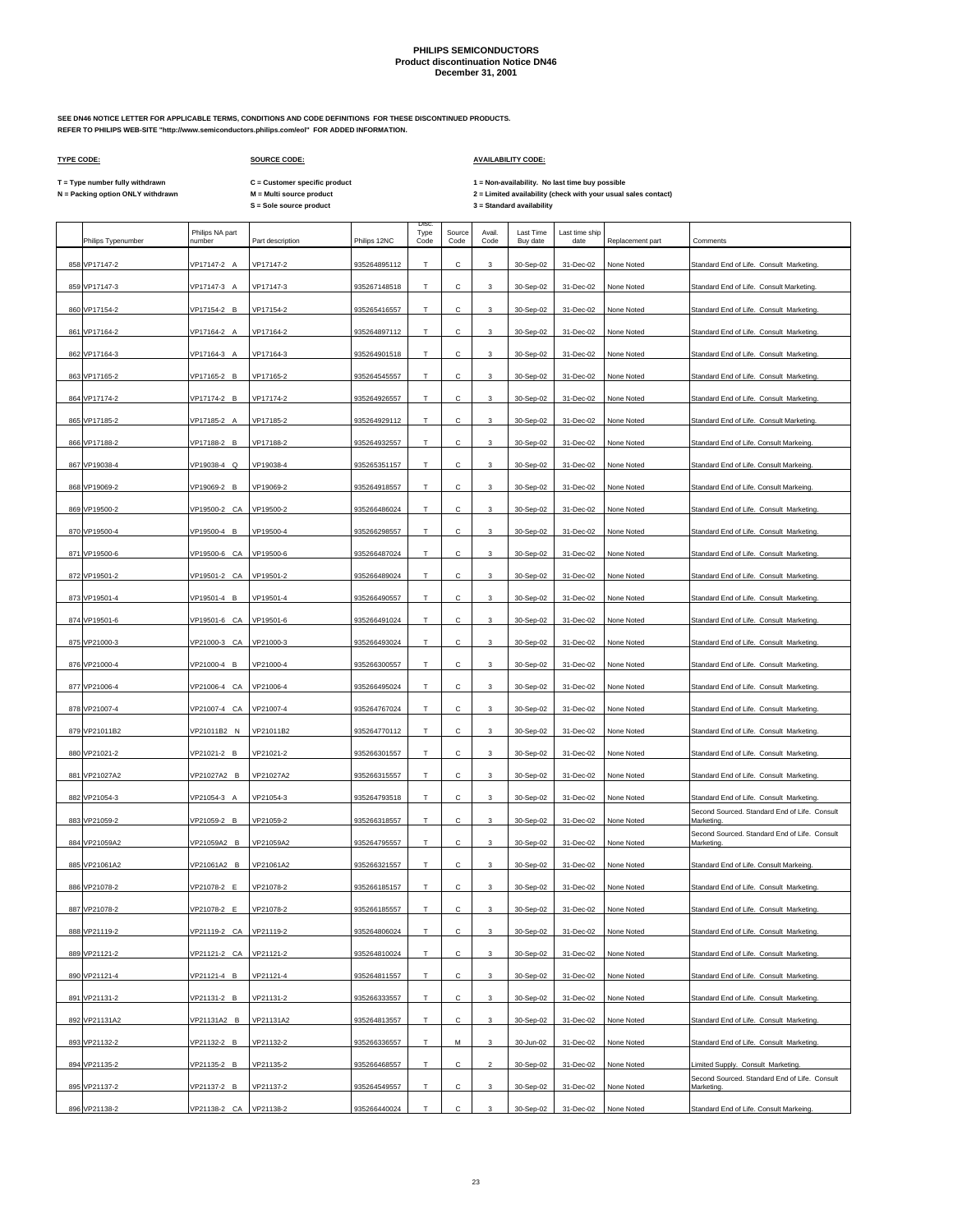**SEE DN46 NOTICE LETTER FOR APPLICABLE TERMS, CONDITIONS AND CODE DEFINITIONS FOR THESE DISCONTINUED PRODUCTS. REFER TO PHILIPS WEB-SITE "http://www.semiconductors.philips.com/eol" FOR ADDED INFORMATION.**

 $\Gamma$ 

### **TYPE CODE: SOURCE CODE: AVAILABILITY CODE:**

 $\mathbf{r}$ 

**The Common State** 

**C = Customer specific product**

T = Type number fully withdrawn C = Customer specific product 1 = Non-availability. No last time buy possible<br>N = Packing option ONLY withdrawn M = Multi source product 2 =

| Philips Typenumber             | Philips NA part<br>number  | Part description       | Philips 12NC                 | <b>Disc</b><br>Type<br>Code | Source<br>Code | Avail.<br>Code          | Last Time<br>Buy date  | Last time ship<br>date | Replacement part         | Comments                                                                            |
|--------------------------------|----------------------------|------------------------|------------------------------|-----------------------------|----------------|-------------------------|------------------------|------------------------|--------------------------|-------------------------------------------------------------------------------------|
| 858 VP17147-2                  | VP17147-2 A                | VP17147-2              | 935264895112                 | Т                           | С              | 3                       | 30-Sep-02              | 31-Dec-02              | None Noted               | Standard End of Life. Consult Marketing.                                            |
| 859 VP17147-3                  | VP17147-3 A                | VP17147-3              | 935267148518                 | Т                           | с              | 3                       | 30-Sep-02              | 31-Dec-02              | None Noted               | Standard End of Life. Consult Marketing.                                            |
| 860 VP17154-2                  | VP17154-2 B                | VP17154-2              | 935265416557                 | Т                           | с              | 3                       | 30-Sep-02              | 31-Dec-02              | None Noted               | Standard End of Life. Consult Marketing.                                            |
| 861 VP17164-2                  | VP17164-2 A                | VP17164-2              | 935264897112                 | T                           | с              | 3                       | 30-Sep-02              | 31-Dec-02              | None Noted               | Standard End of Life. Consult Marketing.                                            |
| 862 VP17164-3                  | VP17164-3 A                | VP17164-3              | 935264901518                 | т                           | с              | 3                       | 30-Sep-02              | 31-Dec-02              | None Noted               | Standard End of Life. Consult Marketing.                                            |
| 863 VP17165-2                  | VP17165-2 B                | VP17165-2              | 935264545557                 | Т                           | с              | 3                       | 30-Sep-02              | 31-Dec-02              | None Noted               | Standard End of Life. Consult Marketing.                                            |
| 864 VP17174-2                  | VP17174-2 B                | VP17174-2              | 935264926557                 | Т                           | с              | 3                       | 30-Sep-02              | 31-Dec-02              | None Noted               | Standard End of Life. Consult Marketing.                                            |
| 865 VP17185-2                  | VP17185-2 A                | VP17185-2              | 935264929112                 | T                           | с              | 3                       | 30-Sep-02              | 31-Dec-02              | None Noted               | Standard End of Life. Consult Marketing.                                            |
| 866 VP17188-2                  | VP17188-2 B                | VP17188-2              | 935264932557                 | Т                           | С              | 3                       | 30-Sep-02              | 31-Dec-02              | None Noted               | Standard End of Life. Consult Markeing.                                             |
| 867 VP19038-4                  | VP19038-4 Q                | VP19038-4              | 935265351157                 | T                           | C              | 3                       | 30-Sep-02              | 31-Dec-02              | None Noted               | Standard End of Life. Consult Markeing.                                             |
| 868 VP19069-2                  | VP19069-2<br>B             | VP19069-2              | 935264918557                 | Т                           | с              | 3                       | 30-Sep-02              | 31-Dec-02              | None Noted               | Standard End of Life. Consult Markeing.                                             |
| 869 VP19500-2                  | VP19500-2 CA               | VP19500-2              | 935266486024                 | T                           | C              | 3                       | 30-Sep-02              | 31-Dec-02              | None Noted               | Standard End of Life. Consult Marketing.                                            |
| 870 VP19500-4                  | VP19500-4 B                | VP19500-4              | 935266298557                 | Т                           | с              | 3                       | 30-Sep-02              | 31-Dec-02              | None Noted               | Standard End of Life. Consult Marketing.                                            |
| 871 VP19500-6                  | VP19500-6 CA               | VP19500-6              | 935266487024                 | T                           | Ċ.             | 3                       | 30-Sep-02              | 31-Dec-02              | None Noted               | Standard End of Life. Consult Marketing.                                            |
| 872 VP19501-2                  | VP19501-2 CA               | VP19501-2              | 935266489024                 | Т                           | с              | 3                       | 30-Sep-02              | 31-Dec-02              | None Noted               | Standard End of Life. Consult Marketing.                                            |
| 873 VP19501-4                  | VP19501-4<br>B             | VP19501-4              | 935266490557                 | T                           | с              | $\mathbf{3}$            | 30-Sep-02              | 31-Dec-02              | None Noted               | Standard End of Life. Consult Marketing.                                            |
| 874 VP19501-6                  | VP19501-6 CA               | VP19501-6              | 935266491024                 | T                           | С              | 3                       | 30-Sep-02              | 31-Dec-02              | None Noted               | Standard End of Life. Consult Marketing.                                            |
| 875 VP21000-3                  | VP21000-3 CA               | VP21000-3              | 935266493024                 | T                           | с              | $\mathbf{3}$            | 30-Sep-02              | 31-Dec-02              | None Noted               | Standard End of Life. Consult Marketing.                                            |
| 876 VP21000-4                  | VP21000-4 B                | VP21000-4              | 935266300557                 | Т                           | с              | 3                       | 30-Sep-02              | 31-Dec-02              | None Noted               | Standard End of Life. Consult Marketing.                                            |
| 877 VP21006-4                  | VP21006-4 CA               | VP21006-4              | 935266495024                 | T                           | с              | 3                       | 30-Sep-02              | 31-Dec-02              | None Noted               | Standard End of Life. Consult Marketing.                                            |
| 878 VP21007-4                  | VP21007-4 CA               | VP21007-4              | 935264767024                 | T                           | с              | 3                       | 30-Sep-02              | 31-Dec-02              | None Noted               | Standard End of Life. Consult Marketing.                                            |
| 879 VP21011B2                  | VP21011B2 N                | VP21011B2              | 935264770112                 | Т                           | с              | 3                       | 30-Sep-02              | 31-Dec-02              | None Noted               | Standard End of Life. Consult Marketing.                                            |
| 880 VP21021-2                  | VP21021-2 B                | VP21021-2              | 935266301557                 | Т                           | с              | 3                       | 30-Sep-02              | 31-Dec-02              | None Noted               | Standard End of Life. Consult Marketing.                                            |
| 881 VP21027A2                  | VP21027A2 B                | VP21027A2              | 935266315557                 | T                           | с              | 3                       | 30-Sep-02              | 31-Dec-02              | None Noted               | Standard End of Life. Consult Marketing.                                            |
| 882 VP21054-3                  | VP21054-3 A                | VP21054-3              | 935264793518                 | T                           | с              | 3                       | 30-Sep-02              | 31-Dec-02              | None Noted               | Standard End of Life. Consult Marketing.                                            |
| 883 VP21059-2                  | VP21059-2 B                | VP21059-2              | 935266318557                 | т                           | с              | 3                       | 30-Sep-02              | 31-Dec-02              | None Noted               | Second Sourced. Standard End of Life. Consult<br>Marketing.                         |
| 884 VP21059A2                  | VP21059A2 B                | VP21059A2              | 935264795557                 | Т                           | с              | 3                       | 30-Sep-02              | 31-Dec-02              | None Noted               | Second Sourced. Standard End of Life. Consult<br>Marketing.                         |
| 885 VP21061A2                  | VP21061A2 B                | VP21061A2              | 935266321557                 | Т                           | с              | 3                       | 30-Sep-02              | 31-Dec-02              | None Noted               | Standard End of Life. Consult Markeing.                                             |
| 886 VP21078-2                  | VP21078-2 E                | VP21078-2              | 935266185157                 | T                           | с              | 3                       | 30-Sep-02              | 31-Dec-02              | None Noted               | Standard End of Life. Consult Marketing.                                            |
| 887 VP21078-2                  | VP21078-2 E                | VP21078-2              | 935266185557                 | Т                           | С              | 3                       | 30-Sep-02              | 31-Dec-02              | None Noted               | Standard End of Life. Consult Marketing.                                            |
| 888 VP21119-2                  | VP21119-2 CA               | VP21119-2              | 935264806024                 | Т                           | с              | 3                       | 30-Sep-02              | 31-Dec-02              | None Noted               | Standard End of Life. Consult Marketing.                                            |
| 889 VP21121-2                  | VP21121-2 CA               | VP21121-2              | 935264810024                 | T                           | с              | 3                       | 30-Sep-02              | 31-Dec-02              | None Noted               | Standard End of Life. Consult Marketing.                                            |
|                                |                            |                        |                              |                             | С              |                         |                        |                        |                          |                                                                                     |
| 890 VP21121-4                  | VP21121-4 B                | VP21121-4<br>VP21131-2 | 935264811557                 | T                           |                | 3                       | 30-Sep-02<br>30-Sep-02 | 31-Dec-02              | None Noted               | Standard End of Life. Consult Marketing.                                            |
| 891 VP21131-2                  | VP21131-2 B                |                        | 935266333557                 | Т                           | С              | 3                       |                        | 31-Dec-02              | None Noted               | Standard End of Life. Consult Marketing.                                            |
| 892 VP21131A2<br>893 VP21132-2 | VP21131A2 B<br>VP21132-2 B | VP21131A2<br>VP21132-2 | 935264813557<br>935266336557 | T<br>T                      | с              | 3                       | 30-Sep-02<br>30-Jun-02 | 31-Dec-02<br>31-Dec-02 | None Noted               | Standard End of Life. Consult Marketing.                                            |
|                                |                            |                        |                              |                             | М              | 3                       |                        |                        | None Noted               | Standard End of Life. Consult Marketing.                                            |
| 894 VP21135-2                  | VP21135-2 B                | VP21135-2              | 935266468557                 | T                           | с              | $\overline{\mathbf{c}}$ | 30-Sep-02              | 31-Dec-02              | None Noted               | Limited Supply. Consult Marketing.<br>Second Sourced. Standard End of Life. Consult |
| 895 VP21137-2                  | VP21137-2 B                | VP21137-2              | 935264549557                 | Т                           | С              | 3                       | 30-Sep-02              | 31-Dec-02              | None Noted<br>None Noted | Marketing.                                                                          |
| 896 VP21138-2                  | VP21138-2 CA               | VP21138-2              | 935266440024                 | T                           | с              | $\mathbf{3}$            | 30-Sep-02              | 31-Dec-02              |                          | Standard End of Life. Consult Markeing.                                             |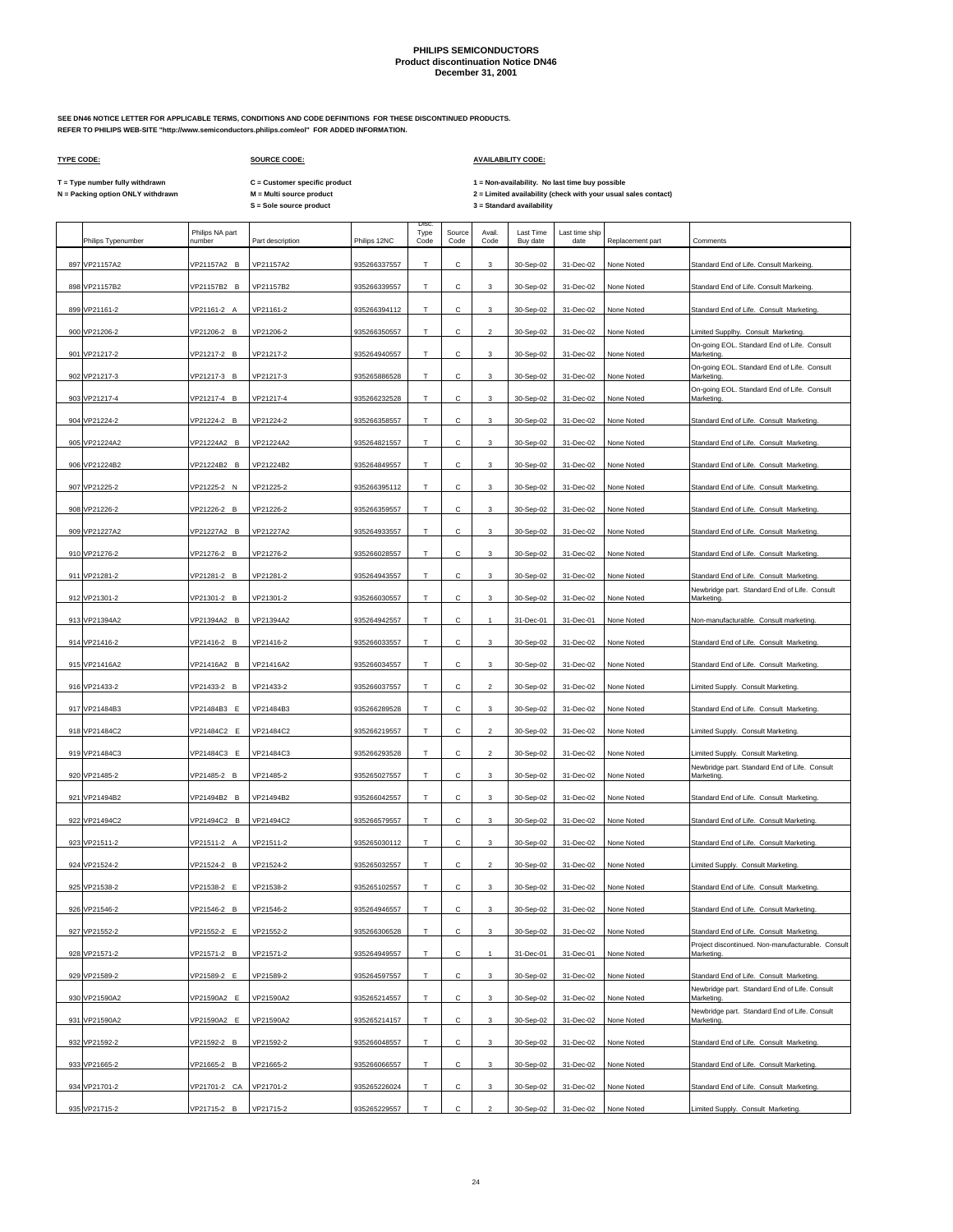**SEE DN46 NOTICE LETTER FOR APPLICABLE TERMS, CONDITIONS AND CODE DEFINITIONS FOR THESE DISCONTINUED PRODUCTS. REFER TO PHILIPS WEB-SITE "http://www.semiconductors.philips.com/eol" FOR ADDED INFORMATION.**

### **TYPE CODE: SOURCE CODE: AVAILABILITY CODE:**

**C = Customer specific product**

T = Type number fully withdrawn C = Customer specific product 1 = Non-availability. No last time buy possible<br>N = Packing option ONLY withdrawn M = Multi source product 2 =

 $\overline{\phantom{a}}$ 

| Philips Typenumber | Philips NA part<br>number | Part description | Philips 12NC | Disc<br>Type<br>Code | Source<br>Code | Avail.<br>Code          | Last Time<br>Buy date | Last time ship<br>date | Replacement part | Comments                                                                                      |
|--------------------|---------------------------|------------------|--------------|----------------------|----------------|-------------------------|-----------------------|------------------------|------------------|-----------------------------------------------------------------------------------------------|
| 897 VP21157A2      | VP21157A2 B               | VP21157A2        | 935266337557 | т                    | с              | 3                       | 30-Sep-02             | 31-Dec-02              | None Noted       | Standard End of Life. Consult Markeing.                                                       |
| 898 VP21157B2      | VP21157B2 B               | VP21157B2        | 935266339557 | $\mathsf T$          | С              | 3                       | 30-Sep-02             | 31-Dec-02              | None Noted       | Standard End of Life. Consult Markeing.                                                       |
| 899 VP21161-2      | VP21161-2 A               | VP21161-2        | 935266394112 | Т                    | С              | 3                       | 30-Sep-02             | 31-Dec-02              | None Noted       | Standard End of Life. Consult Marketing.                                                      |
| 900 VP21206-2      | VP21206-2 B               | VP21206-2        | 935266350557 | т                    | с              | $\overline{\mathbf{c}}$ | 30-Sep-02             | 31-Dec-02              | None Noted       | Limited Supplhy. Consult Marketing                                                            |
| 901 VP21217-2      | VP21217-2 B               | VP21217-2        | 935264940557 | T                    | с              | 3                       | 30-Sep-02             | 31-Dec-02              | None Noted       | On-going EOL. Standard End of Life. Consult<br>Marketing.                                     |
| 902 VP21217-3      | VP21217-3 B               | VP21217-3        | 935265886528 | Т                    | С              | 3                       | 30-Sep-02             | 31-Dec-02              | None Noted       | On-going EOL. Standard End of Life. Consult<br>Marketing.                                     |
| 903 VP21217-4      | VP21217-4 B               | VP21217-4        | 935266232528 | $\mathsf T$          | с              | 3                       | 30-Sep-02             | 31-Dec-02              | None Noted       | On-going EOL. Standard End of Life. Consult<br>Marketing.                                     |
| 904 VP21224-2      | VP21224-2 B               | VP21224-2        | 935266358557 | $\mathsf T$          | С              | 3                       | 30-Sep-02             | 31-Dec-02              | None Noted       | Standard End of Life. Consult Marketing                                                       |
| 905 VP21224A2      | VP21224A2 B               | VP21224A2        | 935264821557 | T.                   | C              | 3                       | 30-Sep-02             | 31-Dec-02              | None Noted       | Standard End of Life. Consult Marketing.                                                      |
| 906 VP21224B2      | VP21224B2 B               | VP21224B2        | 935264849557 | Т                    | с              | 3                       | 30-Sep-02             | 31-Dec-02              | None Noted       | Standard End of Life. Consult Marketing                                                       |
| 907 VP21225-2      | VP21225-2 N               | VP21225-2        | 935266395112 | T                    | C              | 3                       | 30-Sep-02             | 31-Dec-02              | None Noted       | Standard End of Life. Consult Marketing.                                                      |
| 908 VP21226-2      | VP21226-2 B               | VP21226-2        | 935266359557 | Т                    | с              | 3                       | 30-Sep-02             | 31-Dec-02              | None Noted       | Standard End of Life. Consult Marketing                                                       |
| 909 VP21227A2      | VP21227A2 B               | VP21227A2        | 935264933557 | T.                   | C              | 3                       | 30-Sep-02             | 31-Dec-02              | None Noted       | Standard End of Life. Consult Marketing.                                                      |
| 910 VP21276-2      | VP21276-2 B               | VP21276-2        | 935266028557 | Т                    | с              | 3                       | 30-Sep-02             | 31-Dec-02              | None Noted       | Standard End of Life. Consult Marketing.                                                      |
| 911 VP21281-2      | VP21281-2 B               | VP21281-2        | 935264943557 | T                    | с              | 3                       | 30-Sep-02             | 31-Dec-02              | None Noted       | Standard End of Life. Consult Marketing.                                                      |
| 912 VP21301-2      | VP21301-2 B               | VP21301-2        | 935266030557 | T                    | С              | 3                       | 30-Sep-02             | 31-Dec-02              | None Noted       | Newbridge part. Standard End of Life. Consult<br>Marketing.                                   |
| 913 VP21394A2      | VP21394A2 B               | VP21394A2        | 935264942557 | T.                   | с              | $\mathbf{1}$            | 31-Dec-01             | 31-Dec-01              | None Noted       | Non-manufacturable. Consult marketing.                                                        |
| 914 VP21416-2      | VP21416-2 B               | VP21416-2        | 935266033557 | Т                    | С              | 3                       | 30-Sep-02             | 31-Dec-02              | None Noted       | Standard End of Life. Consult Marketing.                                                      |
| 915 VP21416A2      | VP21416A2 B               | VP21416A2        | 935266034557 | $\mathsf T$          | С              | 3                       | 30-Sep-02             | 31-Dec-02              | None Noted       | Standard End of Life. Consult Marketing.                                                      |
| 916 VP21433-2      | VP21433-2 B               | VP21433-2        | 935266037557 | $\top$               | с              | $\overline{2}$          | 30-Sep-02             | 31-Dec-02              | None Noted       | Limited Supply. Consult Marketing.                                                            |
| 917 VP21484B3      | VP21484B3 E               | VP21484B3        | 935266289528 | T.                   | С              | 3                       | 30-Sep-02             | 31-Dec-02              | None Noted       | Standard End of Life. Consult Marketing.                                                      |
|                    |                           |                  |              |                      | с              |                         |                       |                        |                  |                                                                                               |
| 918 VP21484C2      | VP21484C2 E               | VP21484C2        | 935266219557 | т                    |                | $\overline{a}$          | 30-Sep-02             | 31-Dec-02              | None Noted       | Limited Supply. Consult Marketing.                                                            |
| 919 VP21484C3      | VP21484C3 E               | VP21484C3        | 935266293528 | Т                    | с              | $\overline{2}$          | 30-Sep-02             | 31-Dec-02              | None Noted       | Limited Supply. Consult Marketing.<br>Newbridge part. Standard End of Life. Consult           |
| 920 VP21485-2      | VP21485-2 B               | VP21485-2        | 935265027557 | T.                   | С              | 3                       | 30-Sep-02             | 31-Dec-02              | None Noted       | Marketing.                                                                                    |
| 921 VP21494B2      | VP21494B2 B               | VP21494B2        | 935266042557 | T                    | с              | 3                       | 30-Sep-02             | 31-Dec-02              | None Noted       | Standard End of Life. Consult Marketing.                                                      |
| 922 VP21494C2      | VP21494C2 B               | VP21494C2        | 935266579557 | T                    | с              | 3                       | 30-Sep-02             | 31-Dec-02              | None Noted       | Standard End of Life. Consult Marketing.                                                      |
| 923 VP21511-2      | VP21511-2 A               | VP21511-2        | 935265030112 | Т                    | с              | 3                       | 30-Sep-02             | 31-Dec-02              | None Noted       | Standard End of Life. Consult Marketing.                                                      |
| 924 VP21524-2      | VP21524-2 B               | VP21524-2        | 935265032557 | $\mathsf T$          | с              | $\overline{2}$          | 30-Sep-02             | 31-Dec-02              | None Noted       | Limited Supply. Consult Marketing.                                                            |
| 925 VP21538-2      | VP21538-2 E               | VP21538-2        | 935265102557 | т                    | С              | 3                       | 30-Sep-02             | 31-Dec-02              | None Noted       | Standard End of Life. Consult Marketing                                                       |
| 926 VP21546-2      | VP21546-2 B               | VP21546-2        | 935264946557 | T.                   | C              | 3                       | 30-Sep-02             | $31-Dec-02$            | None Noted       | Standard End of Life Consult Marketing                                                        |
| 927 VP21552-2      | VP21552-2 E               | VP21552-2        | 935266306528 | Т                    | С              | 3                       | 30-Sep-02             | 31-Dec-02              | None Noted       | Standard End of Life. Consult Marketing.<br>Project discontinued. Non-manufacturable. Consult |
| 928 VP21571-2      | VP21571-2 B               | VP21571-2        | 935264949557 | T                    | С              | $\mathbf{1}$            | 31-Dec-01             | 31-Dec-01              | None Noted       | Marketing.                                                                                    |
| 929 VP21589-2      | VP21589-2 E               | VP21589-2        | 935264597557 | T                    | с              | 3                       | 30-Sep-02             | 31-Dec-02              | None Noted       | Standard End of Life. Consult Marketing.                                                      |
| 930 VP21590A2      | VP21590A2 E               | VP21590A2        | 935265214557 | T.                   | C              | 3                       | 30-Sep-02             | 31-Dec-02              | None Noted       | Newbridge part. Standard End of Life. Consult<br>Marketing.                                   |
| 931 VP21590A2      | VP21590A2 E               | VP21590A2        | 935265214157 | Т                    | с              | 3                       | 30-Sep-02             | 31-Dec-02              | None Noted       | Newbridge part. Standard End of Life. Consult<br>Marketing.                                   |
| 932 VP21592-2      | VP21592-2 B               | VP21592-2        | 935266048557 | T.                   | C              | 3                       | 30-Sep-02             | 31-Dec-02              | None Noted       | Standard End of Life. Consult Marketing.                                                      |
| 933 VP21665-2      | VP21665-2 B               | VP21665-2        | 935266066557 | Т                    | С              | 3                       | 30-Sep-02             | 31-Dec-02              | None Noted       | Standard End of Life. Consult Marketing.                                                      |
| 934 VP21701-2      | VP21701-2 CA              | VP21701-2        | 935265226024 | T.                   | С              | 3                       | 30-Sep-02             | 31-Dec-02              | None Noted       | Standard End of Life. Consult Marketing.                                                      |
| 935 VP21715-2      | VP21715-2 B               | VP21715-2        | 935265229557 | т                    | Ċ              | $\mathfrak{p}$          | 30-Sep-02             | 31-Dec-02              | None Noted       | Limited Supply. Consult Marketing.                                                            |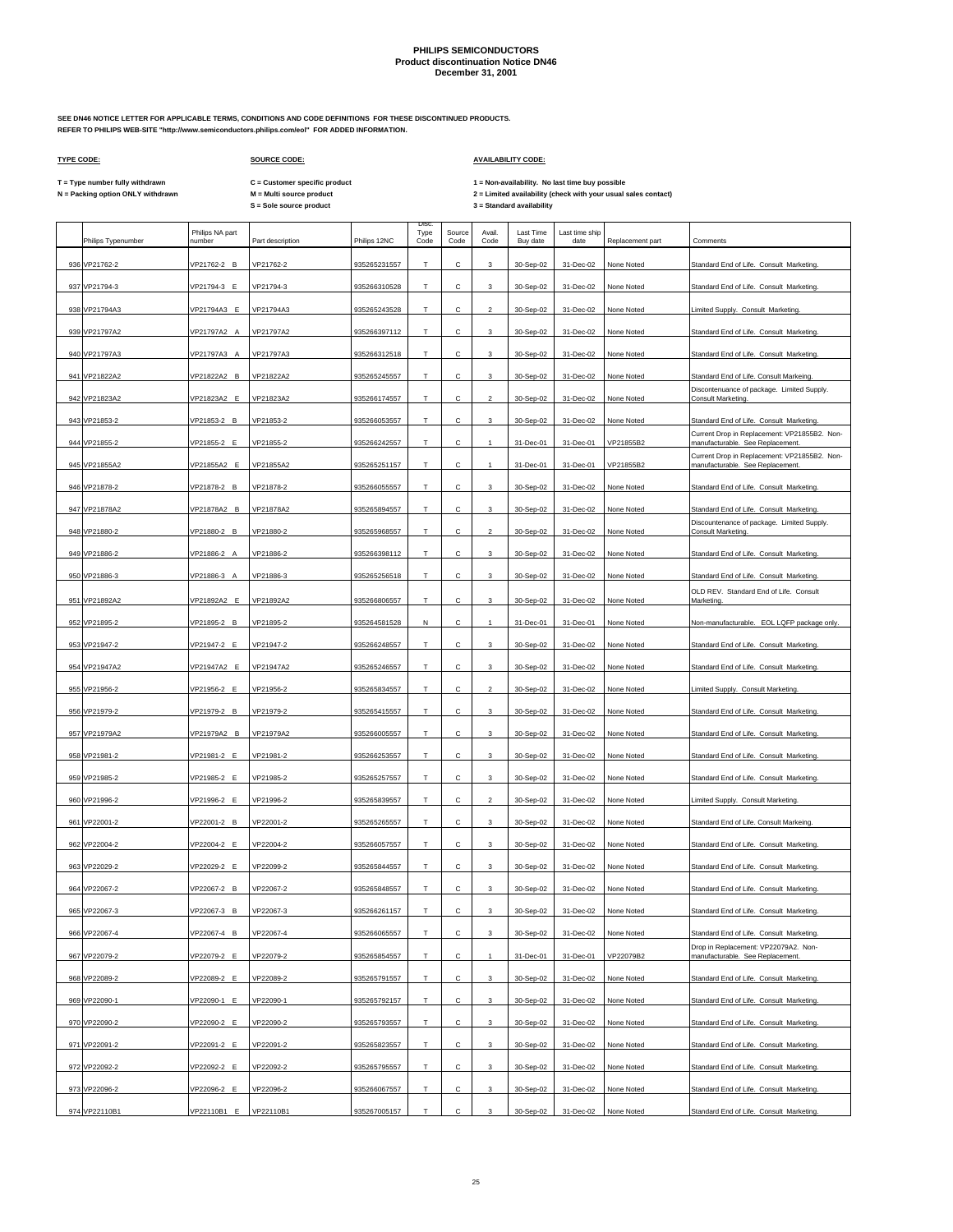**SEE DN46 NOTICE LETTER FOR APPLICABLE TERMS, CONDITIONS AND CODE DEFINITIONS FOR THESE DISCONTINUED PRODUCTS. REFER TO PHILIPS WEB-SITE "http://www.semiconductors.philips.com/eol" FOR ADDED INFORMATION.**

 $\Gamma$ 

### **TYPE CODE: SOURCE CODE: AVAILABILITY CODE:**

 $\mathbf{r}$ 

**The Common State** 

**C = Customer specific product**

T = Type number fully withdrawn C = Customer specific product 1 = Non-availability. No last time buy possible<br>N = Packing option ONLY withdrawn M = Multi source product 2 =

|     | Philips Typenumber | Philips NA part<br>number | Part description | Philips 12NC | <b>Disc</b><br>Type<br>Code | Source<br>Code | Avail.<br>Code | Last Time<br>Buy date | Last time ship<br>date | Replacement part | Comments                                                                         |
|-----|--------------------|---------------------------|------------------|--------------|-----------------------------|----------------|----------------|-----------------------|------------------------|------------------|----------------------------------------------------------------------------------|
|     | 936 VP21762-2      | VP21762-2 B               | VP21762-2        | 935265231557 | т                           | С              | 3              | 30-Sep-02             | 31-Dec-02              | None Noted       | Standard End of Life. Consult Marketing.                                         |
|     | 937 VP21794-3      | VP21794-3 E               | VP21794-3        | 935266310528 | T                           | Ċ.             | 3              | 30-Sep-02             | 31-Dec-02              | None Noted       | Standard End of Life. Consult Marketing.                                         |
| 938 | VP21794A3          | VP21794A3 E               | VP21794A3        | 935265243528 | Т                           | с              | 2              | 30-Sep-02             | 31-Dec-02              | None Noted       | Limited Supply. Consult Marketing.                                               |
|     | 939 VP21797A2      | VP21797A2 A               | VP21797A2        | 935266397112 | T                           | С              | 3              | 30-Sep-02             | 31-Dec-02              | None Noted       | Standard End of Life. Consult Marketing.                                         |
|     | 940 VP21797A3      | VP21797A3 A               | VP21797A3        | 935266312518 | т                           | с              | 3              | 30-Sep-02             | 31-Dec-02              | None Noted       | Standard End of Life. Consult Marketing.                                         |
|     | 941 VP21822A2      | VP21822A2 B               | VP21822A2        | 935265245557 | Т                           | с              | 3              | 30-Sep-02             | 31-Dec-02              | None Noted       | Standard End of Life. Consult Markeing.                                          |
|     | 942 VP21823A2      | VP21823A2 E               | VP21823A2        | 935266174557 | Т                           | с              | $\overline{2}$ | 30-Sep-02             | 31-Dec-02              | None Noted       | Discontenuance of package. Limited Supply.<br><b>Consult Marketing</b>           |
|     | 943 VP21853-2      | VP21853-2 B               | VP21853-2        | 935266053557 | T                           | с              | 3              | 30-Sep-02             | 31-Dec-02              | None Noted       | Standard End of Life. Consult Marketing.                                         |
|     | 944 VP21855-2      | VP21855-2 E               | VP21855-2        | 935266242557 | Т                           | С              |                | 31-Dec-01             | 31-Dec-01              | VP21855B2        | Current Drop in Replacement: VP21855B2. Non-<br>manufacturable. See Replacement  |
|     | 945 VP21855A2      | VP21855A2 E               | VP21855A2        | 935265251157 | T                           | C              | 1              | 31-Dec-01             | 31-Dec-01              | VP21855B2        | Current Drop in Replacement: VP21855B2. Non-<br>manufacturable. See Replacement. |
|     | 946 VP21878-2      | VP21878-2<br>B            | VP21878-2        | 935266055557 | Т                           | С              | 3              | 30-Sep-02             | 31-Dec-02              | None Noted       | Standard End of Life. Consult Marketing.                                         |
|     | 947 VP21878A2      | VP21878A2 B               | VP21878A2        | 935265894557 | T                           | Ċ              | 3              | 30-Sep-02             | 31-Dec-02              | None Noted       | Standard End of Life. Consult Marketing.                                         |
|     | 948 VP21880-2      | VP21880-2 B               | VP21880-2        | 935265968557 | Т                           | С              | $\overline{2}$ | 30-Sep-02             | 31-Dec-02              | None Noted       | Discountenance of package. Limited Supply.<br>Consult Marketing.                 |
|     | 949 VP21886-2      | VP21886-2 A               | VP21886-2        | 935266398112 | T                           | C              | 3              | 30-Sep-02             | 31-Dec-02              | None Noted       | Standard End of Life. Consult Marketing.                                         |
|     | 950 VP21886-3      | VP21886-3 A               | VP21886-3        | 935265256518 | Т                           | с              | 3              | 30-Sep-02             | 31-Dec-02              | None Noted       | Standard End of Life. Consult Marketing.                                         |
|     | 951 VP21892A2      | VP21892A2 E               | VP21892A2        | 935266806557 | T                           | Ċ.             | 3              | 30-Sep-02             | 31-Dec-02              | None Noted       | OLD REV. Standard End of Life. Consult<br>Marketing.                             |
|     | 952 VP21895-2      | VP21895-2 B               | VP21895-2        | 935264581528 | N                           | с              | 1              | 31-Dec-01             | 31-Dec-01              | None Noted       | Non-manufacturable. EOL LQFP package only.                                       |
|     | 953 VP21947-2      | VP21947-2 E               | VP21947-2        | 935266248557 | T                           | с              | 3              | 30-Sep-02             | 31-Dec-02              | None Noted       | Standard End of Life. Consult Marketing.                                         |
|     | 954 VP21947A2      | VP21947A2 E               | VP21947A2        | 935265246557 | Т                           | С              | 3              | 30-Sep-02             | 31-Dec-02              | None Noted       | Standard End of Life. Consult Marketing.                                         |
|     | 955 VP21956-2      | VP21956-2 E               | VP21956-2        | 935265834557 | T                           | C              | $\overline{a}$ | 30-Sep-02             | 31-Dec-02              | None Noted       | Limited Supply. Consult Marketing.                                               |
|     | 956 VP21979-2      | VP21979-2 B               | VP21979-2        | 935265415557 | Т                           | с              | 3              | 30-Sep-02             | 31-Dec-02              | None Noted       | Standard End of Life. Consult Marketing.                                         |
|     | 957 VP21979A2      | VP21979A2 B               | VP21979A2        | 935266005557 | T.                          | C              | 3              | 30-Sep-02             | 31-Dec-02              | None Noted       | Standard End of Life. Consult Marketing.                                         |
|     | 958 VP21981-2      | VP21981-2 E               | VP21981-2        | 935266253557 | T                           | с              | 3              | 30-Sep-02             | 31-Dec-02              | None Noted       | Standard End of Life. Consult Marketing.                                         |
|     | 959 VP21985-2      | VP21985-2 E               | VP21985-2        | 935265257557 | т                           | С              | 3              | 30-Sep-02             | 31-Dec-02              | None Noted       | Standard End of Life. Consult Marketing.                                         |
|     | 960 VP21996-2      | VP21996-2 E               | VP21996-2        | 935265839557 | Т                           | с              | $\overline{a}$ | 30-Sep-02             | 31-Dec-02              | None Noted       | Limited Supply. Consult Marketing.                                               |
| 961 | VP22001-2          | VP22001-2 B               | VP22001-2        | 935265265557 | Т                           | с              | 3              | 30-Sep-02             | 31-Dec-02              | None Noted       | Standard End of Life. Consult Markeing.                                          |
|     | 962 VP22004-2      | VP22004-2 E               | VP22004-2        | 935266057557 | T                           | Ć              | 3              | 30-Sep-02             | 31-Dec-02              | None Noted       | Standard End of Life. Consult Marketing.                                         |
|     | 963 VP22029-2      | VP22029-2 E               | VP22099-2        | 935265844557 | т                           | с              | 3              | 30-Sep-02             | 31-Dec-02              | None Noted       | Standard End of Life. Consult Marketing.                                         |
| 964 | VP22067-2          | VP22067-2 B               | VP22067-2        | 935265848557 | T                           | Ċ              | 3              | 30-Sep-02             | 31-Dec-02              | None Noted       | Standard End of Life. Consult Marketing.                                         |
|     | 965 VP22067-3      | VP22067-3 B               | VP22067-3        | 935266261157 | T                           | C              | 3              | 30-Sep-02             | 31-Dec-02              | None Noted       | Standard End of Life. Consult Marketing.                                         |
|     | 966 VP22067-4      | VP22067-4 B               | VP22067-4        | 935266065557 | T.                          | с              | 3              | 30-Sep-02             | 31-Dec-02              | None Noted       | Standard End of Life. Consult Marketing.                                         |
|     | 967 VP22079-2      | VP22079-2 E               | VP22079-2        | 935265854557 | T                           | С              | 1              | 31-Dec-01             | 31-Dec-01              | VP22079B2        | Drop in Replacement: VP22079A2. Non-<br>manufacturable. See Replacement.         |
|     | 968 VP22089-2      | VP22089-2 E               | VP22089-2        | 935265791557 | T                           | с              | 3              | 30-Sep-02             | 31-Dec-02              | None Noted       | Standard End of Life. Consult Marketing.                                         |
|     | 969 VP22090-1      | VP22090-1 E               | VP22090-1        | 935265792157 | Т                           | С              | 3              | 30-Sep-02             | 31-Dec-02              | None Noted       | Standard End of Life. Consult Marketing.                                         |
|     | 970 VP22090-2      | VP22090-2 E               | VP22090-2        | 935265793557 | T                           | с              | 3              | 30-Sep-02             | 31-Dec-02              | None Noted       | Standard End of Life. Consult Marketing.                                         |
|     | 971 VP22091-2      | VP22091-2 E               | VP22091-2        | 935265823557 | T                           | с              | 3              | 30-Sep-02             | 31-Dec-02              | None Noted       | Standard End of Life. Consult Marketing.                                         |
|     | 972 VP22092-2      | VP22092-2 E               | VP22092-2        | 935265795557 | T.                          | с              | 3              | 30-Sep-02             | 31-Dec-02              | None Noted       | Standard End of Life. Consult Marketing.                                         |
|     | 973 VP22096-2      | VP22096-2 E               | VP22096-2        | 935266067557 | Т                           | С              | 3              | 30-Sep-02             | 31-Dec-02              | None Noted       | Standard End of Life. Consult Marketing.                                         |
|     | 974 VP22110B1      | VP22110B1 E               | VP22110B1        | 935267005157 | T.                          | С              |                | 30-Sep-02             | 31-Dec-02              | None Noted       | Standard End of Life. Consult Marketing.                                         |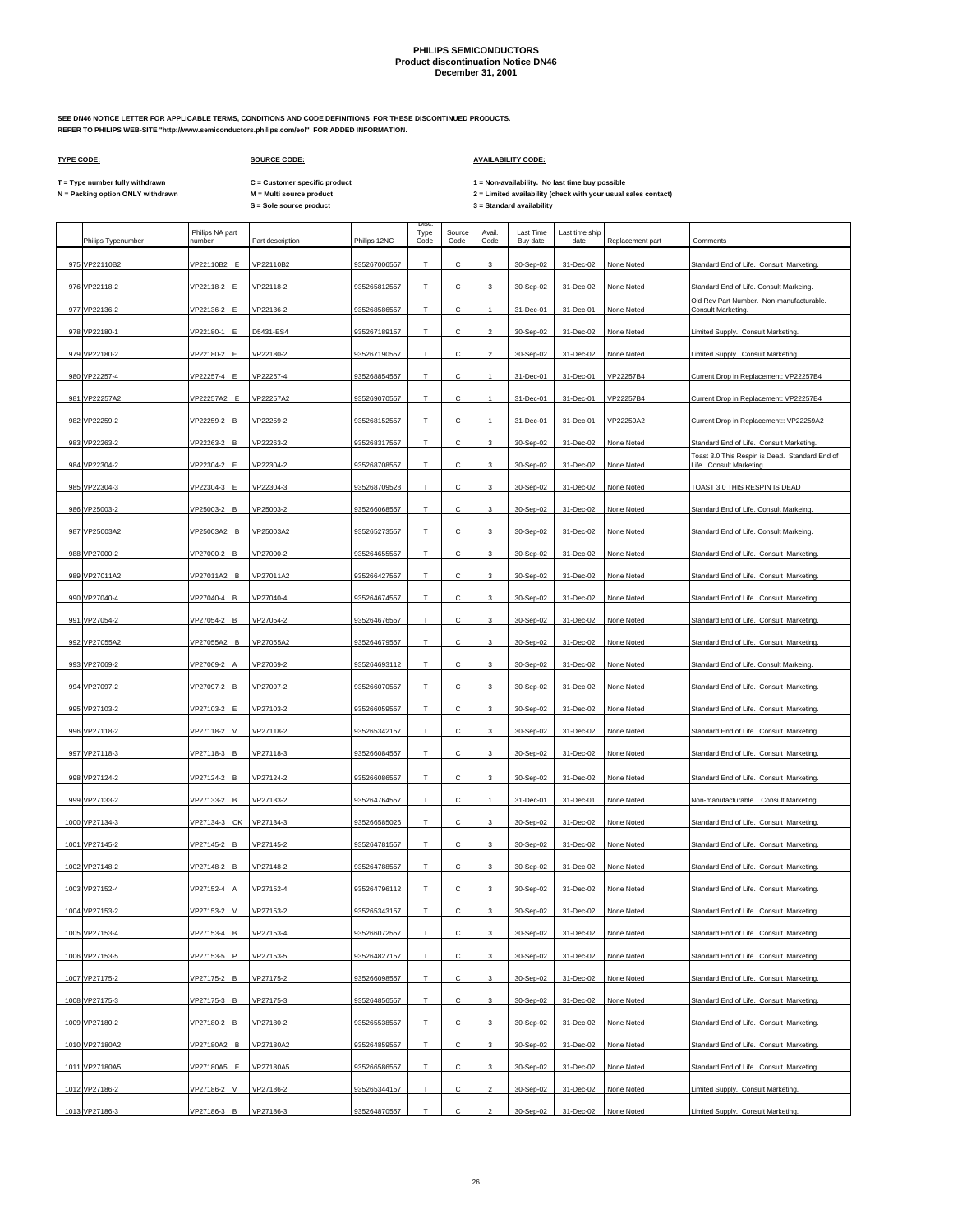**SEE DN46 NOTICE LETTER FOR APPLICABLE TERMS, CONDITIONS AND CODE DEFINITIONS FOR THESE DISCONTINUED PRODUCTS. REFER TO PHILIPS WEB-SITE "http://www.semiconductors.philips.com/eol" FOR ADDED INFORMATION.**

### **TYPE CODE: SOURCE CODE: AVAILABILITY CODE:**

**C = Customer specific product**

T = Type number fully withdrawn C = Customer specific product 1 = Non-availability. No last time buy possible<br>N = Packing option ONLY withdrawn M = Multi source product 2 = Lim

| Philips Typenumber | Philips NA part<br>number | Part description | Philips 12NC | Disc.<br>Type<br>Code | Source<br>Code | Avail<br>Code  | Last Time<br>Buy date | Last time ship<br>date | Replacement part | Comments                                                                  |
|--------------------|---------------------------|------------------|--------------|-----------------------|----------------|----------------|-----------------------|------------------------|------------------|---------------------------------------------------------------------------|
| 975 VP22110B2      | VP22110B2 E               | VP22110B2        | 935267006557 | Т                     | с              | 3              | 30-Sep-02             | 31-Dec-02              | None Noted       | Standard End of Life. Consult Marketing.                                  |
| 976 VP22118-2      | VP22118-2 E               | VP22118-2        | 935265812557 | T                     | C              | 3              | 30-Sep-02             | 31-Dec-02              | None Noted       | Standard End of Life. Consult Markeing.                                   |
| 977 VP22136-2      | VP22136-2 E               | VP22136-2        | 935268586557 | Т                     | с              | $\mathbf{1}$   | 31-Dec-01             | 31-Dec-01              | None Noted       | Old Rev Part Number. Non-manufacturable.<br>Consult Marketing.            |
| 978 VP22180-1      | VP22180-1 E               | D5431-ES4        | 935267189157 | T.                    | C              | $\overline{2}$ | 30-Sep-02             | 31-Dec-02              | None Noted       | Limited Supply. Consult Marketing.                                        |
| 979 VP22180-2      | VP22180-2 E               | VP22180-2        | 935267190557 | Т                     | с              | $\overline{c}$ | 30-Sep-02             | 31-Dec-02              | None Noted       | Limited Supply. Consult Marketing.                                        |
| 980 VP22257-4      | VP22257-4 E               | VP22257-4        | 935268854557 | T                     | с              | $\mathbf{1}$   | 31-Dec-01             | 31-Dec-01              | VP22257B4        | Current Drop in Replacement: VP22257B4                                    |
| 981 VP22257A2      | VP22257A2 E               | VP22257A2        | 935269070557 | $\top$                | С              | $\mathbf{1}$   | 31-Dec-01             | 31-Dec-01              | VP22257B4        | Current Drop in Replacement: VP22257B4                                    |
| 982 VP22259-2      | VP22259-2 B               | VP22259-2        | 935268152557 | T.                    | с              | $\mathbf{1}$   | 31-Dec-01             | 31-Dec-01              | VP22259A2        | Current Drop in Replacement:: VP22259A2                                   |
| 983 VP22263-2      | VP22263-2 B               | VP22263-2        | 935268317557 | Т                     | С              | 3              | 30-Sep-02             | 31-Dec-02              | None Noted       | Standard End of Life. Consult Marketing.                                  |
| 984 VP22304-2      | VP22304-2 E               | VP22304-2        | 935268708557 | Т                     | С              | 3              | 30-Sep-02             | 31-Dec-02              | None Noted       | Toast 3.0 This Respin is Dead. Standard End of<br>Life. Consult Marketing |
| 985 VP22304-3      | VP22304-3 E               | VP22304-3        | 935268709528 | T                     | С              | 3              | 30-Sep-02             | 31-Dec-02              | None Noted       | TOAST 3.0 THIS RESPIN IS DEAD                                             |
| 986 VP25003-2      | VP25003-2 B               | VP25003-2        | 935266068557 | Т                     | с              | 3              | 30-Sep-02             | 31-Dec-02              | None Noted       | Standard End of Life. Consult Markeing                                    |
| 987 VP25003A2      | VP25003A2 B               | VP25003A2        | 935265273557 | T.                    | с              | 3              | 30-Sep-02             | 31-Dec-02              | None Noted       | Standard End of Life. Consult Markeing.                                   |
| 988 VP27000-2      | VP27000-2 B               | VP27000-2        | 935264655557 | Т                     | С              | 3              | 30-Sep-02             | 31-Dec-02              | None Noted       | Standard End of Life. Consult Marketing.                                  |
| 989 VP27011A2      | VP27011A2 B               | VP27011A2        | 935266427557 | Т                     | С              | 3              | 30-Sep-02             | 31-Dec-02              | None Noted       | Standard End of Life. Consult Marketing.                                  |
| 990 VP27040-4      | VP27040-4 B               | VP27040-4        | 935264674557 | $\mathsf T$           | с              | 3              | 30-Sep-02             | 31-Dec-02              | None Noted       | Standard End of Life. Consult Marketing.                                  |
| 991 VP27054-2      | VP27054-2 B               | VP27054-2        | 935264676557 | T                     | С              | 3              | 30-Sep-02             | 31-Dec-02              | None Noted       | Standard End of Life. Consult Marketing.                                  |
| 992 VP27055A2      | VP27055A2 B               | VP27055A2        | 935264679557 | т                     | с              | 3              | 30-Sep-02             | 31-Dec-02              | None Noted       | Standard End of Life. Consult Marketing.                                  |
| 993 VP27069-2      | VP27069-2 A               | VP27069-2        | 935264693112 | $\mathsf T$           | С              | 3              | 30-Sep-02             | 31-Dec-02              | None Noted       | Standard End of Life. Consult Markeing.                                   |
| 994 VP27097-2      | VP27097-2 B               | VP27097-2        | 935266070557 | т                     | с              | 3              | 30-Sep-02             | 31-Dec-02              | None Noted       | Standard End of Life. Consult Marketing.                                  |
| 995 VP27103-2      | VP27103-2 E               | VP27103-2        | 935266059557 | Т                     | с              | 3              | 30-Sep-02             | 31-Dec-02              | None Noted       | Standard End of Life. Consult Marketing.                                  |
| 996 VP27118-2      | VP27118-2 V               | VP27118-2        | 935265342157 | Т                     | с              | 3              | 30-Sep-02             | 31-Dec-02              | None Noted       | Standard End of Life. Consult Marketing.                                  |
| 997 VP27118-3      | VP27118-3 B               | VP27118-3        | 935266084557 | T                     | C              | 3              | 30-Sep-02             | 31-Dec-02              | None Noted       | Standard End of Life. Consult Marketing.                                  |
| 998 VP27124-2      | VP27124-2 B               | VP27124-2        | 935266086557 | Т                     | с              | 3              | 30-Sep-02             | 31-Dec-02              | None Noted       | Standard End of Life. Consult Marketing.                                  |
| 999 VP27133-2      | VP27133-2 B               | VP27133-2        | 935264764557 | T                     | C              | $\mathbf{1}$   | 31-Dec-01             | 31-Dec-01              | None Noted       | Non-manufacturable. Consult Marketing.                                    |
| 1000 VP27134-3     | VP27134-3 CK              | VP27134-3        | 935266585026 | Т                     | с              | 3              | 30-Sep-02             | 31-Dec-02              | None Noted       | Standard End of Life. Consult Marketing.                                  |
| 1001 VP27145-2     | VP27145-2 B               | VP27145-2        | 935264781557 | T                     | с              | 3              | 30-Sep-02             | 31-Dec-02              | None Noted       | Standard End of Life. Consult Marketing.                                  |
| 1002 VP27148-2     | VP27148-2 B               | VP27148-2        | 935264788557 | Т                     | с              | 3              | 30-Sep-02             | 31-Dec-02              | None Noted       | Standard End of Life. Consult Marketing.                                  |
| 1003 VP27152-4     | VP27152-4 A               | VP27152-4        | 935264796112 | T                     | с              | 3              | 30-Sep-02             | 31-Dec-02              | None Noted       | Standard End of Life. Consult Marketing.                                  |
| 1004 VP27153-2     | VP27153-2<br>$\vee$       | VP27153-2        | 935265343157 | $\mathsf T$           | с              | 3              | 30-Sep-02             | 31-Dec-02              | None Noted       | Standard End of Life. Consult Marketing.                                  |
| 1005 VP27153-4     | /P27153-4 B               | VP27153-4        | 935266072557 | т                     | С              | 3              | 30-Sep-02             | 31-Dec-02              | None Noted       | Standard End of Life. Consult Marketing.                                  |
| 1006 VP27153-5     | VP27153-5 P               | VP27153-5        | 935264827157 | Т                     | с              | 3              | 30-Sep-02             | 31-Dec-02              | None Noted       | Standard End of Life. Consult Marketing.                                  |
|                    |                           |                  |              |                       |                |                |                       |                        |                  |                                                                           |
| 1007 VP27175-2     | VP27175-2 B               | VP27175-2        | 935266098557 | Т                     | с              | 3              | 30-Sep-02             | 31-Dec-02              | None Noted       | Standard End of Life. Consult Marketing.                                  |
| 1008 VP27175-3     | VP27175-3 B               | VP27175-3        | 935264856557 | т                     | с              | 3              | 30-Sep-02             | 31-Dec-02              | None Noted       | Standard End of Life. Consult Marketing.                                  |
| 1009 VP27180-2     | VP27180-2 B               | VP27180-2        | 935265538557 | T                     | с              | 3              | 30-Sep-02             | 31-Dec-02              | None Noted       | Standard End of Life. Consult Marketing.                                  |
| 1010 VP27180A2     | VP27180A2 B               | VP27180A2        | 935264859557 | т                     | С              | 3              | 30-Sep-02             | 31-Dec-02              | None Noted       | Standard End of Life. Consult Marketing.                                  |
| 1011 VP27180A5     | VP27180A5 E               | VP27180A5        | 935266586557 | т                     | с              | 3              | 30-Sep-02             | 31-Dec-02              | None Noted       | Standard End of Life. Consult Marketing.                                  |
| 1012 VP27186-2     | VP27186-2 V               | VP27186-2        | 935265344157 | T                     | с              | $\overline{2}$ | 30-Sep-02             | 31-Dec-02              | None Noted       | Limited Supply. Consult Marketing.                                        |
| 1013 VP27186-3     | VP27186-3 B               | VP27186-3        | 935264870557 | T.                    | С              | $\overline{c}$ | 30-Sep-02             | 31-Dec-02              | None Noted       | Limited Supply. Consult Marketing.                                        |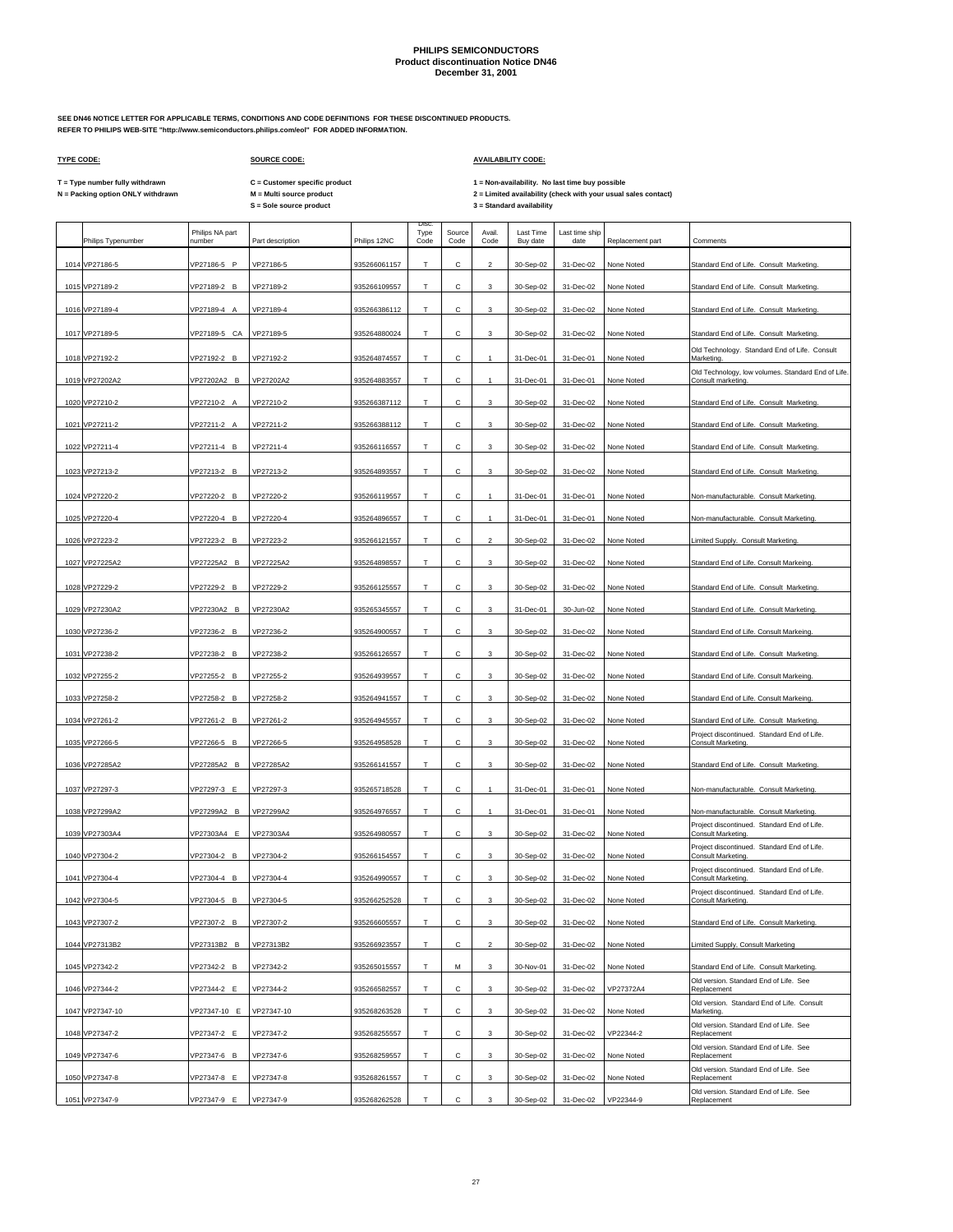**SEE DN46 NOTICE LETTER FOR APPLICABLE TERMS, CONDITIONS AND CODE DEFINITIONS FOR THESE DISCONTINUED PRODUCTS. REFER TO PHILIPS WEB-SITE "http://www.semiconductors.philips.com/eol" FOR ADDED INFORMATION.**

 $\Gamma$ 

## **TYPE CODE: SOURCE CODE: AVAILABILITY CODE:**

 $\mathbf{r}$ 

 $\overline{\phantom{a}}$ 

**C = Customer specific product**

T = Type number fully withdrawn C = Customer specific product 1 = Non-availability. No last time buy possible<br>N = Packing option ONLY withdrawn M = Multi source product 2 = Lim

|      | Philips Typenumber | Philips NA part<br>number | Part description | Philips 12NC | Disc<br>Type<br>Code | Source<br>Code | Avail.<br>Code | Last Time<br>Buy date | Last time ship<br>date | Replacement part | Comments                                                                 |
|------|--------------------|---------------------------|------------------|--------------|----------------------|----------------|----------------|-----------------------|------------------------|------------------|--------------------------------------------------------------------------|
|      | 1014 VP27186-5     | VP27186-5 P               | VP27186-5        | 935266061157 | т                    | $\mathsf{C}$   | $\mathcal{P}$  | 30-Sep-02             | 31-Dec-02              | None Noted       | Standard End of Life. Consult Marketing.                                 |
|      | 1015 VP27189-2     | VP27189-2 B               | VP27189-2        | 935266109557 | T                    | $\mathsf{C}$   | 3              | 30-Sep-02             | 31-Dec-02              | None Noted       | Standard End of Life. Consult Marketing.                                 |
|      | 1016 VP27189-4     | VP27189-4 A               | VP27189-4        | 935266386112 | т                    | С              | 3              | 30-Sep-02             | 31-Dec-02              | None Noted       | Standard End of Life. Consult Marketing.                                 |
|      | 1017 VP27189-5     | VP27189-5 CA              | VP27189-5        | 935264880024 | T                    | C.             | 3              | 30-Sep-02             | 31-Dec-02              | None Noted       | Standard End of Life. Consult Marketing.                                 |
|      | 1018 VP27192-2     | VP27192-2 B               | VP27192-2        | 935264874557 | т                    | $\mathsf{C}$   | -1             | 31-Dec-01             | 31-Dec-01              | None Noted       | Old Technology. Standard End of Life. Consult<br>Marketing.              |
|      | 1019 VP27202A2     | VP27202A2 B               | VP27202A2        | 935264883557 | T                    | C.             | $\mathbf{1}$   | 31-Dec-01             | 31-Dec-01              | None Noted       | Old Technology, low volumes. Standard End of Life.<br>Consult marketing. |
|      | 1020 VP27210-2     | VP27210-2 A               | VP27210-2        | 935266387112 | т                    | С              | $\mathbf{3}$   | 30-Sep-02             | 31-Dec-02              | None Noted       | Standard End of Life. Consult Marketing.                                 |
|      | 1021 VP27211-2     | VP27211-2 A               | VP27211-2        | 935266388112 | т                    | с              | 3              | 30-Sep-02             | 31-Dec-02              | None Noted       | Standard End of Life. Consult Marketing.                                 |
|      | 1022 VP27211-4     | VP27211-4 B               | VP27211-4        | 935266116557 | т                    | С              | 3              | 30-Sep-02             | 31-Dec-02              | None Noted       | Standard End of Life. Consult Marketing.                                 |
|      |                    |                           |                  |              |                      |                |                |                       |                        |                  |                                                                          |
|      | 1023 VP27213-2     | VP27213-2 B               | VP27213-2        | 935264893557 | T                    | с              | 3              | 30-Sep-02             | 31-Dec-02              | None Noted       | Standard End of Life. Consult Marketing.                                 |
|      | 1024 VP27220-2     | VP27220-2 B               | VP27220-2        | 935266119557 | т                    | С              | $\mathbf{1}$   | 31-Dec-01             | 31-Dec-01              | None Noted       | Non-manufacturable. Consult Marketing                                    |
|      | 1025 VP27220-4     | VP27220-4 B               | VP27220-4        | 935264896557 | T                    | с              |                | 31-Dec-01             | 31-Dec-01              | None Noted       | Non-manufacturable. Consult Marketing.                                   |
|      | 1026 VP27223-2     | VP27223-2 B               | VP27223-2        | 935266121557 | т                    | с              | $\overline{2}$ | 30-Sep-02             | 31-Dec-02              | None Noted       | Limited Supply. Consult Marketing.                                       |
|      | 1027 VP27225A2     | VP27225A2 B               | VP27225A2        | 935264898557 | Т                    | C.             | 3              | 30-Sep-02             | 31-Dec-02              | None Noted       | Standard End of Life. Consult Markeing.                                  |
|      | 1028 VP27229-2     | VP27229-2 B               | VP27229-2        | 935266125557 | т                    | с              | $\mathbf{3}$   | 30-Sep-02             | 31-Dec-02              | None Noted       | Standard End of Life. Consult Marketing.                                 |
|      | 1029 VP27230A2     | VP27230A2 B               | VP27230A2        | 935265345557 | Т                    | с              | 3              | 31-Dec-01             | 30-Jun-02              | None Noted       | Standard End of Life. Consult Marketing.                                 |
| 1030 | VP27236-2          | VP27236-2 B               | VP27236-2        | 935264900557 | т                    | с              | 3              | 30-Sep-02             | 31-Dec-02              | None Noted       | Standard End of Life. Consult Markeing.                                  |
|      | 1031 VP27238-2     | VP27238-2 B               | VP27238-2        | 935266126557 | т                    | $\mathbf{C}$   | 3              | 30-Sep-02             | 31-Dec-02              | None Noted       | Standard End of Life. Consult Marketing.                                 |
|      | 1032 VP27255-2     | VP27255-2 B               | VP27255-2        | 935264939557 | т                    | C              | 3              | 30-Sep-02             | 31-Dec-02              | None Noted       | Standard End of Life. Consult Markeing                                   |
|      | 1033 VP27258-2     | VP27258-2 B               | VP27258-2        | 935264941557 | т                    | C              | 3              | 30-Sep-02             | 31-Dec-02              | None Noted       | Standard End of Life. Consult Markeing.                                  |
|      | 1034 VP27261-2     | VP27261-2 B               | VP27261-2        | 935264945557 | т                    | с              | 3              | 30-Sep-02             | 31-Dec-02              | None Noted       | Standard End of Life. Consult Marketing                                  |
|      | 1035 VP27266-5     | VP27266-5 B               | VP27266-5        | 935264958528 | т                    | $\mathsf{C}$   | $\mathbf{3}$   | 30-Sep-02             | 31-Dec-02              | None Noted       | Project discontinued. Standard End of Life.<br>Consult Marketing.        |
|      | 1036 VP27285A2     | VP27285A2 B               | VP27285A2        | 935266141557 | т                    | с              | 3              | 30-Sep-02             | 31-Dec-02              | None Noted       | Standard End of Life. Consult Marketing.                                 |
|      | 1037 VP27297-3     | VP27297-3 E               | VP27297-3        | 935265718528 | т                    | $\mathsf{C}$   |                | 31-Dec-01             | 31-Dec-01              | None Noted       | Non-manufacturable. Consult Marketing.                                   |
|      | 1038 VP27299A2     | VP27299A2 B               | VP27299A2        | 935264976557 | т                    | с              |                | 31-Dec-01             | 31-Dec-01              | None Noted       | Non-manufacturable. Consult Marketing                                    |
|      | 1039 VP27303A4     | VP27303A4 E               | VP27303A4        | 935264980557 | T                    | C.             | 3              | 30-Sep-02             | 31-Dec-02              | None Noted       | Project discontinued. Standard End of Life.<br>Consult Marketing.        |
| 1040 | VP27304-2          | VP27304-2 B               | VP27304-2        | 935266154557 | Т                    | с              | 3              | 30-Sep-02             | 31-Dec-02              | None Noted       | Project discontinued. Standard End of Life.<br><b>Consult Marketing</b>  |
|      | 1041 VP27304-4     | VP27304-4 B               | VP27304-4        | 935264990557 | T.                   | C              | $\mathbf{3}$   | 30-Sep-02             | 31-Dec-02              | None Noted       | Project discontinued. Standard End of Life.<br>Consult Marketing.        |
|      | 1042 VP27304-5     | VP27304-5 B               | VP27304-5        | 935266252528 | т                    | С              | 3              | 30-Sep-02             | 31-Dec-02              | None Noted       | Project discontinued. Standard End of Life.<br>Consult Marketing.        |
|      | 1043 VP27307-2     | /P27307-2 B               | VP27307-2        | 935266605557 | т                    | $\mathsf{C}$   | $\mathbf 3$    | 30-Sep-02             | 31-Dec-02              | None Noted       | Standard End of Life. Consult Marketing.                                 |
|      | 1044 VP27313B2     | VP27313B2 B               | VP27313B2        | 935266923557 | т                    | C              | $\overline{2}$ | 30-Sep-02             | 31-Dec-02              | None Noted       | Limited Supply, Consult Marketing                                        |
|      | 1045 VP27342-2     | VP27342-2 B               | VP27342-2        | 935265015557 | T                    | M              | $\mathbf{3}$   | 30-Nov-01             | 31-Dec-02              | None Noted       | Standard End of Life. Consult Marketing.                                 |
|      | 1046 VP27344-2     | VP27344-2 E               | VP27344-2        | 935266582557 | т                    | С              | 3              | 30-Sep-02             | 31-Dec-02              | VP27372A4        | Old version. Standard End of Life. See<br>Replacement                    |
|      | 1047 VP27347-10    | VP27347-10 E              | VP27347-10       | 935268263528 | т                    | $\mathbf{C}$   | 3              | 30-Sep-02             | 31-Dec-02              | None Noted       | Old version. Standard End of Life. Consult<br>Marketing.                 |
|      | 1048 VP27347-2     | VP27347-2 E               | VP27347-2        | 935268255557 | T                    | C              | 3              | 30-Sep-02             | 31-Dec-02              | VP22344-2        | Old version. Standard End of Life. See<br>Replacement                    |
|      | 1049 VP27347-6     | VP27347-6 B               | VP27347-6        | 935268259557 | т                    | C              | 3              | 30-Sep-02             | 31-Dec-02              | None Noted       | Old version. Standard End of Life. See<br>Replacement                    |
|      | 1050 VP27347-8     | VP27347-8 E               | VP27347-8        | 935268261557 | T                    | C.             | 3              | 30-Sep-02             | 31-Dec-02              | None Noted       | Old version. Standard End of Life. See<br>Replacement                    |
|      | 1051 VP27347-9     | VP27347-9 E               | VP27347-9        | 935268262528 | т                    | $\mathbf{C}$   | 3              | 30-Sep-02             | 31-Dec-02              | VP22344-9        | Old version. Standard End of Life. See<br>Replacement                    |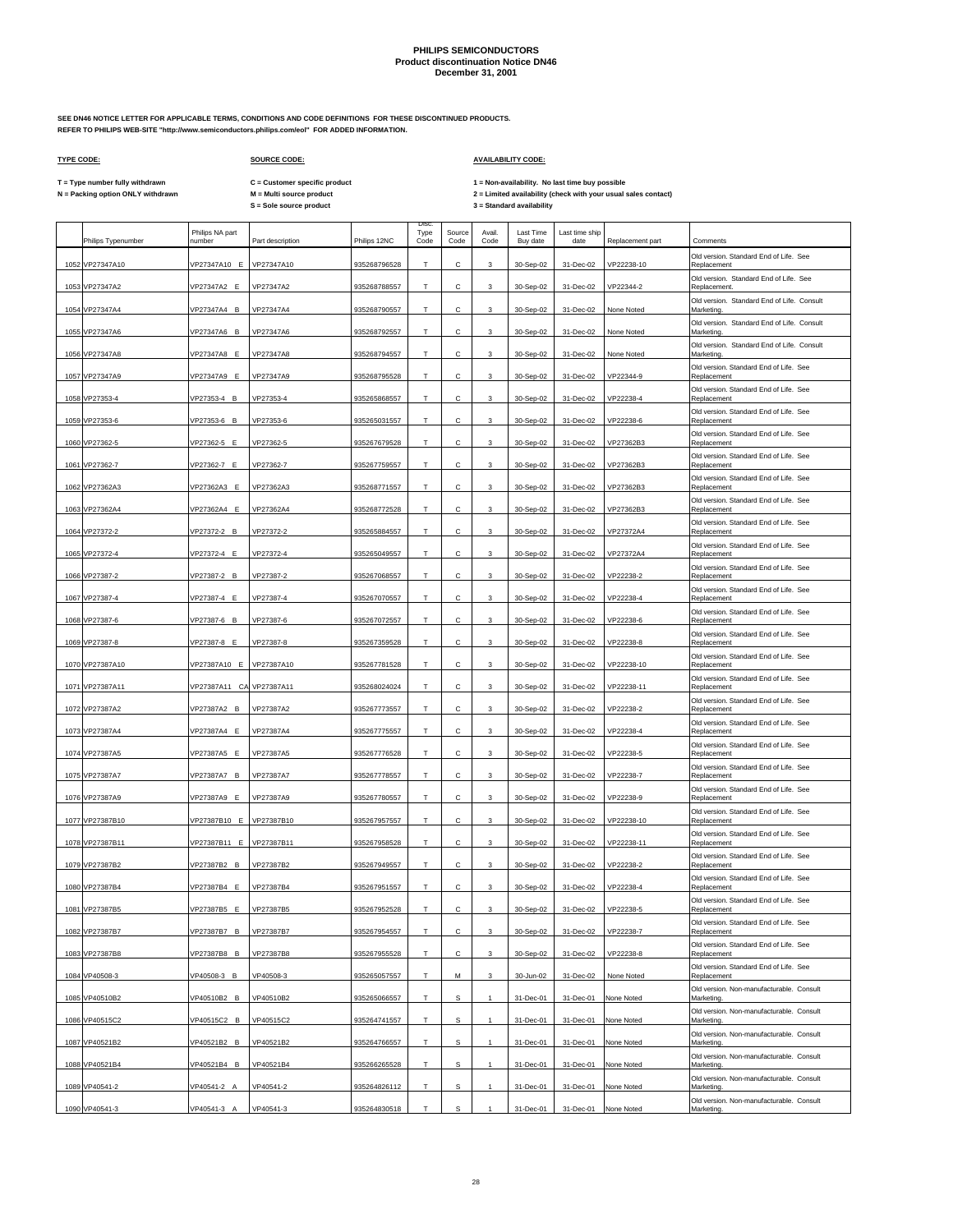Disc.

**SEE DN46 NOTICE LETTER FOR APPLICABLE TERMS, CONDITIONS AND CODE DEFINITIONS FOR THESE DISCONTINUED PRODUCTS. REFER TO PHILIPS WEB-SITE "http://www.semiconductors.philips.com/eol" FOR ADDED INFORMATION.**

 $\Gamma$ 

## **TYPE CODE: SOURCE CODE: AVAILABILITY CODE:**

**C = Customer specific product**

T = Type number fully withdrawn C = Customer specific product 1 = Non-availability. No last time buy possible<br>N = Packing option ONLY withdrawn M = Multi source product 2 = Lim

|      | Philips Typenumber | Philips NA part<br>number | Part description | Philips 12NC | Type<br>Code | Source<br>Code | Avail.<br>Code            | Last Time<br>Buy date | Last time ship<br>date | Replacement part | Comments                                                 |
|------|--------------------|---------------------------|------------------|--------------|--------------|----------------|---------------------------|-----------------------|------------------------|------------------|----------------------------------------------------------|
|      | 1052 VP27347A10    | VP27347A10 E              | VP27347A10       | 935268796528 | T            | C              | 3                         | 30-Sep-02             | 31-Dec-02              | VP22238-10       | Old version, Standard End of Life, See<br>Replacement    |
| 1053 | VP27347A2          | VP27347A2 E               | VP27347A2        | 935268788557 | T            | C              | 3                         | 30-Sep-02             | 31-Dec-02              | VP22344-2        | Old version. Standard End of Life. See<br>Replacement.   |
| 1054 | VP27347A4          | VP27347A4 B               | VP27347A4        | 935268790557 | Т            | C              | 3                         | 30-Sep-02             | 31-Dec-02              | None Noted       | Old version. Standard End of Life. Consult<br>Marketing  |
|      | 1055 VP27347A6     | VP27347A6 B               | VP27347A6        | 935268792557 | т            | Ċ.             | $\mathbf{3}$              | 30-Sep-02             | 31-Dec-02              | None Noted       | Old version. Standard End of Life. Consult<br>Marketing. |
| 1056 | VP27347A8          | VP27347A8 E               | VP27347A8        | 935268794557 | Т            | с              | 3                         | 30-Sep-02             | 31-Dec-02              | None Noted       | Old version. Standard End of Life. Consult<br>Marketing. |
| 1057 | VP27347A9          | VP27347A9 E               | VP27347A9        | 935268795528 | т            | с              | 3                         | 30-Sep-02             | 31-Dec-02              | VP22344-9        | Old version. Standard End of Life. See<br>Replacement    |
| 1058 | VP27353-4          | VP27353-4 B               | VP27353-4        | 935265868557 | T            | C              | 3                         | 30-Sep-02             | 31-Dec-02              | VP22238-4        | Old version. Standard End of Life. See<br>Replacement    |
|      | 1059 VP27353-6     | VP27353-6 B               | VP27353-6        | 935265031557 | T            | с              | 3                         | 30-Sep-02             | 31-Dec-02              | VP22238-6        | Old version. Standard End of Life. See<br>Replacement    |
|      | 1060 VP27362-5     | VP27362-5 E               | VP27362-5        | 935267679528 | T            | с              | 3                         | 30-Sep-02             | 31-Dec-02              | VP27362B3        | Old version. Standard End of Life. See<br>Replacement    |
| 1061 | VP27362-7          | VP27362-7 E               | VP27362-7        | 935267759557 | T            | C              | 3                         | 30-Sep-02             | 31-Dec-02              | VP27362B3        | Old version. Standard End of Life. See<br>Replacement    |
|      | 1062 VP27362A3     | VP27362A3 E               | VP27362A3        | 935268771557 | Т            | с              | 3                         | 30-Sep-02             | 31-Dec-02              | VP27362B3        | Old version. Standard End of Life. See<br>Replacement    |
|      | 1063 VP27362A4     | VP27362A4 E               | VP27362A4        | 935268772528 | T            | C              | $\mathbf{3}$              | 30-Sep-02             | 31-Dec-02              | VP27362B3        | Old version. Standard End of Life. See<br>Replacement    |
|      | 1064 VP27372-2     | VP27372-2 B               | VP27372-2        | 935265884557 | Т            | с              | 3                         | 30-Sep-02             | 31-Dec-02              | VP27372A4        | Old version. Standard End of Life. See<br>Replacement    |
|      | 1065 VP27372-4     | VP27372-4 E               | VP27372-4        | 935265049557 | T            | C              | $\mathbf{3}$              | 30-Sep-02             | 31-Dec-02              | VP27372A4        | Old version. Standard End of Life. See<br>Replacement    |
| 1066 | VP27387-2          | VP27387-2 B               | VP27387-2        | 935267068557 | Т            | с              | 3                         | 30-Sep-02             | 31-Dec-02              | VP22238-2        | Old version. Standard End of Life. See<br>Replacement    |
| 1067 | VP27387-4          | VP27387-4 E               | VP27387-4        | 935267070557 | T.           | C              | 3                         | 30-Sep-02             | 31-Dec-02              | VP22238-4        | Old version. Standard End of Life. See<br>Replacement    |
|      | 1068 VP27387-6     | VP27387-6 B               | VP27387-6        | 935267072557 | т            | с              | 3                         | 30-Sep-02             | 31-Dec-02              | VP22238-6        | Old version. Standard End of Life. See<br>Replacement    |
| 1069 | VP27387-8          | VP27387-8 E               | VP27387-8        | 935267359528 | T            | C              | 3                         | 30-Sep-02             | 31-Dec-02              | VP22238-8        | Old version. Standard End of Life. See<br>Replacement    |
| 1070 | VP27387A10         | VP27387A10 E              | VP27387A10       | 935267781528 | т            | С              | 3                         | 30-Sep-02             | 31-Dec-02              | VP22238-10       | Old version, Standard End of Life. See<br>Replacement    |
|      | 1071 VP27387A11    | VP27387A11 CA VP27387A11  |                  | 935268024024 | T.           | C              | $\mathbf{3}$              | 30-Sep-02             | 31-Dec-02              | VP22238-11       | Old version. Standard End of Life. See<br>Replacement    |
| 1072 | VP27387A2          | VP27387A2 B               | VP27387A2        | 935267773557 | т            | С              | 3                         | 30-Sep-02             | 31-Dec-02              | VP22238-2        | Old version. Standard End of Life. See<br>Replacement    |
| 1073 | VP27387A4          | VP27387A4 E               | VP27387A4        | 935267775557 | T            | с              | 3                         | 30-Sep-02             | 31-Dec-02              | VP22238-4        | Old version. Standard End of Life. See<br>Replacement    |
| 1074 | VP27387A5          | VP27387A5 E               | VP27387A5        | 935267776528 | T            | C              | 3                         | 30-Sep-02             | 31-Dec-02              | VP22238-5        | Old version. Standard End of Life. See<br>Replacement    |
|      | 1075 VP27387A7     | VP27387A7 B               | VP27387A7        | 935267778557 | T.           | с              | 3                         | 30-Sep-02             | 31-Dec-02              | VP22238-7        | Old version. Standard End of Life. See<br>Replacement    |
|      | 1076 VP27387A9     | VP27387A9 E               | VP27387A9        | 935267780557 | т            | Ċ.             | 3                         | 30-Sep-02             | 31-Dec-02              | VP22238-9        | Old version. Standard End of Life. See<br>Replacement    |
| 1077 | VP27387B10         | VP27387B10 E              | VP27387B10       | 935267957557 | т            | $\mathbf{C}$   | 3                         | 30-Sep-02             | 31-Dec-02              | VP22238-10       | Old version. Standard End of Life. See<br>Replacement    |
|      | 1078 VP27387B11    | VP27387B11 E              | VP27387B11       | 935267958528 | T            | с              | $\mathbf{3}$              | 30-Sep-02             | 31-Dec-02              | VP22238-11       | Old version. Standard End of Life. See<br>Replacement    |
|      | 1079 VP27387B2     | VP27387B2 B               | VP27387B2        | 935267949557 | T            | $\mathbf C$    | 3                         | 30-Sep-02             | 31-Dec-02              | VP22238-2        | Old version. Standard End of Life. See<br>Replacement    |
| 1080 | VP27387B4          | VP27387B4 E               | VP27387B4        | 935267951557 | т            | с              | 3                         | 30-Sep-02             | 31-Dec-02              | VP22238-4        | Old version. Standard End of Life. See<br>Replacement    |
|      | 1081 VP27387B5     | VP27387B5 E               | VP27387B5        | 935267952528 | T.           | C              | 3                         | 30-Sep-02             | 31-Dec-02              | VP22238-5        | Old version, Standard End of Life, See<br>Replacement    |
|      | 1082 VP27387B7     | VP27387B7 B               | VP27387B7        | 935267954557 | т            | с              | 3                         | 30-Sep-02             | 31-Dec-02              | VP22238-7        | Old version. Standard End of Life. See<br>Replacement    |
|      | 1083 VP27387B8     | VP27387B8 B               | VP27387B8        | 935267955528 | Т            | с              | $\ensuremath{\mathsf{3}}$ | 30-Sep-02             | 31-Dec-02              | VP22238-8        | Old version. Standard End of Life. See<br>Replacement    |
|      | 1084 VP40508-3     | VP40508-3 B               | VP40508-3        | 935265057557 | т            | М              | 3                         | 30-Jun-02             | 31-Dec-02              | None Noted       | Old version. Standard End of Life. See<br>Replacement    |
|      | 1085 VP40510B2     | VP40510B2 B               | VP40510B2        | 935265066557 | T            | s              |                           | 31-Dec-01             | 31-Dec-01              | None Noted       | Old version. Non-manufacturable. Consult<br>Marketing.   |
|      | 1086 VP40515C2     | VP40515C2 B               | VP40515C2        | 935264741557 | T            | s              |                           | 31-Dec-01             | 31-Dec-01              | None Noted       | Old version. Non-manufacturable. Consult<br>Marketing.   |
|      | 1087 VP40521B2     | VP40521B2 B               | VP40521B2        | 935264766557 | Т            | s              |                           | 31-Dec-01             | 31-Dec-01              | None Noted       | Old version. Non-manufacturable. Consult<br>Marketing    |
|      | 1088 VP40521B4     | VP40521B4 B               | VP40521B4        | 935266265528 | T.           | s              | $\mathbf{1}$              | 31-Dec-01             | 31-Dec-01              | None Noted       | Old version. Non-manufacturable. Consult<br>Marketing.   |
|      | 1089 VP40541-2     | VP40541-2 A               | VP40541-2        | 935264826112 | т            | s              |                           | 31-Dec-01             | 31-Dec-01              | None Noted       | Old version, Non-manufacturable, Consult<br>Marketing.   |
|      | 1090 VP40541-3     | VP40541-3 A               | VP40541-3        | 935264830518 | т            | $\mathbb S$    |                           | 31-Dec-01             | 31-Dec-01              | None Noted       | Old version. Non-manufacturable. Consult<br>Marketing.   |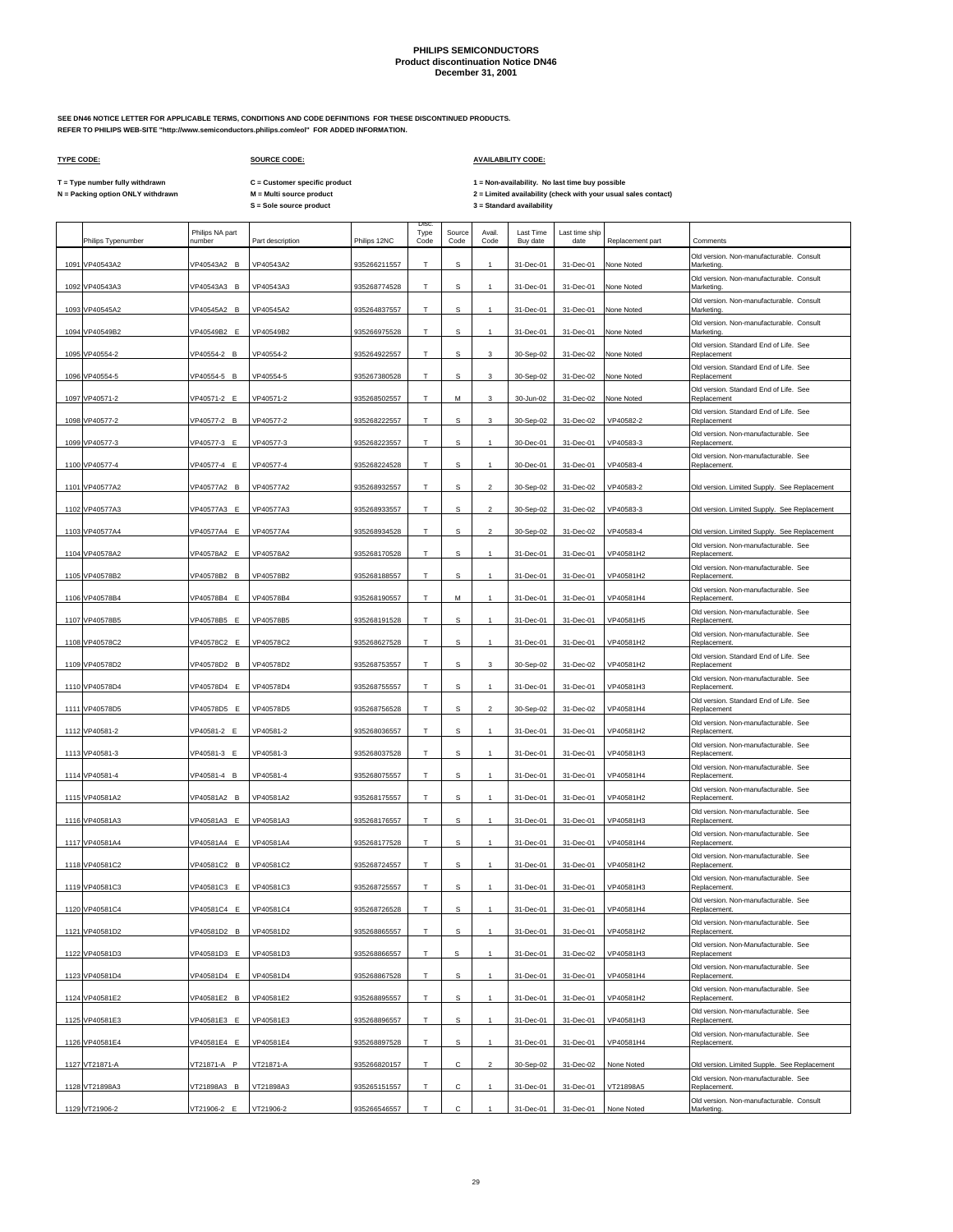**SEE DN46 NOTICE LETTER FOR APPLICABLE TERMS, CONDITIONS AND CODE DEFINITIONS FOR THESE DISCONTINUED PRODUCTS. REFER TO PHILIPS WEB-SITE "http://www.semiconductors.philips.com/eol" FOR ADDED INFORMATION.**

### **TYPE CODE: SOURCE CODE: AVAILABILITY CODE:**

**C = Customer specific product**

T = Type number fully withdrawn C = Customer specific product 1 = Non-availability. No last time buy possible<br>N = Packing option ONLY withdrawn M = Multi source product 2 = Lim

| Philips Typenumber | Philips NA part<br>number | Part description | Philips 12NC | <b>Disc</b><br>Type<br>Code | Source<br>Code | Avail.<br>Code            | Last Time<br>Buy date | Last time ship<br>date | Replacement part | Comments                                               |
|--------------------|---------------------------|------------------|--------------|-----------------------------|----------------|---------------------------|-----------------------|------------------------|------------------|--------------------------------------------------------|
| 1091 VP40543A2     | VP40543A2 B               | VP40543A2        | 935266211557 | T                           | s              |                           | 31-Dec-01             | 31-Dec-01              | None Noted       | Old version. Non-manufacturable. Consult<br>Marketing. |
| 1092 VP40543A3     | VP40543A3 B               | VP40543A3        | 935268774528 | T                           | S              | $\mathbf{1}$              | 31-Dec-01             | 31-Dec-01              | None Noted       | Old version. Non-manufacturable. Consult<br>Marketing. |
| 1093 VP40545A2     | VP40545A2 B               | VP40545A2        | 935264837557 | Т                           | s              |                           | 31-Dec-01             | 31-Dec-01              | None Noted       | Old version. Non-manufacturable. Consult<br>Marketing  |
| 1094 VP40549B2     | VP40549B2 E               | VP40549B2        | 935266975528 | $\mathsf T$                 | s              | $\mathbf{1}$              | 31-Dec-01             | 31-Dec-01              | None Noted       | Old version. Non-manufacturable. Consult<br>Marketing. |
| 1095 VP40554-2     | VP40554-2 B               | VP40554-2        | 935264922557 | Т                           | s              | 3                         | 30-Sep-02             | 31-Dec-02              | None Noted       | Old version. Standard End of Life. See<br>Replacement  |
| 1096 VP40554-5     | VP40554-5 B               | VP40554-5        | 935267380528 | T                           | s              | $\ensuremath{\mathsf{3}}$ | 30-Sep-02             | 31-Dec-02              | None Noted       | Old version. Standard End of Life. See<br>Replacement  |
| 1097 VP40571-2     | VP40571-2 E               | VP40571-2        | 935268502557 | Т                           | М              | 3                         | 30-Jun-02             | 31-Dec-02              | None Noted       | Old version. Standard End of Life. See<br>Replacement  |
| 1098 VP40577-2     | VP40577-2 B               | VP40577-2        | 935268222557 | T                           | s              | 3                         | 30-Sep-02             | 31-Dec-02              | VP40582-2        | Old version. Standard End of Life. See<br>Replacement  |
| 1099 VP40577-3     | VP40577-3 E               | VP40577-3        | 935268223557 | т                           | s              |                           | 30-Dec-01             | 31-Dec-01              | VP40583-3        | Old version. Non-manufacturable. See<br>Replacement.   |
| 1100 VP40577-4     | VP40577-4 E               | VP40577-4        | 935268224528 | T                           | s              |                           | 30-Dec-01             | 31-Dec-01              | VP40583-4        | Old version. Non-manufacturable. See<br>Replacement.   |
| 1101 VP40577A2     | VP40577A2 B               | VP40577A2        | 935268932557 | T                           | S              | $\mathfrak{p}$            | 30-Sep-02             | 31-Dec-02              | VP40583-2        | Old version. Limited Supply. See Replacement           |
| 1102 VP40577A3     | VP40577A3 E               | VP40577A3        | 935268933557 | Т                           | s              | $\overline{2}$            | 30-Sep-02             | 31-Dec-02              | VP40583-3        | Old version. Limited Supply. See Replacement           |
| 1103 VP40577A4     | VP40577A4 E               | VP40577A4        | 935268934528 | т                           | S              | $\mathcal{P}$             | 30-Sep-02             | 31-Dec-02              | VP40583-4        | Old version. Limited Supply. See Replacement           |
| 1104 VP40578A2     | VP40578A2 E               | VP40578A2        | 935268170528 | Т                           | s              | $\mathbf{1}$              | 31-Dec-01             | 31-Dec-01              | VP40581H2        | Old version. Non-manufacturable. See<br>Replacement.   |
| 1105 VP40578B2     | VP40578B2 B               | VP40578B2        | 935268188557 | Т                           | s              | $\overline{1}$            | 31-Dec-01             | 31-Dec-01              | VP40581H2        | Old version. Non-manufacturable. See<br>Replacement.   |
| 1106 VP40578B4     | VP40578B4 E               | VP40578B4        | 935268190557 | Т                           | М              |                           | 31-Dec-01             | 31-Dec-01              | VP40581H4        | Old version. Non-manufacturable. See<br>Replacement.   |
| 1107 VP40578B5     | VP40578B5 E               | VP40578B5        | 935268191528 | Т                           | s              |                           | 31-Dec-01             | 31-Dec-01              | VP40581H5        | Old version. Non-manufacturable. See<br>Replacement.   |
| 1108 VP40578C2     | VP40578C2 E               | VP40578C2        | 935268627528 | T                           | s              |                           | 31-Dec-01             | 31-Dec-01              | VP40581H2        | Old version. Non-manufacturable. See<br>Replacement.   |
| 1109 VP40578D2     | VP40578D2 B               | VP40578D2        | 935268753557 | T                           | s              | 3                         | 30-Sep-02             | 31-Dec-02              | VP40581H2        | Old version. Standard End of Life. See<br>Replacement  |
| 1110 VP40578D4     | VP40578D4 E               | VP40578D4        | 935268755557 | Т                           | s              |                           | 31-Dec-01             | 31-Dec-01              | VP40581H3        | Old version. Non-manufacturable. See<br>Replacement.   |
| 1111 VP40578D5     | VP40578D5 E               | VP40578D5        | 935268756528 | т                           | s              | $\mathcal{P}$             | 30-Sep-02             | 31-Dec-02              | VP40581H4        | Old version. Standard End of Life. See<br>Replacement  |
| 1112 VP40581-2     | VP40581-2 E               | VP40581-2        | 935268036557 | Т                           | s              |                           | 31-Dec-01             | 31-Dec-01              | VP40581H2        | Old version. Non-manufacturable. See<br>Replacement.   |
| 1113 VP40581-3     | VP40581-3 E               | VP40581-3        | 935268037528 | T                           | S              | $\mathbf{1}$              | 31-Dec-01             | 31-Dec-01              | VP40581H3        | Old version. Non-manufacturable. See<br>Replacement.   |
| 1114 VP40581-4     | VP40581-4 B               | VP40581-4        | 935268075557 | Т                           | s              |                           | 31-Dec-01             | 31-Dec-01              | VP40581H4        | Old version. Non-manufacturable. See<br>Replacement.   |
| 1115 VP40581A2     | VP40581A2 B               | VP40581A2        | 935268175557 | T                           | s              |                           | 31-Dec-01             | 31-Dec-01              | VP40581H2        | Old version. Non-manufacturable. See<br>Replacement.   |
| 1116 VP40581A3     | VP40581A3 E               | VP40581A3        | 935268176557 | T                           | s              |                           | 31-Dec-01             | 31-Dec-01              | VP40581H3        | Old version. Non-manufacturable. See<br>Replacement.   |
| 1117 VP40581A4     | VP40581A4 E               | VP40581A4        | 935268177528 | T                           | s              | $\mathbf{1}$              | 31-Dec-01             | 31-Dec-01              | VP40581H4        | Old version. Non-manufacturable. See<br>Replacement.   |
| 1118 VP40581C2     | VP40581C2 B               | VP40581C2        | 935268724557 | Т                           | s              |                           | 31-Dec-01             | 31-Dec-01              | VP40581H2        | Old version. Non-manufacturable. See<br>Replacement.   |
| 1119 VP40581C3     | VP40581C3 E               | VP40581C3        | 935268725557 | T                           | s              | $\mathbf{1}$              | 31-Dec-01             | 31-Dec-01              | VP40581H3        | Old version. Non-manufacturable. See<br>Replacement.   |
| 1120 VP40581C4     | VP40581C4 E               | VP40581C4        | 935268726528 | Т                           | s              |                           | 31-Dec-01             | 31-Dec-01              | VP40581H4        | Old version. Non-manufacturable. See<br>Replacement.   |
| 1121 VP40581D2     | /P40581D2 B               | VP40581D2        | 935268865557 | T                           | $\mathbf S$    | $\mathbf{1}$              | 31-Dec-01             | 31-Dec-01              | VP40581H2        | Old version. Non-manufacturable. See<br>Replacement.   |
| 1122 VP40581D3     | VP40581D3 E               | VP40581D3        | 935268866557 | Т                           | s              |                           | 31-Dec-01             | 31-Dec-02              | VP40581H3        | Old version. Non-Manufacturable. See<br>Replacement    |
| 1123 VP40581D4     | VP40581D4 E               | VP40581D4        | 935268867528 | T                           | s              | $\mathbf{1}$              | 31-Dec-01             | 31-Dec-01              | VP40581H4        | Old version. Non-manufacturable. See<br>Replacement.   |
| 1124 VP40581E2     | VP40581E2 B               | VP40581E2        | 935268895557 | т                           | s              |                           | 31-Dec-01             | 31-Dec-01              | VP40581H2        | Old version. Non-manufacturable. See<br>Replacement.   |
| 1125 VP40581E3     | VP40581E3 E               | VP40581E3        | 935268896557 | T                           | s              |                           | 31-Dec-01             | 31-Dec-01              | VP40581H3        | Old version. Non-manufacturable. See<br>Replacement.   |
| 1126 VP40581E4     | VP40581E4 E               | VP40581E4        | 935268897528 | T                           | S              |                           | 31-Dec-01             | 31-Dec-01              | VP40581H4        | Old version. Non-manufacturable. See<br>Replacement.   |
| 1127 VT21871-A     | VT21871-A P               | VT21871-A        | 935266820157 | Т                           | C              | $\mathcal{P}$             | 30-Sep-02             | 31-Dec-02              | None Noted       | Old version. Limited Supple. See Replacement           |
| 1128 VT21898A3     | VT21898A3 B               | VT21898A3        | 935265151557 | т                           | С              |                           | 31-Dec-01             | 31-Dec-01              | VT21898A5        | Old version. Non-manufacturable. See<br>Replacement.   |
| 1129 VT21906-2     | VT21906-2 E               | VT21906-2        | 935266546557 | т                           | $\mathbf{C}$   |                           | 31-Dec-01             | 31-Dec-01              | None Noted       | Old version. Non-manufacturable. Consult<br>Marketing. |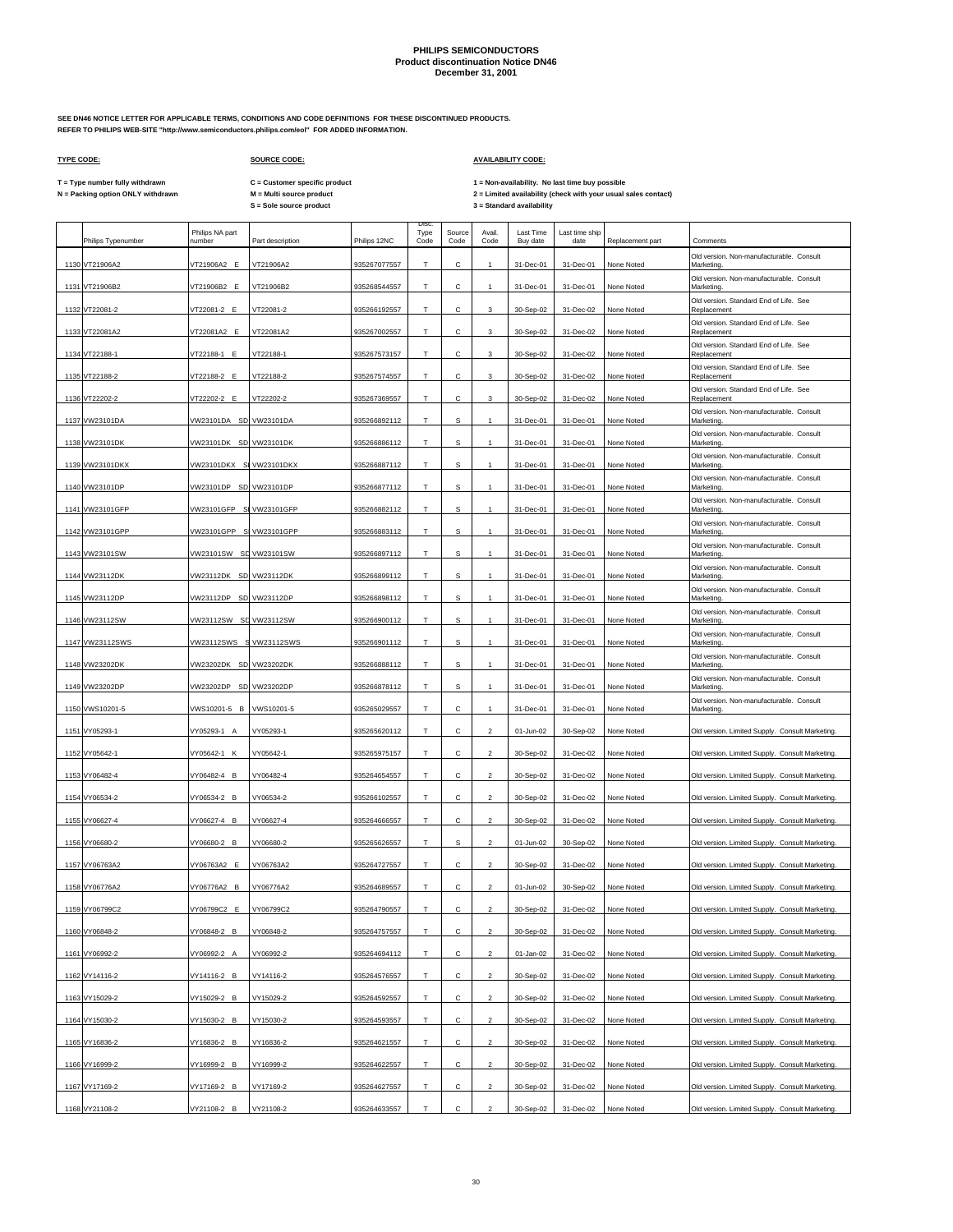Disc.

**SEE DN46 NOTICE LETTER FOR APPLICABLE TERMS, CONDITIONS AND CODE DEFINITIONS FOR THESE DISCONTINUED PRODUCTS. REFER TO PHILIPS WEB-SITE "http://www.semiconductors.philips.com/eol" FOR ADDED INFORMATION.**

 $\Gamma$ 

## **TYPE CODE: SOURCE CODE: AVAILABILITY CODE:**

**C = Customer specific product**

T = Type number fully withdrawn C = Customer specific product 1 = Non-availability. No last time buy possible<br>N = Packing option ONLY withdrawn M = Multi source product 2 = Lim

|      | Philips Typenumber | Philips NA part<br>number | Part description | Philips 12NC | Type<br>Code | Source<br>Code | Avail.<br>Code | <b>Last Time</b><br>Buy date | Last time ship<br>date | Replacement part | Comments                                               |
|------|--------------------|---------------------------|------------------|--------------|--------------|----------------|----------------|------------------------------|------------------------|------------------|--------------------------------------------------------|
|      | 1130 VT21906A2     | VT21906A2 E               | VT21906A2        | 935267077557 | T            | Ċ.             |                | 31-Dec-01                    | 31-Dec-01              | None Noted       | Old version, Non-manufacturable, Consult<br>Marketing  |
|      | 1131 VT21906B2     | VT21906B2 E               | VT21906B2        | 935268544557 | T            | C              | 1              | 31-Dec-01                    | 31-Dec-01              | None Noted       | Old version. Non-manufacturable. Consult<br>Marketing. |
|      | 1132 VT22081-2     | VT22081-2 E               | VT22081-2        | 935266192557 | Т            | с              | 3              | 30-Sep-02                    | 31-Dec-02              | None Noted       | Old version. Standard End of Life. See<br>Replacement  |
|      | 1133 VT22081A2     | VT22081A2 E               | VT22081A2        | 935267002557 | T.           | C              | 3              | 30-Sep-02                    | 31-Dec-02              | None Noted       | Old version. Standard End of Life. See<br>Replacement  |
|      | 1134 VT22188-1     | VT22188-1 E               | VT22188-1        | 935267573157 | Т            | С              | 3              | 30-Sep-02                    | 31-Dec-02              | None Noted       | Old version. Standard End of Life. See<br>Replacement  |
|      | 1135 VT22188-2     | VT22188-2 E               | VT22188-2        | 935267574557 | T            | C              | 3              | 30-Sep-02                    | 31-Dec-02              | None Noted       | Old version. Standard End of Life. See<br>Replacement  |
| 1136 | VT22202-2          | VT22202-2 E               | VT22202-2        | 935267369557 | T            | с              | 3              | 30-Sep-02                    | 31-Dec-02              | None Noted       | Old version. Standard End of Life. See<br>Replacement  |
|      | 1137 VW23101DA     | VW23101DA SD VW23101DA    |                  | 935266892112 | $\top$       | s              | $\mathbf{1}$   | 31-Dec-01                    | 31-Dec-01              | None Noted       | Old version. Non-manufacturable. Consult<br>Marketing. |
|      | 1138 VW23101DK     | VW23101DK SD VW23101DK    |                  | 935266886112 | T.           | S.             |                | 31-Dec-01                    | 31-Dec-01              | None Noted       | Old version. Non-manufacturable. Consult<br>Marketing. |
|      | 1139 VW23101DKX    | VW23101DKX S VW23101DKX   |                  | 935266887112 | Т            | $\mathbf S$    | $\mathbf{1}$   | 31-Dec-01                    | 31-Dec-01              | None Noted       | Old version. Non-manufacturable. Consult<br>Marketing. |
|      | 1140 VW23101DP     | VW23101DP SD VW23101DP    |                  | 935266877112 | T            | s              | 1              | 31-Dec-01                    | 31-Dec-01              | None Noted       | Old version. Non-manufacturable. Consult<br>Marketing. |
|      | 1141 VW23101GFP    | VW23101GFP S VW23101GFP   |                  | 935266882112 | T            | s              | $\mathbf{1}$   | 31-Dec-01                    | 31-Dec-01              | None Noted       | Old version. Non-manufacturable. Consult<br>Marketing. |
|      | 1142 VW23101GPP    | VW23101GPP S VW23101GPP   |                  | 935266883112 | T            | s              | 1              | 31-Dec-01                    | 31-Dec-01              | None Noted       | Old version. Non-manufacturable. Consult<br>Marketing. |
|      | 1143 VW23101SW     | VW23101SW SD VW23101SW    |                  | 935266897112 | Т            | s              | 1              | 31-Dec-01                    | 31-Dec-01              | None Noted       | Old version. Non-manufacturable. Consult<br>Marketing. |
|      | 1144 VW23112DK     | VW23112DK SD VW23112DK    |                  | 935266899112 | Т            | s              | $\mathbf{1}$   | 31-Dec-01                    | 31-Dec-01              | None Noted       | Old version. Non-manufacturable. Consult<br>Marketing. |
|      | 1145 VW23112DP     | VW23112DP SD VW23112DP    |                  | 935266898112 | T            | s              | 1              | 31-Dec-01                    | 31-Dec-01              | None Noted       | Old version. Non-manufacturable. Consult<br>Marketing. |
|      | 1146 VW23112SW     | VW23112SW SD VW23112SW    |                  | 935266900112 | T            | s              |                | 31-Dec-01                    | 31-Dec-01              | None Noted       | Old version. Non-manufacturable. Consult<br>Marketing  |
|      | 1147 VW23112SWS    | VW23112SWS S VW23112SWS   |                  | 935266901112 | т            | $\mathbf S$    | 1              | 31-Dec-01                    | 31-Dec-01              | None Noted       | Old version. Non-manufacturable. Consult<br>Marketing. |
|      | 1148 VW23202DK     | VW23202DK SD VW23202DK    |                  | 935266888112 | $\mathsf T$  | s              | $\mathbf{1}$   | 31-Dec-01                    | 31-Dec-01              | None Noted       | Old version. Non-manufacturable. Consult<br>Marketing. |
|      | 1149 VW23202DP     | VW23202DP SD VW23202DP    |                  | 935266878112 | Т            | $\mathbf s$    | 1              | 31-Dec-01                    | 31-Dec-01              | None Noted       | Old version. Non-manufacturable. Consult<br>Marketing. |
|      | 1150 VWS10201-5    | VWS10201-5 B              | VWS10201-5       | 935265029557 | T            | С              | 1              | 31-Dec-01                    | 31-Dec-01              | None Noted       | Old version. Non-manufacturable. Consult<br>Marketing. |
|      | 1151 VY05293-1     | VY05293-1 A               | VY05293-1        | 935265620112 | T            | с              | $\mathfrak{p}$ | 01-Jun-02                    | 30-Sep-02              | None Noted       | Old version. Limited Supply. Consult Marketing         |
|      | 1152 VY05642-1     | VY05642-1 K               | VY05642-1        | 935265975157 | T            | C              | $\mathfrak{p}$ | 30-Sep-02                    | 31-Dec-02              | None Noted       | Old version. Limited Supply. Consult Marketing         |
|      | 1153 VY06482-4     | VY06482-4 B               | VY06482-4        | 935264654557 | Т            | С              | $\overline{c}$ | 30-Sep-02                    | 31-Dec-02              | None Noted       | Old version. Limited Supply. Consult Marketing         |
|      | 1154 VY06534-2     | VY06534-2 B               | VY06534-2        | 935266102557 | T            | C              | $\overline{2}$ | 30-Sep-02                    | 31-Dec-02              | None Noted       | Old version. Limited Supply. Consult Marketing         |
|      | 1155 VY06627-4     | VY06627-4 B               | VY06627-4        | 935264666557 | Т            | С              | $\mathfrak{p}$ | 30-Sep-02                    | 31-Dec-02              | None Noted       | Old version. Limited Supply. Consult Marketing         |
|      | 1156 VY06680-2     | VY06680-2 B               | VY06680-2        | 935265626557 | T            | s              | $\mathfrak{p}$ | 01-Jun-02                    | 30-Sep-02              | None Noted       | Old version. Limited Supply. Consult Marketing         |
|      | 1157 VY06763A2     | VY06763A2 E               | VY06763A2        | 935264727557 | Т            | с              | $\overline{2}$ | 30-Sep-02                    | 31-Dec-02              | None Noted       | Old version. Limited Supply. Consult Marketing         |
|      | 1158 VY06776A2     | VY06776A2 B               | VY06776A2        | 935264689557 | T            | C              | $\overline{2}$ | 01-Jun-02                    | 30-Sep-02              | None Noted       | Old version. Limited Supply. Consult Marketing         |
|      | 1159 VY06799C2     | VY06799C2 E               | VY06799C2        | 935264790557 | T            | С              | $\overline{2}$ | 30-Sep-02                    | 31-Dec-02              | None Noted       | Old version. Limited Supply. Consult Marketing         |
|      | 1160 VY06848-2     | VY06848-2 B               | VY06848-2        | 935264757557 | т            | с              | $\overline{a}$ | 30-Sep-02                    | 31-Dec-02              | None Noted       | Old version. Limited Supply. Consult Marketing         |
|      | 1161 VY06992-2     | VY06992-2 A               | VY06992-2        | 935264694112 | T            | С              | $\overline{a}$ | 01-Jan-02                    | 31-Dec-02              | None Noted       | Old version. Limited Supply. Consult Marketing.        |
|      | 1162 VY14116-2     | VY14116-2 B               | VY14116-2        | 935264576557 | T            | с              | $\overline{c}$ | 30-Sep-02                    | 31-Dec-02              | None Noted       | Old version. Limited Supply. Consult Marketing.        |
|      | 1163 VY15029-2     | VY15029-2 B               | VY15029-2        | 935264592557 | T.           | С              | $\overline{2}$ | 30-Sep-02                    | 31-Dec-02              | None Noted       | Old version. Limited Supply. Consult Marketing.        |
|      | 1164 VY15030-2     | VY15030-2 B               | VY15030-2        | 935264593557 | Т            | с              | $\overline{c}$ | 30-Sep-02                    | 31-Dec-02              | None Noted       | Old version. Limited Supply. Consult Marketing.        |
|      | 1165 VY16836-2     | VY16836-2 B               | VY16836-2        | 935264621557 | T            | с              | $\overline{a}$ | 30-Sep-02                    | 31-Dec-02              | None Noted       | Old version. Limited Supply. Consult Marketing.        |
|      | 1166 VY16999-2     | VY16999-2 B               | VY16999-2        | 935264622557 | T            | $\mathsf{C}$   | $\overline{c}$ | 30-Sep-02                    | 31-Dec-02              | None Noted       | Old version. Limited Supply. Consult Marketing.        |
|      | 1167 VY17169-2     | VY17169-2 B               | VY17169-2        | 935264627557 | Т            | С              | $\overline{a}$ | 30-Sep-02                    | 31-Dec-02              | None Noted       | Old version. Limited Supply. Consult Marketing.        |
|      | 1168 VY21108-2     | VY21108-2 B               | VY21108-2        | 935264633557 | T            | $\mathtt{C}$   | $\overline{2}$ | 30-Sep-02                    | 31-Dec-02              | None Noted       | Old version. Limited Supply. Consult Marketing.        |